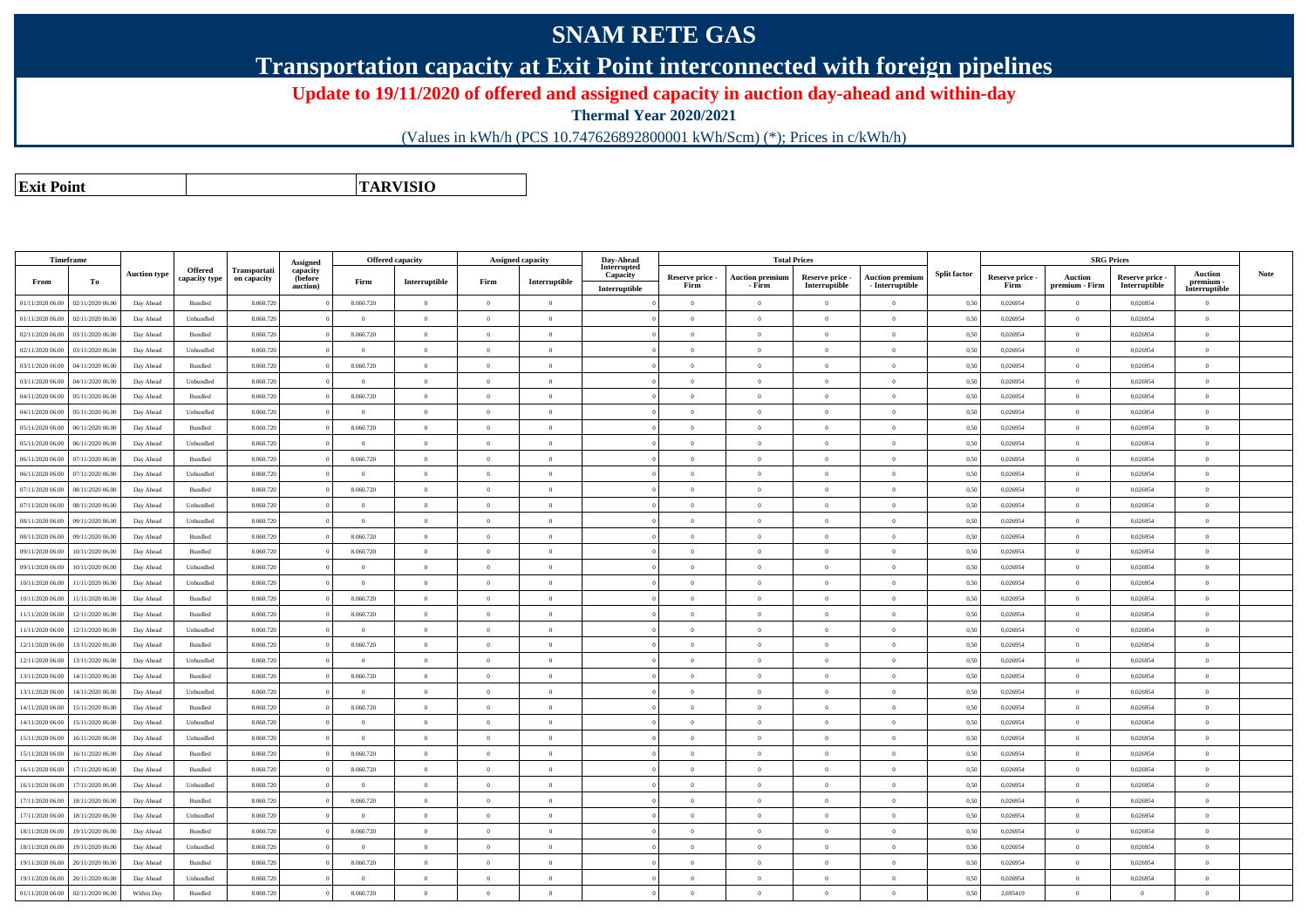## **SNAM RETE GAS**

**Transportation capacity at Exit Point interconnected with foreign pipelines**

**Update to 19/11/2020 of offered and assigned capacity in auction day-ahead and within-day**

**Thermal Year 2020/2021**

(Values in kWh/h (PCS 10.747626892800001 kWh/Scm) (\*); Prices in c/kWh/h)

**Exit PointTARVISIO**

|                  | Timeframe        |                     |                                 |                             | Assigned                        |                | Offered capacity |                | Assigned capacity | Day-Ahead                                |                         |                                  | <b>Total Prices</b>              |                                           |                     |                         | <b>SRG Prices</b>                |                                  |                                              |      |
|------------------|------------------|---------------------|---------------------------------|-----------------------------|---------------------------------|----------------|------------------|----------------|-------------------|------------------------------------------|-------------------------|----------------------------------|----------------------------------|-------------------------------------------|---------------------|-------------------------|----------------------------------|----------------------------------|----------------------------------------------|------|
| From             | To               | <b>Auction type</b> | <b>Offered</b><br>capacity type | Transportati<br>on capacity | capacity<br>(before<br>auction) | Firm           | Interruptible    | Firm           | Interruptible     | Interrupted<br>Capacity<br>Interruptible | Reserve price -<br>Firm | <b>Auction premium</b><br>- Firm | Reserve price -<br>Interruptible | <b>Auction premium</b><br>- Interruptible | <b>Split factor</b> | Reserve price -<br>Firm | <b>Auction</b><br>premium - Firm | Reserve price -<br>Interruptible | <b>Auction</b><br>premium -<br>Interruptible | Note |
| 01/11/2020 06:00 | 02/11/2020 06.00 | Day Ahead           | Bundled                         | 8.060.72                    |                                 | 8.060.720      | $\overline{0}$   | $\Omega$       | $\Omega$          |                                          | $\overline{0}$          | $\Omega$                         | $\Omega$                         | $\theta$                                  | 0,50                | 0,026954                | $\Omega$                         | 0,026954                         | $\theta$                                     |      |
| 01/11/2020 06.00 | 02/11/2020 06.00 | Day Ahead           | Unbundled                       | 8.060.720                   |                                 | $\overline{0}$ | $\overline{0}$   | $\theta$       | $\overline{0}$    |                                          | $\overline{0}$          | $\theta$                         | $\overline{0}$                   | $\mathbf{0}$                              | 0,50                | 0,026954                | $\overline{0}$                   | 0,026954                         | $\mathbf{0}$                                 |      |
| 02/11/2020 06.00 | 03/11/2020 06.00 | Day Ahead           | Bundled                         | 8.060.72                    |                                 | 8.060.720      | $\overline{0}$   | $\theta$       | $\Omega$          |                                          | $\overline{0}$          | $\Omega$                         | $\overline{0}$                   | $\mathbf{0}$                              | 0,50                | 0,026954                | $\overline{0}$                   | 0,026954                         | $\mathbf{0}$                                 |      |
| 02/11/2020 06:00 | 03/11/2020 06.00 | Day Ahead           | Unbundled                       | 8.060.720                   |                                 | $\overline{0}$ | $\Omega$         | $\Omega$       | $\Omega$          |                                          | $\theta$                | $\theta$                         | $\Omega$                         | $\theta$                                  | 0,50                | 0.026954                | $\Omega$                         | 0.026954                         | $\theta$                                     |      |
| 03/11/2020 06.00 | 04/11/2020 06.00 | Day Ahead           | Bundled                         | 8.060.72                    |                                 | 8.060.720      | $\overline{0}$   | $\theta$       | $\Omega$          |                                          | $\overline{0}$          | $\theta$                         | $\overline{0}$                   | $\Omega$                                  | 0,50                | 0,026954                | $\overline{0}$                   | 0,026954                         | $\mathbf{0}$                                 |      |
| 03/11/2020 06.00 | 04/11/2020 06.00 | Day Ahead           | Unbundled                       | 8.060.72                    |                                 | $\overline{0}$ | $\overline{0}$   | $\theta$       | $\overline{0}$    |                                          | $\theta$                | $\Omega$                         | $\overline{0}$                   | $\overline{0}$                            | 0,50                | 0,026954                | $\overline{0}$                   | 0,026954                         | $\mathbf{0}$                                 |      |
| 04/11/2020 06.00 | 05/11/2020 06.0  | Day Ahead           | Bundled                         | 8.060.72                    |                                 | 8.060.720      | $\overline{0}$   | $\theta$       | $\theta$          |                                          | $\overline{0}$          | $\Omega$                         | $\overline{0}$                   | $\overline{0}$                            | 0,50                | 0,026954                | $\overline{0}$                   | 0,026954                         | $\bf{0}$                                     |      |
| 04/11/2020 06.00 | 05/11/2020 06.00 | Day Ahead           | Unbundled                       | 8.060.72                    |                                 | $\bf{0}$       | $\overline{0}$   | $\theta$       | $\overline{0}$    |                                          | $\overline{0}$          | $\theta$                         | $\overline{0}$                   | $\overline{0}$                            | 0,50                | 0,026954                | $\overline{0}$                   | 0,026954                         | $\mathbf{0}$                                 |      |
| 05/11/2020 06.00 | 06/11/2020 06.00 | Day Ahead           | Bundled                         | 8.060.720                   |                                 | 8.060.720      | $\theta$         | $\Omega$       | $\theta$          |                                          | $\Omega$                | $\theta$                         | $\Omega$                         | $\theta$                                  | 0,50                | 0,026954                | $\Omega$                         | 0,026954                         | $\overline{0}$                               |      |
| 05/11/2020 06:00 | 06/11/2020 06:00 | Day Ahead           | Unbundled                       | 8.060.72                    |                                 | $\theta$       | $\overline{0}$   | $\theta$       | $\Omega$          |                                          | $\Omega$                | $\Omega$                         | $\overline{0}$                   | $\theta$                                  | 0,50                | 0,026954                | $\overline{0}$                   | 0,026954                         | $\mathbf{0}$                                 |      |
| 06/11/2020 06:00 | 07/11/2020 06:00 | Day Ahead           | Bundled                         | 8.060.720                   |                                 | 8.060.720      | $\theta$         | $\Omega$       | $\Omega$          |                                          | $\overline{0}$          | $\theta$                         | $\theta$                         | $\Omega$                                  | 0.50                | 0.026954                | $\theta$                         | 0.026954                         | $\theta$                                     |      |
| 06/11/2020 06:00 | 07/11/2020 06.00 | Day Ahead           | Unbundled                       | 8.060.72                    |                                 | $\overline{0}$ | $\overline{0}$   | $\overline{0}$ | $\overline{0}$    |                                          | $\overline{0}$          | $\bf{0}$                         | $\theta$                         | $\overline{0}$                            | 0,50                | 0,026954                | $\overline{0}$                   | 0.026954                         | $\mathbf{0}$                                 |      |
| 07/11/2020 06.00 | 08/11/2020 06.00 | Day Ahead           | Bundled                         | 8.060.72                    |                                 | 8.060.720      | $\theta$         | $\Omega$       | $\theta$          |                                          | $\theta$                | $\theta$                         | $\Omega$                         | $\Omega$                                  | 0,50                | 0,026954                | $\Omega$                         | 0,026954                         | $\overline{0}$                               |      |
| 07/11/2020 06.00 | 08/11/2020 06.00 | Day Ahead           | Unbundled                       | 8.060.72                    |                                 | $\theta$       | $\overline{0}$   | $\theta$       | $\Omega$          |                                          | $\theta$                | $\Omega$                         | $\overline{0}$                   | $\Omega$                                  | 0,50                | 0,026954                | $\overline{0}$                   | 0,026954                         | $\overline{0}$                               |      |
| 08/11/2020 06.00 | 09/11/2020 06.00 | Day Ahead           | Unbundled                       | 8.060.72                    |                                 | $\overline{0}$ | $\overline{0}$   | $\theta$       | $\overline{0}$    |                                          | $\overline{0}$          | $\bf{0}$                         | $\overline{0}$                   | $\overline{0}$                            | 0,50                | 0,026954                | $\overline{0}$                   | 0,026954                         | $\theta$                                     |      |
| 08/11/2020 06.00 | 09/11/2020 06.00 | Day Ahead           | Bundled                         | 8.060.72                    |                                 | 8.060.720      | $\overline{0}$   | $\Omega$       | $\theta$          |                                          | $\Omega$                | $\Omega$                         | $\Omega$                         | $\Omega$                                  | 0,50                | 0,026954                | $\mathbf{0}$                     | 0,026954                         | $\overline{0}$                               |      |
| 09/11/2020 06:00 | 10/11/2020 06:00 | Day Ahead           | Bundled                         | 8.060.720                   |                                 | 8.060.720      | $\overline{0}$   | $\theta$       | $\overline{0}$    |                                          | $\overline{0}$          | $\theta$                         | $\overline{0}$                   | $\overline{0}$                            | 0,50                | 0,026954                | $\overline{0}$                   | 0,026954                         | $\mathbf{0}$                                 |      |
| 09/11/2020 06:00 | 10/11/2020 06:00 | Day Ahead           | Unbundled                       | 8.060.720                   |                                 | $\theta$       | $\overline{0}$   | $\theta$       | $\Omega$          |                                          | $\Omega$                | $\theta$                         | $\overline{0}$                   | $\theta$                                  | 0,50                | 0,026954                | $\theta$                         | 0,026954                         | $\overline{0}$                               |      |
| 10/11/2020 06:00 | 11/11/2020 06.00 | Day Ahead           | Unbundled                       | 8.060.72                    |                                 | $\overline{0}$ | $\overline{0}$   | $\overline{0}$ | $\Omega$          |                                          | $\overline{0}$          | $\theta$                         | $\overline{0}$                   | $\overline{0}$                            | 0,50                | 0,026954                | $\overline{0}$                   | 0,026954                         | $\mathbf{0}$                                 |      |
| 10/11/2020 06:00 | 11/11/2020 06:00 | Day Ahead           | Bundled                         | 8.060.720                   |                                 | 8.060.720      | $\theta$         | $\theta$       | $\Omega$          |                                          | $\theta$                | $\Omega$                         | $\Omega$                         | $\Omega$                                  | 0,50                | 0.026954                | $\Omega$                         | 0.026954                         | $\theta$                                     |      |
| 11/11/2020 06.00 | 12/11/2020 06.00 | Day Ahead           | Bundled                         | 8.060.72                    |                                 | 8.060.720      | $\overline{0}$   | $\overline{0}$ | $\Omega$          |                                          | $\theta$                | $\theta$                         | $\overline{0}$                   | $\theta$                                  | 0,50                | 0,026954                | $\overline{0}$                   | 0,026954                         | $\mathbf{0}$                                 |      |
| 11/11/2020 06.00 | 12/11/2020 06.00 | Day Ahead           | Unbundled                       | 8.060.72                    |                                 | $\overline{0}$ | $\theta$         | $\Omega$       | $\theta$          |                                          | $\theta$                | $\Omega$                         | $\Omega$                         | $\Omega$                                  | 0,50                | 0,026954                | $\Omega$                         | 0,026954                         | $\theta$                                     |      |
| 12/11/2020 06:00 | 13/11/2020 06.00 | Day Ahead           | Bundled                         | 8.060.72                    |                                 | 8.060.720      | $\overline{0}$   | $\theta$       | $\Omega$          |                                          | $\overline{0}$          | $\Omega$                         | $\overline{0}$                   | $\Omega$                                  | 0,50                | 0,026954                | $\overline{0}$                   | 0,026954                         | $\overline{0}$                               |      |
| 12/11/2020 06:00 | 13/11/2020 06.00 | Day Ahead           | Unbundled                       | 8.060.72                    |                                 | $\bf{0}$       | $\overline{0}$   | $\theta$       | $\overline{0}$    |                                          | $\overline{0}$          | $\theta$                         | $\overline{0}$                   | $\overline{0}$                            | 0,50                | 0,026954                | $\overline{0}$                   | 0,026954                         | $\mathbf{0}$                                 |      |
| 13/11/2020 06:00 | 14/11/2020 06.00 | Day Ahead           | Bundled                         | 8.060.720                   |                                 | 8.060.720      | $\overline{0}$   | $\theta$       | $\theta$          |                                          | $\Omega$                | $\Omega$                         | $\overline{0}$                   | $\Omega$                                  | 0,50                | 0,026954                | $\overline{0}$                   | 0,026954                         | $\overline{0}$                               |      |
| 13/11/2020 06:00 | 14/11/2020 06.00 | Day Ahead           | Unbundled                       | 8.060.720                   |                                 | $\theta$       | $\overline{0}$   | $\theta$       | $\theta$          |                                          | $\Omega$                | $\Omega$                         | $\theta$                         | $\theta$                                  | 0,50                | 0,026954                | $\mathbf{0}$                     | 0,026954                         | $\mathbf{0}$                                 |      |
| 14/11/2020 06:00 | 15/11/2020 06:00 | Day Ahead           | Bundled                         | 8.060.720                   |                                 | 8.060.720      | $\overline{0}$   | $\theta$       | $\Omega$          |                                          | $\Omega$                | $\theta$                         | $\theta$                         | $\theta$                                  | 0.50                | 0.026954                | $\theta$                         | 0.026954                         | $\theta$                                     |      |
| 14/11/2020 06.00 | 15/11/2020 06:00 | Day Ahead           | Unbundled                       | 8.060.72                    |                                 | $\bf{0}$       | $\overline{0}$   | $\,$ 0 $\,$    | $\overline{0}$    |                                          | $\overline{0}$          | $\bf{0}$                         | $\overline{0}$                   | $\overline{0}$                            | 0,50                | 0,026954                | $\overline{0}$                   | 0,026954                         | $\,$ 0 $\,$                                  |      |
| 15/11/2020 06:00 | 16/11/2020 06.00 | Day Ahead           | Unbundled                       | 8.060.720                   |                                 | $\overline{0}$ | $\theta$         | $\Omega$       | $\overline{0}$    |                                          | $\theta$                | $\theta$                         | $\Omega$                         | $\Omega$                                  | 0,50                | 0,026954                | $\overline{0}$                   | 0.026954                         | $\theta$                                     |      |
| 15/11/2020 06.00 | 16/11/2020 06.00 | Day Ahead           | Bundled                         | 8.060.72                    |                                 | 8.060.720      | $\overline{0}$   | $\theta$       | $\sqrt{2}$        |                                          | $\theta$                | $\theta$                         | $\overline{0}$                   | $\Omega$                                  | 0,50                | 0,026954                | $\overline{0}$                   | 0,026954                         | $\overline{0}$                               |      |
| 16/11/2020 06.00 | 17/11/2020 06.00 | Day Ahead           | Bundled                         | 8.060.720                   |                                 | 8.060.720      | $\overline{0}$   | $\theta$       | $\theta$          |                                          | $\theta$                | $\theta$                         | $\Omega$                         | $\Omega$                                  | 0,50                | 0,026954                | $\overline{0}$                   | 0,026954                         | $\overline{0}$                               |      |
| 16/11/2020 06.00 | 17/11/2020 06:00 | Day Ahead           | Unbundled                       | 8.060.72                    |                                 | $\theta$       | $\overline{0}$   | $\Omega$       | $\theta$          |                                          | $\theta$                | $\Omega$                         | $\overline{0}$                   | $\Omega$                                  | 0,50                | 0,026954                | $\Omega$                         | 0,026954                         | $\overline{0}$                               |      |
| 17/11/2020 06.00 | 18/11/2020 06.00 | Day Ahead           | Bundled                         | 8.060.72                    |                                 | 8.060.720      | $\bf{0}$         | $\theta$       | $\overline{0}$    |                                          | $\overline{0}$          | $\theta$                         | $\overline{0}$                   | $\mathbf{0}$                              | 0,50                | 0,026954                | $\overline{0}$                   | 0,026954                         | $\,$ 0 $\,$                                  |      |
| 17/11/2020 06:00 | 18/11/2020 06:00 | Day Ahead           | Unbundled                       | 8.060.720                   |                                 | $\theta$       | $\overline{0}$   | $\theta$       | $\Omega$          |                                          | $\Omega$                | $\theta$                         | $\overline{0}$                   | $\theta$                                  | 0,50                | 0,026954                | $\mathbf{0}$                     | 0,026954                         | $\overline{0}$                               |      |
| 18/11/2020 06.00 | 19/11/2020 06.00 | Day Ahead           | Bundled                         | 8.060.720                   |                                 | 8.060.720      | $\overline{0}$   | $\theta$       | $\theta$          |                                          | $\theta$                | $\Omega$                         | $\overline{0}$                   | $\theta$                                  | 0,50                | 0,026954                | $\overline{0}$                   | 0,026954                         | $\mathbf{0}$                                 |      |
| 18/11/2020 06:00 | 19/11/2020 06:00 | Day Ahead           | Unbundled                       | 8.060.720                   |                                 | $\Omega$       | $\Omega$         | $\theta$       | $\Omega$          |                                          | $\Omega$                | $\Omega$                         | $\theta$                         | $\Omega$                                  | 0.50                | 0.026954                | $\Omega$                         | 0.026954                         | $\theta$                                     |      |
| 19/11/2020 06:00 | 20/11/2020 06:00 | Day Ahead           | Bundled                         | 8.060.72                    |                                 | 8.060.720      | $\theta$         | $\overline{0}$ | $\Omega$          |                                          | $\overline{0}$          | $\mathbf{0}$                     | $\theta$                         | $\theta$                                  | 0,50                | 0,026954                | $\overline{0}$                   | 0,026954                         | $\mathbf{0}$                                 |      |
| 19/11/2020 06.00 | 20/11/2020 06.00 | Day Ahead           | Unbundled                       | 8.060.720                   |                                 | $\bf{0}$       | $\overline{0}$   | $\theta$       | $\Omega$          |                                          | $\theta$                | $\theta$                         | $\overline{0}$                   | $\mathbf{0}$                              | 0,50                | 0,026954                | $\mathbf{0}$                     | 0,026954                         | $\mathbf{0}$                                 |      |
| 01/11/2020 06.00 | 02/11/2020 06.00 | Within Day          | Bundled                         | 8.060.720                   |                                 | 8.060.720      | $\Omega$         | $\theta$       | $\Omega$          |                                          | $\Omega$                | $\theta$                         | $\Omega$                         | $\theta$                                  | 0,50                | 2,695419                | $\Omega$                         | $\Omega$                         | $\theta$                                     |      |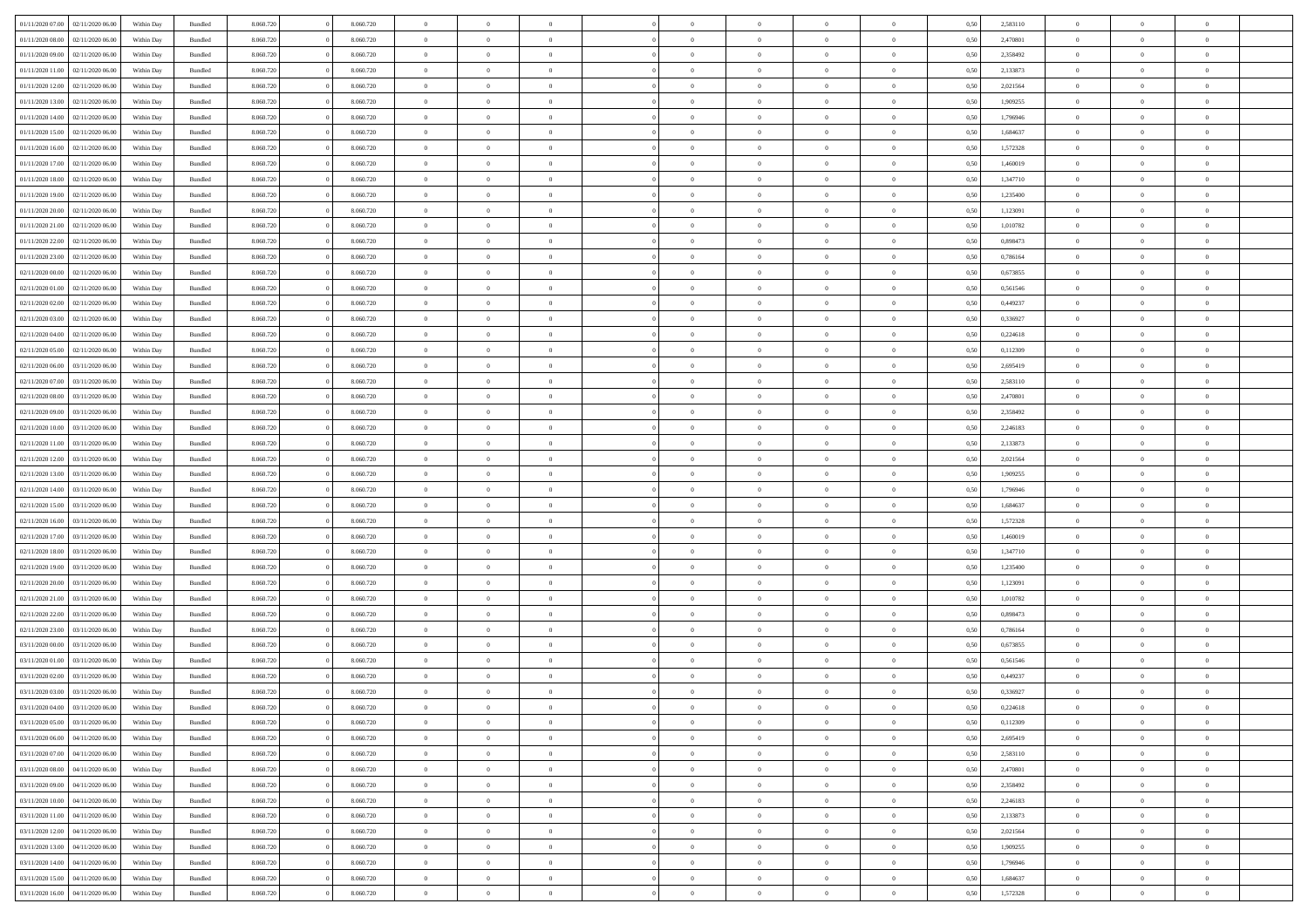| 01/11/2020 07:00<br>02/11/2020 06:00 | Within Day | Bundled | 8.060.720 | 8.060.720 | $\overline{0}$ | $\theta$       |                |                | $\Omega$       | $\Omega$       | $\overline{0}$ | 0,50 | 2,583110 | $\theta$       | $\theta$       | $\theta$       |  |
|--------------------------------------|------------|---------|-----------|-----------|----------------|----------------|----------------|----------------|----------------|----------------|----------------|------|----------|----------------|----------------|----------------|--|
| 01/11/2020 08:00<br>02/11/2020 06.00 | Within Dav | Bundled | 8.060.720 | 8.060.720 | $\overline{0}$ | $\Omega$       |                | $\Omega$       | $\Omega$       | $\Omega$       | $\bf{0}$       | 0.50 | 2,470801 | $\theta$       | $\Omega$       | $\sqrt{ }$     |  |
| 01/11/2020 09:00<br>02/11/2020 06.00 | Within Day | Bundled | 8.060.720 | 8.060.720 | $\overline{0}$ | $\overline{0}$ | $\overline{0}$ | $\overline{0}$ | $\,$ 0 $\,$    | $\overline{0}$ | $\,$ 0 $\,$    | 0,50 | 2,358492 | $\,$ 0 $\,$    | $\overline{0}$ | $\overline{0}$ |  |
| 01/11/2020 11:00<br>02/11/2020 06.00 |            |         | 8.060.720 | 8.060.720 | $\overline{0}$ | $\overline{0}$ | $\overline{0}$ | $\overline{0}$ | $\bf{0}$       | $\overline{0}$ | $\bf{0}$       | 0,50 | 2,133873 | $\bf{0}$       | $\overline{0}$ | $\overline{0}$ |  |
|                                      | Within Day | Bundled |           |           |                |                |                |                |                |                |                |      |          |                |                |                |  |
| 01/11/2020 12:00<br>02/11/2020 06:00 | Within Day | Bundled | 8.060.720 | 8.060.720 | $\overline{0}$ | $\Omega$       | $^{\circ}$     | $\Omega$       | $\overline{0}$ | $\Omega$       | $\overline{0}$ | 0.50 | 2,021564 | $\theta$       | $\theta$       | $\sqrt{ }$     |  |
| 01/11/2020 13:00<br>02/11/2020 06.00 | Within Day | Bundled | 8.060.720 | 8.060.720 | $\overline{0}$ | $\overline{0}$ | $\overline{0}$ | $\overline{0}$ | $\,$ 0 $\,$    | $\overline{0}$ | $\,$ 0 $\,$    | 0,50 | 1,909255 | $\,$ 0 $\,$    | $\overline{0}$ | $\overline{0}$ |  |
| 01/11/2020 14:00<br>02/11/2020 06.00 | Within Day | Bundled | 8.060.720 | 8.060.720 | $\overline{0}$ | $\overline{0}$ | $\overline{0}$ | $\Omega$       | $\overline{0}$ | $\overline{0}$ | $\bf{0}$       | 0,50 | 1,796946 | $\bf{0}$       | $\theta$       | $\overline{0}$ |  |
| 01/11/2020 15.00<br>02/11/2020 06.00 | Within Dav | Bundled | 8.060.720 | 8.060.720 | $\overline{0}$ | $\Omega$       | $^{\circ}$     | $\Omega$       | $\bf{0}$       | $\Omega$       | $\bf{0}$       | 0.50 | 1,684637 | $\theta$       | $\theta$       | $\sqrt{ }$     |  |
| 01/11/2020 16.00<br>02/11/2020 06.00 |            |         | 8.060.720 | 8.060.720 | $\overline{0}$ | $\overline{0}$ | $\overline{0}$ | $\overline{0}$ | $\overline{0}$ | $\overline{0}$ | $\,$ 0 $\,$    |      | 1,572328 | $\,$ 0 $\,$    | $\overline{0}$ | $\overline{0}$ |  |
|                                      | Within Day | Bundled |           |           |                |                |                |                |                |                |                | 0,50 |          |                |                |                |  |
| 01/11/2020 17.00<br>02/11/2020 06.00 | Within Day | Bundled | 8.060.720 | 8.060.720 | $\overline{0}$ | $\overline{0}$ | $\overline{0}$ | $\Omega$       | $\overline{0}$ | $\overline{0}$ | $\bf{0}$       | 0,50 | 1,460019 | $\bf{0}$       | $\overline{0}$ | $\overline{0}$ |  |
| 01/11/2020 18.00<br>02/11/2020 06.00 | Within Dav | Bundled | 8.060.720 | 8.060.720 | $\overline{0}$ | $\Omega$       | $^{\circ}$     | $\Omega$       | $\overline{0}$ | $\Omega$       | $\overline{0}$ | 0.50 | 1,347710 | $\theta$       | $\theta$       | $\sqrt{ }$     |  |
| 01/11/2020 19:00<br>02/11/2020 06.00 | Within Day | Bundled | 8.060.720 | 8.060.720 | $\overline{0}$ | $\overline{0}$ | $\overline{0}$ | $\overline{0}$ | $\,$ 0 $\,$    | $\overline{0}$ | $\,$ 0 $\,$    | 0,50 | 1,235400 | $\,$ 0 $\,$    | $\overline{0}$ | $\overline{0}$ |  |
| 01/11/2020 20.00<br>02/11/2020 06.00 | Within Day | Bundled | 8.060.720 | 8.060.720 | $\overline{0}$ | $\overline{0}$ | $\overline{0}$ | $\overline{0}$ | $\bf{0}$       | $\overline{0}$ | $\bf{0}$       | 0,50 | 1,123091 | $\bf{0}$       | $\overline{0}$ | $\overline{0}$ |  |
| 01/11/2020 21.00<br>02/11/2020 06.00 | Within Day | Bundled | 8.060.720 | 8.060.720 | $\overline{0}$ | $\Omega$       | $^{\circ}$     | $\Omega$       | $\overline{0}$ | $\Omega$       | $\bf{0}$       | 0.50 | 1,010782 | $\theta$       | $\theta$       | $\sqrt{ }$     |  |
|                                      |            |         |           |           |                |                |                |                |                |                |                |      |          |                |                |                |  |
| 01/11/2020 22.00<br>02/11/2020 06.00 | Within Day | Bundled | 8.060.720 | 8.060.720 | $\overline{0}$ | $\overline{0}$ | $\overline{0}$ | $\overline{0}$ | $\,$ 0 $\,$    | $\overline{0}$ | $\,$ 0 $\,$    | 0,50 | 0,898473 | $\theta$       | $\overline{0}$ | $\overline{0}$ |  |
| 01/11/2020 23.00<br>02/11/2020 06.00 | Within Day | Bundled | 8.060.720 | 8.060.720 | $\overline{0}$ | $\overline{0}$ | $\overline{0}$ | $\Omega$       | $\overline{0}$ | $\overline{0}$ | $\bf{0}$       | 0,50 | 0,786164 | $\theta$       | $\overline{0}$ | $\overline{0}$ |  |
| 02/11/2020 00.00<br>02/11/2020 06.00 | Within Day | Bundled | 8.060.720 | 8.060.720 | $\overline{0}$ | $\Omega$       | $^{\circ}$     | $\Omega$       | $\overline{0}$ | $\Omega$       | $\bf{0}$       | 0.50 | 0,673855 | $\theta$       | $\Omega$       | -0             |  |
| 02/11/2020 01:00<br>02/11/2020 06.00 | Within Day | Bundled | 8.060.720 | 8.060.720 | $\overline{0}$ | $\overline{0}$ | $\overline{0}$ | $\overline{0}$ | $\,$ 0 $\,$    | $\overline{0}$ | $\,$ 0 $\,$    | 0,50 | 0,561546 | $\,$ 0 $\,$    | $\overline{0}$ | $\overline{0}$ |  |
| 02/11/2020 02.00<br>02/11/2020 06:00 | Within Day | Bundled | 8.060.720 | 8.060.720 | $\overline{0}$ | $\overline{0}$ | $\overline{0}$ | $\Omega$       | $\overline{0}$ | $\overline{0}$ | $\bf{0}$       | 0,50 | 0,449237 | $\bf{0}$       | $\theta$       | $\overline{0}$ |  |
| 02/11/2020 03.00<br>02/11/2020 06.00 | Within Day | Bundled | 8.060.720 | 8.060.720 | $\overline{0}$ | $\Omega$       | $\Omega$       | $\Omega$       | $\bf{0}$       | $\Omega$       | $\overline{0}$ | 0.50 | 0,336927 | $\theta$       | $\theta$       | $\sqrt{ }$     |  |
|                                      |            |         |           |           |                |                |                |                |                |                |                |      |          |                |                |                |  |
| 02/11/2020 04:00<br>02/11/2020 06.00 | Within Day | Bundled | 8.060.720 | 8.060.720 | $\overline{0}$ | $\overline{0}$ | $\overline{0}$ | $\overline{0}$ | $\,$ 0 $\,$    | $\overline{0}$ | $\,$ 0 $\,$    | 0,50 | 0,224618 | $\,$ 0 $\,$    | $\overline{0}$ | $\overline{0}$ |  |
| 02/11/2020 05:00<br>02/11/2020 06.00 | Within Day | Bundled | 8.060.720 | 8.060.720 | $\overline{0}$ | $\overline{0}$ | $\overline{0}$ | $\overline{0}$ | $\bf{0}$       | $\overline{0}$ | $\bf{0}$       | 0,50 | 0,112309 | $\bf{0}$       | $\overline{0}$ | $\bf{0}$       |  |
| 02/11/2020 06.00<br>03/11/2020 06.00 | Within Day | Bundled | 8.060.720 | 8.060.720 | $\overline{0}$ | $\Omega$       | $^{\circ}$     | $\overline{0}$ | $\bf{0}$       | $\Omega$       | $\overline{0}$ | 0.50 | 2,695419 | $\theta$       | $\theta$       | $\sqrt{ }$     |  |
| 02/11/2020 07.00<br>03/11/2020 06.00 | Within Day | Bundled | 8.060.720 | 8.060.720 | $\overline{0}$ | $\overline{0}$ | $\overline{0}$ | $\overline{0}$ | $\,$ 0 $\,$    | $\overline{0}$ | $\,$ 0 $\,$    | 0,50 | 2,583110 | $\,$ 0 $\,$    | $\overline{0}$ | $\overline{0}$ |  |
| 02/11/2020 08:00<br>03/11/2020 06:00 | Within Day | Bundled | 8.060.720 | 8.060.720 | $\overline{0}$ | $\overline{0}$ | $\overline{0}$ | $\Omega$       | $\overline{0}$ | $\overline{0}$ | $\bf{0}$       | 0,50 | 2,470801 | $\bf{0}$       | $\overline{0}$ | $\overline{0}$ |  |
| 02/11/2020 09:00<br>03/11/2020 06.00 | Within Dav | Bundled | 8.060.720 | 8.060.720 | $\overline{0}$ | $\Omega$       | $\Omega$       | $\Omega$       | $\bf{0}$       | $\Omega$       | $\bf{0}$       | 0.50 | 2,358492 | $\theta$       | $\theta$       | $\sqrt{ }$     |  |
| 02/11/2020 10:00<br>03/11/2020 06.00 |            |         | 8.060.720 | 8.060.720 | $\overline{0}$ | $\overline{0}$ | $\overline{0}$ | $\overline{0}$ | $\,$ 0 $\,$    | $\overline{0}$ | $\,$ 0 $\,$    |      | 2,246183 | $\,$ 0 $\,$    | $\overline{0}$ | $\overline{0}$ |  |
|                                      | Within Day | Bundled |           |           |                |                |                |                |                |                |                | 0,50 |          |                |                |                |  |
| 02/11/2020 11:00<br>03/11/2020 06:00 | Within Day | Bundled | 8.060.720 | 8.060.720 | $\overline{0}$ | $\overline{0}$ | $\overline{0}$ | $\Omega$       | $\overline{0}$ | $\overline{0}$ | $\bf{0}$       | 0,50 | 2,133873 | $\bf{0}$       | $\theta$       | $\overline{0}$ |  |
| 02/11/2020 12.00<br>03/11/2020 06.00 | Within Day | Bundled | 8.060.720 | 8.060.720 | $\overline{0}$ | $\Omega$       | $^{\circ}$     | $\Omega$       | $\overline{0}$ | $\Omega$       | $\overline{0}$ | 0.50 | 2,021564 | $\theta$       | $\theta$       | $\sqrt{ }$     |  |
| 02/11/2020 13:00<br>03/11/2020 06.00 | Within Day | Bundled | 8.060.720 | 8.060.720 | $\overline{0}$ | $\overline{0}$ | $\overline{0}$ | $\overline{0}$ | $\,$ 0 $\,$    | $\overline{0}$ | $\,$ 0 $\,$    | 0,50 | 1,909255 | $\,$ 0 $\,$    | $\overline{0}$ | $\,$ 0         |  |
| 02/11/2020 14:00<br>03/11/2020 06.00 | Within Day | Bundled | 8.060.720 | 8.060.720 | $\bf{0}$       | $\overline{0}$ | $\overline{0}$ | $\bf{0}$       | $\bf{0}$       | $\bf{0}$       | $\bf{0}$       | 0,50 | 1,796946 | $\,$ 0 $\,$    | $\overline{0}$ | $\overline{0}$ |  |
| 02/11/2020 15:00<br>03/11/2020 06:00 | Within Day | Bundled | 8.060.720 | 8.060.720 | $\overline{0}$ | $\theta$       | $\Omega$       | $\overline{0}$ | $\overline{0}$ | $\Omega$       | $\bf{0}$       | 0.50 | 1,684637 | $\theta$       | $\theta$       | $\sqrt{ }$     |  |
| 02/11/2020 16.00<br>03/11/2020 06.00 | Within Day | Bundled | 8.060.720 | 8.060.720 | $\overline{0}$ | $\overline{0}$ | $\overline{0}$ | $\overline{0}$ | $\,$ 0 $\,$    | $\overline{0}$ | $\,$ 0 $\,$    | 0,50 | 1,572328 | $\theta$       | $\overline{0}$ | $\overline{0}$ |  |
|                                      |            |         |           |           |                | $\theta$       | $\overline{0}$ | $\overline{0}$ | $\,$ 0         |                |                |      |          | $\,$ 0 $\,$    | $\overline{0}$ | $\overline{0}$ |  |
| 02/11/2020 17.00<br>03/11/2020 06.00 | Within Day | Bundled | 8.060.720 | 8.060.720 | $\bf{0}$       |                |                |                |                | $\bf{0}$       | $\bf{0}$       | 0,50 | 1,460019 |                |                |                |  |
| 02/11/2020 18:00<br>03/11/2020 06.00 | Within Day | Bundled | 8.060.720 | 8.060.720 | $\overline{0}$ | $\Omega$       | $^{\circ}$     | $\Omega$       | $\overline{0}$ | $\Omega$       | $\overline{0}$ | 0.50 | 1,347710 | $\theta$       | $\Omega$       | $\sqrt{ }$     |  |
| 02/11/2020 19:00<br>03/11/2020 06.00 | Within Day | Bundled | 8.060.720 | 8.060.720 | $\overline{0}$ | $\overline{0}$ | $\overline{0}$ | $\overline{0}$ | $\,$ 0 $\,$    | $\bf{0}$       | $\,$ 0 $\,$    | 0,50 | 1,235400 | $\,$ 0 $\,$    | $\overline{0}$ | $\overline{0}$ |  |
| 02/11/2020 20.00<br>03/11/2020 06.00 | Within Day | Bundled | 8.060.720 | 8.060.720 | $\bf{0}$       | $\overline{0}$ | $\overline{0}$ | $\bf{0}$       | $\bf{0}$       | $\bf{0}$       | $\bf{0}$       | 0,50 | 1,123091 | $\,$ 0 $\,$    | $\overline{0}$ | $\overline{0}$ |  |
| 02/11/2020 21.00<br>03/11/2020 06:00 | Within Day | Bundled | 8.060.720 | 8.060.720 | $\overline{0}$ | $\Omega$       | $^{\circ}$     | $\Omega$       | $\overline{0}$ | $\Omega$       | $\overline{0}$ | 0.50 | 1,010782 | $\theta$       | $\theta$       | $\sqrt{ }$     |  |
| 02/11/2020 22.00<br>03/11/2020 06.00 | Within Day | Bundled | 8.060.720 | 8.060.720 | $\overline{0}$ | $\overline{0}$ | $\overline{0}$ | $\overline{0}$ | $\,$ 0 $\,$    | $\overline{0}$ | $\,$ 0 $\,$    | 0,50 | 0,898473 | $\,$ 0 $\,$    | $\overline{0}$ | $\overline{0}$ |  |
| 02/11/2020 23.00<br>03/11/2020 06.00 | Within Day | Bundled | 8.060.720 | 8.060.720 | $\bf{0}$       | $\overline{0}$ | $\overline{0}$ | $\bf{0}$       | $\,$ 0         | $\bf{0}$       | $\bf{0}$       | 0,50 | 0,786164 | $\,$ 0 $\,$    | $\overline{0}$ | $\overline{0}$ |  |
|                                      |            |         |           |           |                |                |                |                |                |                |                |      |          |                |                |                |  |
| 03/11/2020 00.00<br>03/11/2020 06.00 | Within Day | Bundled | 8.060.720 | 8.060.720 | $\overline{0}$ | $\theta$       | $\Omega$       | $\Omega$       | $\bf{0}$       | $\Omega$       | $\overline{0}$ | 0.50 | 0,673855 | $\theta$       | $\theta$       | $\sqrt{ }$     |  |
| 03/11/2020 01:00<br>03/11/2020 06.00 | Within Day | Bundled | 8.060.720 | 8.060.720 | $\overline{0}$ | $\theta$       | $\overline{0}$ | $\overline{0}$ | $\,$ 0 $\,$    | $\overline{0}$ | $\,$ 0 $\,$    | 0,50 | 0,561546 | $\,$ 0 $\,$    | $\overline{0}$ | $\overline{0}$ |  |
| 03/11/2020 02.00<br>03/11/2020 06.0  | Within Day | Bundled | 8.060.720 | 8.060.720 | $\overline{0}$ | $\theta$       | $\overline{0}$ | $\overline{0}$ | $\overline{0}$ | $\overline{0}$ | $\bf{0}$       | 0,50 | 0,449237 | $\,$ 0 $\,$    | $\overline{0}$ | $\overline{0}$ |  |
| 03/11/2020 03:00<br>03/11/2020 06:00 | Within Day | Bundled | 8.060.720 | 8.060.720 | $\overline{0}$ | $\overline{0}$ | $\Omega$       | $\overline{0}$ | $\bf{0}$       | $\overline{0}$ | $\overline{0}$ | 0,50 | 0,336927 | $\theta$       | $\theta$       | $\overline{0}$ |  |
| 03/11/2020 04:00 03/11/2020 06:00    | Within Day | Bundled | 8.060.720 | 8.060.720 | $\overline{0}$ | $\theta$       |                |                |                |                |                | 0,50 | 0,224618 | $\theta$       | $\theta$       |                |  |
| 03/11/2020 05:00<br>03/11/2020 06.00 | Within Day | Bundled | 8.060.720 | 8.060.720 | $\bf{0}$       | $\bf{0}$       | $\overline{0}$ | $\bf{0}$       | $\bf{0}$       | $\bf{0}$       | $\bf{0}$       | 0,50 | 0,112309 | $\bf{0}$       | $\overline{0}$ | $\bf{0}$       |  |
| 03/11/2020 06:00<br>04/11/2020 06.00 | Within Day | Bundled | 8.060.720 | 8.060.720 | $\overline{0}$ | $\overline{0}$ | $\overline{0}$ | $\overline{0}$ | $\overline{0}$ | $\overline{0}$ | $\overline{0}$ | 0,50 | 2,695419 | $\overline{0}$ | $\theta$       | $\overline{0}$ |  |
|                                      |            |         |           |           |                | $\bf{0}$       |                |                |                |                |                |      |          |                | $\,$ 0 $\,$    |                |  |
| 03/11/2020 07.00<br>04/11/2020 06.00 | Within Day | Bundled | 8.060.720 | 8.060.720 | $\overline{0}$ |                | $\overline{0}$ | $\overline{0}$ | $\bf{0}$       | $\overline{0}$ | $\,$ 0 $\,$    | 0,50 | 2,583110 | $\mathbf{0}$   |                | $\bf{0}$       |  |
| 03/11/2020 08.00<br>04/11/2020 06.00 | Within Day | Bundled | 8.060.720 | 8.060.720 | $\overline{0}$ | $\overline{0}$ | $\overline{0}$ | $\bf{0}$       | $\bf{0}$       | $\bf{0}$       | $\mathbf{0}$   | 0,50 | 2,470801 | $\bf{0}$       | $\overline{0}$ | $\bf{0}$       |  |
| 03/11/2020 09:00<br>04/11/2020 06:00 | Within Day | Bundled | 8.060.720 | 8.060.720 | $\overline{0}$ | $\overline{0}$ | $\overline{0}$ | $\overline{0}$ | $\overline{0}$ | $\overline{0}$ | $\overline{0}$ | 0,50 | 2,358492 | $\overline{0}$ | $\theta$       | $\overline{0}$ |  |
| 03/11/2020 10:00<br>04/11/2020 06.00 | Within Day | Bundled | 8.060.720 | 8.060.720 | $\overline{0}$ | $\bf{0}$       | $\overline{0}$ | $\overline{0}$ | $\bf{0}$       | $\overline{0}$ | $\,$ 0 $\,$    | 0,50 | 2,246183 | $\,$ 0 $\,$    | $\,$ 0 $\,$    | $\,$ 0 $\,$    |  |
| 03/11/2020 11.00<br>04/11/2020 06.00 | Within Day | Bundled | 8.060.720 | 8.060.720 | $\overline{0}$ | $\overline{0}$ | $\overline{0}$ | $\bf{0}$       | $\bf{0}$       | $\bf{0}$       | $\bf{0}$       | 0,50 | 2,133873 | $\bf{0}$       | $\overline{0}$ | $\bf{0}$       |  |
| 03/11/2020 12:00<br>04/11/2020 06.00 | Within Day | Bundled | 8.060.720 | 8.060.720 | $\overline{0}$ | $\overline{0}$ | $\overline{0}$ | $\overline{0}$ | $\overline{0}$ | $\overline{0}$ | $\mathbf{0}$   | 0,50 | 2,021564 | $\overline{0}$ | $\theta$       | $\overline{0}$ |  |
| 03/11/2020 13:00<br>04/11/2020 06.00 | Within Day | Bundled | 8.060.720 | 8.060.720 | $\overline{0}$ | $\bf{0}$       | $\overline{0}$ | $\bf{0}$       | $\bf{0}$       | $\overline{0}$ | $\,$ 0 $\,$    | 0,50 | 1,909255 | $\mathbf{0}$   | $\,$ 0 $\,$    | $\,$ 0         |  |
|                                      |            |         |           |           |                | $\overline{0}$ |                | $\bf{0}$       | $\bf{0}$       |                |                |      |          |                | $\overline{0}$ | $\overline{0}$ |  |
| 03/11/2020 14:00<br>04/11/2020 06.00 | Within Day | Bundled | 8.060.720 | 8.060.720 | $\overline{0}$ |                | $\overline{0}$ |                |                | $\bf{0}$       | $\bf{0}$       | 0,50 | 1,796946 | $\bf{0}$       |                |                |  |
| 03/11/2020 15:00<br>04/11/2020 06.00 | Within Day | Bundled | 8.060.720 | 8.060.720 | $\overline{0}$ | $\overline{0}$ | $\overline{0}$ | $\overline{0}$ | $\mathbf{0}$   | $\overline{0}$ | $\overline{0}$ | 0.50 | 1,684637 | $\overline{0}$ | $\theta$       | $\overline{0}$ |  |
| 03/11/2020 16:00 04/11/2020 06:00    | Within Day | Bundled | 8.060.720 | 8.060.720 | $\mathbf{0}$   | $\bf{0}$       | $\overline{0}$ | $\overline{0}$ | $\bf{0}$       | $\overline{0}$ | $\,$ 0 $\,$    | 0,50 | 1,572328 | $\mathbf{0}$   | $\,$ 0 $\,$    | $\,$ 0 $\,$    |  |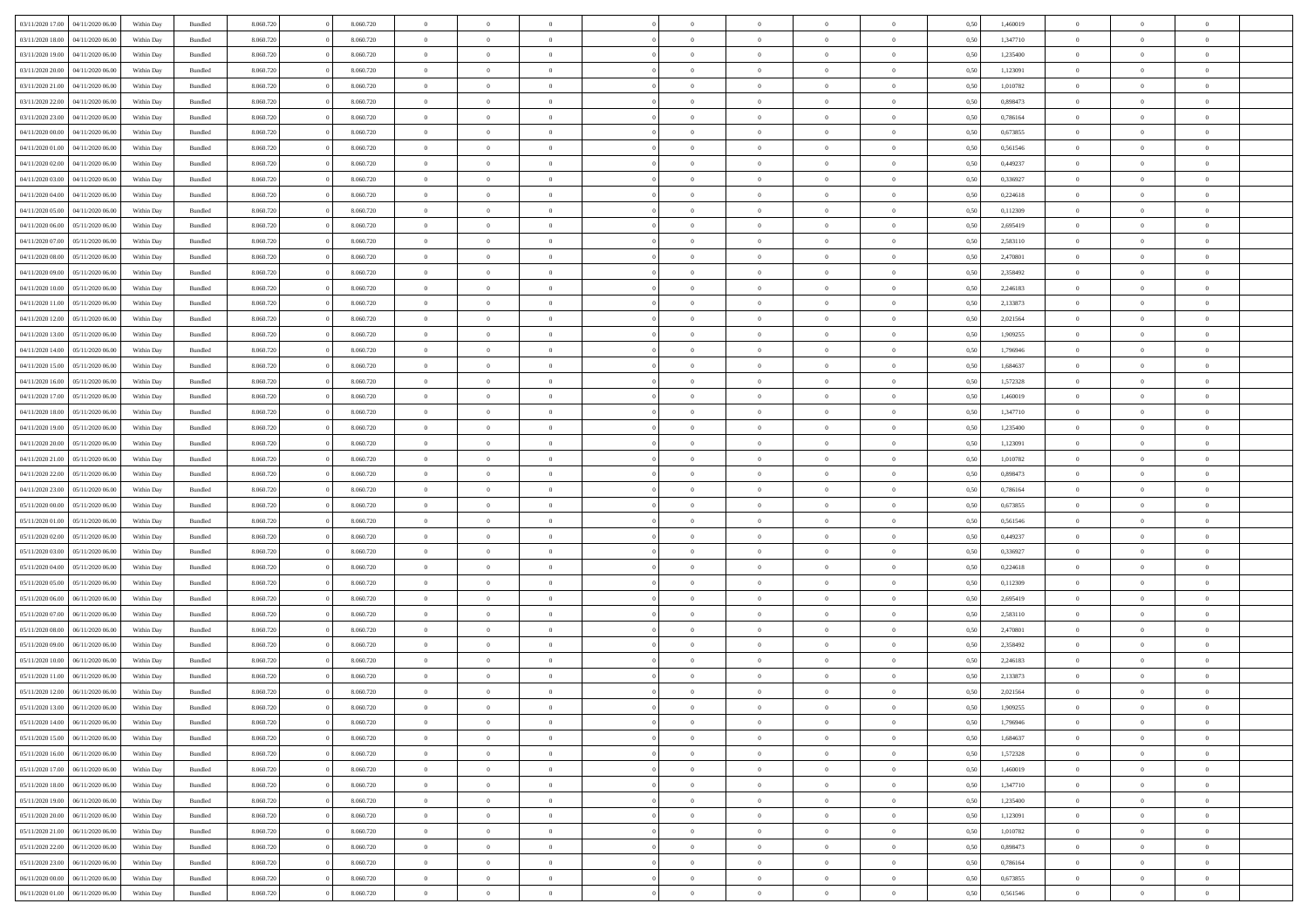| 03/11/2020 17:00                  | 04/11/2020 06.00 | Within Day | Bundled | 8.060.720 | 8.060.720 | $\overline{0}$ | $\theta$       |                |                | $\Omega$       | $\Omega$       | $\overline{0}$ | 0,50 | 1,460019 | $\theta$       | $\theta$       | $\theta$       |  |
|-----------------------------------|------------------|------------|---------|-----------|-----------|----------------|----------------|----------------|----------------|----------------|----------------|----------------|------|----------|----------------|----------------|----------------|--|
| 03/11/2020 18:00                  | 04/11/2020 06.00 | Within Dav | Bundled | 8.060.720 | 8.060.720 | $\overline{0}$ | $\Omega$       |                | $\Omega$       | $\Omega$       | $\Omega$       | $\mathbf{0}$   | 0.50 | 1,347710 | $\theta$       | $\Omega$       | $\sqrt{ }$     |  |
| 03/11/2020 19:00                  | 04/11/2020 06.00 | Within Day | Bundled | 8.060.720 | 8.060.720 | $\overline{0}$ | $\overline{0}$ | $\overline{0}$ | $\overline{0}$ | $\,$ 0 $\,$    | $\overline{0}$ | $\,$ 0 $\,$    | 0,50 | 1,235400 | $\,$ 0 $\,$    | $\overline{0}$ | $\overline{0}$ |  |
| 03/11/2020 20:00                  | 04/11/2020 06.00 | Within Day | Bundled | 8.060.720 | 8.060.720 | $\overline{0}$ | $\overline{0}$ | $\overline{0}$ | $\overline{0}$ | $\bf{0}$       | $\overline{0}$ | $\bf{0}$       | 0,50 | 1,123091 | $\bf{0}$       | $\overline{0}$ | $\overline{0}$ |  |
|                                   |                  |            |         |           |           |                |                |                |                |                |                |                |      |          |                |                |                |  |
| 03/11/2020 21.00                  | 04/11/2020 06.00 | Within Day | Bundled | 8.060.720 | 8.060.720 | $\overline{0}$ | $\Omega$       | $^{\circ}$     | $\Omega$       | $\overline{0}$ | $\Omega$       | $\overline{0}$ | 0.50 | 1,010782 | $\theta$       | $\theta$       | $\sqrt{ }$     |  |
| 03/11/2020 22.00                  | 04/11/2020 06.00 | Within Day | Bundled | 8.060.720 | 8.060.720 | $\overline{0}$ | $\overline{0}$ | $\overline{0}$ | $\overline{0}$ | $\,$ 0 $\,$    | $\overline{0}$ | $\,$ 0 $\,$    | 0,50 | 0,898473 | $\,$ 0 $\,$    | $\overline{0}$ | $\overline{0}$ |  |
| 03/11/2020 23.00                  | 04/11/2020 06.00 | Within Day | Bundled | 8.060.720 | 8.060.720 | $\overline{0}$ | $\overline{0}$ | $\overline{0}$ | $\overline{0}$ | $\overline{0}$ | $\overline{0}$ | $\bf{0}$       | 0,50 | 0,786164 | $\bf{0}$       | $\theta$       | $\overline{0}$ |  |
| 04/11/2020 00.00                  | 04/11/2020 06.00 | Within Dav | Bundled | 8.060.720 | 8.060.720 | $\overline{0}$ | $\Omega$       | $^{\circ}$     | $\Omega$       | $\bf{0}$       | $\Omega$       | $\mathbf{0}$   | 0.50 | 0,673855 | $\theta$       | $\theta$       | $\sqrt{ }$     |  |
| 04/11/2020 01:00                  | 04/11/2020 06.00 | Within Day | Bundled | 8.060.720 | 8.060.720 | $\overline{0}$ | $\overline{0}$ | $\overline{0}$ | $\overline{0}$ | $\,$ 0 $\,$    | $\overline{0}$ | $\,$ 0 $\,$    | 0,50 | 0,561546 | $\,$ 0 $\,$    | $\overline{0}$ | $\overline{0}$ |  |
| 04/11/2020 02.00                  | 04/11/2020 06.00 | Within Day | Bundled | 8.060.720 | 8.060.720 | $\overline{0}$ | $\overline{0}$ | $\overline{0}$ | $\Omega$       | $\overline{0}$ | $\overline{0}$ | $\bf{0}$       | 0,50 | 0,449237 | $\bf{0}$       | $\overline{0}$ | $\overline{0}$ |  |
|                                   |                  |            |         |           |           |                |                |                |                |                |                |                |      |          |                |                |                |  |
| 04/11/2020 03.00                  | 04/11/2020 06.00 | Within Dav | Bundled | 8.060.720 | 8.060.720 | $\overline{0}$ | $\Omega$       | $^{\circ}$     | $\Omega$       | $\overline{0}$ | $\Omega$       | $\overline{0}$ | 0.50 | 0,336927 | $\theta$       | $\theta$       | $\sqrt{ }$     |  |
| 04/11/2020 04:00                  | 04/11/2020 06.00 | Within Day | Bundled | 8.060.720 | 8.060.720 | $\overline{0}$ | $\overline{0}$ | $\overline{0}$ | $\overline{0}$ | $\,$ 0 $\,$    | $\overline{0}$ | $\,$ 0 $\,$    | 0,50 | 0,224618 | $\,$ 0 $\,$    | $\overline{0}$ | $\overline{0}$ |  |
| 04/11/2020 05.00                  | 04/11/2020 06.00 | Within Day | Bundled | 8.060.720 | 8.060.720 | $\bf{0}$       | $\overline{0}$ | $\overline{0}$ | $\overline{0}$ | $\bf{0}$       | $\overline{0}$ | $\bf{0}$       | 0,50 | 0,112309 | $\bf{0}$       | $\overline{0}$ | $\overline{0}$ |  |
| 04/11/2020 06.00                  | 05/11/2020 06.00 | Within Day | Bundled | 8.060.720 | 8.060.720 | $\overline{0}$ | $\theta$       | $^{\circ}$     | $\overline{0}$ | $\overline{0}$ | $\Omega$       | $\bf{0}$       | 0.50 | 2,695419 | $\theta$       | $\theta$       | $\sqrt{ }$     |  |
| 04/11/2020 07.00                  | 05/11/2020 06.00 | Within Day | Bundled | 8.060.720 | 8.060.720 | $\overline{0}$ | $\overline{0}$ | $\overline{0}$ | $\overline{0}$ | $\,$ 0 $\,$    | $\overline{0}$ | $\,$ 0 $\,$    | 0,50 | 2,583110 | $\theta$       | $\overline{0}$ | $\overline{0}$ |  |
|                                   |                  |            |         |           |           |                |                |                |                |                |                |                |      |          |                |                |                |  |
| 04/11/2020 08:00                  | 05/11/2020 06.00 | Within Day | Bundled | 8.060.720 | 8.060.720 | $\overline{0}$ | $\overline{0}$ | $\overline{0}$ | $\Omega$       | $\overline{0}$ | $\overline{0}$ | $\bf{0}$       | 0,50 | 2,470801 | $\bf{0}$       | $\overline{0}$ | $\overline{0}$ |  |
| 04/11/2020 09:00                  | 05/11/2020 06.00 | Within Day | Bundled | 8.060.720 | 8.060.720 | $\overline{0}$ | $\Omega$       | $^{\circ}$     | $\Omega$       | $\overline{0}$ | $\Omega$       | $\mathbf{0}$   | 0.50 | 2,358492 | $\theta$       | $\theta$       | -0             |  |
| 04/11/2020 10:00                  | 05/11/2020 06.00 | Within Day | Bundled | 8.060.720 | 8.060.720 | $\overline{0}$ | $\overline{0}$ | $\overline{0}$ | $\overline{0}$ | $\,$ 0 $\,$    | $\overline{0}$ | $\,$ 0 $\,$    | 0,50 | 2,246183 | $\,$ 0 $\,$    | $\overline{0}$ | $\overline{0}$ |  |
| 04/11/2020 11.00                  | 05/11/2020 06:00 | Within Day | Bundled | 8.060.720 | 8.060.720 | $\overline{0}$ | $\overline{0}$ | $\overline{0}$ | $\Omega$       | $\overline{0}$ | $\overline{0}$ | $\bf{0}$       | 0,50 | 2,133873 | $\bf{0}$       | $\theta$       | $\overline{0}$ |  |
| 04/11/2020 12.00                  | 05/11/2020 06.00 | Within Day | Bundled | 8.060.720 | 8.060.720 | $\overline{0}$ | $\Omega$       | $\Omega$       | $\Omega$       | $\bf{0}$       | $\Omega$       | $\overline{0}$ | 0.50 | 2,021564 | $\theta$       | $\theta$       | $\sqrt{ }$     |  |
| 04/11/2020 13:00                  | 05/11/2020 06.00 | Within Day | Bundled | 8.060.720 | 8.060.720 | $\overline{0}$ | $\overline{0}$ | $\overline{0}$ | $\overline{0}$ | $\,$ 0 $\,$    | $\overline{0}$ | $\,$ 0 $\,$    | 0,50 | 1,909255 | $\,$ 0 $\,$    | $\overline{0}$ | $\overline{0}$ |  |
| 04/11/2020 14:00                  | 05/11/2020 06.00 | Within Day | Bundled | 8.060.720 | 8.060.720 | $\overline{0}$ | $\overline{0}$ | $\overline{0}$ | $\overline{0}$ | $\bf{0}$       | $\overline{0}$ | $\bf{0}$       | 0,50 | 1,796946 | $\bf{0}$       | $\overline{0}$ | $\overline{0}$ |  |
|                                   |                  |            |         |           |           |                |                |                |                |                |                |                |      |          |                |                |                |  |
| 04/11/2020 15.00                  | 05/11/2020 06.00 | Within Day | Bundled | 8.060.720 | 8.060.720 | $\overline{0}$ | $\Omega$       | $^{\circ}$     | $\overline{0}$ | $\bf{0}$       | $\Omega$       | $\overline{0}$ | 0.50 | 1,684637 | $\theta$       | $\theta$       | $\sqrt{ }$     |  |
| 04/11/2020 16.00                  | 05/11/2020 06.00 | Within Day | Bundled | 8.060.720 | 8.060.720 | $\overline{0}$ | $\overline{0}$ | $\overline{0}$ | $\overline{0}$ | $\,$ 0 $\,$    | $\overline{0}$ | $\,$ 0 $\,$    | 0,50 | 1,572328 | $\,$ 0 $\,$    | $\overline{0}$ | $\overline{0}$ |  |
| 04/11/2020 17.00                  | 05/11/2020 06.00 | Within Day | Bundled | 8.060.720 | 8.060.720 | $\overline{0}$ | $\overline{0}$ | $\overline{0}$ | $\Omega$       | $\overline{0}$ | $\overline{0}$ | $\bf{0}$       | 0,50 | 1,460019 | $\bf{0}$       | $\overline{0}$ | $\overline{0}$ |  |
| 04/11/2020 18.00                  | 05/11/2020 06.00 | Within Dav | Bundled | 8.060.720 | 8.060.720 | $\overline{0}$ | $\Omega$       | $\Omega$       | $\Omega$       | $\bf{0}$       | $\Omega$       | $\overline{0}$ | 0.50 | 1,347710 | $\theta$       | $\theta$       | $\sqrt{ }$     |  |
| 04/11/2020 19:00                  | 05/11/2020 06.00 | Within Day | Bundled | 8.060.720 | 8.060.720 | $\overline{0}$ | $\overline{0}$ | $\overline{0}$ | $\overline{0}$ | $\,$ 0 $\,$    | $\overline{0}$ | $\,$ 0 $\,$    | 0,50 | 1,235400 | $\,$ 0 $\,$    | $\overline{0}$ | $\overline{0}$ |  |
| 04/11/2020 20.00                  | 05/11/2020 06:00 | Within Day | Bundled | 8.060.720 | 8.060.720 | $\overline{0}$ | $\overline{0}$ | $\overline{0}$ | $\Omega$       | $\overline{0}$ | $\overline{0}$ | $\bf{0}$       | 0,50 | 1,123091 | $\bf{0}$       | $\overline{0}$ | $\overline{0}$ |  |
| 04/11/2020 21.00                  | 05/11/2020 06.00 | Within Day | Bundled | 8.060.720 | 8.060.720 | $\overline{0}$ | $\Omega$       | $^{\circ}$     | $\Omega$       | $\overline{0}$ | $\Omega$       | $\overline{0}$ | 0.50 | 1,010782 | $\theta$       | $\theta$       | $\sqrt{ }$     |  |
|                                   |                  |            |         |           |           |                |                |                |                |                |                |                |      |          |                |                |                |  |
| 04/11/2020 22.00                  | 05/11/2020 06.00 | Within Day | Bundled | 8.060.720 | 8.060.720 | $\overline{0}$ | $\overline{0}$ | $\overline{0}$ | $\overline{0}$ | $\,$ 0 $\,$    | $\overline{0}$ | $\,$ 0 $\,$    | 0,50 | 0,898473 | $\,$ 0 $\,$    | $\overline{0}$ | $\,$ 0         |  |
| 04/11/2020 23.00                  | 05/11/2020 06.00 | Within Day | Bundled | 8.060.720 | 8.060.720 | $\overline{0}$ | $\overline{0}$ | $\overline{0}$ | $\bf{0}$       | $\bf{0}$       | $\bf{0}$       | $\bf{0}$       | 0,50 | 0,786164 | $\,$ 0 $\,$    | $\overline{0}$ | $\overline{0}$ |  |
| 05/11/2020 00:00                  | 05/11/2020 06:00 | Within Day | Bundled | 8.060.720 | 8.060.720 | $\overline{0}$ | $\theta$       | $\Omega$       | $\overline{0}$ | $\bf{0}$       | $\Omega$       | $\bf{0}$       | 0.50 | 0,673855 | $\theta$       | $\theta$       | $\sqrt{ }$     |  |
| 05/11/2020 01:00                  | 05/11/2020 06.00 | Within Day | Bundled | 8.060.720 | 8.060.720 | $\overline{0}$ | $\overline{0}$ | $\overline{0}$ | $\overline{0}$ | $\,$ 0 $\,$    | $\overline{0}$ | $\,$ 0 $\,$    | 0,50 | 0,561546 | $\theta$       | $\overline{0}$ | $\overline{0}$ |  |
| 05/11/2020 02.00                  | 05/11/2020 06.00 | Within Day | Bundled | 8.060.720 | 8.060.720 | $\overline{0}$ | $\theta$       | $\overline{0}$ | $\overline{0}$ | $\,$ 0         | $\bf{0}$       | $\bf{0}$       | 0,50 | 0,449237 | $\,$ 0 $\,$    | $\overline{0}$ | $\overline{0}$ |  |
| 05/11/2020 03.00                  | 05/11/2020 06.00 | Within Day | Bundled | 8.060.720 | 8.060.720 | $\overline{0}$ | $\Omega$       | $^{\circ}$     | $\Omega$       | $\overline{0}$ | $\Omega$       | $\overline{0}$ | 0.50 | 0,336927 | $\theta$       | $\theta$       | $\sqrt{ }$     |  |
|                                   |                  |            |         |           |           |                |                |                |                |                |                |                |      |          |                |                |                |  |
| 05/11/2020 04:00                  | 05/11/2020 06.00 | Within Day | Bundled | 8.060.720 | 8.060.720 | $\overline{0}$ | $\overline{0}$ | $\overline{0}$ | $\overline{0}$ | $\,$ 0 $\,$    | $\bf{0}$       | $\,$ 0 $\,$    | 0,50 | 0,224618 | $\,$ 0 $\,$    | $\overline{0}$ | $\overline{0}$ |  |
| 05/11/2020 05:00                  | 05/11/2020 06.00 | Within Day | Bundled | 8.060.720 | 8.060.720 | $\overline{0}$ | $\overline{0}$ | $\overline{0}$ | $\bf{0}$       | $\bf{0}$       | $\bf{0}$       | $\bf{0}$       | 0,50 | 0,112309 | $\,$ 0 $\,$    | $\overline{0}$ | $\overline{0}$ |  |
| 05/11/2020 06.00                  | 06/11/2020 06:00 | Within Day | Bundled | 8.060.720 | 8.060.720 | $\overline{0}$ | $\Omega$       | $\Omega$       | $\Omega$       | $\overline{0}$ | $\Omega$       | $\overline{0}$ | 0.50 | 2,695419 | $\theta$       | $\theta$       | $\sqrt{ }$     |  |
| 05/11/2020 07.00                  | 06/11/2020 06.00 | Within Day | Bundled | 8.060.720 | 8.060.720 | $\overline{0}$ | $\overline{0}$ | $\overline{0}$ | $\overline{0}$ | $\,$ 0 $\,$    | $\overline{0}$ | $\,$ 0 $\,$    | 0,50 | 2,583110 | $\,$ 0 $\,$    | $\overline{0}$ | $\overline{0}$ |  |
| 05/11/2020 08:00                  | 06/11/2020 06.00 | Within Day | Bundled | 8.060.720 | 8.060.720 | $\overline{0}$ | $\overline{0}$ | $\overline{0}$ | $\bf{0}$       | $\,$ 0         | $\bf{0}$       | $\bf{0}$       | 0,50 | 2,470801 | $\,$ 0 $\,$    | $\overline{0}$ | $\overline{0}$ |  |
| 05/11/2020 09:00                  | 06/11/2020 06.00 | Within Day | Bundled | 8.060.720 | 8.060.720 | $\overline{0}$ | $\theta$       | $\Omega$       | $\Omega$       | $\bf{0}$       | $\Omega$       | $\overline{0}$ | 0.50 | 2,358492 | $\theta$       | $\theta$       | $\sqrt{ }$     |  |
| 05/11/2020 10:00                  | 06/11/2020 06.00 | Within Day | Bundled | 8.060.720 | 8.060.720 | $\overline{0}$ | $\theta$       | $\overline{0}$ | $\overline{0}$ | $\,$ 0 $\,$    | $\overline{0}$ | $\,$ 0 $\,$    | 0,50 | 2,246183 | $\,$ 0 $\,$    | $\overline{0}$ | $\overline{0}$ |  |
|                                   | 06/11/2020 06.0  | Within Day | Bundled | 8.060.720 | 8.060.720 | $\overline{0}$ | $\theta$       | $\overline{0}$ | $\overline{0}$ | $\bf{0}$       | $\overline{0}$ | $\bf{0}$       | 0,50 | 2,133873 | $\,$ 0 $\,$    | $\overline{0}$ | $\overline{0}$ |  |
| 05/11/2020 11:00                  |                  |            |         |           |           |                |                |                |                |                |                |                |      |          |                |                |                |  |
| 05/11/2020 12:00                  | 06/11/2020 06:00 | Within Day | Bundled | 8.060.720 | 8.060.720 | $\overline{0}$ | $\overline{0}$ | $\Omega$       | $\overline{0}$ | $\bf{0}$       | $\overline{0}$ | $\overline{0}$ | 0,50 | 2,021564 | $\theta$       | $\theta$       | $\overline{0}$ |  |
| 05/11/2020 13:00 06/11/2020 06:00 |                  | Within Day | Bundled | 8.060.720 | 8.060.720 | $\overline{0}$ | $\theta$       |                |                | $\bf{0}$       |                |                | 0,50 | 1,909255 | $\theta$       | $\theta$       |                |  |
| 05/11/2020 14:00                  | 06/11/2020 06.00 | Within Day | Bundled | 8.060.720 | 8.060.720 | $\overline{0}$ | $\bf{0}$       | $\overline{0}$ | $\bf{0}$       | $\bf{0}$       | $\bf{0}$       | $\bf{0}$       | 0,50 | 1,796946 | $\bf{0}$       | $\overline{0}$ | $\bf{0}$       |  |
| 05/11/2020 15:00                  | 06/11/2020 06.00 | Within Day | Bundled | 8.060.720 | 8.060.720 | $\overline{0}$ | $\overline{0}$ | $\overline{0}$ | $\overline{0}$ | $\mathbf{0}$   | $\overline{0}$ | $\overline{0}$ | 0,50 | 1,684637 | $\overline{0}$ | $\theta$       | $\overline{0}$ |  |
| 05/11/2020 16.00                  | 06/11/2020 06.00 | Within Day | Bundled | 8.060.720 | 8.060.720 | $\overline{0}$ | $\bf{0}$       | $\overline{0}$ | $\overline{0}$ | $\bf{0}$       | $\overline{0}$ | $\,$ 0 $\,$    | 0,50 | 1,572328 | $\mathbf{0}$   | $\,$ 0 $\,$    | $\bf{0}$       |  |
| 05/11/2020 17.00                  | 06/11/2020 06.00 | Within Day | Bundled | 8.060.720 | 8.060.720 | $\overline{0}$ | $\overline{0}$ | $\overline{0}$ | $\bf{0}$       | $\bf{0}$       | $\bf{0}$       | $\mathbf{0}$   | 0,50 | 1,460019 | $\bf{0}$       | $\overline{0}$ | $\bf{0}$       |  |
| 05/11/2020 18:00                  | 06/11/2020 06:00 | Within Day | Bundled | 8.060.720 | 8.060.720 | $\overline{0}$ | $\overline{0}$ | $\overline{0}$ | $\overline{0}$ | $\overline{0}$ | $\overline{0}$ | $\overline{0}$ | 0,50 | 1,347710 | $\overline{0}$ | $\theta$       | $\overline{0}$ |  |
|                                   |                  |            |         |           |           |                |                |                |                |                |                |                |      |          |                |                |                |  |
| 05/11/2020 19:00                  | 06/11/2020 06.00 | Within Day | Bundled | 8.060.720 | 8.060.720 | $\overline{0}$ | $\bf{0}$       | $\overline{0}$ | $\overline{0}$ | $\bf{0}$       | $\overline{0}$ | $\,$ 0 $\,$    | 0,50 | 1,235400 | $\,$ 0 $\,$    | $\,$ 0 $\,$    | $\,$ 0         |  |
| 05/11/2020 20.00                  | 06/11/2020 06.00 | Within Day | Bundled | 8.060.720 | 8.060.720 | $\bf{0}$       | $\overline{0}$ | $\overline{0}$ | $\bf{0}$       | $\bf{0}$       | $\bf{0}$       | $\bf{0}$       | 0,50 | 1,123091 | $\bf{0}$       | $\overline{0}$ | $\bf{0}$       |  |
| 05/11/2020 21.00                  | 06/11/2020 06.00 | Within Day | Bundled | 8.060.720 | 8.060.720 | $\overline{0}$ | $\overline{0}$ | $\overline{0}$ | $\overline{0}$ | $\overline{0}$ | $\overline{0}$ | $\mathbf{0}$   | 0,50 | 1,010782 | $\overline{0}$ | $\theta$       | $\overline{0}$ |  |
| 05/11/2020 22.00                  | 06/11/2020 06.00 | Within Day | Bundled | 8.060.720 | 8.060.720 | $\overline{0}$ | $\bf{0}$       | $\overline{0}$ | $\bf{0}$       | $\bf{0}$       | $\overline{0}$ | $\,$ 0 $\,$    | 0,50 | 0,898473 | $\mathbf{0}$   | $\,$ 0 $\,$    | $\,$ 0         |  |
| 05/11/2020 23.00                  | 06/11/2020 06.00 | Within Day | Bundled | 8.060.720 | 8.060.720 | $\overline{0}$ | $\overline{0}$ | $\overline{0}$ | $\bf{0}$       | $\bf{0}$       | $\bf{0}$       | $\bf{0}$       | 0,50 | 0,786164 | $\bf{0}$       | $\overline{0}$ | $\bf{0}$       |  |
| 06/11/2020 00:00                  | 06/11/2020 06.00 | Within Day | Bundled | 8.060.720 | 8.060.720 | $\overline{0}$ | $\overline{0}$ | $\overline{0}$ | $\overline{0}$ | $\mathbf{0}$   | $\overline{0}$ | $\overline{0}$ | 0.50 | 0,673855 | $\overline{0}$ | $\theta$       | $\overline{0}$ |  |
| 06/11/2020 01:00                  | 06/11/2020 06:00 | Within Day | Bundled | 8.060.720 | 8.060.720 | $\mathbf{0}$   | $\bf{0}$       | $\overline{0}$ | $\overline{0}$ | $\bf{0}$       | $\overline{0}$ | $\,$ 0 $\,$    | 0,50 | 0,561546 | $\mathbf{0}$   | $\,$ 0 $\,$    | $\,$ 0 $\,$    |  |
|                                   |                  |            |         |           |           |                |                |                |                |                |                |                |      |          |                |                |                |  |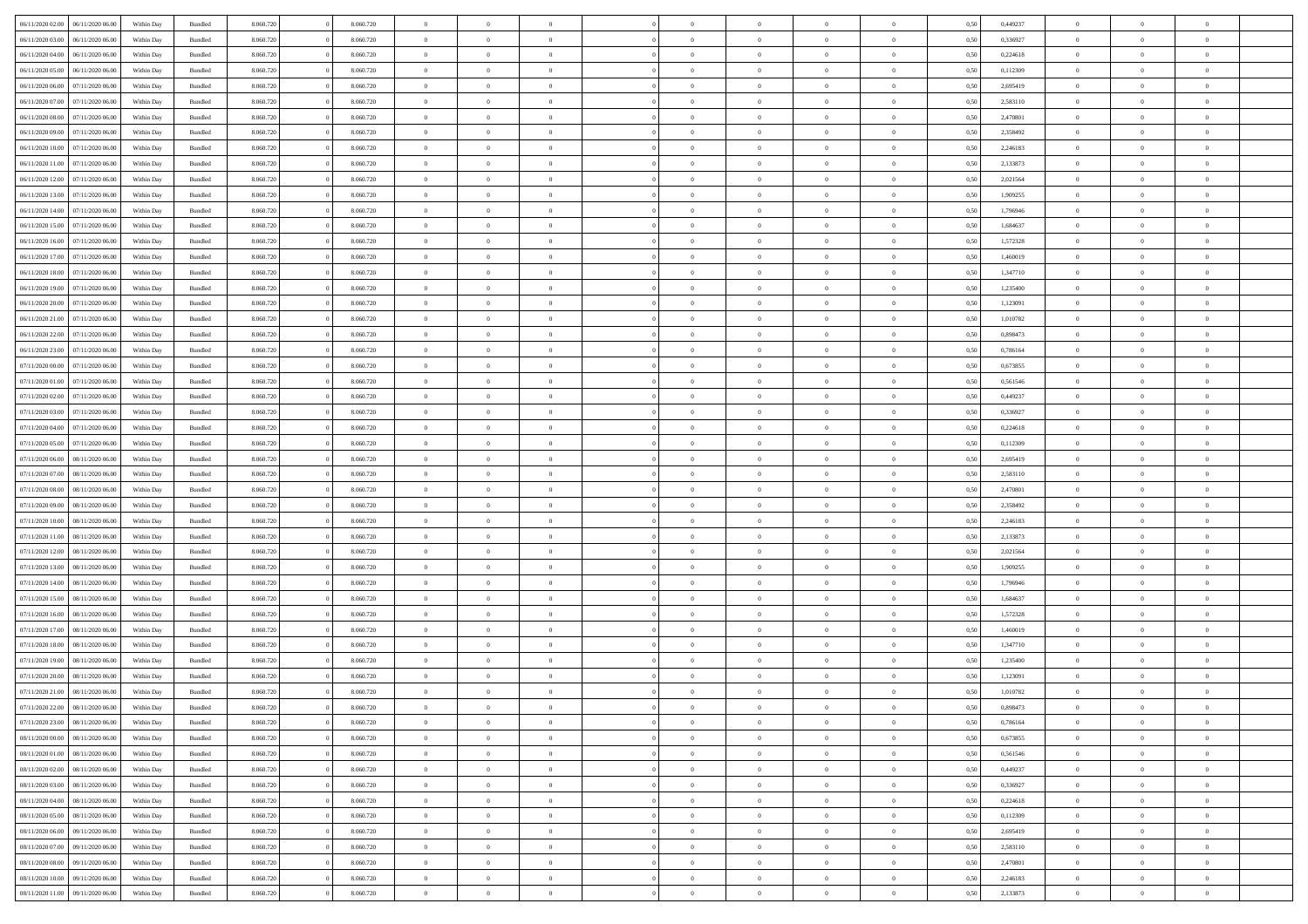| 06/11/2020 02:00<br>06/11/2020 06:00 | Within Day | Bundled | 8.060.720 | 8.060.720 | $\overline{0}$ | $\theta$       |                |                | $\Omega$       | $\Omega$       | $\overline{0}$ | 0,50 | 0,449237 | $\theta$       | $\theta$       | $\theta$       |  |
|--------------------------------------|------------|---------|-----------|-----------|----------------|----------------|----------------|----------------|----------------|----------------|----------------|------|----------|----------------|----------------|----------------|--|
| 06/11/2020 03:00<br>06/11/2020 06.00 | Within Dav | Bundled | 8.060.720 | 8.060.720 | $\overline{0}$ | $\Omega$       |                | $\Omega$       | $\Omega$       | $\Omega$       | $\bf{0}$       | 0.50 | 0,336927 | $\theta$       | $\Omega$       | $\sqrt{ }$     |  |
| 06/11/2020 04:00<br>06/11/2020 06.00 | Within Day | Bundled | 8.060.720 | 8.060.720 | $\overline{0}$ | $\overline{0}$ | $\overline{0}$ | $\overline{0}$ | $\,$ 0 $\,$    | $\overline{0}$ | $\,$ 0 $\,$    | 0,50 | 0,224618 | $\,$ 0 $\,$    | $\overline{0}$ | $\overline{0}$ |  |
| 06/11/2020 05:00<br>06/11/2020 06.00 | Within Day | Bundled | 8.060.720 | 8.060.720 | $\overline{0}$ | $\overline{0}$ | $\overline{0}$ | $\overline{0}$ | $\bf{0}$       | $\overline{0}$ | $\bf{0}$       | 0,50 | 0,112309 | $\bf{0}$       | $\overline{0}$ | $\overline{0}$ |  |
|                                      |            |         |           |           |                |                |                |                |                |                |                |      |          |                |                |                |  |
| 06/11/2020 06:00<br>07/11/2020 06.00 | Within Day | Bundled | 8.060.720 | 8.060.720 | $\overline{0}$ | $\Omega$       | $^{\circ}$     | $\Omega$       | $\overline{0}$ | $\Omega$       | $\overline{0}$ | 0.50 | 2,695419 | $\theta$       | $\theta$       | $\sqrt{ }$     |  |
| 06/11/2020 07.00<br>07/11/2020 06.00 | Within Day | Bundled | 8.060.720 | 8.060.720 | $\overline{0}$ | $\overline{0}$ | $\overline{0}$ | $\overline{0}$ | $\,$ 0 $\,$    | $\overline{0}$ | $\,$ 0 $\,$    | 0,50 | 2,583110 | $\,$ 0 $\,$    | $\overline{0}$ | $\overline{0}$ |  |
| 06/11/2020 08:00<br>07/11/2020 06.00 | Within Day | Bundled | 8.060.720 | 8.060.720 | $\overline{0}$ | $\overline{0}$ | $\overline{0}$ | $\Omega$       | $\overline{0}$ | $\overline{0}$ | $\overline{0}$ | 0,50 | 2,470801 | $\,0\,$        | $\theta$       | $\overline{0}$ |  |
| 06/11/2020 09:00<br>07/11/2020 06.00 | Within Dav | Bundled | 8.060.720 | 8.060.720 | $\overline{0}$ | $\Omega$       | $^{\circ}$     | $\Omega$       | $\bf{0}$       | $\Omega$       | $\bf{0}$       | 0.50 | 2,358492 | $\theta$       | $\theta$       | $\sqrt{ }$     |  |
| 06/11/2020 10:00<br>07/11/2020 06.00 | Within Day | Bundled | 8.060.720 | 8.060.720 | $\overline{0}$ | $\overline{0}$ | $\overline{0}$ | $\overline{0}$ | $\overline{0}$ | $\overline{0}$ | $\,$ 0 $\,$    | 0,50 | 2,246183 | $\,$ 0 $\,$    | $\overline{0}$ | $\overline{0}$ |  |
| 06/11/2020 11:00<br>07/11/2020 06.00 | Within Day | Bundled | 8.060.720 | 8.060.720 | $\overline{0}$ | $\overline{0}$ | $\overline{0}$ | $\Omega$       | $\overline{0}$ | $\overline{0}$ | $\bf{0}$       | 0,50 | 2,133873 | $\bf{0}$       | $\overline{0}$ | $\overline{0}$ |  |
|                                      |            |         |           |           |                |                |                |                |                |                |                |      |          |                |                |                |  |
| 06/11/2020 12.00<br>07/11/2020 06.00 | Within Dav | Bundled | 8.060.720 | 8.060.720 | $\overline{0}$ | $\Omega$       | $^{\circ}$     | $\Omega$       | $\overline{0}$ | $\Omega$       | $\overline{0}$ | 0.50 | 2,021564 | $\theta$       | $\theta$       | $\sqrt{ }$     |  |
| 06/11/2020 13.00<br>07/11/2020 06.00 | Within Day | Bundled | 8.060.720 | 8.060.720 | $\overline{0}$ | $\overline{0}$ | $\overline{0}$ | $\overline{0}$ | $\,$ 0 $\,$    | $\overline{0}$ | $\,$ 0 $\,$    | 0,50 | 1,909255 | $\,$ 0 $\,$    | $\overline{0}$ | $\overline{0}$ |  |
| 06/11/2020 14:00<br>07/11/2020 06.00 | Within Day | Bundled | 8.060.720 | 8.060.720 | $\overline{0}$ | $\overline{0}$ | $\overline{0}$ | $\overline{0}$ | $\bf{0}$       | $\overline{0}$ | $\bf{0}$       | 0,50 | 1,796946 | $\bf{0}$       | $\overline{0}$ | $\overline{0}$ |  |
| 06/11/2020 15:00<br>07/11/2020 06.00 | Within Day | Bundled | 8.060.720 | 8.060.720 | $\overline{0}$ | $\Omega$       | $^{\circ}$     | $\Omega$       | $\overline{0}$ | $\Omega$       | $\bf{0}$       | 0.50 | 1,684637 | $\theta$       | $\theta$       | $\sqrt{ }$     |  |
| 06/11/2020 16.00<br>07/11/2020 06.00 | Within Day | Bundled | 8.060.720 | 8.060.720 | $\overline{0}$ | $\overline{0}$ | $\overline{0}$ | $\overline{0}$ | $\,$ 0 $\,$    | $\overline{0}$ | $\,$ 0 $\,$    | 0,50 | 1,572328 | $\theta$       | $\overline{0}$ | $\overline{0}$ |  |
|                                      |            |         |           |           |                |                |                |                |                |                |                |      |          |                |                |                |  |
| 06/11/2020 17.00<br>07/11/2020 06.00 | Within Day | Bundled | 8.060.720 | 8.060.720 | $\overline{0}$ | $\overline{0}$ | $\overline{0}$ | $\Omega$       | $\overline{0}$ | $\overline{0}$ | $\bf{0}$       | 0,50 | 1,460019 | $\theta$       | $\overline{0}$ | $\overline{0}$ |  |
| 06/11/2020 18.00<br>07/11/2020 06.00 | Within Day | Bundled | 8.060.720 | 8.060.720 | $\overline{0}$ | $\Omega$       | $^{\circ}$     | $\Omega$       | $\overline{0}$ | $\Omega$       | $\bf{0}$       | 0.50 | 1,347710 | $\theta$       | $\Omega$       | -0             |  |
| 06/11/2020 19:00<br>07/11/2020 06.00 | Within Day | Bundled | 8.060.720 | 8.060.720 | $\overline{0}$ | $\overline{0}$ | $\overline{0}$ | $\overline{0}$ | $\,$ 0 $\,$    | $\overline{0}$ | $\,$ 0 $\,$    | 0,50 | 1,235400 | $\,$ 0 $\,$    | $\overline{0}$ | $\overline{0}$ |  |
| 06/11/2020 20.00<br>07/11/2020 06:00 | Within Day | Bundled | 8.060.720 | 8.060.720 | $\overline{0}$ | $\overline{0}$ | $\overline{0}$ | $\Omega$       | $\overline{0}$ | $\overline{0}$ | $\bf{0}$       | 0,50 | 1,123091 | $\bf{0}$       | $\theta$       | $\overline{0}$ |  |
| 06/11/2020 21.00<br>07/11/2020 06.00 | Within Dav | Bundled | 8.060.720 | 8.060.720 | $\overline{0}$ | $\Omega$       | $\Omega$       | $\Omega$       | $\bf{0}$       | $\Omega$       | $\overline{0}$ | 0.50 | 1,010782 | $\theta$       | $\theta$       | $\sqrt{ }$     |  |
| 06/11/2020 22.00<br>07/11/2020 06.00 | Within Day | Bundled | 8.060.720 | 8.060.720 | $\overline{0}$ | $\overline{0}$ | $\overline{0}$ | $\overline{0}$ | $\,$ 0 $\,$    | $\overline{0}$ | $\,$ 0 $\,$    | 0,50 | 0,898473 | $\,$ 0 $\,$    | $\overline{0}$ | $\overline{0}$ |  |
| 06/11/2020 23.00<br>07/11/2020 06.00 | Within Day | Bundled | 8.060.720 | 8.060.720 | $\overline{0}$ | $\overline{0}$ | $\overline{0}$ | $\overline{0}$ | $\bf{0}$       | $\overline{0}$ | $\bf{0}$       | 0,50 | 0,786164 | $\bf{0}$       | $\overline{0}$ | $\bf{0}$       |  |
|                                      |            |         |           |           |                |                |                |                |                |                |                |      |          |                |                |                |  |
| 07/11/2020 00.00<br>07/11/2020 06.00 | Within Day | Bundled | 8.060.720 | 8.060.720 | $\overline{0}$ | $\Omega$       | $^{\circ}$     | $\overline{0}$ | $\bf{0}$       | $\Omega$       | $\overline{0}$ | 0.50 | 0,673855 | $\theta$       | $\theta$       | $\sqrt{ }$     |  |
| 07/11/2020 01:00<br>07/11/2020 06.00 | Within Day | Bundled | 8.060.720 | 8.060.720 | $\overline{0}$ | $\overline{0}$ | $\overline{0}$ | $\overline{0}$ | $\,$ 0 $\,$    | $\overline{0}$ | $\,$ 0 $\,$    | 0,50 | 0,561546 | $\,$ 0 $\,$    | $\overline{0}$ | $\overline{0}$ |  |
| 07/11/2020 02.00<br>07/11/2020 06.00 | Within Day | Bundled | 8.060.720 | 8.060.720 | $\overline{0}$ | $\overline{0}$ | $\overline{0}$ | $\Omega$       | $\overline{0}$ | $\overline{0}$ | $\bf{0}$       | 0,50 | 0,449237 | $\bf{0}$       | $\overline{0}$ | $\overline{0}$ |  |
| 07/11/2020 03.00<br>07/11/2020 06.00 | Within Dav | Bundled | 8.060.720 | 8.060.720 | $\overline{0}$ | $\Omega$       | $\Omega$       | $\Omega$       | $\bf{0}$       | $\Omega$       | $\overline{0}$ | 0.50 | 0,336927 | $\theta$       | $\theta$       | $\sqrt{ }$     |  |
| 07/11/2020 04.00<br>07/11/2020 06.00 | Within Day | Bundled | 8.060.720 | 8.060.720 | $\overline{0}$ | $\overline{0}$ | $\overline{0}$ | $\overline{0}$ | $\overline{0}$ | $\bf{0}$       | $\,$ 0 $\,$    | 0,50 | 0,224618 | $\,$ 0 $\,$    | $\overline{0}$ | $\overline{0}$ |  |
| 07/11/2020 05:00<br>07/11/2020 06:00 | Within Day | Bundled | 8.060.720 | 8.060.720 | $\overline{0}$ | $\overline{0}$ | $\overline{0}$ | $\Omega$       | $\overline{0}$ | $\overline{0}$ | $\bf{0}$       | 0.50 | 0,112309 | $\bf{0}$       | $\theta$       | $\overline{0}$ |  |
| 07/11/2020 06.00<br>08/11/2020 06.00 | Within Day | Bundled | 8.060.720 | 8.060.720 | $\overline{0}$ | $\Omega$       | $^{\circ}$     | $\Omega$       | $\overline{0}$ | $\Omega$       | $\overline{0}$ | 0.50 | 2,695419 | $\theta$       | $\theta$       | $\sqrt{ }$     |  |
|                                      |            |         |           |           |                |                |                |                |                |                |                |      |          |                |                |                |  |
| 07/11/2020 07.00<br>08/11/2020 06.00 | Within Day | Bundled | 8.060.720 | 8.060.720 | $\overline{0}$ | $\overline{0}$ | $\overline{0}$ | $\overline{0}$ | $\,$ 0 $\,$    | $\overline{0}$ | $\,$ 0 $\,$    | 0,50 | 2,583110 | $\,$ 0 $\,$    | $\overline{0}$ | $\,$ 0         |  |
| 07/11/2020 08.00<br>08/11/2020 06.00 | Within Day | Bundled | 8.060.720 | 8.060.720 | $\bf{0}$       | $\overline{0}$ | $\overline{0}$ | $\bf{0}$       | $\bf{0}$       | $\bf{0}$       | $\bf{0}$       | 0,50 | 2,470801 | $\,$ 0 $\,$    | $\overline{0}$ | $\overline{0}$ |  |
| 07/11/2020 09:00<br>08/11/2020 06.00 | Within Day | Bundled | 8.060.720 | 8.060.720 | $\overline{0}$ | $\theta$       | $\Omega$       | $\Omega$       | $\overline{0}$ | $\Omega$       | $\bf{0}$       | 0.50 | 2,358492 | $\theta$       | $\theta$       | $\sqrt{ }$     |  |
| 07/11/2020 10:00<br>08/11/2020 06.00 | Within Day | Bundled | 8.060.720 | 8.060.720 | $\overline{0}$ | $\overline{0}$ | $\overline{0}$ | $\overline{0}$ | $\,$ 0 $\,$    | $\overline{0}$ | $\,$ 0 $\,$    | 0,50 | 2,246183 | $\theta$       | $\overline{0}$ | $\overline{0}$ |  |
| 07/11/2020 11:00<br>08/11/2020 06.00 | Within Day | Bundled | 8.060.720 | 8.060.720 | $\bf{0}$       | $\theta$       | $\overline{0}$ | $\overline{0}$ | $\,$ 0         | $\bf{0}$       | $\bf{0}$       | 0,50 | 2,133873 | $\,$ 0 $\,$    | $\overline{0}$ | $\overline{0}$ |  |
| 07/11/2020 12.00<br>08/11/2020 06.00 | Within Day | Bundled | 8.060.720 | 8.060.720 | $\overline{0}$ | $\Omega$       | $^{\circ}$     | $\Omega$       | $\overline{0}$ | $\Omega$       | $\overline{0}$ | 0.50 | 2,021564 | $\theta$       | $\Omega$       | $\sqrt{ }$     |  |
|                                      |            |         |           |           |                |                |                |                |                |                |                |      |          |                |                |                |  |
| 07/11/2020 13:00<br>08/11/2020 06.00 | Within Day | Bundled | 8.060.720 | 8.060.720 | $\overline{0}$ | $\overline{0}$ | $\overline{0}$ | $\overline{0}$ | $\,$ 0 $\,$    | $\bf{0}$       | $\,$ 0 $\,$    | 0,50 | 1,909255 | $\,$ 0 $\,$    | $\overline{0}$ | $\overline{0}$ |  |
| 07/11/2020 14.00<br>08/11/2020 06.00 | Within Day | Bundled | 8.060.720 | 8.060.720 | $\bf{0}$       | $\,$ 0 $\,$    | $\overline{0}$ | $\bf{0}$       | $\bf{0}$       | $\bf{0}$       | $\bf{0}$       | 0,50 | 1,796946 | $\,$ 0 $\,$    | $\overline{0}$ | $\overline{0}$ |  |
| 07/11/2020 15.00<br>08/11/2020 06:00 | Within Day | Bundled | 8.060.720 | 8.060.720 | $\overline{0}$ | $\Omega$       | $^{\circ}$     | $\Omega$       | $\overline{0}$ | $\Omega$       | $\overline{0}$ | 0.50 | 1,684637 | $\theta$       | $\theta$       | $\sqrt{ }$     |  |
| 07/11/2020 16.00<br>08/11/2020 06.00 | Within Day | Bundled | 8.060.720 | 8.060.720 | $\overline{0}$ | $\overline{0}$ | $\overline{0}$ | $\overline{0}$ | $\,$ 0 $\,$    | $\overline{0}$ | $\,$ 0 $\,$    | 0,50 | 1,572328 | $\,$ 0 $\,$    | $\overline{0}$ | $\overline{0}$ |  |
| 07/11/2020 17.00<br>08/11/2020 06.00 | Within Day | Bundled | 8.060.720 | 8.060.720 | $\overline{0}$ | $\overline{0}$ | $\overline{0}$ | $\bf{0}$       | $\,$ 0         | $\bf{0}$       | $\bf{0}$       | 0,50 | 1,460019 | $\,$ 0 $\,$    | $\overline{0}$ | $\overline{0}$ |  |
| 07/11/2020 18.00<br>08/11/2020 06.00 | Within Day | Bundled | 8.060.720 | 8.060.720 | $\overline{0}$ | $\theta$       | $\Omega$       | $\Omega$       | $\bf{0}$       | $\Omega$       | $\bf{0}$       | 0.50 | 1,347710 | $\theta$       | $\theta$       | $\sqrt{ }$     |  |
| 07/11/2020 19:00<br>08/11/2020 06.00 | Within Day | Bundled | 8.060.720 | 8.060.720 | $\overline{0}$ | $\theta$       | $\overline{0}$ | $\overline{0}$ | $\,$ 0 $\,$    | $\overline{0}$ | $\,$ 0 $\,$    | 0,50 | 1,235400 | $\,$ 0 $\,$    | $\overline{0}$ | $\overline{0}$ |  |
|                                      |            |         |           |           | $\overline{0}$ | $\theta$       | $\overline{0}$ | $\overline{0}$ | $\overline{0}$ | $\overline{0}$ |                |      |          | $\,$ 0 $\,$    | $\overline{0}$ | $\overline{0}$ |  |
| 07/11/2020 20.00<br>08/11/2020 06.00 | Within Day | Bundled | 8.060.720 | 8.060.720 |                |                |                |                |                |                | $\bf{0}$       | 0,50 | 1,123091 |                |                |                |  |
| 07/11/2020 21.00 08/11/2020 06.00    | Within Day | Bundled | 8.060.720 | 8.060.720 | $\overline{0}$ | $\overline{0}$ | $\Omega$       | $\overline{0}$ | $\bf{0}$       | $\overline{0}$ | $\overline{0}$ | 0,50 | 1,010782 | $\theta$       | $\theta$       | $\overline{0}$ |  |
| 07/11/2020 22.00 08/11/2020 06:00    | Within Day | Bundled | 8.060.720 | 8.060.720 | $\overline{0}$ | $\theta$       |                |                |                |                |                | 0,50 | 0,898473 | $\theta$       | $\theta$       |                |  |
| 07/11/2020 23.00<br>08/11/2020 06.00 | Within Day | Bundled | 8.060.720 | 8.060.720 | $\overline{0}$ | $\bf{0}$       | $\overline{0}$ | $\bf{0}$       | $\bf{0}$       | $\bf{0}$       | $\bf{0}$       | 0,50 | 0,786164 | $\bf{0}$       | $\overline{0}$ | $\bf{0}$       |  |
| 08/11/2020 00:00<br>08/11/2020 06:00 | Within Day | Bundled | 8.060.720 | 8.060.720 | $\overline{0}$ | $\overline{0}$ | $\overline{0}$ | $\overline{0}$ | $\theta$       | $\overline{0}$ | $\overline{0}$ | 0,50 | 0,673855 | $\overline{0}$ | $\theta$       | $\overline{0}$ |  |
| 08/11/2020 01:00<br>08/11/2020 06.00 | Within Day | Bundled | 8.060.720 | 8.060.720 | $\overline{0}$ | $\bf{0}$       | $\overline{0}$ | $\overline{0}$ | $\bf{0}$       | $\overline{0}$ | $\,$ 0 $\,$    | 0,50 | 0,561546 | $\mathbf{0}$   | $\,$ 0 $\,$    | $\bf{0}$       |  |
| 08/11/2020 02.00<br>08/11/2020 06.00 | Within Day | Bundled | 8.060.720 | 8.060.720 | $\overline{0}$ | $\overline{0}$ | $\overline{0}$ | $\bf{0}$       | $\bf{0}$       | $\bf{0}$       | $\mathbf{0}$   | 0,50 | 0,449237 | $\bf{0}$       | $\overline{0}$ | $\bf{0}$       |  |
| 08/11/2020 03:00<br>08/11/2020 06:00 | Within Day | Bundled | 8.060.720 | 8.060.720 | $\overline{0}$ | $\overline{0}$ | $\overline{0}$ | $\overline{0}$ | $\overline{0}$ | $\overline{0}$ | $\overline{0}$ | 0,50 | 0,336927 | $\overline{0}$ | $\theta$       | $\overline{0}$ |  |
|                                      |            |         |           |           |                |                |                |                |                |                |                |      |          |                |                |                |  |
| 08/11/2020 04:00<br>08/11/2020 06.00 | Within Day | Bundled | 8.060.720 | 8.060.720 | $\overline{0}$ | $\bf{0}$       | $\overline{0}$ | $\overline{0}$ | $\bf{0}$       | $\overline{0}$ | $\,$ 0 $\,$    | 0,50 | 0,224618 | $\,$ 0 $\,$    | $\,$ 0 $\,$    | $\,$ 0         |  |
| 08/11/2020 05.00<br>08/11/2020 06.00 | Within Day | Bundled | 8.060.720 | 8.060.720 | $\overline{0}$ | $\overline{0}$ | $\overline{0}$ | $\bf{0}$       | $\bf{0}$       | $\bf{0}$       | $\bf{0}$       | 0,50 | 0,112309 | $\bf{0}$       | $\overline{0}$ | $\bf{0}$       |  |
| 08/11/2020 06.00<br>09/11/2020 06:00 | Within Day | Bundled | 8.060.720 | 8.060.720 | $\overline{0}$ | $\overline{0}$ | $\overline{0}$ | $\overline{0}$ | $\overline{0}$ | $\overline{0}$ | $\mathbf{0}$   | 0,50 | 2,695419 | $\overline{0}$ | $\theta$       | $\overline{0}$ |  |
| 08/11/2020 07:00<br>09/11/2020 06.00 | Within Day | Bundled | 8.060.720 | 8.060.720 | $\overline{0}$ | $\bf{0}$       | $\overline{0}$ | $\bf{0}$       | $\bf{0}$       | $\overline{0}$ | $\,$ 0 $\,$    | 0,50 | 2,583110 | $\mathbf{0}$   | $\,$ 0 $\,$    | $\,$ 0         |  |
| 08/11/2020 08:00<br>09/11/2020 06.00 | Within Day | Bundled | 8.060.720 | 8.060.720 | $\overline{0}$ | $\overline{0}$ | $\overline{0}$ | $\bf{0}$       | $\bf{0}$       | $\bf{0}$       | $\bf{0}$       | 0,50 | 2,470801 | $\bf{0}$       | $\overline{0}$ | $\bf{0}$       |  |
| 08/11/2020 10:00<br>09/11/2020 06.00 | Within Day | Bundled | 8.060.720 | 8.060.720 | $\overline{0}$ | $\overline{0}$ | $\overline{0}$ | $\overline{0}$ | $\mathbf{0}$   | $\overline{0}$ | $\overline{0}$ | 0.50 | 2,246183 | $\overline{0}$ | $\theta$       | $\overline{0}$ |  |
|                                      |            |         |           |           |                |                |                |                |                |                |                |      |          |                |                |                |  |
| 08/11/2020 11:00<br>09/11/2020 06:00 | Within Day | Bundled | 8.060.720 | 8.060.720 | $\mathbf{0}$   | $\bf{0}$       | $\overline{0}$ | $\overline{0}$ | $\bf{0}$       | $\overline{0}$ | $\,$ 0 $\,$    | 0,50 | 2,133873 | $\mathbf{0}$   | $\,$ 0 $\,$    | $\,$ 0 $\,$    |  |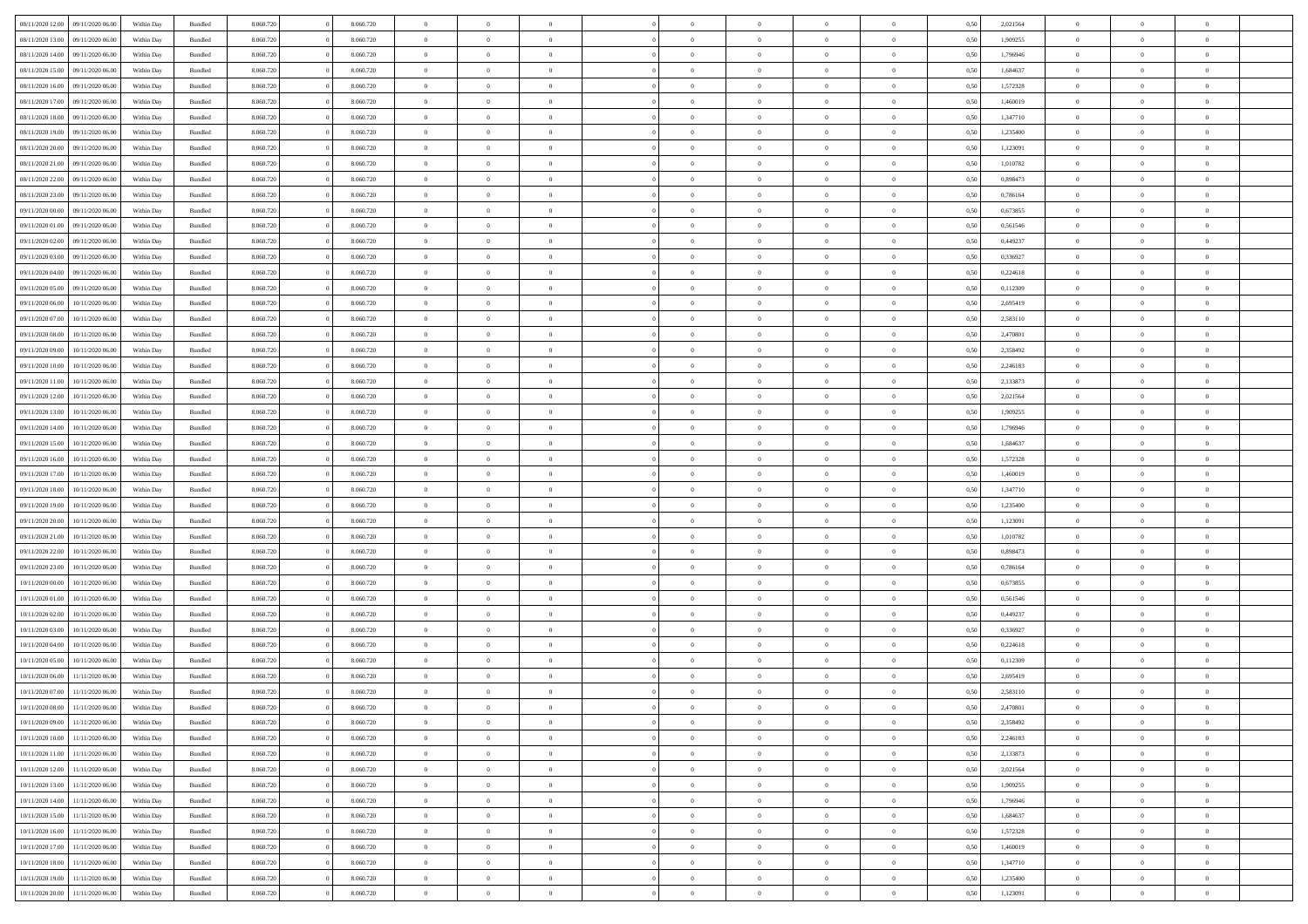| 08/11/2020 12:00 | 09/11/2020 06:00 | Within Dav | Bundled            | 8.060.720 | 8.060.720 | $\overline{0}$ | $\Omega$       |                | $\Omega$       | $\Omega$       | $\Omega$       | $\theta$       | 0.50 | 2,021564 | $\theta$       | $\theta$       | $\theta$       |  |
|------------------|------------------|------------|--------------------|-----------|-----------|----------------|----------------|----------------|----------------|----------------|----------------|----------------|------|----------|----------------|----------------|----------------|--|
| 08/11/2020 13:00 | 09/11/2020 06.00 | Within Day | Bundled            | 8.060.720 | 8.060.720 | $\overline{0}$ | $\theta$       | $\overline{0}$ | $\overline{0}$ | $\bf{0}$       | $\overline{0}$ | $\bf{0}$       | 0,50 | 1,909255 | $\theta$       | $\theta$       | $\overline{0}$ |  |
| 08/11/2020 14:00 | 09/11/2020 06.00 | Within Day | Bundled            | 8.060.720 | 8.060.720 | $\overline{0}$ | $\overline{0}$ | $\overline{0}$ | $\bf{0}$       | $\bf{0}$       | $\bf{0}$       | $\bf{0}$       | 0,50 | 1,796946 | $\bf{0}$       | $\overline{0}$ | $\overline{0}$ |  |
| 08/11/2020 15:00 | 09/11/2020 06:00 | Within Dav | Bundled            | 8.060.720 | 8.060.720 | $\overline{0}$ | $\overline{0}$ | $\overline{0}$ | $\overline{0}$ | $\bf{0}$       | $\overline{0}$ | $\overline{0}$ | 0.50 | 1.684637 | $\theta$       | $\theta$       | $\overline{0}$ |  |
| 08/11/2020 16:00 | 09/11/2020 06.00 | Within Day | Bundled            | 8.060.720 | 8.060.720 | $\overline{0}$ | $\theta$       | $\overline{0}$ | $\overline{0}$ | $\bf{0}$       | $\overline{0}$ | $\bf{0}$       | 0,50 | 1,572328 | $\theta$       | $\theta$       | $\overline{0}$ |  |
|                  |                  |            |                    |           |           |                |                |                |                |                |                |                |      |          |                |                |                |  |
| 08/11/2020 17.00 | 09/11/2020 06.00 | Within Day | Bundled            | 8.060.720 | 8.060.720 | $\overline{0}$ | $\bf{0}$       | $\overline{0}$ | $\bf{0}$       | $\overline{0}$ | $\overline{0}$ | $\mathbf{0}$   | 0,50 | 1,460019 | $\bf{0}$       | $\overline{0}$ | $\bf{0}$       |  |
| 08/11/2020 18:00 | 09/11/2020 06:00 | Within Dav | Bundled            | 8.060.720 | 8.060.720 | $\overline{0}$ | $\overline{0}$ | $\overline{0}$ | $\overline{0}$ | $\overline{0}$ | $\overline{0}$ | $\overline{0}$ | 0.50 | 1,347710 | $\theta$       | $\overline{0}$ | $\overline{0}$ |  |
| 08/11/2020 19:00 | 09/11/2020 06.00 | Within Day | Bundled            | 8.060.720 | 8.060.720 | $\overline{0}$ | $\theta$       | $\overline{0}$ | $\overline{0}$ | $\bf{0}$       | $\overline{0}$ | $\bf{0}$       | 0,50 | 1,235400 | $\theta$       | $\theta$       | $\overline{0}$ |  |
| 08/11/2020 20.00 | 09/11/2020 06.00 | Within Day | Bundled            | 8.060.720 | 8.060.720 | $\overline{0}$ | $\overline{0}$ | $\overline{0}$ | $\bf{0}$       | $\bf{0}$       | $\bf{0}$       | $\bf{0}$       | 0,50 | 1,123091 | $\,0\,$        | $\overline{0}$ | $\overline{0}$ |  |
| 08/11/2020 21.00 | 09/11/2020 06:00 | Within Dav | Bundled            | 8.060.720 | 8.060.720 | $\overline{0}$ | $\overline{0}$ | $\overline{0}$ | $\overline{0}$ | $\overline{0}$ | $\overline{0}$ | $\overline{0}$ | 0.50 | 1,010782 | $\theta$       | $\overline{0}$ | $\overline{0}$ |  |
| 08/11/2020 22.00 | 09/11/2020 06.00 | Within Day | Bundled            | 8.060.720 | 8.060.720 | $\overline{0}$ | $\theta$       | $\overline{0}$ | $\overline{0}$ | $\bf{0}$       | $\overline{0}$ | $\bf{0}$       | 0,50 | 0,898473 | $\,$ 0 $\,$    | $\theta$       | $\overline{0}$ |  |
| 08/11/2020 23.00 | 09/11/2020 06.00 | Within Day | Bundled            | 8.060.720 | 8.060.720 | $\overline{0}$ | $\overline{0}$ | $\overline{0}$ | $\bf{0}$       | $\bf{0}$       | $\bf{0}$       | $\bf{0}$       | 0,50 | 0,786164 | $\bf{0}$       | $\overline{0}$ | $\overline{0}$ |  |
|                  |                  |            |                    |           |           |                |                |                |                |                |                |                |      |          |                |                |                |  |
| 09/11/2020 00:00 | 09/11/2020 06:00 | Within Day | Bundled            | 8.060.720 | 8.060.720 | $\overline{0}$ | $\overline{0}$ | $\overline{0}$ | $\overline{0}$ | $\bf{0}$       | $\overline{0}$ | $\overline{0}$ | 0.50 | 0,673855 | $\theta$       | $\theta$       | $\overline{0}$ |  |
| 09/11/2020 01:00 | 09/11/2020 06.00 | Within Day | Bundled            | 8.060.720 | 8.060.720 | $\overline{0}$ | $\theta$       | $\overline{0}$ | $\overline{0}$ | $\bf{0}$       | $\overline{0}$ | $\bf{0}$       | 0,50 | 0,561546 | $\theta$       | $\theta$       | $\overline{0}$ |  |
| 09/11/2020 02.00 | 09/11/2020 06.00 | Within Day | Bundled            | 8.060.720 | 8.060.720 | $\overline{0}$ | $\bf{0}$       | $\overline{0}$ | $\bf{0}$       | $\overline{0}$ | $\overline{0}$ | $\mathbf{0}$   | 0,50 | 0,449237 | $\bf{0}$       | $\overline{0}$ | $\bf{0}$       |  |
| 09/11/2020 03:00 | 09/11/2020 06:00 | Within Dav | Bundled            | 8.060.720 | 8.060.720 | $\overline{0}$ | $\overline{0}$ | $\overline{0}$ | $\overline{0}$ | $\overline{0}$ | $\overline{0}$ | $\overline{0}$ | 0.50 | 0,336927 | $\theta$       | $\overline{0}$ | $\overline{0}$ |  |
| 09/11/2020 04:00 | 09/11/2020 06.00 | Within Day | Bundled            | 8.060.720 | 8.060.720 | $\overline{0}$ | $\theta$       | $\overline{0}$ | $\overline{0}$ | $\bf{0}$       | $\overline{0}$ | $\bf{0}$       | 0,50 | 0,224618 | $\,$ 0 $\,$    | $\theta$       | $\overline{0}$ |  |
| 09/11/2020 05:00 | 09/11/2020 06.00 | Within Day | Bundled            | 8.060.720 | 8.060.720 | $\overline{0}$ | $\overline{0}$ | $\overline{0}$ | $\bf{0}$       | $\bf{0}$       | $\bf{0}$       | $\bf{0}$       | 0,50 | 0,112309 | $\bf{0}$       | $\overline{0}$ | $\overline{0}$ |  |
| 09/11/2020 06:00 | 10/11/2020 06:00 | Within Day | Bundled            | 8.060.720 | 8.060.720 | $\overline{0}$ | $\overline{0}$ | $\overline{0}$ | $\overline{0}$ | $\overline{0}$ | $\overline{0}$ | $\overline{0}$ | 0.50 | 2,695419 | $\theta$       | $\overline{0}$ | $\overline{0}$ |  |
| 09/11/2020 07.00 | 10/11/2020 06.00 | Within Day | Bundled            | 8.060.720 | 8.060.720 | $\overline{0}$ | $\theta$       | $\overline{0}$ | $\overline{0}$ | $\bf{0}$       | $\overline{0}$ | $\bf{0}$       | 0,50 | 2,583110 | $\,$ 0 $\,$    | $\theta$       | $\overline{0}$ |  |
|                  |                  |            |                    |           |           |                |                |                |                |                |                |                |      |          |                |                |                |  |
| 09/11/2020 08.00 | 10/11/2020 06.00 | Within Day | Bundled            | 8.060.720 | 8.060.720 | $\overline{0}$ | $\overline{0}$ | $\overline{0}$ | $\bf{0}$       | $\bf{0}$       | $\bf{0}$       | $\bf{0}$       | 0,50 | 2,470801 | $\bf{0}$       | $\overline{0}$ | $\overline{0}$ |  |
| 09/11/2020 09:00 | 10/11/2020 06:00 | Within Day | Bundled            | 8.060.720 | 8.060.720 | $\overline{0}$ | $\overline{0}$ | $\overline{0}$ | $\overline{0}$ | $\bf{0}$       | $\overline{0}$ | $\overline{0}$ | 0.50 | 2.358492 | $\theta$       | $\theta$       | $\overline{0}$ |  |
| 09/11/2020 10:00 | 10/11/2020 06.00 | Within Day | Bundled            | 8.060.720 | 8.060.720 | $\overline{0}$ | $\theta$       | $\overline{0}$ | $\overline{0}$ | $\bf{0}$       | $\overline{0}$ | $\bf{0}$       | 0,50 | 2,246183 | $\,$ 0 $\,$    | $\overline{0}$ | $\overline{0}$ |  |
| 09/11/2020 11.00 | 10/11/2020 06.00 | Within Day | Bundled            | 8.060.720 | 8.060.720 | $\overline{0}$ | $\bf{0}$       | $\overline{0}$ | $\bf{0}$       | $\overline{0}$ | $\overline{0}$ | $\mathbf{0}$   | 0,50 | 2,133873 | $\overline{0}$ | $\overline{0}$ | $\bf{0}$       |  |
| 09/11/2020 12:00 | 10/11/2020 06:00 | Within Dav | Bundled            | 8.060.720 | 8.060.720 | $\overline{0}$ | $\overline{0}$ | $\overline{0}$ | $\overline{0}$ | $\overline{0}$ | $\overline{0}$ | $\overline{0}$ | 0.50 | 2,021564 | $\theta$       | $\theta$       | $\overline{0}$ |  |
| 09/11/2020 13.00 | 10/11/2020 06.00 | Within Day | Bundled            | 8.060.720 | 8.060.720 | $\overline{0}$ | $\theta$       | $\overline{0}$ | $\overline{0}$ | $\bf{0}$       | $\overline{0}$ | $\bf{0}$       | 0,50 | 1,909255 | $\theta$       | $\theta$       | $\overline{0}$ |  |
| 09/11/2020 14:00 | 10/11/2020 06.00 | Within Day | Bundled            | 8.060.720 | 8.060.720 | $\overline{0}$ | $\overline{0}$ | $\overline{0}$ | $\bf{0}$       | $\bf{0}$       | $\bf{0}$       | $\bf{0}$       | 0,50 | 1,796946 | $\,0\,$        | $\overline{0}$ | $\overline{0}$ |  |
| 09/11/2020 15:00 | 10/11/2020 06:00 |            | Bundled            | 8.060.720 | 8.060.720 | $\overline{0}$ | $\overline{0}$ | $\overline{0}$ | $\overline{0}$ | $\overline{0}$ | $\overline{0}$ | $\overline{0}$ | 0.50 | 1,684637 | $\theta$       | $\overline{0}$ | $\overline{0}$ |  |
|                  |                  | Within Day |                    |           |           |                |                |                |                |                |                |                |      |          |                |                |                |  |
| 09/11/2020 16.00 | 10/11/2020 06.00 | Within Day | Bundled            | 8.060.720 | 8.060.720 | $\overline{0}$ | $\theta$       | $\overline{0}$ | $\overline{0}$ | $\bf{0}$       | $\overline{0}$ | $\bf{0}$       | 0,50 | 1,572328 | $\,$ 0 $\,$    | $\overline{0}$ | $\overline{0}$ |  |
| 09/11/2020 17.00 | 10/11/2020 06.00 | Within Day | Bundled            | 8.060.720 | 8.060.720 | $\overline{0}$ | $\overline{0}$ | $\overline{0}$ | $\bf{0}$       | $\bf{0}$       | $\bf{0}$       | $\bf{0}$       | 0,50 | 1,460019 | $\overline{0}$ | $\overline{0}$ | $\overline{0}$ |  |
| 09/11/2020 18:00 | 10/11/2020 06.00 | Within Day | Bundled            | 8.060.720 | 8.060.720 | $\overline{0}$ | $\Omega$       | $\Omega$       | $\Omega$       | $\Omega$       | $\overline{0}$ | $\overline{0}$ | 0,50 | 1,347710 | $\,0\,$        | $\theta$       | $\theta$       |  |
| 09/11/2020 19:00 | 10/11/2020 06.00 | Within Day | Bundled            | 8.060.720 | 8.060.720 | $\overline{0}$ | $\theta$       | $\overline{0}$ | $\overline{0}$ | $\bf{0}$       | $\overline{0}$ | $\bf{0}$       | 0,50 | 1,235400 | $\theta$       | $\theta$       | $\overline{0}$ |  |
| 09/11/2020 20.00 | 10/11/2020 06:00 | Within Day | Bundled            | 8.060.720 | 8.060.720 | $\overline{0}$ | $\overline{0}$ | $\overline{0}$ | $\bf{0}$       | $\bf{0}$       | $\overline{0}$ | $\mathbf{0}$   | 0,50 | 1,123091 | $\overline{0}$ | $\overline{0}$ | $\bf{0}$       |  |
| 09/11/2020 21.00 | 10/11/2020 06:00 | Within Day | Bundled            | 8.060.720 | 8.060.720 | $\overline{0}$ | $\Omega$       | $\Omega$       | $\Omega$       | $\bf{0}$       | $\overline{0}$ | $\overline{0}$ | 0.50 | 1,010782 | $\theta$       | $\theta$       | $\theta$       |  |
| 09/11/2020 22.00 | 10/11/2020 06.00 | Within Day | Bundled            | 8.060.720 | 8.060.720 | $\overline{0}$ | $\theta$       | $\overline{0}$ | $\overline{0}$ | $\bf{0}$       | $\overline{0}$ | $\bf{0}$       | 0,50 | 0,898473 | $\,$ 0 $\,$    | $\theta$       | $\overline{0}$ |  |
|                  |                  |            |                    |           |           |                | $\overline{0}$ |                |                | $\bf{0}$       |                |                |      |          | $\bf{0}$       | $\overline{0}$ | $\overline{0}$ |  |
| 09/11/2020 23.00 | 10/11/2020 06.00 | Within Day | Bundled            | 8.060.720 | 8.060.720 | $\overline{0}$ |                | $\overline{0}$ | $\bf{0}$       |                | $\bf{0}$       | $\bf{0}$       | 0,50 | 0,786164 |                |                |                |  |
| 10/11/2020 00:00 | 10/11/2020 06:00 | Within Day | Bundled            | 8.060.720 | 8.060.720 | $\overline{0}$ | $\Omega$       | $\Omega$       | $\Omega$       | $\theta$       | $\theta$       | $\overline{0}$ | 0.50 | 0.673855 | $\theta$       | $\theta$       | $\theta$       |  |
| 10/11/2020 01:00 | 10/11/2020 06.00 | Within Day | Bundled            | 8.060.720 | 8.060.720 | $\overline{0}$ | $\theta$       | $\overline{0}$ | $\overline{0}$ | $\bf{0}$       | $\overline{0}$ | $\bf{0}$       | 0,50 | 0,561546 | $\,$ 0 $\,$    | $\overline{0}$ | $\overline{0}$ |  |
| 10/11/2020 02.00 | 10/11/2020 06.00 | Within Day | Bundled            | 8.060.720 | 8.060.720 | $\overline{0}$ | $\overline{0}$ | $\overline{0}$ | $\bf{0}$       | $\bf{0}$       | $\bf{0}$       | $\bf{0}$       | 0,50 | 0,449237 | $\overline{0}$ | $\overline{0}$ | $\overline{0}$ |  |
| 10/11/2020 03:00 | 10/11/2020 06.00 | Within Day | Bundled            | 8.060.720 | 8.060.720 | $\overline{0}$ | $\Omega$       | $\overline{0}$ | $\Omega$       | $\overline{0}$ | $\overline{0}$ | $\overline{0}$ | 0.50 | 0,336927 | $\,0\,$        | $\theta$       | $\theta$       |  |
| 10/11/2020 04:00 | 10/11/2020 06.00 | Within Day | Bundled            | 8.060.720 | 8.060.720 | $\overline{0}$ | $\theta$       | $\overline{0}$ | $\overline{0}$ | $\bf{0}$       | $\overline{0}$ | $\bf{0}$       | 0,50 | 0,224618 | $\,$ 0 $\,$    | $\overline{0}$ | $\overline{0}$ |  |
| 10/11/2020 05:00 | 10/11/2020 06.00 | Within Day | Bundled            | 8.060.720 | 8.060.720 | $\overline{0}$ | $\overline{0}$ | $\overline{0}$ | $\bf{0}$       | $\bf{0}$       | $\bf{0}$       | $\mathbf{0}$   | 0,50 | 0,112309 | $\overline{0}$ | $\overline{0}$ | $\bf{0}$       |  |
| 10/11/2020 06:00 | 11/11/2020 06.00 | Within Day | Bundled            | 8.060.720 | 8.060.720 | $\overline{0}$ | $\Omega$       | $\Omega$       | $\Omega$       | $\Omega$       | $\Omega$       | $\overline{0}$ | 0.50 | 2.695419 | $\theta$       | $\theta$       | $\theta$       |  |
| 10/11/2020 07.00 | 11/11/2020 06.00 | Within Day | Bundled            | 8.060.720 | 8.060.720 | $\overline{0}$ | $\overline{0}$ | $\overline{0}$ | $\bf{0}$       | $\,$ 0         | $\bf{0}$       | $\bf{0}$       | 0,50 | 2,583110 | $\,0\,$        | $\overline{0}$ | $\overline{0}$ |  |
|                  |                  |            |                    |           |           |                |                |                |                |                |                |                |      |          |                |                |                |  |
| 10/11/2020 08:00 | 11/11/2020 06.00 | Within Day | $\mathbf B$ undled | 8.060.720 | 8.060.720 | $\bf{0}$       | $\bf{0}$       |                |                | $\bf{0}$       |                |                | 0,50 | 2,470801 | $\bf{0}$       | $\overline{0}$ |                |  |
| 10/11/2020 09:00 | 11/11/2020 06.00 | Within Day | Bundled            | 8.060.720 | 8.060.720 | $\overline{0}$ | $\overline{0}$ | $\overline{0}$ | $\Omega$       | $\overline{0}$ | $\overline{0}$ | $\overline{0}$ | 0.50 | 2,358492 | $\theta$       | $\theta$       | $\theta$       |  |
| 10/11/2020 10:00 | 11/11/2020 06.00 | Within Day | Bundled            | 8.060.720 | 8.060.720 | $\overline{0}$ | $\,$ 0         | $\overline{0}$ | $\bf{0}$       | $\,$ 0 $\,$    | $\overline{0}$ | $\mathbf{0}$   | 0,50 | 2,246183 | $\,$ 0 $\,$    | $\,$ 0 $\,$    | $\,$ 0         |  |
| 10/11/2020 11:00 | 11/11/2020 06.00 | Within Day | Bundled            | 8.060.720 | 8.060.720 | $\overline{0}$ | $\overline{0}$ | $\overline{0}$ | $\overline{0}$ | $\overline{0}$ | $\overline{0}$ | $\mathbf{0}$   | 0,50 | 2,133873 | $\overline{0}$ | $\bf{0}$       | $\bf{0}$       |  |
| 10/11/2020 12:00 | 11/11/2020 06.00 | Within Day | Bundled            | 8.060.720 | 8.060.720 | $\overline{0}$ | $\overline{0}$ | $\overline{0}$ | $\Omega$       | $\overline{0}$ | $\overline{0}$ | $\overline{0}$ | 0,50 | 2,021564 | $\bf{0}$       | $\theta$       | $\overline{0}$ |  |
| 10/11/2020 13:00 | 11/11/2020 06.00 | Within Day | Bundled            | 8.060.720 | 8.060.720 | $\overline{0}$ | $\,$ 0         | $\overline{0}$ | $\overline{0}$ | $\,$ 0 $\,$    | $\overline{0}$ | $\mathbf{0}$   | 0,50 | 1,909255 | $\,$ 0 $\,$    | $\overline{0}$ | $\overline{0}$ |  |
| 10/11/2020 14:00 | 11/11/2020 06.00 | Within Day | Bundled            | 8.060.720 | 8.060.720 | $\overline{0}$ | $\overline{0}$ | $\overline{0}$ | $\overline{0}$ | $\overline{0}$ | $\overline{0}$ | $\mathbf{0}$   | 0,50 | 1,796946 | $\overline{0}$ | $\overline{0}$ | $\bf{0}$       |  |
| 10/11/2020 15:00 | 11/11/2020 06.00 | Within Day | Bundled            | 8.060.720 | 8.060.720 | $\overline{0}$ | $\overline{0}$ | $\overline{0}$ | $\overline{0}$ | $\overline{0}$ | $\overline{0}$ | $\bf{0}$       | 0.50 | 1,684637 | $\overline{0}$ | $\theta$       | $\overline{0}$ |  |
| 10/11/2020 16:00 | 11/11/2020 06.00 | Within Day | Bundled            | 8.060.720 | 8.060.720 | $\overline{0}$ | $\,$ 0         | $\overline{0}$ | $\bf{0}$       | $\bf{0}$       | $\bf{0}$       | $\bf{0}$       | 0,50 | 1,572328 | $\,$ 0 $\,$    | $\overline{0}$ | $\overline{0}$ |  |
|                  |                  |            |                    |           |           |                |                |                |                |                |                |                |      |          |                |                |                |  |
| 10/11/2020 17:00 | 11/11/2020 06.00 | Within Day | Bundled            | 8.060.720 | 8.060.720 | $\overline{0}$ | $\bf{0}$       | $\overline{0}$ | $\overline{0}$ | $\overline{0}$ | $\overline{0}$ | $\mathbf{0}$   | 0,50 | 1,460019 | $\overline{0}$ | $\overline{0}$ | $\bf{0}$       |  |
| 10/11/2020 18:00 | 11/11/2020 06.00 | Within Day | Bundled            | 8.060.720 | 8.060.720 | $\overline{0}$ | $\overline{0}$ | $\overline{0}$ | $\Omega$       | $\overline{0}$ | $\overline{0}$ | $\overline{0}$ | 0.50 | 1,347710 | $\overline{0}$ | $\overline{0}$ | $\overline{0}$ |  |
| 10/11/2020 19:00 | 11/11/2020 06.00 | Within Day | Bundled            | 8.060.720 | 8.060.720 | $\overline{0}$ | $\bf{0}$       | $\overline{0}$ | $\overline{0}$ | $\bf{0}$       | $\bf{0}$       | $\bf{0}$       | 0,50 | 1,235400 | $\,$ 0 $\,$    | $\,$ 0 $\,$    | $\bf{0}$       |  |
| 10/11/2020 20:00 | 11/11/2020 06.00 | Within Day | Bundled            | 8.060.720 | 8.060.720 | $\overline{0}$ | $\bf{0}$       | $\overline{0}$ | $\bf{0}$       | $\bf{0}$       | $\bf{0}$       | $\bf{0}$       | 0,50 | 1,123091 | $\overline{0}$ | $\overline{0}$ | $\bf{0}$       |  |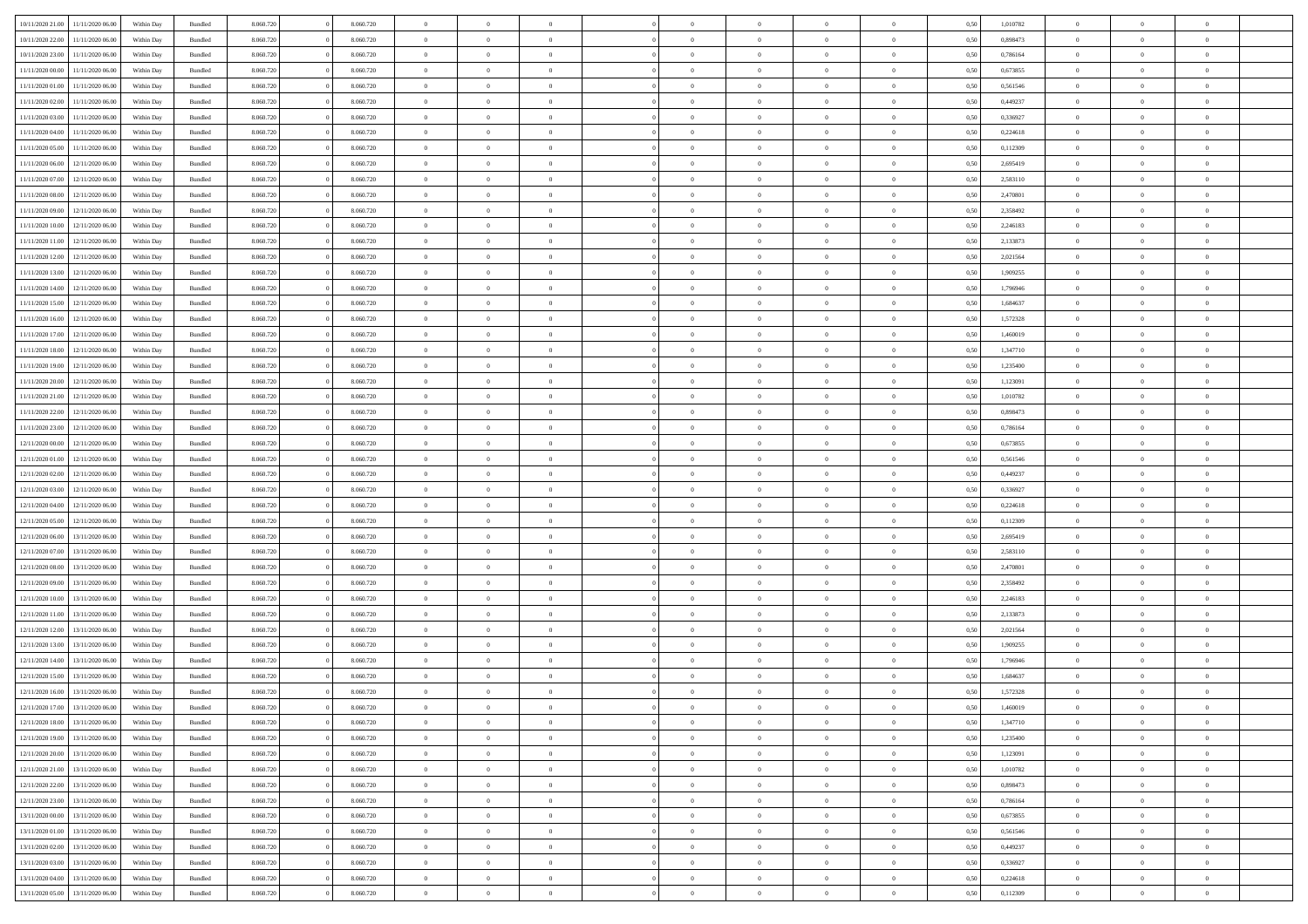| 10/11/2020 21:00                  | 11/11/2020 06.00 | Within Day | Bundled | 8.060.720 | 8.060.720 | $\overline{0}$ | $\theta$       |                |                | $\Omega$       | $\Omega$       | $\overline{0}$ | 0,50 | 1,010782 | $\theta$       | $\theta$       | $\theta$       |  |
|-----------------------------------|------------------|------------|---------|-----------|-----------|----------------|----------------|----------------|----------------|----------------|----------------|----------------|------|----------|----------------|----------------|----------------|--|
| 10/11/2020 22.00                  | 11/11/2020 06:00 | Within Dav | Bundled | 8.060.720 | 8.060.720 | $\overline{0}$ | $\Omega$       |                | $\Omega$       | $\Omega$       | $\Omega$       | $\bf{0}$       | 0.50 | 0,898473 | $\theta$       | $\Omega$       | $\sqrt{ }$     |  |
| 10/11/2020 23.00                  | 11/11/2020 06.00 | Within Day | Bundled | 8.060.720 | 8.060.720 | $\overline{0}$ | $\overline{0}$ | $\overline{0}$ | $\overline{0}$ | $\,$ 0 $\,$    | $\overline{0}$ | $\,$ 0 $\,$    | 0,50 | 0,786164 | $\,$ 0 $\,$    | $\overline{0}$ | $\overline{0}$ |  |
| 11/11/2020 00:00                  | 11/11/2020 06.00 | Within Day | Bundled | 8.060.720 | 8.060.720 | $\overline{0}$ | $\overline{0}$ | $\overline{0}$ | $\overline{0}$ | $\bf{0}$       | $\overline{0}$ | $\bf{0}$       | 0,50 | 0,673855 | $\bf{0}$       | $\overline{0}$ | $\overline{0}$ |  |
| 11/11/2020 01:00                  | 11/11/2020 06.00 | Within Day | Bundled | 8.060.720 | 8.060.720 | $\overline{0}$ | $\Omega$       | $^{\circ}$     | $\Omega$       | $\overline{0}$ | $\Omega$       | $\overline{0}$ | 0.50 | 0,561546 | $\theta$       | $\theta$       | $\sqrt{ }$     |  |
| 11/11/2020 02.00                  | 11/11/2020 06.00 | Within Day | Bundled | 8.060.720 | 8.060.720 | $\overline{0}$ | $\overline{0}$ | $\overline{0}$ | $\overline{0}$ | $\,$ 0 $\,$    | $\overline{0}$ | $\,$ 0 $\,$    | 0,50 | 0,449237 | $\,$ 0 $\,$    | $\overline{0}$ | $\overline{0}$ |  |
|                                   | 11/11/2020 06.00 |            |         |           |           | $\overline{0}$ |                |                |                |                |                |                |      |          |                |                | $\overline{0}$ |  |
| 11/11/2020 03:00                  |                  | Within Day | Bundled | 8.060.720 | 8.060.720 |                | $\overline{0}$ | $\overline{0}$ | $\overline{0}$ | $\overline{0}$ | $\overline{0}$ | $\bf{0}$       | 0,50 | 0,336927 | $\bf{0}$       | $\theta$       |                |  |
| 11/11/2020 04:00                  | 11/11/2020 06.00 | Within Dav | Bundled | 8.060.720 | 8.060.720 | $\overline{0}$ | $\Omega$       | $^{\circ}$     | $\Omega$       | $\bf{0}$       | $\Omega$       | $\overline{0}$ | 0.50 | 0,224618 | $\theta$       | $\theta$       | $\sqrt{ }$     |  |
| 11/11/2020 05:00                  | 11/11/2020 06.00 | Within Day | Bundled | 8.060.720 | 8.060.720 | $\overline{0}$ | $\overline{0}$ | $\overline{0}$ | $\overline{0}$ | $\,$ 0 $\,$    | $\overline{0}$ | $\,$ 0 $\,$    | 0,50 | 0,112309 | $\,$ 0 $\,$    | $\overline{0}$ | $\overline{0}$ |  |
| 11/11/2020 06.00                  | 12/11/2020 06.00 | Within Day | Bundled | 8.060.720 | 8.060.720 | $\overline{0}$ | $\overline{0}$ | $\overline{0}$ | $\Omega$       | $\overline{0}$ | $\overline{0}$ | $\bf{0}$       | 0,50 | 2,695419 | $\bf{0}$       | $\theta$       | $\overline{0}$ |  |
| 11/11/2020 07:00                  | 12/11/2020 06:00 | Within Dav | Bundled | 8.060.720 | 8.060.720 | $\overline{0}$ | $\Omega$       | $^{\circ}$     | $\Omega$       | $\bf{0}$       | $\Omega$       | $\overline{0}$ | 0.50 | 2,583110 | $\theta$       | $\theta$       | $\sqrt{ }$     |  |
| 11/11/2020 08:00                  | 12/11/2020 06.00 | Within Day | Bundled | 8.060.720 | 8.060.720 | $\overline{0}$ | $\overline{0}$ | $\overline{0}$ | $\overline{0}$ | $\,$ 0 $\,$    | $\overline{0}$ | $\,$ 0 $\,$    | 0,50 | 2,470801 | $\,$ 0 $\,$    | $\overline{0}$ | $\overline{0}$ |  |
| 11/11/2020 09:00                  | 12/11/2020 06.00 | Within Day | Bundled | 8.060.720 | 8.060.720 | $\overline{0}$ | $\overline{0}$ | $\overline{0}$ | $\overline{0}$ | $\bf{0}$       | $\overline{0}$ | $\bf{0}$       | 0,50 | 2,358492 | $\bf{0}$       | $\overline{0}$ | $\overline{0}$ |  |
| 11/11/2020 10:00                  | 12/11/2020 06:00 | Within Day | Bundled | 8.060.720 | 8.060.720 | $\overline{0}$ | $\theta$       | $^{\circ}$     | $\overline{0}$ | $\overline{0}$ | $\Omega$       | $\bf{0}$       | 0.50 | 2,246183 | $\theta$       | $\theta$       | $\sqrt{ }$     |  |
|                                   |                  |            |         |           |           | $\overline{0}$ | $\overline{0}$ | $\overline{0}$ | $\overline{0}$ | $\,$ 0 $\,$    | $\overline{0}$ |                |      |          | $\theta$       | $\overline{0}$ | $\overline{0}$ |  |
| 11/11/2020 11:00                  | 12/11/2020 06.00 | Within Day | Bundled | 8.060.720 | 8.060.720 |                |                |                |                |                |                | $\,$ 0 $\,$    | 0,50 | 2,133873 |                |                |                |  |
| 11/11/2020 12:00                  | 12/11/2020 06.00 | Within Day | Bundled | 8.060.720 | 8.060.720 | $\overline{0}$ | $\overline{0}$ | $\overline{0}$ | $\Omega$       | $\overline{0}$ | $\overline{0}$ | $\bf{0}$       | 0,50 | 2,021564 | $\bf{0}$       | $\overline{0}$ | $\overline{0}$ |  |
| 11/11/2020 13:00                  | 12/11/2020 06.00 | Within Day | Bundled | 8.060.720 | 8.060.720 | $\overline{0}$ | $\Omega$       | $^{\circ}$     | $\Omega$       | $\overline{0}$ | $\Omega$       | $\overline{0}$ | 0.50 | 1,909255 | $\theta$       | $\theta$       | $\sqrt{ }$     |  |
| 11/11/2020 14:00                  | 12/11/2020 06.00 | Within Day | Bundled | 8.060.720 | 8.060.720 | $\overline{0}$ | $\,$ 0         | $\overline{0}$ | $\overline{0}$ | $\,$ 0 $\,$    | $\overline{0}$ | $\,$ 0 $\,$    | 0,50 | 1,796946 | $\,$ 0 $\,$    | $\overline{0}$ | $\overline{0}$ |  |
| 11/11/2020 15:00                  | 12/11/2020 06.00 | Within Day | Bundled | 8.060.720 | 8.060.720 | $\overline{0}$ | $\overline{0}$ | $\overline{0}$ | $\Omega$       | $\overline{0}$ | $\overline{0}$ | $\bf{0}$       | 0,50 | 1,684637 | $\bf{0}$       | $\theta$       | $\overline{0}$ |  |
| 11/11/2020 16.00                  | 12/11/2020 06:00 | Within Day | Bundled | 8.060.720 | 8.060.720 | $\overline{0}$ | $\Omega$       | $\Omega$       | $\Omega$       | $\bf{0}$       | $\Omega$       | $\overline{0}$ | 0.50 | 1,572328 | $\theta$       | $\theta$       | $\sqrt{ }$     |  |
| 11/11/2020 17.00                  | 12/11/2020 06.00 | Within Day | Bundled | 8.060.720 | 8.060.720 | $\overline{0}$ | $\overline{0}$ | $\overline{0}$ | $\overline{0}$ | $\,$ 0 $\,$    | $\overline{0}$ | $\,$ 0 $\,$    | 0,50 | 1,460019 | $\,$ 0 $\,$    | $\overline{0}$ | $\overline{0}$ |  |
| 11/11/2020 18:00                  | 12/11/2020 06.00 | Within Day | Bundled | 8.060.720 | 8.060.720 | $\overline{0}$ | $\overline{0}$ | $\overline{0}$ | $\overline{0}$ | $\bf{0}$       | $\overline{0}$ | $\bf{0}$       | 0,50 | 1,347710 | $\bf{0}$       | $\overline{0}$ | $\bf{0}$       |  |
| 11/11/2020 19:00                  | 12/11/2020 06:00 | Within Day | Bundled | 8.060.720 | 8.060.720 | $\overline{0}$ | $\theta$       | $^{\circ}$     | $\overline{0}$ | $\bf{0}$       | $\Omega$       | $\overline{0}$ | 0.50 | 1,235400 | $\theta$       | $\theta$       | $\sqrt{ }$     |  |
|                                   |                  |            |         |           |           | $\overline{0}$ | $\overline{0}$ | $\overline{0}$ | $\overline{0}$ | $\,$ 0 $\,$    | $\overline{0}$ |                |      |          | $\,$ 0 $\,$    | $\overline{0}$ | $\overline{0}$ |  |
| 11/11/2020 20.00                  | 12/11/2020 06.00 | Within Day | Bundled | 8.060.720 | 8.060.720 |                |                |                |                |                |                | $\,$ 0 $\,$    | 0,50 | 1,123091 |                |                |                |  |
| 11/11/2020 21.00                  | 12/11/2020 06:00 | Within Day | Bundled | 8.060.720 | 8.060.720 | $\overline{0}$ | $\overline{0}$ | $\overline{0}$ | $\overline{0}$ | $\overline{0}$ | $\overline{0}$ | $\bf{0}$       | 0,50 | 1,010782 | $\bf{0}$       | $\overline{0}$ | $\overline{0}$ |  |
| 11/11/2020 22.00                  | 12/11/2020 06:00 | Within Dav | Bundled | 8.060.720 | 8.060.720 | $\overline{0}$ | $\Omega$       | $\Omega$       | $\Omega$       | $\bf{0}$       | $\Omega$       | $\overline{0}$ | 0.50 | 0,898473 | $\theta$       | $\theta$       | $\sqrt{ }$     |  |
| 11/11/2020 23.00                  | 12/11/2020 06.00 | Within Day | Bundled | 8.060.720 | 8.060.720 | $\overline{0}$ | $\overline{0}$ | $\overline{0}$ | $\overline{0}$ | $\,$ 0 $\,$    | $\overline{0}$ | $\,$ 0 $\,$    | 0,50 | 0,786164 | $\,$ 0 $\,$    | $\overline{0}$ | $\overline{0}$ |  |
| 12/11/2020 00:00                  | 12/11/2020 06.00 | Within Day | Bundled | 8.060.720 | 8.060.720 | $\overline{0}$ | $\overline{0}$ | $\overline{0}$ | $\Omega$       | $\overline{0}$ | $\overline{0}$ | $\bf{0}$       | 0,50 | 0,673855 | $\bf{0}$       | $\theta$       | $\overline{0}$ |  |
| 12/11/2020 01:00                  | 12/11/2020 06:00 | Within Day | Bundled | 8.060.720 | 8.060.720 | $\overline{0}$ | $\Omega$       | $^{\circ}$     | $\Omega$       | $\overline{0}$ | $\Omega$       | $\overline{0}$ | 0.50 | 0,561546 | $\theta$       | $\theta$       | $\sqrt{ }$     |  |
| 12/11/2020 02.00                  | 12/11/2020 06.00 | Within Day | Bundled | 8.060.720 | 8.060.720 | $\overline{0}$ | $\overline{0}$ | $\overline{0}$ | $\overline{0}$ | $\,$ 0 $\,$    | $\overline{0}$ | $\,$ 0 $\,$    | 0,50 | 0,449237 | $\,$ 0 $\,$    | $\overline{0}$ | $\,$ 0         |  |
| 12/11/2020 03:00                  | 12/11/2020 06.00 | Within Day | Bundled | 8.060.720 | 8.060.720 | $\bf{0}$       | $\overline{0}$ | $\overline{0}$ | $\bf{0}$       | $\bf{0}$       | $\bf{0}$       | $\bf{0}$       | 0,50 | 0,336927 | $\,$ 0 $\,$    | $\overline{0}$ | $\overline{0}$ |  |
| 12/11/2020 04:00                  | 12/11/2020 06:00 | Within Day | Bundled | 8.060.720 | 8.060.720 | $\overline{0}$ | $\theta$       | $\Omega$       | $\overline{0}$ | $\bf{0}$       | $\Omega$       | $\overline{0}$ | 0.50 | 0,224618 | $\theta$       | $\theta$       | $\sqrt{ }$     |  |
| 12/11/2020 05:00                  | 12/11/2020 06.00 |            |         | 8.060.720 | 8.060.720 | $\overline{0}$ | $\overline{0}$ | $\overline{0}$ | $\overline{0}$ | $\,$ 0 $\,$    | $\overline{0}$ | $\,$ 0 $\,$    |      | 0,112309 | $\theta$       | $\overline{0}$ | $\overline{0}$ |  |
|                                   |                  | Within Day | Bundled |           |           |                |                |                |                |                |                |                | 0,50 |          |                |                |                |  |
| 12/11/2020 06.00                  | 13/11/2020 06.00 | Within Day | Bundled | 8.060.720 | 8.060.720 | $\overline{0}$ | $\theta$       | $\overline{0}$ | $\overline{0}$ | $\,$ 0         | $\bf{0}$       | $\bf{0}$       | 0,50 | 2,695419 | $\,$ 0 $\,$    | $\overline{0}$ | $\overline{0}$ |  |
| 12/11/2020 07:00                  | 13/11/2020 06:00 | Within Day | Bundled | 8.060.720 | 8.060.720 | $\overline{0}$ | $\Omega$       | $^{\circ}$     | $\Omega$       | $\overline{0}$ | $\Omega$       | $\overline{0}$ | 0.50 | 2,583110 | $\theta$       | $\theta$       | $\sqrt{ }$     |  |
| 12/11/2020 08:00                  | 13/11/2020 06.00 | Within Day | Bundled | 8.060.720 | 8.060.720 | $\overline{0}$ | $\overline{0}$ | $\overline{0}$ | $\overline{0}$ | $\,$ 0 $\,$    | $\bf{0}$       | $\,$ 0 $\,$    | 0,50 | 2,470801 | $\,$ 0 $\,$    | $\overline{0}$ | $\overline{0}$ |  |
| 12/11/2020 09:00                  | 13/11/2020 06.00 | Within Day | Bundled | 8.060.720 | 8.060.720 | $\bf{0}$       | $\overline{0}$ | $\overline{0}$ | $\bf{0}$       | $\bf{0}$       | $\bf{0}$       | $\bf{0}$       | 0,50 | 2,358492 | $\,$ 0 $\,$    | $\overline{0}$ | $\overline{0}$ |  |
| 12/11/2020 10:00                  | 13/11/2020 06:00 | Within Day | Bundled | 8.060.720 | 8.060.720 | $\overline{0}$ | $\theta$       | $^{\circ}$     | $\Omega$       | $\overline{0}$ | $\Omega$       | $\overline{0}$ | 0.50 | 2,246183 | $\theta$       | $\theta$       | $\sqrt{ }$     |  |
| 12/11/2020 11:00                  | 13/11/2020 06.00 | Within Day | Bundled | 8.060.720 | 8.060.720 | $\overline{0}$ | $\overline{0}$ | $\overline{0}$ | $\overline{0}$ | $\,$ 0 $\,$    | $\overline{0}$ | $\,$ 0 $\,$    | 0,50 | 2,133873 | $\,$ 0 $\,$    | $\overline{0}$ | $\overline{0}$ |  |
| 12/11/2020 12:00                  | 13/11/2020 06.00 | Within Day | Bundled | 8.060.720 | 8.060.720 | $\bf{0}$       | $\overline{0}$ | $\overline{0}$ | $\bf{0}$       | $\,$ 0         | $\bf{0}$       | $\bf{0}$       | 0,50 | 2,021564 | $\,$ 0 $\,$    | $\overline{0}$ | $\overline{0}$ |  |
| 12/11/2020 13:00                  | 13/11/2020 06:00 | Within Day | Bundled | 8.060.720 | 8.060.720 | $\overline{0}$ | $\theta$       | $\Omega$       | $\Omega$       | $\bf{0}$       | $\Omega$       | $\overline{0}$ | 0.50 | 1,909255 | $\theta$       | $\theta$       | $\sqrt{ }$     |  |
| 12/11/2020 14:00                  | 13/11/2020 06.00 | Within Day | Bundled | 8.060.720 | 8.060.720 | $\overline{0}$ | $\theta$       | $\overline{0}$ | $\overline{0}$ | $\,$ 0 $\,$    | $\overline{0}$ | $\,$ 0 $\,$    | 0,50 | 1,796946 | $\,$ 0 $\,$    | $\overline{0}$ | $\overline{0}$ |  |
|                                   |                  |            |         |           |           |                |                |                |                |                |                |                |      |          |                |                |                |  |
| 12/11/2020 15:00                  | 13/11/2020 06.00 | Within Day | Bundled | 8.060.720 | 8.060.720 | $\overline{0}$ | $\theta$       | $\overline{0}$ | $\overline{0}$ | $\bf{0}$       | $\overline{0}$ | $\bf{0}$       | 0,50 | 1,684637 | $\,$ 0 $\,$    | $\overline{0}$ | $\overline{0}$ |  |
| 12/11/2020 16:00 13/11/2020 06:00 |                  | Within Day | Bundled | 8.060.720 | 8.060.720 | $\overline{0}$ | $\overline{0}$ | $\Omega$       | $\overline{0}$ | $\bf{0}$       | $\overline{0}$ | $\overline{0}$ | 0.50 | 1,572328 | $\theta$       | $\theta$       | $\overline{0}$ |  |
| 12/11/2020 17:00 13/11/2020 06:00 |                  | Within Day | Bundled | 8.060.720 | 8.060.720 | $\overline{0}$ | $\theta$       |                |                | $\bf{0}$       |                |                | 0,50 | 1,460019 | $\theta$       | $\theta$       |                |  |
| 12/11/2020 18:00                  | 13/11/2020 06.00 | Within Day | Bundled | 8.060.720 | 8.060.720 | $\bf{0}$       | $\bf{0}$       | $\overline{0}$ | $\bf{0}$       | $\bf{0}$       | $\overline{0}$ | $\bf{0}$       | 0,50 | 1,347710 | $\bf{0}$       | $\overline{0}$ | $\bf{0}$       |  |
| 12/11/2020 19:00                  | 13/11/2020 06:00 | Within Day | Bundled | 8.060.720 | 8.060.720 | $\overline{0}$ | $\overline{0}$ | $\overline{0}$ | $\overline{0}$ | $\mathbf{0}$   | $\overline{0}$ | $\overline{0}$ | 0,50 | 1,235400 | $\overline{0}$ | $\overline{0}$ | $\overline{0}$ |  |
| 12/11/2020 20:00                  | 13/11/2020 06.00 | Within Day | Bundled | 8.060.720 | 8.060.720 | $\overline{0}$ | $\bf{0}$       | $\overline{0}$ | $\overline{0}$ | $\bf{0}$       | $\overline{0}$ | $\,$ 0 $\,$    | 0,50 | 1,123091 | $\mathbf{0}$   | $\,$ 0 $\,$    | $\bf{0}$       |  |
| 12/11/2020 21:00                  | 13/11/2020 06.00 | Within Day | Bundled | 8.060.720 | 8.060.720 | $\overline{0}$ | $\overline{0}$ | $\overline{0}$ | $\bf{0}$       | $\bf{0}$       | $\overline{0}$ | $\mathbf{0}$   | 0,50 | 1,010782 | $\bf{0}$       | $\overline{0}$ | $\bf{0}$       |  |
| 12/11/2020 22.00                  | 13/11/2020 06:00 | Within Day | Bundled | 8.060.720 | 8.060.720 | $\overline{0}$ | $\overline{0}$ | $\overline{0}$ | $\overline{0}$ | $\overline{0}$ | $\overline{0}$ | $\overline{0}$ | 0,50 | 0,898473 | $\overline{0}$ | $\theta$       | $\overline{0}$ |  |
| 12/11/2020 23.00                  | 13/11/2020 06.00 | Within Day | Bundled | 8.060.720 | 8.060.720 | $\overline{0}$ | $\bf{0}$       | $\overline{0}$ | $\overline{0}$ | $\bf{0}$       | $\overline{0}$ | $\,$ 0 $\,$    | 0,50 | 0,786164 | $\,$ 0 $\,$    | $\,$ 0 $\,$    | $\,$ 0         |  |
|                                   |                  |            |         |           |           |                |                |                |                |                |                |                |      |          |                |                |                |  |
| 13/11/2020 00.00                  | 13/11/2020 06.00 | Within Day | Bundled | 8.060.720 | 8.060.720 | $\overline{0}$ | $\overline{0}$ | $\overline{0}$ | $\bf{0}$       | $\bf{0}$       | $\bf{0}$       | $\bf{0}$       | 0,50 | 0,673855 | $\bf{0}$       | $\overline{0}$ | $\bf{0}$       |  |
| 13/11/2020 01:00                  | 13/11/2020 06:00 | Within Day | Bundled | 8.060.720 | 8.060.720 | $\overline{0}$ | $\overline{0}$ | $\overline{0}$ | $\overline{0}$ | $\overline{0}$ | $\overline{0}$ | $\mathbf{0}$   | 0,50 | 0,561546 | $\overline{0}$ | $\theta$       | $\overline{0}$ |  |
| 13/11/2020 02.00                  | 13/11/2020 06:00 | Within Day | Bundled | 8.060.720 | 8.060.720 | $\overline{0}$ | $\bf{0}$       | $\overline{0}$ | $\bf{0}$       | $\bf{0}$       | $\overline{0}$ | $\,$ 0 $\,$    | 0,50 | 0,449237 | $\mathbf{0}$   | $\,$ 0 $\,$    | $\,$ 0         |  |
| 13/11/2020 03.00                  | 13/11/2020 06.00 | Within Day | Bundled | 8.060.720 | 8.060.720 | $\overline{0}$ | $\overline{0}$ | $\overline{0}$ | $\bf{0}$       | $\bf{0}$       | $\bf{0}$       | $\bf{0}$       | 0,50 | 0,336927 | $\bf{0}$       | $\overline{0}$ | $\overline{0}$ |  |
| 13/11/2020 04:00                  | 13/11/2020 06:00 | Within Day | Bundled | 8.060.720 | 8.060.720 | $\overline{0}$ | $\overline{0}$ | $\overline{0}$ | $\overline{0}$ | $\mathbf{0}$   | $\overline{0}$ | $\overline{0}$ | 0.50 | 0,224618 | $\overline{0}$ | $\theta$       | $\overline{0}$ |  |
| 13/11/2020 05:00 13/11/2020 06:00 |                  | Within Day | Bundled | 8.060.720 | 8.060.720 | $\mathbf{0}$   | $\bf{0}$       | $\overline{0}$ | $\overline{0}$ | $\bf{0}$       | $\overline{0}$ | $\,$ 0 $\,$    | 0,50 | 0,112309 | $\mathbf{0}$   | $\,$ 0 $\,$    | $\,$ 0 $\,$    |  |
|                                   |                  |            |         |           |           |                |                |                |                |                |                |                |      |          |                |                |                |  |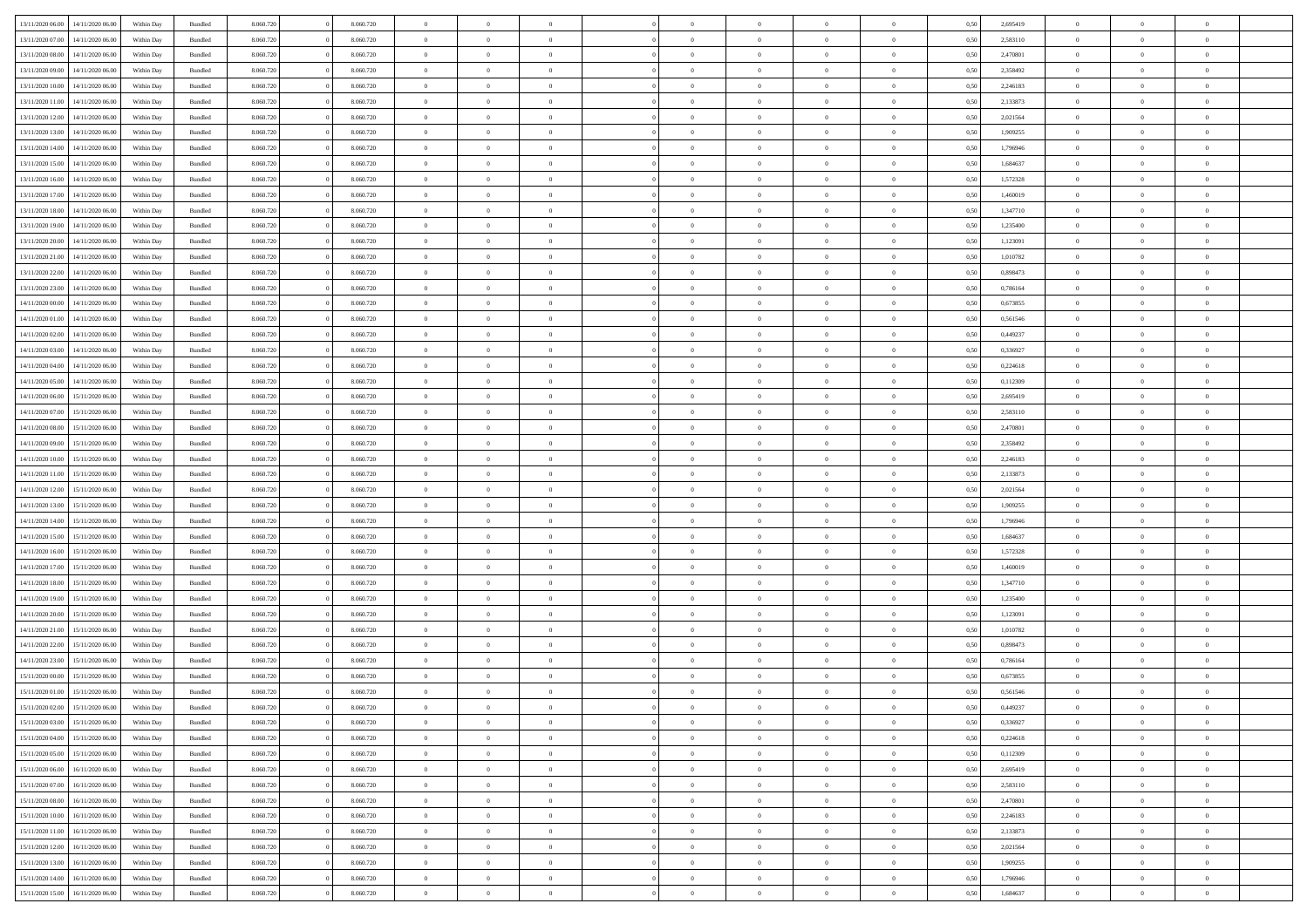|                  |                  |            |                    |           |           | $\overline{0}$ | $\Omega$       |                |                | $\Omega$       | $\theta$       | $\theta$       |      |          | $\theta$       |                |                |  |
|------------------|------------------|------------|--------------------|-----------|-----------|----------------|----------------|----------------|----------------|----------------|----------------|----------------|------|----------|----------------|----------------|----------------|--|
| 13/11/2020 06.00 | 14/11/2020 06.00 | Within Dav | Bundled            | 8.060.720 | 8.060.720 |                |                |                | $\Omega$       |                |                |                | 0.50 | 2,695419 |                | $\theta$       | $\overline{0}$ |  |
| 13/11/2020 07.00 | 14/11/2020 06.00 | Within Day | Bundled            | 8.060.720 | 8.060.720 | $\overline{0}$ | $\theta$       | $\overline{0}$ | $\overline{0}$ | $\bf{0}$       | $\overline{0}$ | $\bf{0}$       | 0,50 | 2,583110 | $\theta$       | $\theta$       | $\overline{0}$ |  |
| 13/11/2020 08:00 | 14/11/2020 06.00 | Within Day | Bundled            | 8.060.720 | 8.060.720 | $\overline{0}$ | $\overline{0}$ | $\overline{0}$ | $\bf{0}$       | $\bf{0}$       | $\bf{0}$       | $\bf{0}$       | 0,50 | 2,470801 | $\overline{0}$ | $\overline{0}$ | $\overline{0}$ |  |
| 13/11/2020 09:00 | 14/11/2020 06:00 | Within Dav | Bundled            | 8.060.720 | 8.060.720 | $\overline{0}$ | $\overline{0}$ | $\overline{0}$ | $\overline{0}$ | $\bf{0}$       | $\overline{0}$ | $\overline{0}$ | 0.50 | 2.358492 | $\theta$       | $\theta$       | $\overline{0}$ |  |
|                  |                  |            |                    |           |           |                |                |                |                |                |                |                |      |          |                |                |                |  |
| 13/11/2020 10:00 | 14/11/2020 06.00 | Within Day | Bundled            | 8.060.720 | 8.060.720 | $\overline{0}$ | $\theta$       | $\overline{0}$ | $\overline{0}$ | $\bf{0}$       | $\overline{0}$ | $\bf{0}$       | 0,50 | 2,246183 | $\theta$       | $\theta$       | $\overline{0}$ |  |
| 13/11/2020 11:00 | 14/11/2020 06.00 | Within Day | Bundled            | 8.060.720 | 8.060.720 | $\overline{0}$ | $\bf{0}$       | $\overline{0}$ | $\bf{0}$       | $\overline{0}$ | $\overline{0}$ | $\mathbf{0}$   | 0,50 | 2,133873 | $\overline{0}$ | $\overline{0}$ | $\bf{0}$       |  |
| 13/11/2020 12:00 | 14/11/2020 06.00 | Within Dav | Bundled            | 8.060.720 | 8.060.720 | $\overline{0}$ | $\overline{0}$ | $\overline{0}$ | $\overline{0}$ | $\overline{0}$ | $\overline{0}$ | $\overline{0}$ | 0.50 | 2,021564 | $\theta$       | $\overline{0}$ | $\overline{0}$ |  |
| 13/11/2020 13:00 | 14/11/2020 06.00 | Within Day | Bundled            | 8.060.720 | 8.060.720 | $\overline{0}$ | $\theta$       | $\overline{0}$ | $\overline{0}$ | $\bf{0}$       | $\overline{0}$ | $\bf{0}$       | 0,50 | 1,909255 | $\theta$       | $\theta$       | $\overline{0}$ |  |
|                  |                  |            |                    |           |           |                | $\overline{0}$ |                |                | $\bf{0}$       |                |                |      |          | $\,0\,$        | $\overline{0}$ | $\overline{0}$ |  |
| 13/11/2020 14:00 | 14/11/2020 06.00 | Within Day | Bundled            | 8.060.720 | 8.060.720 | $\overline{0}$ |                | $\overline{0}$ | $\bf{0}$       |                | $\bf{0}$       | $\bf{0}$       | 0,50 | 1,796946 |                |                |                |  |
| 13/11/2020 15:00 | 14/11/2020 06.00 | Within Dav | Bundled            | 8.060.720 | 8.060.720 | $\overline{0}$ | $\overline{0}$ | $\overline{0}$ | $\overline{0}$ | $\overline{0}$ | $\overline{0}$ | $\overline{0}$ | 0.50 | 1,684637 | $\theta$       | $\overline{0}$ | $\overline{0}$ |  |
| 13/11/2020 16:00 | 14/11/2020 06.00 | Within Day | Bundled            | 8.060.720 | 8.060.720 | $\overline{0}$ | $\theta$       | $\overline{0}$ | $\overline{0}$ | $\bf{0}$       | $\overline{0}$ | $\bf{0}$       | 0,50 | 1,572328 | $\,$ 0 $\,$    | $\theta$       | $\overline{0}$ |  |
| 13/11/2020 17.00 | 14/11/2020 06.00 | Within Day | Bundled            | 8.060.720 | 8.060.720 | $\overline{0}$ | $\overline{0}$ | $\overline{0}$ | $\bf{0}$       | $\bf{0}$       | $\bf{0}$       | $\bf{0}$       | 0,50 | 1,460019 | $\overline{0}$ | $\overline{0}$ | $\overline{0}$ |  |
| 13/11/2020 18:00 | 14/11/2020 06:00 | Within Day | Bundled            | 8.060.720 | 8.060.720 | $\overline{0}$ | $\overline{0}$ | $\overline{0}$ | $\overline{0}$ | $\bf{0}$       | $\overline{0}$ | $\overline{0}$ | 0.50 | 1,347710 | $\theta$       | $\theta$       | $\overline{0}$ |  |
|                  |                  |            |                    |           |           | $\overline{0}$ | $\theta$       | $\overline{0}$ | $\overline{0}$ | $\bf{0}$       | $\overline{0}$ |                |      |          | $\theta$       | $\theta$       | $\overline{0}$ |  |
| 13/11/2020 19:00 | 14/11/2020 06.00 | Within Day | Bundled            | 8.060.720 | 8.060.720 |                |                |                |                |                |                | $\bf{0}$       | 0,50 | 1,235400 |                |                |                |  |
| 13/11/2020 20:00 | 14/11/2020 06.00 | Within Day | Bundled            | 8.060.720 | 8.060.720 | $\overline{0}$ | $\bf{0}$       | $\overline{0}$ | $\bf{0}$       | $\overline{0}$ | $\overline{0}$ | $\mathbf{0}$   | 0,50 | 1,123091 | $\overline{0}$ | $\overline{0}$ | $\bf{0}$       |  |
| 13/11/2020 21:00 | 14/11/2020 06.00 | Within Dav | Bundled            | 8.060.720 | 8.060.720 | $\overline{0}$ | $\overline{0}$ | $\overline{0}$ | $\overline{0}$ | $\overline{0}$ | $\overline{0}$ | $\overline{0}$ | 0.50 | 1,010782 | $\theta$       | $\overline{0}$ | $\overline{0}$ |  |
| 13/11/2020 22.00 | 14/11/2020 06.00 | Within Day | Bundled            | 8.060.720 | 8.060.720 | $\overline{0}$ | $\theta$       | $\overline{0}$ | $\overline{0}$ | $\bf{0}$       | $\overline{0}$ | $\bf{0}$       | 0,50 | 0,898473 | $\,$ 0 $\,$    | $\theta$       | $\overline{0}$ |  |
| 13/11/2020 23.00 | 14/11/2020 06.00 | Within Day | Bundled            | 8.060.720 | 8.060.720 | $\overline{0}$ | $\overline{0}$ | $\overline{0}$ | $\bf{0}$       | $\bf{0}$       | $\bf{0}$       | $\bf{0}$       | 0,50 | 0,786164 | $\bf{0}$       | $\overline{0}$ | $\overline{0}$ |  |
|                  |                  |            |                    |           |           |                |                |                |                |                |                |                |      |          |                |                |                |  |
| 14/11/2020 00.00 | 14/11/2020 06.00 | Within Day | Bundled            | 8.060.720 | 8.060.720 | $\overline{0}$ | $\overline{0}$ | $\overline{0}$ | $\overline{0}$ | $\overline{0}$ | $\overline{0}$ | $\overline{0}$ | 0.50 | 0,673855 | $\theta$       | $\overline{0}$ | $\overline{0}$ |  |
| 14/11/2020 01:00 | 14/11/2020 06.00 | Within Day | Bundled            | 8.060.720 | 8.060.720 | $\overline{0}$ | $\theta$       | $\overline{0}$ | $\overline{0}$ | $\bf{0}$       | $\overline{0}$ | $\bf{0}$       | 0,50 | 0,561546 | $\,$ 0 $\,$    | $\theta$       | $\overline{0}$ |  |
| 14/11/2020 02.00 | 14/11/2020 06.00 | Within Day | Bundled            | 8.060.720 | 8.060.720 | $\overline{0}$ | $\overline{0}$ | $\overline{0}$ | $\overline{0}$ | $\bf{0}$       | $\overline{0}$ | $\bf{0}$       | 0,50 | 0,449237 | $\,0\,$        | $\overline{0}$ | $\overline{0}$ |  |
| 14/11/2020 03:00 | 14/11/2020 06:00 | Within Day | Bundled            | 8.060.720 | 8.060.720 | $\overline{0}$ | $\overline{0}$ | $\overline{0}$ | $\overline{0}$ | $\bf{0}$       | $\overline{0}$ | $\overline{0}$ | 0.50 | 0.336927 | $\theta$       | $\theta$       | $\overline{0}$ |  |
| 14/11/2020 04:00 | 14/11/2020 06.00 | Within Day | Bundled            | 8.060.720 | 8.060.720 | $\overline{0}$ | $\theta$       | $\overline{0}$ | $\overline{0}$ | $\bf{0}$       | $\overline{0}$ | $\bf{0}$       | 0,50 | 0,224618 | $\,$ 0 $\,$    | $\overline{0}$ | $\overline{0}$ |  |
|                  |                  |            |                    |           |           |                |                |                |                |                |                |                |      |          |                |                |                |  |
| 14/11/2020 05.00 | 14/11/2020 06.00 | Within Day | Bundled            | 8.060.720 | 8.060.720 | $\overline{0}$ | $\bf{0}$       | $\overline{0}$ | $\overline{0}$ | $\overline{0}$ | $\overline{0}$ | $\mathbf{0}$   | 0,50 | 0,112309 | $\bf{0}$       | $\overline{0}$ | $\bf{0}$       |  |
| 14/11/2020 06.00 | 15/11/2020 06.00 | Within Dav | Bundled            | 8.060.720 | 8.060.720 | $\overline{0}$ | $\overline{0}$ | $\overline{0}$ | $\overline{0}$ | $\overline{0}$ | $\overline{0}$ | $\overline{0}$ | 0.50 | 2,695419 | $\theta$       | $\overline{0}$ | $\overline{0}$ |  |
| 14/11/2020 07.00 | 15/11/2020 06.00 | Within Day | Bundled            | 8.060.720 | 8.060.720 | $\overline{0}$ | $\theta$       | $\overline{0}$ | $\overline{0}$ | $\bf{0}$       | $\overline{0}$ | $\bf{0}$       | 0,50 | 2,583110 | $\theta$       | $\theta$       | $\overline{0}$ |  |
| 14/11/2020 08:00 | 15/11/2020 06.00 | Within Day | Bundled            | 8.060.720 | 8.060.720 | $\overline{0}$ | $\overline{0}$ | $\overline{0}$ | $\overline{0}$ | $\bf{0}$       | $\overline{0}$ | $\bf{0}$       | 0,50 | 2,470801 | $\,0\,$        | $\overline{0}$ | $\overline{0}$ |  |
|                  | 15/11/2020 06:00 |            | Bundled            | 8.060.720 | 8.060.720 | $\overline{0}$ | $\overline{0}$ | $\overline{0}$ | $\overline{0}$ | $\overline{0}$ | $\overline{0}$ | $\overline{0}$ | 0.50 | 2,358492 | $\theta$       | $\overline{0}$ | $\overline{0}$ |  |
| 14/11/2020 09:00 |                  | Within Day |                    |           |           |                |                |                |                |                |                |                |      |          |                |                |                |  |
| 14/11/2020 10:00 | 15/11/2020 06.00 | Within Day | Bundled            | 8.060.720 | 8.060.720 | $\overline{0}$ | $\theta$       | $\overline{0}$ | $\overline{0}$ | $\bf{0}$       | $\overline{0}$ | $\bf{0}$       | 0,50 | 2,246183 | $\,0\,$        | $\overline{0}$ | $\overline{0}$ |  |
| 14/11/2020 11:00 | 15/11/2020 06.00 | Within Day | Bundled            | 8.060.720 | 8.060.720 | $\overline{0}$ | $\overline{0}$ | $\overline{0}$ | $\bf{0}$       | $\bf{0}$       | $\bf{0}$       | $\bf{0}$       | 0,50 | 2,133873 | $\bf{0}$       | $\overline{0}$ | $\overline{0}$ |  |
| 14/11/2020 12:00 | 15/11/2020 06.00 | Within Day | Bundled            | 8.060.720 | 8.060.720 | $\overline{0}$ | $\Omega$       | $\Omega$       | $\Omega$       | $\Omega$       | $\overline{0}$ | $\overline{0}$ | 0,50 | 2,021564 | $\,0\,$        | $\theta$       | $\theta$       |  |
| 14/11/2020 13:00 | 15/11/2020 06.00 | Within Day | Bundled            | 8.060.720 | 8.060.720 | $\overline{0}$ | $\theta$       | $\overline{0}$ | $\overline{0}$ | $\bf{0}$       | $\overline{0}$ | $\bf{0}$       | 0,50 | 1,909255 | $\,$ 0 $\,$    | $\theta$       | $\overline{0}$ |  |
|                  |                  |            |                    |           |           |                |                |                |                |                |                |                |      |          |                |                |                |  |
| 14/11/2020 14:00 | 15/11/2020 06.00 | Within Day | Bundled            | 8.060.720 | 8.060.720 | $\overline{0}$ | $\overline{0}$ | $\overline{0}$ | $\bf{0}$       | $\bf{0}$       | $\overline{0}$ | $\mathbf{0}$   | 0,50 | 1,796946 | $\bf{0}$       | $\overline{0}$ | $\bf{0}$       |  |
| 14/11/2020 15:00 | 15/11/2020 06.00 | Within Day | Bundled            | 8.060.720 | 8.060.720 | $\overline{0}$ | $\Omega$       | $\Omega$       | $\Omega$       | $\bf{0}$       | $\overline{0}$ | $\overline{0}$ | 0.50 | 1,684637 | $\,0\,$        | $\theta$       | $\theta$       |  |
| 14/11/2020 16.00 | 15/11/2020 06.00 | Within Day | Bundled            | 8.060.720 | 8.060.720 | $\overline{0}$ | $\theta$       | $\overline{0}$ | $\overline{0}$ | $\bf{0}$       | $\overline{0}$ | $\bf{0}$       | 0,50 | 1,572328 | $\,$ 0 $\,$    | $\theta$       | $\overline{0}$ |  |
| 14/11/2020 17.00 | 15/11/2020 06.00 | Within Day | Bundled            | 8.060.720 | 8.060.720 | $\overline{0}$ | $\overline{0}$ | $\overline{0}$ | $\bf{0}$       | $\bf{0}$       | $\bf{0}$       | $\bf{0}$       | 0,50 | 1,460019 | $\bf{0}$       | $\overline{0}$ | $\overline{0}$ |  |
| 14/11/2020 18:00 | 15/11/2020 06.00 | Within Day | Bundled            | 8.060.720 | 8.060.720 | $\overline{0}$ | $\Omega$       | $\Omega$       | $\Omega$       | $\theta$       | $\overline{0}$ | $\overline{0}$ | 0.50 | 1,347710 | $\,0\,$        | $\theta$       | $\theta$       |  |
|                  |                  |            |                    |           |           |                |                |                |                |                |                |                |      |          |                |                |                |  |
| 14/11/2020 19:00 | 15/11/2020 06.00 | Within Day | Bundled            | 8.060.720 | 8.060.720 | $\overline{0}$ | $\theta$       | $\overline{0}$ | $\overline{0}$ | $\,$ 0         | $\overline{0}$ | $\bf{0}$       | 0,50 | 1,235400 | $\,$ 0 $\,$    | $\overline{0}$ | $\overline{0}$ |  |
| 14/11/2020 20.00 | 15/11/2020 06.00 | Within Day | Bundled            | 8.060.720 | 8.060.720 | $\overline{0}$ | $\overline{0}$ | $\overline{0}$ | $\bf{0}$       | $\bf{0}$       | $\bf{0}$       | $\bf{0}$       | 0,50 | 1,123091 | $\bf{0}$       | $\overline{0}$ | $\overline{0}$ |  |
| 14/11/2020 21.00 | 15/11/2020 06.00 | Within Day | Bundled            | 8.060.720 | 8.060.720 | $\overline{0}$ | $\Omega$       | $\overline{0}$ | $\Omega$       | $\overline{0}$ | $\overline{0}$ | $\overline{0}$ | 0.50 | 1,010782 | $\,0\,$        | $\theta$       | $\theta$       |  |
| 14/11/2020 22.00 | 15/11/2020 06.00 | Within Day | Bundled            | 8.060.720 | 8.060.720 | $\overline{0}$ | $\theta$       | $\overline{0}$ | $\overline{0}$ | $\,$ 0         | $\overline{0}$ | $\bf{0}$       | 0,50 | 0,898473 | $\,$ 0 $\,$    | $\overline{0}$ | $\overline{0}$ |  |
| 14/11/2020 23.00 | 15/11/2020 06.00 | Within Day | Bundled            | 8.060.720 | 8.060.720 | $\overline{0}$ | $\overline{0}$ | $\overline{0}$ | $\bf{0}$       | $\bf{0}$       | $\bf{0}$       | $\mathbf{0}$   | 0,50 | 0,786164 | $\bf{0}$       | $\overline{0}$ | $\bf{0}$       |  |
|                  |                  |            |                    |           |           |                |                |                |                |                |                |                |      |          |                |                |                |  |
| 15/11/2020 00:00 | 15/11/2020 06.00 | Within Day | Bundled            | 8.060.720 | 8.060.720 | $\overline{0}$ | $\Omega$       | $\Omega$       | $\Omega$       | $\Omega$       | $\Omega$       | $\overline{0}$ | 0.50 | 0.673855 | $\theta$       | $\theta$       | $\theta$       |  |
| 15/11/2020 01:00 | 15/11/2020 06.00 | Within Day | Bundled            | 8.060.720 | 8.060.720 | $\overline{0}$ | $\overline{0}$ | $\overline{0}$ | $\bf{0}$       | $\,$ 0         | $\bf{0}$       | $\bf{0}$       | 0,50 | 0,561546 | $\,0\,$        | $\,$ 0 $\,$    | $\overline{0}$ |  |
| 15/11/2020 02:00 | 15/11/2020 06.00 | Within Day | $\mathbf B$ undled | 8.060.720 | 8.060.720 | $\bf{0}$       | $\bf{0}$       |                |                | $\bf{0}$       |                |                | 0,50 | 0,449237 | $\bf{0}$       | $\overline{0}$ |                |  |
| 15/11/2020 03:00 | 15/11/2020 06:00 | Within Day | Bundled            | 8.060.720 | 8.060.720 | $\overline{0}$ | $\overline{0}$ | $\overline{0}$ | $\Omega$       | $\overline{0}$ | $\overline{0}$ | $\overline{0}$ | 0,50 | 0,336927 | $\theta$       | $\theta$       | $\theta$       |  |
| 15/11/2020 04:00 | 15/11/2020 06.00 | Within Day | Bundled            | 8.060.720 | 8.060.720 | $\overline{0}$ | $\,$ 0         | $\overline{0}$ | $\bf{0}$       | $\,$ 0 $\,$    | $\overline{0}$ | $\mathbf{0}$   | 0,50 | 0,224618 | $\,$ 0 $\,$    | $\,$ 0 $\,$    | $\,$ 0         |  |
|                  |                  |            |                    |           |           |                |                |                |                |                |                |                |      |          |                |                |                |  |
| 15/11/2020 05:00 | 15/11/2020 06.00 | Within Day | Bundled            | 8.060.720 | 8.060.720 | $\overline{0}$ | $\overline{0}$ | $\overline{0}$ | $\overline{0}$ | $\overline{0}$ | $\overline{0}$ | $\mathbf{0}$   | 0,50 | 0,112309 | $\overline{0}$ | $\bf{0}$       | $\bf{0}$       |  |
| 15/11/2020 06.00 | 16/11/2020 06.00 | Within Day | Bundled            | 8.060.720 | 8.060.720 | $\overline{0}$ | $\overline{0}$ | $\overline{0}$ | $\Omega$       | $\overline{0}$ | $\overline{0}$ | $\overline{0}$ | 0,50 | 2,695419 | $\overline{0}$ | $\overline{0}$ | $\overline{0}$ |  |
| 15/11/2020 07.00 | 16/11/2020 06.00 | Within Day | Bundled            | 8.060.720 | 8.060.720 | $\overline{0}$ | $\,$ 0         | $\overline{0}$ | $\overline{0}$ | $\,$ 0 $\,$    | $\overline{0}$ | $\mathbf{0}$   | 0,50 | 2,583110 | $\,$ 0 $\,$    | $\overline{0}$ | $\,$ 0         |  |
| 15/11/2020 08:00 | 16/11/2020 06.00 | Within Day | Bundled            | 8.060.720 | 8.060.720 | $\overline{0}$ | $\overline{0}$ | $\overline{0}$ | $\overline{0}$ | $\overline{0}$ | $\overline{0}$ | $\mathbf{0}$   | 0,50 | 2,470801 | $\overline{0}$ | $\overline{0}$ | $\bf{0}$       |  |
|                  |                  |            |                    |           |           |                | $\overline{0}$ | $\overline{0}$ |                | $\overline{0}$ | $\overline{0}$ |                | 0.50 |          |                | $\theta$       | $\overline{0}$ |  |
| 15/11/2020 10:00 | 16/11/2020 06.00 | Within Day | Bundled            | 8.060.720 | 8.060.720 | $\overline{0}$ |                |                | $\overline{0}$ |                |                | $\bf{0}$       |      | 2,246183 | $\overline{0}$ |                |                |  |
| 15/11/2020 11:00 | 16/11/2020 06.00 | Within Day | Bundled            | 8.060.720 | 8.060.720 | $\overline{0}$ | $\,$ 0         | $\overline{0}$ | $\bf{0}$       | $\bf{0}$       | $\bf{0}$       | $\bf{0}$       | 0,50 | 2,133873 | $\,$ 0 $\,$    | $\overline{0}$ | $\overline{0}$ |  |
| 15/11/2020 12:00 | 16/11/2020 06.00 | Within Day | Bundled            | 8.060.720 | 8.060.720 | $\overline{0}$ | $\bf{0}$       | $\overline{0}$ | $\overline{0}$ | $\overline{0}$ | $\overline{0}$ | $\mathbf{0}$   | 0,50 | 2,021564 | $\overline{0}$ | $\overline{0}$ | $\bf{0}$       |  |
| 15/11/2020 13:00 | 16/11/2020 06.00 | Within Day | Bundled            | 8.060.720 | 8.060.720 | $\overline{0}$ | $\overline{0}$ | $\overline{0}$ | $\Omega$       | $\overline{0}$ | $\overline{0}$ | $\overline{0}$ | 0,50 | 1,909255 | $\overline{0}$ | $\overline{0}$ | $\overline{0}$ |  |
| 15/11/2020 14:00 | 16/11/2020 06.00 | Within Day | Bundled            | 8.060.720 | 8.060.720 | $\overline{0}$ | $\bf{0}$       | $\overline{0}$ | $\bf{0}$       | $\bf{0}$       | $\bf{0}$       | $\mathbf{0}$   | 0,50 | 1,796946 | $\,$ 0 $\,$    | $\,$ 0 $\,$    | $\bf{0}$       |  |
|                  |                  |            |                    |           |           |                |                |                |                |                |                |                |      |          |                |                |                |  |
| 15/11/2020 15:00 | 16/11/2020 06.00 | Within Day | Bundled            | 8.060.720 | 8.060.720 | $\overline{0}$ | $\overline{0}$ | $\overline{0}$ | $\overline{0}$ | $\overline{0}$ | $\bf{0}$       | $\mathbf{0}$   | 0,50 | 1,684637 | $\overline{0}$ | $\bf{0}$       | $\bf{0}$       |  |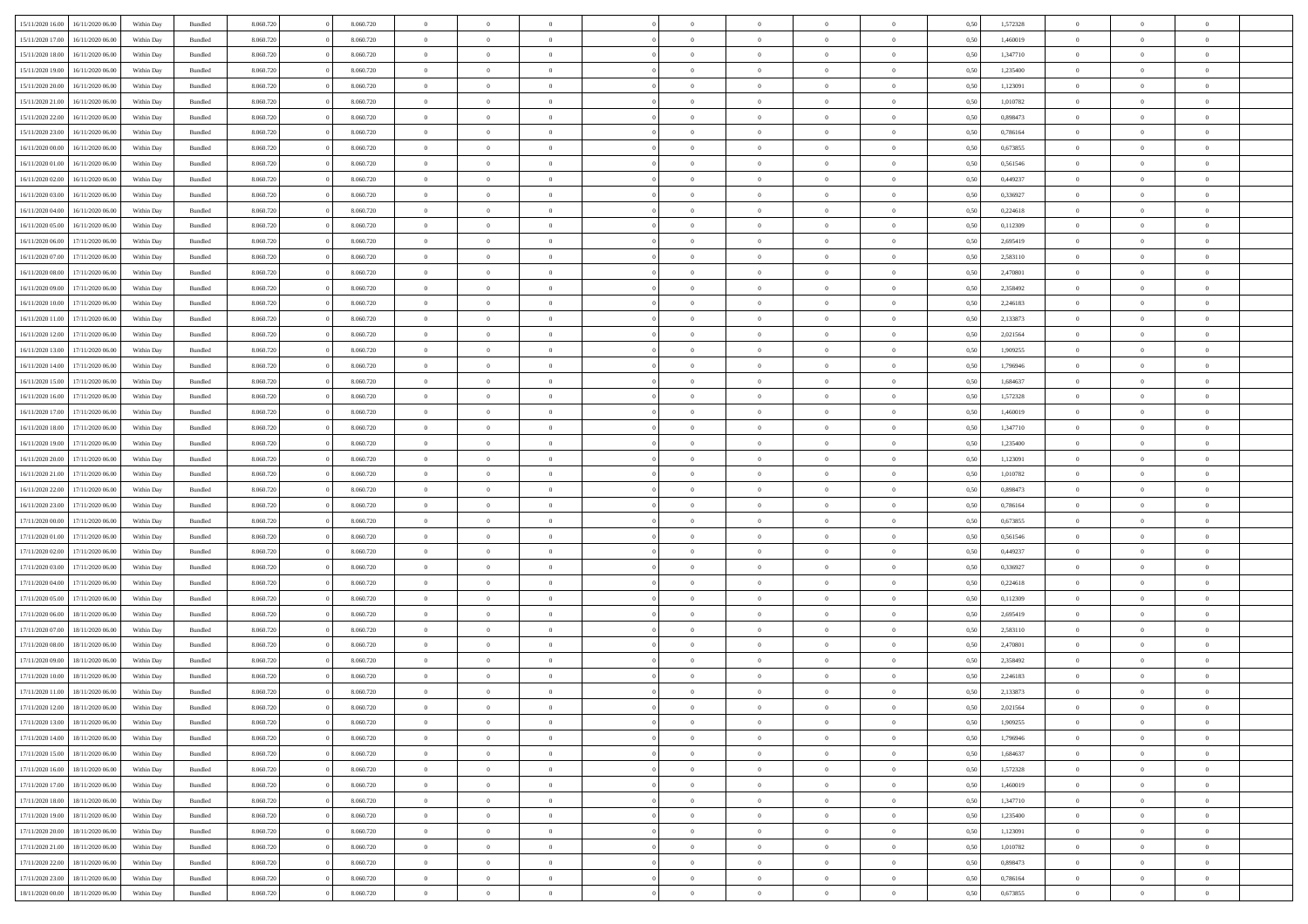| 15/11/2020 16:00 | 16/11/2020 06:00 | Within Dav | Bundled            | 8.060.720 | 8.060.720 | $\overline{0}$ | $\Omega$       |                | $\Omega$       | $\Omega$       | $\theta$       | $\theta$       | 0.50 | 1,572328 | $\theta$       | $\theta$       | $\theta$       |  |
|------------------|------------------|------------|--------------------|-----------|-----------|----------------|----------------|----------------|----------------|----------------|----------------|----------------|------|----------|----------------|----------------|----------------|--|
| 15/11/2020 17.00 | 16/11/2020 06.00 | Within Day | Bundled            | 8.060.720 | 8.060.720 | $\overline{0}$ | $\theta$       | $\overline{0}$ | $\overline{0}$ | $\bf{0}$       | $\overline{0}$ | $\bf{0}$       | 0,50 | 1,460019 | $\theta$       | $\theta$       | $\overline{0}$ |  |
| 15/11/2020 18:00 | 16/11/2020 06.00 | Within Day | Bundled            | 8.060.720 | 8.060.720 | $\overline{0}$ | $\overline{0}$ | $\overline{0}$ | $\bf{0}$       | $\bf{0}$       | $\bf{0}$       | $\bf{0}$       | 0,50 | 1,347710 | $\bf{0}$       | $\overline{0}$ | $\overline{0}$ |  |
| 15/11/2020 19:00 | 16/11/2020 06:00 | Within Dav | Bundled            | 8.060.720 | 8.060.720 | $\overline{0}$ | $\overline{0}$ | $\overline{0}$ | $\overline{0}$ | $\bf{0}$       | $\overline{0}$ | $\overline{0}$ | 0.50 | 1.235400 | $\theta$       | $\theta$       | $\overline{0}$ |  |
| 15/11/2020 20.00 | 16/11/2020 06.00 | Within Day | Bundled            | 8.060.720 | 8.060.720 | $\overline{0}$ | $\theta$       | $\overline{0}$ | $\overline{0}$ | $\bf{0}$       | $\overline{0}$ | $\bf{0}$       | 0,50 | 1,123091 | $\theta$       | $\theta$       | $\overline{0}$ |  |
|                  |                  |            |                    |           |           |                |                |                |                |                |                |                |      |          |                |                |                |  |
| 15/11/2020 21:00 | 16/11/2020 06.00 | Within Day | Bundled            | 8.060.720 | 8.060.720 | $\overline{0}$ | $\bf{0}$       | $\overline{0}$ | $\bf{0}$       | $\overline{0}$ | $\overline{0}$ | $\mathbf{0}$   | 0,50 | 1,010782 | $\overline{0}$ | $\overline{0}$ | $\bf{0}$       |  |
| 15/11/2020 22.00 | 16/11/2020 06:00 | Within Dav | Bundled            | 8.060.720 | 8.060.720 | $\overline{0}$ | $\overline{0}$ | $\overline{0}$ | $\overline{0}$ | $\overline{0}$ | $\overline{0}$ | $\overline{0}$ | 0.50 | 0,898473 | $\theta$       | $\overline{0}$ | $\overline{0}$ |  |
| 15/11/2020 23.00 | 16/11/2020 06.00 | Within Day | Bundled            | 8.060.720 | 8.060.720 | $\overline{0}$ | $\theta$       | $\overline{0}$ | $\overline{0}$ | $\bf{0}$       | $\overline{0}$ | $\bf{0}$       | 0,50 | 0,786164 | $\theta$       | $\theta$       | $\overline{0}$ |  |
| 16/11/2020 00:00 | 16/11/2020 06.00 | Within Day | Bundled            | 8.060.720 | 8.060.720 | $\overline{0}$ | $\overline{0}$ | $\overline{0}$ | $\bf{0}$       | $\bf{0}$       | $\bf{0}$       | $\bf{0}$       | 0,50 | 0,673855 | $\,0\,$        | $\overline{0}$ | $\overline{0}$ |  |
| 16/11/2020 01:00 | 16/11/2020 06:00 | Within Dav | Bundled            | 8.060.720 | 8.060.720 | $\overline{0}$ | $\overline{0}$ | $\overline{0}$ | $\overline{0}$ | $\overline{0}$ | $\overline{0}$ | $\overline{0}$ | 0.50 | 0,561546 | $\theta$       | $\overline{0}$ | $\overline{0}$ |  |
| 16/11/2020 02.00 | 16/11/2020 06.00 | Within Day | Bundled            | 8.060.720 | 8.060.720 | $\overline{0}$ | $\theta$       | $\overline{0}$ | $\overline{0}$ | $\bf{0}$       | $\overline{0}$ | $\bf{0}$       | 0,50 | 0,449237 | $\,$ 0 $\,$    | $\theta$       | $\overline{0}$ |  |
| 16/11/2020 03.00 | 16/11/2020 06.00 | Within Day | Bundled            | 8.060.720 | 8.060.720 | $\overline{0}$ | $\overline{0}$ | $\overline{0}$ | $\bf{0}$       | $\bf{0}$       | $\bf{0}$       | $\bf{0}$       | 0,50 | 0,336927 | $\overline{0}$ | $\overline{0}$ | $\overline{0}$ |  |
|                  |                  |            |                    |           |           |                |                |                |                |                |                |                |      |          | $\theta$       |                |                |  |
| 16/11/2020 04:00 | 16/11/2020 06:00 | Within Day | Bundled            | 8.060.720 | 8.060.720 | $\overline{0}$ | $\overline{0}$ | $\overline{0}$ | $\overline{0}$ | $\bf{0}$       | $\overline{0}$ | $\overline{0}$ | 0.50 | 0.224618 |                | $\theta$       | $\overline{0}$ |  |
| 16/11/2020 05:00 | 16/11/2020 06.00 | Within Day | Bundled            | 8.060.720 | 8.060.720 | $\overline{0}$ | $\theta$       | $\overline{0}$ | $\overline{0}$ | $\bf{0}$       | $\overline{0}$ | $\bf{0}$       | 0,50 | 0,112309 | $\theta$       | $\theta$       | $\overline{0}$ |  |
| 16/11/2020 06:00 | 17/11/2020 06.00 | Within Day | Bundled            | 8.060.720 | 8.060.720 | $\overline{0}$ | $\bf{0}$       | $\overline{0}$ | $\bf{0}$       | $\overline{0}$ | $\overline{0}$ | $\mathbf{0}$   | 0,50 | 2,695419 | $\overline{0}$ | $\overline{0}$ | $\bf{0}$       |  |
| 16/11/2020 07:00 | 17/11/2020 06.00 | Within Dav | Bundled            | 8.060.720 | 8.060.720 | $\overline{0}$ | $\overline{0}$ | $\overline{0}$ | $\overline{0}$ | $\overline{0}$ | $\overline{0}$ | $\overline{0}$ | 0.50 | 2,583110 | $\theta$       | $\overline{0}$ | $\overline{0}$ |  |
| 16/11/2020 08:00 | 17/11/2020 06.00 | Within Day | Bundled            | 8.060.720 | 8.060.720 | $\overline{0}$ | $\theta$       | $\overline{0}$ | $\overline{0}$ | $\bf{0}$       | $\overline{0}$ | $\bf{0}$       | 0,50 | 2,470801 | $\theta$       | $\theta$       | $\overline{0}$ |  |
| 16/11/2020 09:00 | 17/11/2020 06.00 | Within Day | Bundled            | 8.060.720 | 8.060.720 | $\overline{0}$ | $\overline{0}$ | $\overline{0}$ | $\bf{0}$       | $\bf{0}$       | $\bf{0}$       | $\bf{0}$       | 0,50 | 2,358492 | $\,0\,$        | $\overline{0}$ | $\overline{0}$ |  |
| 16/11/2020 10:00 | 17/11/2020 06.00 | Within Day | Bundled            | 8.060.720 | 8.060.720 | $\overline{0}$ | $\overline{0}$ | $\overline{0}$ | $\overline{0}$ | $\overline{0}$ | $\overline{0}$ | $\overline{0}$ | 0.50 | 2,246183 | $\theta$       | $\overline{0}$ | $\overline{0}$ |  |
| 16/11/2020 11:00 | 17/11/2020 06.00 | Within Day | Bundled            | 8.060.720 | 8.060.720 | $\overline{0}$ | $\theta$       | $\overline{0}$ | $\overline{0}$ | $\bf{0}$       | $\overline{0}$ | $\bf{0}$       | 0,50 | 2,133873 | $\,$ 0 $\,$    | $\theta$       | $\overline{0}$ |  |
|                  |                  |            |                    |           |           |                |                |                |                |                |                |                |      |          |                |                |                |  |
| 16/11/2020 12:00 | 17/11/2020 06.00 | Within Day | Bundled            | 8.060.720 | 8.060.720 | $\overline{0}$ | $\overline{0}$ | $\overline{0}$ | $\bf{0}$       | $\bf{0}$       | $\bf{0}$       | $\bf{0}$       | 0,50 | 2,021564 | $\,0\,$        | $\overline{0}$ | $\overline{0}$ |  |
| 16/11/2020 13:00 | 17/11/2020 06:00 | Within Day | Bundled            | 8.060.720 | 8.060.720 | $\overline{0}$ | $\overline{0}$ | $\overline{0}$ | $\overline{0}$ | $\bf{0}$       | $\overline{0}$ | $\overline{0}$ | 0.50 | 1.909255 | $\theta$       | $\theta$       | $\overline{0}$ |  |
| 16/11/2020 14:00 | 17/11/2020 06.00 | Within Day | Bundled            | 8.060.720 | 8.060.720 | $\overline{0}$ | $\theta$       | $\overline{0}$ | $\overline{0}$ | $\bf{0}$       | $\overline{0}$ | $\bf{0}$       | 0,50 | 1,796946 | $\,$ 0 $\,$    | $\overline{0}$ | $\overline{0}$ |  |
| 16/11/2020 15:00 | 17/11/2020 06.00 | Within Day | Bundled            | 8.060.720 | 8.060.720 | $\overline{0}$ | $\bf{0}$       | $\overline{0}$ | $\bf{0}$       | $\overline{0}$ | $\overline{0}$ | $\mathbf{0}$   | 0,50 | 1,684637 | $\overline{0}$ | $\overline{0}$ | $\bf{0}$       |  |
| 16/11/2020 16:00 | 17/11/2020 06.00 | Within Dav | Bundled            | 8.060.720 | 8.060.720 | $\overline{0}$ | $\overline{0}$ | $\overline{0}$ | $\overline{0}$ | $\overline{0}$ | $\overline{0}$ | $\overline{0}$ | 0.50 | 1,572328 | $\theta$       | $\theta$       | $\overline{0}$ |  |
| 16/11/2020 17.00 | 17/11/2020 06.00 | Within Day | Bundled            | 8.060.720 | 8.060.720 | $\overline{0}$ | $\theta$       | $\overline{0}$ | $\overline{0}$ | $\bf{0}$       | $\overline{0}$ | $\bf{0}$       | 0,50 | 1,460019 | $\theta$       | $\theta$       | $\overline{0}$ |  |
| 16/11/2020 18:00 | 17/11/2020 06.00 | Within Day | Bundled            | 8.060.720 | 8.060.720 | $\overline{0}$ | $\overline{0}$ | $\overline{0}$ | $\bf{0}$       | $\bf{0}$       | $\bf{0}$       | $\bf{0}$       | 0,50 | 1,347710 | $\,0\,$        | $\overline{0}$ | $\overline{0}$ |  |
| 16/11/2020 19:00 | 17/11/2020 06.00 |            | Bundled            | 8.060.720 | 8.060.720 | $\overline{0}$ | $\overline{0}$ | $\overline{0}$ | $\overline{0}$ | $\overline{0}$ | $\overline{0}$ | $\overline{0}$ | 0.50 | 1,235400 | $\theta$       | $\overline{0}$ | $\overline{0}$ |  |
|                  |                  | Within Day |                    |           |           |                |                |                |                |                |                |                |      |          |                |                |                |  |
| 16/11/2020 20.00 | 17/11/2020 06.00 | Within Day | Bundled            | 8.060.720 | 8.060.720 | $\overline{0}$ | $\theta$       | $\overline{0}$ | $\overline{0}$ | $\bf{0}$       | $\overline{0}$ | $\bf{0}$       | 0,50 | 1,123091 | $\,$ 0 $\,$    | $\overline{0}$ | $\overline{0}$ |  |
| 16/11/2020 21.00 | 17/11/2020 06.00 | Within Day | Bundled            | 8.060.720 | 8.060.720 | $\overline{0}$ | $\overline{0}$ | $\overline{0}$ | $\bf{0}$       | $\bf{0}$       | $\bf{0}$       | $\bf{0}$       | 0,50 | 1,010782 | $\overline{0}$ | $\overline{0}$ | $\overline{0}$ |  |
| 16/11/2020 22.00 | 17/11/2020 06.00 | Within Day | Bundled            | 8.060.720 | 8.060.720 | $\overline{0}$ | $\Omega$       | $\Omega$       | $\Omega$       | $\Omega$       | $\overline{0}$ | $\overline{0}$ | 0,50 | 0,898473 | $\,0\,$        | $\theta$       | $\theta$       |  |
| 16/11/2020 23.00 | 17/11/2020 06.00 | Within Day | Bundled            | 8.060.720 | 8.060.720 | $\overline{0}$ | $\theta$       | $\overline{0}$ | $\overline{0}$ | $\bf{0}$       | $\overline{0}$ | $\bf{0}$       | 0,50 | 0,786164 | $\,$ 0 $\,$    | $\theta$       | $\overline{0}$ |  |
| 17/11/2020 00:00 | 17/11/2020 06.00 | Within Day | Bundled            | 8.060.720 | 8.060.720 | $\overline{0}$ | $\overline{0}$ | $\overline{0}$ | $\bf{0}$       | $\bf{0}$       | $\overline{0}$ | $\mathbf{0}$   | 0,50 | 0,673855 | $\overline{0}$ | $\overline{0}$ | $\bf{0}$       |  |
| 17/11/2020 01:00 | 17/11/2020 06.00 | Within Day | Bundled            | 8.060.720 | 8.060.720 | $\overline{0}$ | $\Omega$       | $\Omega$       | $\Omega$       | $\bf{0}$       | $\overline{0}$ | $\overline{0}$ | 0.50 | 0,561546 | $\,0\,$        | $\theta$       | $\theta$       |  |
| 17/11/2020 02.00 | 17/11/2020 06.00 | Within Day | Bundled            | 8.060.720 | 8.060.720 | $\overline{0}$ | $\theta$       | $\overline{0}$ | $\overline{0}$ | $\bf{0}$       | $\overline{0}$ | $\bf{0}$       | 0,50 | 0,449237 | $\,$ 0 $\,$    | $\theta$       | $\overline{0}$ |  |
|                  |                  |            |                    |           |           |                | $\overline{0}$ |                |                | $\bf{0}$       |                |                |      |          | $\bf{0}$       | $\overline{0}$ | $\overline{0}$ |  |
| 17/11/2020 03:00 | 17/11/2020 06.00 | Within Day | Bundled            | 8.060.720 | 8.060.720 | $\overline{0}$ |                | $\overline{0}$ | $\bf{0}$       |                | $\bf{0}$       | $\bf{0}$       | 0,50 | 0,336927 |                |                |                |  |
| 17/11/2020 04:00 | 17/11/2020 06.00 | Within Day | Bundled            | 8.060.720 | 8.060.720 | $\overline{0}$ | $\Omega$       | $\Omega$       | $\Omega$       | $\theta$       | $\overline{0}$ | $\overline{0}$ | 0.50 | 0,224618 | $\,0\,$        | $\theta$       | $\theta$       |  |
| 17/11/2020 05.00 | 17/11/2020 06.00 | Within Day | Bundled            | 8.060.720 | 8.060.720 | $\overline{0}$ | $\theta$       | $\overline{0}$ | $\overline{0}$ | $\,$ 0         | $\overline{0}$ | $\bf{0}$       | 0,50 | 0,112309 | $\,$ 0 $\,$    | $\overline{0}$ | $\overline{0}$ |  |
| 17/11/2020 06:00 | 18/11/2020 06.00 | Within Day | Bundled            | 8.060.720 | 8.060.720 | $\overline{0}$ | $\overline{0}$ | $\overline{0}$ | $\overline{0}$ | $\bf{0}$       | $\overline{0}$ | $\bf{0}$       | 0,50 | 2,695419 | $\overline{0}$ | $\overline{0}$ | $\overline{0}$ |  |
| 17/11/2020 07:00 | 18/11/2020 06.00 | Within Day | Bundled            | 8.060.720 | 8.060.720 | $\overline{0}$ | $\Omega$       | $\overline{0}$ | $\Omega$       | $\overline{0}$ | $\overline{0}$ | $\overline{0}$ | 0.50 | 2,583110 | $\,0\,$        | $\theta$       | $\theta$       |  |
| 17/11/2020 08:00 | 18/11/2020 06.00 | Within Day | Bundled            | 8.060.720 | 8.060.720 | $\overline{0}$ | $\theta$       | $\overline{0}$ | $\overline{0}$ | $\,$ 0         | $\overline{0}$ | $\bf{0}$       | 0,50 | 2,470801 | $\,$ 0 $\,$    | $\overline{0}$ | $\overline{0}$ |  |
| 17/11/2020 09:00 | 18/11/2020 06.00 | Within Day | Bundled            | 8.060.720 | 8.060.720 | $\overline{0}$ | $\overline{0}$ | $\overline{0}$ | $\overline{0}$ | $\bf{0}$       | $\overline{0}$ | $\mathbf{0}$   | 0,50 | 2,358492 | $\overline{0}$ | $\overline{0}$ | $\bf{0}$       |  |
| 17/11/2020 10:00 | 18/11/2020 06:00 | Within Day | Bundled            | 8.060.720 | 8.060.720 | $\overline{0}$ | $\Omega$       | $\Omega$       | $\Omega$       | $\Omega$       | $\Omega$       | $\overline{0}$ | 0.50 | 2,246183 | $\theta$       | $\theta$       | $\theta$       |  |
| 17/11/2020 11:00 | 18/11/2020 06:00 | Within Day | Bundled            | 8.060.720 | 8.060.720 | $\overline{0}$ | $\overline{0}$ | $\overline{0}$ | $\bf{0}$       | $\,$ 0         | $\overline{0}$ | $\bf{0}$       | 0,50 | 2,133873 | $\,0\,$        | $\overline{0}$ | $\overline{0}$ |  |
| 17/11/2020 12:00 | 18/11/2020 06.00 | Within Day | $\mathbf B$ undled | 8.060.720 |           |                |                |                |                |                |                |                |      |          |                |                |                |  |
|                  |                  |            |                    |           | 8.060.720 | $\bf{0}$       | $\bf{0}$       |                |                | $\bf{0}$       |                |                | 0,50 | 2,021564 | $\bf{0}$       | $\overline{0}$ |                |  |
| 17/11/2020 13:00 | 18/11/2020 06:00 | Within Day | Bundled            | 8.060.720 | 8.060.720 | $\overline{0}$ | $\overline{0}$ | $\overline{0}$ | $\Omega$       | $\overline{0}$ | $\overline{0}$ | $\overline{0}$ | 0,50 | 1,909255 | $\theta$       | $\theta$       | $\theta$       |  |
| 17/11/2020 14:00 | 18/11/2020 06.00 | Within Day | Bundled            | 8.060.720 | 8.060.720 | $\overline{0}$ | $\,$ 0         | $\overline{0}$ | $\overline{0}$ | $\,$ 0 $\,$    | $\overline{0}$ | $\mathbf{0}$   | 0,50 | 1,796946 | $\,$ 0 $\,$    | $\,$ 0 $\,$    | $\,$ 0         |  |
| 17/11/2020 15:00 | 18/11/2020 06:00 | Within Day | Bundled            | 8.060.720 | 8.060.720 | $\overline{0}$ | $\overline{0}$ | $\overline{0}$ | $\overline{0}$ | $\overline{0}$ | $\overline{0}$ | $\mathbf{0}$   | 0,50 | 1,684637 | $\overline{0}$ | $\bf{0}$       | $\bf{0}$       |  |
| 17/11/2020 16:00 | 18/11/2020 06:00 | Within Day | Bundled            | 8.060.720 | 8.060.720 | $\overline{0}$ | $\overline{0}$ | $\overline{0}$ | $\Omega$       | $\overline{0}$ | $\overline{0}$ | $\overline{0}$ | 0,50 | 1,572328 | $\overline{0}$ | $\theta$       | $\overline{0}$ |  |
| 17/11/2020 17.00 | 18/11/2020 06.00 | Within Day | Bundled            | 8.060.720 | 8.060.720 | $\overline{0}$ | $\,$ 0         | $\overline{0}$ | $\overline{0}$ | $\,$ 0 $\,$    | $\overline{0}$ | $\mathbf{0}$   | 0,50 | 1,460019 | $\,$ 0 $\,$    | $\overline{0}$ | $\overline{0}$ |  |
| 17/11/2020 18.00 | 18/11/2020 06:00 | Within Day | Bundled            | 8.060.720 | 8.060.720 | $\overline{0}$ | $\overline{0}$ | $\overline{0}$ | $\overline{0}$ | $\overline{0}$ | $\overline{0}$ | $\mathbf{0}$   | 0,50 | 1,347710 | $\overline{0}$ | $\overline{0}$ | $\bf{0}$       |  |
| 17/11/2020 19:00 | 18/11/2020 06:00 | Within Day | Bundled            | 8.060.720 | 8.060.720 | $\overline{0}$ | $\overline{0}$ | $\overline{0}$ | $\overline{0}$ | $\overline{0}$ | $\overline{0}$ | $\bf{0}$       | 0.50 | 1,235400 | $\overline{0}$ | $\theta$       | $\overline{0}$ |  |
| 17/11/2020 20.00 | 18/11/2020 06.00 |            |                    | 8.060.720 | 8.060.720 | $\overline{0}$ | $\,$ 0         |                |                | $\bf{0}$       |                |                |      | 1,123091 | $\,$ 0 $\,$    | $\overline{0}$ | $\overline{0}$ |  |
|                  |                  | Within Day | Bundled            |           |           |                |                | $\overline{0}$ | $\bf{0}$       |                | $\bf{0}$       | $\bf{0}$       | 0,50 |          |                |                |                |  |
| 17/11/2020 21:00 | 18/11/2020 06:00 | Within Day | Bundled            | 8.060.720 | 8.060.720 | $\overline{0}$ | $\bf{0}$       | $\overline{0}$ | $\overline{0}$ | $\overline{0}$ | $\overline{0}$ | $\mathbf{0}$   | 0,50 | 1,010782 | $\overline{0}$ | $\overline{0}$ | $\bf{0}$       |  |
| 17/11/2020 22.00 | 18/11/2020 06:00 | Within Day | Bundled            | 8.060.720 | 8.060.720 | $\overline{0}$ | $\overline{0}$ | $\overline{0}$ | $\Omega$       | $\overline{0}$ | $\overline{0}$ | $\overline{0}$ | 0,50 | 0,898473 | $\overline{0}$ | $\overline{0}$ | $\overline{0}$ |  |
| 17/11/2020 23.00 | 18/11/2020 06.00 | Within Day | Bundled            | 8.060.720 | 8.060.720 | $\overline{0}$ | $\bf{0}$       | $\overline{0}$ | $\overline{0}$ | $\bf{0}$       | $\bf{0}$       | $\mathbf{0}$   | 0,50 | 0,786164 | $\,$ 0 $\,$    | $\,$ 0 $\,$    | $\bf{0}$       |  |
| 18/11/2020 00:00 | 18/11/2020 06.00 | Within Day | Bundled            | 8.060.720 | 8.060.720 | $\overline{0}$ | $\bf{0}$       | $\overline{0}$ | $\overline{0}$ | $\bf{0}$       | $\bf{0}$       | $\bf{0}$       | 0,50 | 0,673855 | $\overline{0}$ | $\overline{0}$ | $\bf{0}$       |  |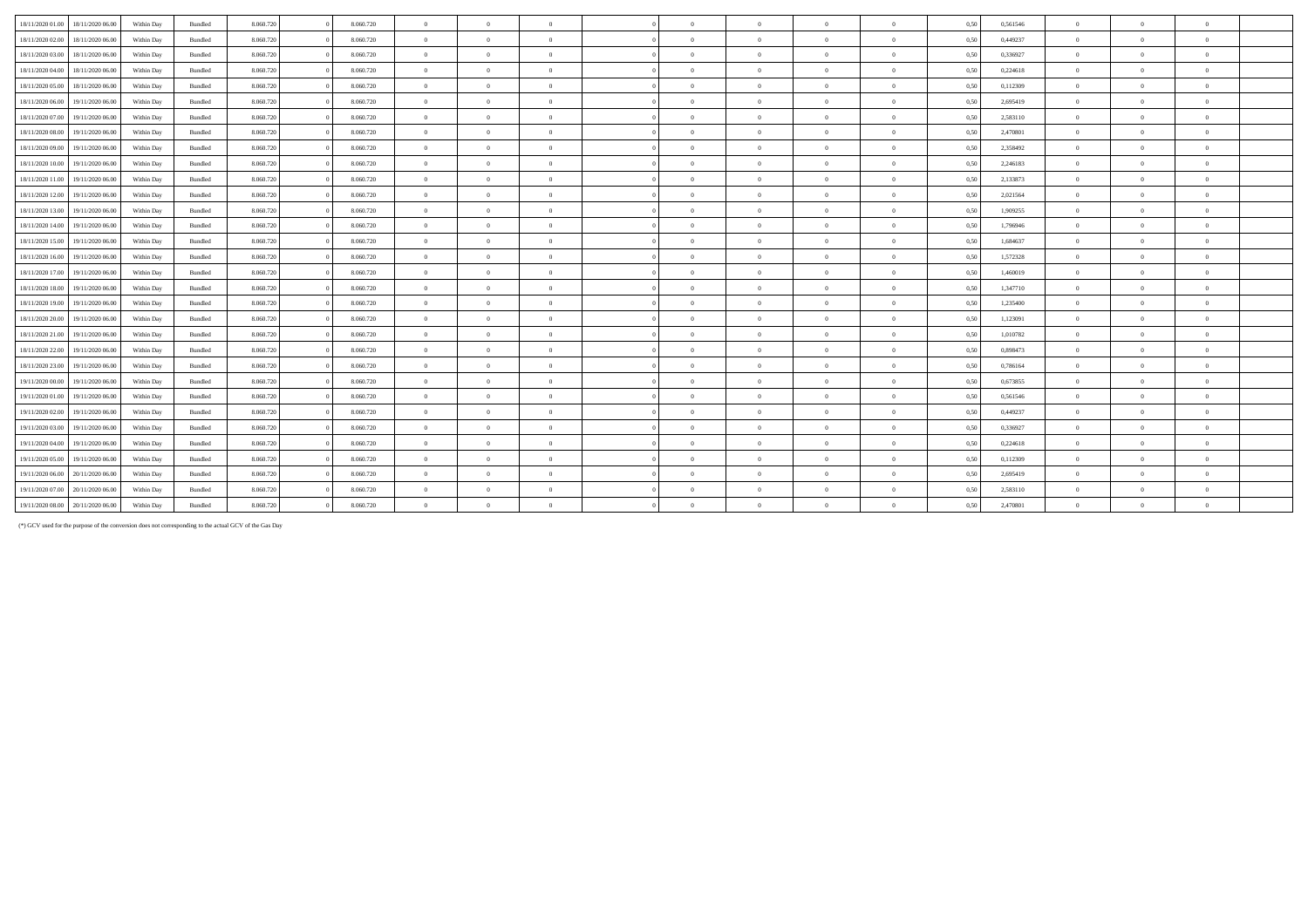| 18/11/2020 01:00<br>18/11/2020 06.00 | Within Day | Bundled | 8.060.720 | 8.060.720 | $\overline{0}$ | $\Omega$       | $\overline{0}$ | $\Omega$       | $\theta$       | $\Omega$       | $\theta$       | 0,50 | 0,561546 | $\Omega$       |                |              |  |
|--------------------------------------|------------|---------|-----------|-----------|----------------|----------------|----------------|----------------|----------------|----------------|----------------|------|----------|----------------|----------------|--------------|--|
| 18/11/2020 02.00<br>18/11/2020 06.00 | Within Day | Bundled | 8.060.720 | 8.060.720 | $\overline{0}$ | $\Omega$       | $\overline{0}$ | $\Omega$       | $\Omega$       | $\Omega$       | $\theta$       | 0,50 | 0,449237 | $\overline{0}$ | $\Omega$       |              |  |
| 18/11/2020 03:00<br>18/11/2020 06.00 | Within Day | Bundled | 8.060.720 | 8.060.720 | $\overline{0}$ | $\overline{0}$ | $\overline{0}$ | $\Omega$       | $\bf{0}$       | $\overline{0}$ | $\overline{0}$ | 0,50 | 0.336927 | $\overline{0}$ | $\Omega$       | $\theta$     |  |
| 18/11/2020 04:00<br>18/11/2020 06.00 | Within Day | Bundled | 8.060.720 | 8.060.720 | $\overline{0}$ | $\Omega$       | $\overline{0}$ | $\Omega$       | $\Omega$       | $\Omega$       | $\theta$       | 0.50 | 0,224618 | $\overline{0}$ |                |              |  |
| 18/11/2020 05:00<br>18/11/2020 06.00 | Within Day | Bundled | 8.060.720 | 8.060.720 | $\overline{0}$ | $\overline{0}$ | $\overline{0}$ | $\Omega$       | $\theta$       | $\overline{0}$ | $\overline{0}$ | 0,50 | 0,112309 | $\overline{0}$ | $\Omega$       | $\theta$     |  |
| 18/11/2020 06:00<br>19/11/2020 06.00 | Within Day | Bundled | 8.060.720 | 8.060.720 | $\overline{0}$ | $\Omega$       | $\Omega$       | $\Omega$       | $\Omega$       | $\Omega$       | $\theta$       | 0,50 | 2,695419 | $\overline{0}$ |                |              |  |
| 18/11/2020 07:00<br>19/11/2020 06.00 | Within Day | Bundled | 8.060.720 | 8.060.720 | $\overline{0}$ | $\Omega$       | $\overline{0}$ | $\Omega$       | $\Omega$       | $\Omega$       | $\theta$       | 0,50 | 2,583110 | $\overline{0}$ |                |              |  |
| 18/11/2020 08:00<br>19/11/2020 06.00 | Within Day | Bundled | 8.060.720 | 8.060.720 | $\overline{0}$ | $\overline{0}$ | $\overline{0}$ | $\sqrt{2}$     | $\theta$       | $\theta$       | $\overline{0}$ | 0,50 | 2,470801 | $\overline{0}$ | $\Omega$       | $\mathbf{a}$ |  |
| 18/11/2020 09:00<br>19/11/2020 06.00 | Within Day | Bundled | 8.060.720 | 8.060.720 | $\overline{0}$ | $\overline{0}$ | $\overline{0}$ | $\Omega$       | $\bf{0}$       | $\theta$       | $\overline{0}$ | 0,50 | 2,358492 | $\overline{0}$ | $\Omega$       | $\theta$     |  |
| 18/11/2020 10:00<br>19/11/2020 06.00 | Within Day | Bundled | 8.060.720 | 8.060.720 | $\overline{0}$ | $\overline{0}$ | $\overline{0}$ | $\overline{0}$ | $\overline{0}$ | $\overline{0}$ | $\overline{0}$ | 0,50 | 2,246183 | $\overline{0}$ | $\overline{0}$ | $\theta$     |  |
| 18/11/2020 11:00<br>19/11/2020 06.00 | Within Day | Bundled | 8.060.720 | 8.060.720 | $\Omega$       | $\Omega$       | $\Omega$       | $\Omega$       | $\Omega$       | $\Omega$       | $\theta$       | 0,50 | 2,133873 | $\Omega$       |                |              |  |
| 18/11/2020 12:00<br>19/11/2020 06.00 | Within Day | Bundled | 8.060.720 | 8.060.720 | $\overline{0}$ | $\Omega$       | $\overline{0}$ | $\Omega$       | $\theta$       | $\theta$       | $\theta$       | 0,50 | 2,021564 | $\overline{0}$ |                |              |  |
| 18/11/2020 13:00<br>19/11/2020 06.00 | Within Day | Bundled | 8.060.720 | 8.060.720 | $\overline{0}$ | $\overline{0}$ | $\overline{0}$ | $\theta$       | $\overline{0}$ | $\overline{0}$ | $\overline{0}$ | 0,50 | 1,909255 | $\overline{0}$ | $\Omega$       | $\theta$     |  |
| 18/11/2020 14:00<br>19/11/2020 06.00 | Within Day | Bundled | 8.060.720 | 8.060.720 | $\overline{0}$ | $\overline{0}$ | $\overline{0}$ | $\Omega$       | $\Omega$       | $\theta$       | $\theta$       | 0.50 | 1,796946 | $\overline{0}$ |                | $\theta$     |  |
| 18/11/2020 15:00<br>19/11/2020 06.00 | Within Day | Bundled | 8.060.720 | 8.060.720 | $\overline{0}$ | $\Omega$       | $\overline{0}$ | $\Omega$       | $\theta$       | $\Omega$       | $\theta$       | 0,50 | 1.684637 | $\overline{0}$ | $\Omega$       |              |  |
| 18/11/2020 16:00<br>19/11/2020 06.00 | Within Day | Bundled | 8.060.720 | 8.060.720 | $\overline{0}$ | $\Omega$       | $\Omega$       | $\Omega$       | $\theta$       | $\Omega$       | $\theta$       | 0,50 | 1,572328 | $\Omega$       |                |              |  |
| 18/11/2020 17:00<br>19/11/2020 06.00 | Within Day | Bundled | 8.060.720 | 8.060.720 | $\overline{0}$ | $\Omega$       | $\Omega$       | $\Omega$       | $\Omega$       | $\Omega$       | $\theta$       | 0,50 | 1,460019 | $\overline{0}$ |                |              |  |
| 18/11/2020 18:00<br>19/11/2020 06.00 | Within Day | Bundled | 8.060.720 | 8.060.720 | $\overline{0}$ | $\overline{0}$ | $\overline{0}$ | $\Omega$       | $\bf{0}$       | $\overline{0}$ | $\overline{0}$ | 0,50 | 1,347710 | $\overline{0}$ | $\Omega$       | $\theta$     |  |
| 18/11/2020 19:00<br>19/11/2020 06.00 | Within Day | Bundled | 8.060.720 | 8.060.720 | $\overline{0}$ | $\overline{0}$ | $\overline{0}$ | $\Omega$       | $\bf{0}$       | $\theta$       | $\overline{0}$ | 0.50 | 1,235400 | $\overline{0}$ | $\Omega$       | $\theta$     |  |
| 18/11/2020 20.00<br>19/11/2020 06.00 | Within Day | Bundled | 8.060.720 | 8.060.720 | $\overline{0}$ | $\Omega$       | $\overline{0}$ | $\Omega$       | $\Omega$       | $\Omega$       | $\theta$       | 0,50 | 1,123091 | $\overline{0}$ | $\Omega$       |              |  |
| 18/11/2020 21.00<br>19/11/2020 06.00 | Within Day | Bundled | 8.060.720 | 8.060.720 | $\overline{0}$ | $\Omega$       | $\overline{0}$ | $\theta$       | $\theta$       | $\theta$       | $\theta$       | 0,50 | 1,010782 | $\overline{0}$ | $\Omega$       |              |  |
| 18/11/2020 22.00<br>19/11/2020 06.00 | Within Day | Bundled | 8.060.720 | 8.060.720 | $\overline{0}$ | $\Omega$       | $\overline{0}$ | $\Omega$       | $\theta$       | $\theta$       | $\theta$       | 0,50 | 0,898473 | $\overline{0}$ | $\Omega$       | $\theta$     |  |
| 18/11/2020 23.00<br>19/11/2020 06.00 | Within Day | Bundled | 8.060.720 | 8.060.720 | $\overline{0}$ | $\overline{0}$ | $\overline{0}$ | $\Omega$       | $\bf{0}$       | $\theta$       | $\overline{0}$ | 0.50 | 0,786164 | $\overline{0}$ | $\Omega$       | $\sqrt{ }$   |  |
| 19/11/2020 00.00<br>19/11/2020 06.00 | Within Day | Bundled | 8.060.720 | 8.060.720 | $\overline{0}$ | $\overline{0}$ | $\overline{0}$ | $\Omega$       | $\Omega$       | $\overline{0}$ | $\theta$       | 0.50 | 0.673855 | $\Omega$       |                |              |  |
| 19/11/2020 01:00<br>19/11/2020 06.00 | Within Day | Bundled | 8.060.720 | 8.060.720 | $\overline{0}$ | $\overline{0}$ | $\overline{0}$ | $\Omega$       | $\Omega$       | $\overline{0}$ | $\overline{0}$ | 0.50 | 0,561546 | $\overline{0}$ | $\Omega$       | $\theta$     |  |
| 19/11/2020 02:00<br>19/11/2020 06.00 | Within Day | Bundled | 8.060.720 | 8.060.720 | $\overline{0}$ | $\Omega$       | $\overline{0}$ | $\theta$       | $\theta$       | $\Omega$       | $\theta$       | 0,50 | 0,449237 | $\overline{0}$ | $\Omega$       | $\theta$     |  |
| 19/11/2020 03:00<br>19/11/2020 06.00 | Within Day | Bundled | 8.060.720 | 8.060.720 | $\overline{0}$ | $\Omega$       | $\overline{0}$ | $\Omega$       | $\Omega$       | $\theta$       | $\theta$       | 0,50 | 0,336927 | $\Omega$       |                |              |  |
| 19/11/2020 04:00<br>19/11/2020 06.00 | Within Day | Bundled | 8.060.720 | 8.060.720 | $\overline{0}$ | $\overline{0}$ | $\overline{0}$ | $\Omega$       | $\bf{0}$       | $\overline{0}$ | $\overline{0}$ | 0,50 | 0,224618 | $\overline{0}$ | $\Omega$       | $\mathbf{a}$ |  |
| 19/11/2020 05:00<br>19/11/2020 06:00 | Within Dav | Bundled | 8.060.720 | 8.060.720 | $\overline{0}$ | $\Omega$       | $\overline{0}$ | $\Omega$       | $\Omega$       | $\Omega$       | $\theta$       | 0.50 | 0,112309 | $\overline{0}$ |                |              |  |
| 19/11/2020 06.00<br>20/11/2020 06.00 | Within Day | Bundled | 8.060.720 | 8.060.720 | $\overline{0}$ | $\Omega$       | $\Omega$       | $\Omega$       | $\Omega$       | $\Omega$       | $\theta$       | 0,50 | 2,695419 | $\theta$       |                |              |  |
| 19/11/2020 07:00<br>20/11/2020 06.00 | Within Day | Bundled | 8.060.720 | 8.060.720 | $\overline{0}$ | $\overline{0}$ | $\overline{0}$ | $\Omega$       | $\Omega$       | $\overline{0}$ | $\theta$       | 0,50 | 2,583110 | $\overline{0}$ | $\Omega$       | $\mathbf{a}$ |  |
| 19/11/2020 08:00 20/11/2020 06:00    | Within Day | Bundled | 8.060.720 | 8.060.720 | $\overline{0}$ | $\Omega$       | $\Omega$       | $\Omega$       |                | $\Omega$       |                | 0,50 | 2,470801 | $\Omega$       |                |              |  |

(\*) GCV used for the purpose of the conversion does not corresponding to the actual GCV of the Gas Day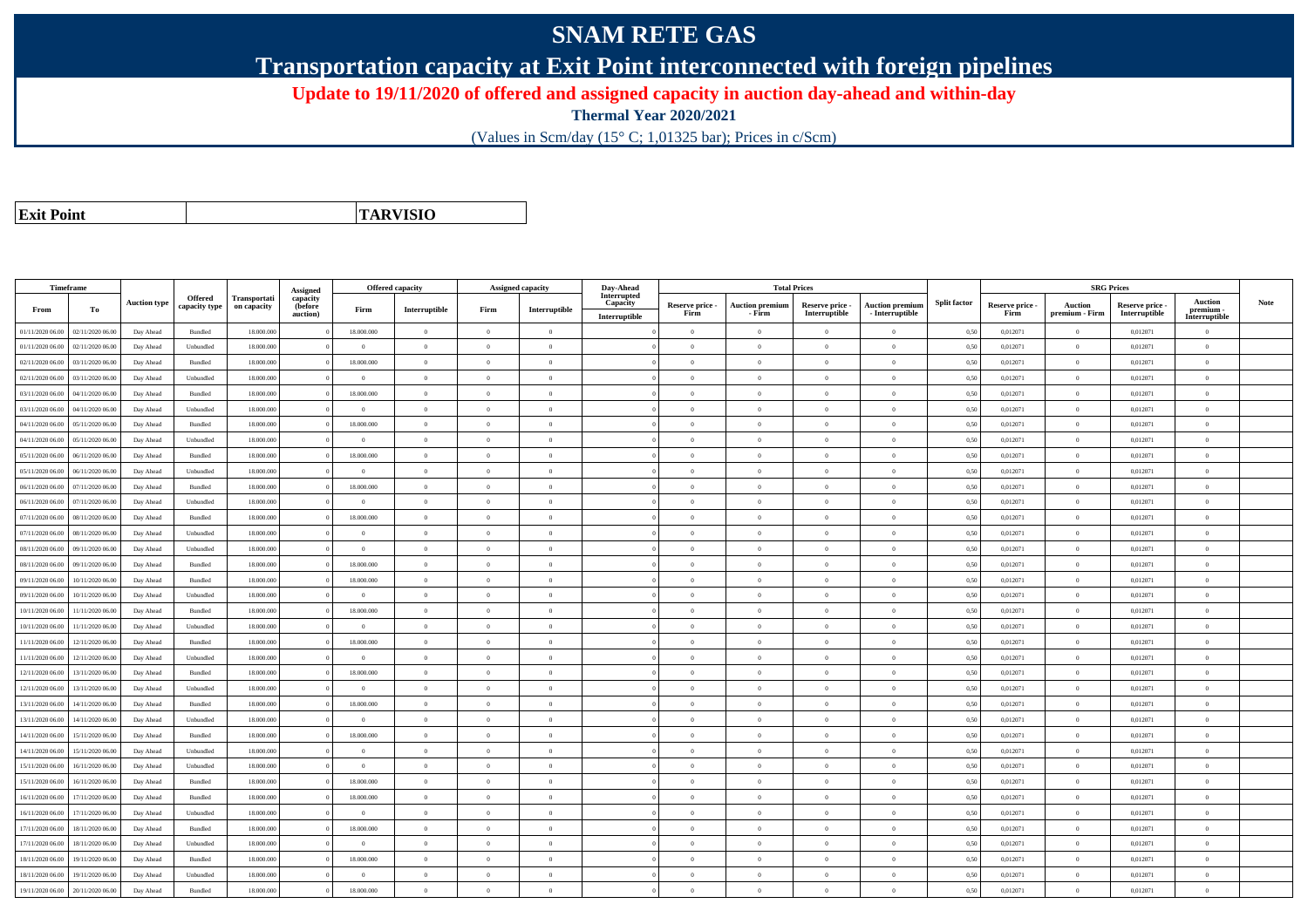## **SNAM RETE GAS**

**Transportation capacity at Exit Point interconnected with foreign pipelines**

**Update to 19/11/2020 of offered and assigned capacity in auction day-ahead and within-day**

**Thermal Year 2020/2021**

(Values in Scm/day (15° C; 1,01325 bar); Prices in c/Scm)

| <b>Exit Point</b> |
|-------------------|

**TARVISIO**

|                  | Timeframe        |                     |                                 |                             |                                 | Offered capacity |                |                | <b>Assigned capacity</b> | Day-Ahead               |                 | <b>Total Prices</b>    |                 |                        |                     |                 | <b>SRG Prices</b> |                 |                            |      |
|------------------|------------------|---------------------|---------------------------------|-----------------------------|---------------------------------|------------------|----------------|----------------|--------------------------|-------------------------|-----------------|------------------------|-----------------|------------------------|---------------------|-----------------|-------------------|-----------------|----------------------------|------|
|                  |                  | <b>Auction type</b> | <b>Offered</b><br>capacity type | Transportati<br>on capacity | Assigned<br>capacity<br>(before |                  |                |                |                          | Interrupted<br>Capacity | Reserve price - | <b>Auction premium</b> | Reserve price - | <b>Auction premium</b> | <b>Split factor</b> | Reserve price - | <b>Auction</b>    | Reserve price - | <b>Auction</b>             | Note |
| From             | To               |                     |                                 |                             | auction)                        | Firm             | Interruptible  | Firm           | Interruptible            | Interruptible           | Firm            | - Firm                 | Interruptible   | - Interruptible        |                     | Firm            | premium - Firm    | Interruptible   | premium -<br>Interruptible |      |
| 01/11/2020 06:00 | 02/11/2020 06.00 | Day Ahead           | Bundled                         | 18.000.000                  |                                 | 18.000.000       | $\overline{0}$ | $\overline{0}$ | $\theta$                 |                         | $\theta$        | $\theta$               | $\Omega$        | $\theta$               | 0,50                | 0,012071        | $\theta$          | 0,012071        | $\theta$                   |      |
| 01/11/2020 06.00 | 02/11/2020 06.00 | Day Ahead           | Unbundled                       | 18.000.000                  |                                 | $\Omega$         | $\overline{0}$ | $\Omega$       | $\theta$                 |                         | $\theta$        | $\theta$               | $\overline{0}$  | $\mathbf{0}$           | 0,50                | 0,012071        | $\overline{0}$    | 0,012071        | $\bf{0}$                   |      |
| 02/11/2020 06:00 | 03/11/2020 06:00 | Day Ahead           | Bundled                         | 18,000,000                  |                                 | 18,000,000       | $\overline{0}$ | $\Omega$       | $\theta$                 |                         | $\theta$        | $\theta$               | $\theta$        | $\Omega$               | 0,50                | 0.012071        | $\overline{0}$    | 0.012071        | $\Omega$                   |      |
| 02/11/2020 06.00 | 03/11/2020 06:00 | Day Ahead           | Unbundled                       | 18,000,000                  |                                 | $\theta$         | $\overline{0}$ | $\Omega$       | $\Omega$                 |                         | $\theta$        | $\theta$               | $\Omega$        | $\theta$               | 0,50                | 0,012071        | $\Omega$          | 0,012071        | $\Omega$                   |      |
| 03/11/2020 06:00 | 04/11/2020 06.00 | Day Ahead           | Bundled                         | 18.000.000                  |                                 | 18.000.000       | $\overline{0}$ | $\overline{0}$ | $\theta$                 |                         | $\theta$        | $\overline{0}$         | $\overline{0}$  | $\mathbf{0}$           | 0,50                | 0,012071        | $\overline{0}$    | 0,012071        | $\bf{0}$                   |      |
| 03/11/2020 06.00 | 04/11/2020 06.00 | Day Ahead           | Unbundled                       | 18.000.000                  |                                 | $\overline{0}$   | $\overline{0}$ | $\Omega$       | $\overline{0}$           |                         | $\theta$        | $\theta$               | $\overline{0}$  | $\mathbf{0}$           | 0,50                | 0,012071        | $\overline{0}$    | 0,012071        | $\Omega$                   |      |
| 04/11/2020 06.00 | 05/11/2020 06.0  | Day Ahead           | Bundled                         | 18.000.000                  |                                 | 18.000.000       | $\overline{0}$ | $\overline{0}$ | $\overline{0}$           |                         | $\theta$        | $\mathbf{a}$           | $\overline{0}$  | $\mathbf{0}$           | 0,50                | 0,012071        | $\,$ 0 $\,$       | 0,012071        | $\Omega$                   |      |
| 04/11/2020 06.00 | 05/11/2020 06.00 | Day Ahead           | Unbundled                       | 18.000.000                  |                                 | $\Omega$         | $\overline{0}$ | $\Omega$       | $\theta$                 |                         | $\theta$        | $\theta$               | $\overline{0}$  | $\mathbf{0}$           | 0,50                | 0,012071        | $\overline{0}$    | 0,012071        | $\Omega$                   |      |
| 05/11/2020 06.00 | 06/11/2020 06:00 | Day Ahead           | Bundled                         | 18,000,000                  |                                 | 18,000,000       | $\overline{0}$ | $\Omega$       | $\theta$                 |                         | $\theta$        | $\theta$               | $\Omega$        | $\theta$               | 0,50                | 0,012071        | $\overline{0}$    | 0,012071        | $\Omega$                   |      |
| 05/11/2020 06.00 | 06/11/2020 06.00 | Day Ahead           | Unbundled                       | 18.000.000                  |                                 | $\theta$         | $\mathbf{0}$   | $\Omega$       | $\Omega$                 |                         | $\Omega$        | $\theta$               | $\Omega$        | $\theta$               | 0,50                | 0,012071        | $\Omega$          | 0,012071        | $\Omega$                   |      |
| 06/11/2020 06:00 | 07/11/2020 06:00 | Day Ahead           | Bundled                         | 18,000,000                  |                                 | 18,000,000       | $\overline{0}$ | $\overline{0}$ | $\theta$                 |                         | $\theta$        | $\overline{0}$         | $\overline{0}$  | $\overline{0}$         | 0.50                | 0.012071        | $\overline{0}$    | 0.012071        | $\bf{0}$                   |      |
| 06/11/2020 06.00 | 07/11/2020 06.00 | Day Ahead           | Unbundled                       | 18.000.000                  |                                 | $\bf{0}$         | $\overline{0}$ | $\overline{0}$ | $\overline{0}$           |                         | $\overline{0}$  | $\overline{0}$         | $\overline{0}$  | $\bf{0}$               | 0,50                | 0,012071        | $\overline{0}$    | 0,012071        | $\overline{0}$             |      |
| 07/11/2020 06.00 | 08/11/2020 06.00 | Day Ahead           | Bundled                         | 18.000.000                  |                                 | 18.000.000       | $\overline{0}$ | $\overline{0}$ | $\theta$                 |                         | $\theta$        | $\theta$               | $\overline{0}$  | $\mathbf{0}$           | 0,50                | 0,012071        | $\overline{0}$    | 0,012071        | $\Omega$                   |      |
| 07/11/2020 06.00 | 08/11/2020 06:00 | Day Ahead           | Unbundled                       | 18,000,000                  |                                 | $\theta$         | $\overline{0}$ | $\overline{0}$ | $\Omega$                 |                         | $\Omega$        | $\theta$               | $\overline{0}$  | $\theta$               | 0,50                | 0,012071        | $\overline{0}$    | 0.012071        | $\theta$                   |      |
| 08/11/2020 06.00 | 09/11/2020 06.00 | Day Ahead           | Unbundled                       | 18.000.000                  |                                 | $\Omega$         | $\overline{0}$ | $\Omega$       | $\theta$                 |                         | $\theta$        | $\theta$               | $\overline{0}$  | $\mathbf{0}$           | 0,50                | 0,012071        | $\overline{0}$    | 0,012071        | $\bf{0}$                   |      |
| 08/11/2020 06.00 | 09/11/2020 06.00 | Day Ahead           | <b>Bundled</b>                  | 18,000,000                  |                                 | 18,000,000       | $\theta$       | $\Omega$       | $\theta$                 |                         | $\theta$        |                        | $\Omega$        | $\theta$               | 0.50                | 0.012071        | $\Omega$          | 0.012071        | $\Omega$                   |      |
| 09/11/2020 06.00 | 10/11/2020 06.00 | Day Ahead           | Bundled                         | 18,000,000                  |                                 | 18.000.000       | $\overline{0}$ | $\overline{0}$ | $\overline{0}$           |                         | $\theta$        | $\overline{0}$         | $\overline{0}$  | $\overline{0}$         | 0,50                | 0,012071        | $\overline{0}$    | 0,012071        | $\bf{0}$                   |      |
| 09/11/2020 06.00 | 10/11/2020 06.00 | Day Ahead           | Unbundled                       | 18.000.000                  |                                 | $\overline{0}$   | $\overline{0}$ | $\overline{0}$ | $\theta$                 |                         | $\theta$        | $\overline{0}$         | $\overline{0}$  | $\mathbf{0}$           | 0,50                | 0,012071        | $\,$ 0 $\,$       | 0,012071        | $\bf{0}$                   |      |
| 10/11/2020 06.00 | 11/11/2020 06.00 | Day Ahead           | Bundled                         | 18,000,000                  |                                 | 18,000,000       | $\overline{0}$ | $\Omega$       | $\theta$                 |                         | $\theta$        | $\theta$               | $\overline{0}$  | $\theta$               | 0.50                | 0.012071        | $\overline{0}$    | 0.012071        | $\Omega$                   |      |
| 10/11/2020 06.00 | 11/11/2020 06.00 | Day Ahead           | Unbundled                       | 18.000.000                  |                                 | $\Omega$         | $\overline{0}$ | $\Omega$       | $\Omega$                 |                         | $\theta$        | $\theta$               | $\Omega$        | $\theta$               | 0,50                | 0,012071        | $\overline{0}$    | 0,012071        | $\Omega$                   |      |
| 11/11/2020 06.00 | 12/11/2020 06.00 | Day Ahead           | Bundled                         | 18.000.000                  |                                 | 18.000.000       | $\overline{0}$ | $\Omega$       | $\theta$                 |                         | $\Omega$        | $\theta$               | $\theta$        | $\Omega$               | 0,50                | 0,012071        | $\overline{0}$    | 0,012071        | $\Omega$                   |      |
| 11/11/2020 06.00 | 12/11/2020 06:00 | Day Ahead           | Unbundled                       | 18,000,000                  |                                 | $\sqrt{2}$       | $\Omega$       | $\Omega$       | $\Omega$                 |                         | $\theta$        | $\theta$               | $\theta$        | $\Omega$               | 0.50                | 0.012071        | $\Omega$          | 0.012071        | $\Omega$                   |      |
| 12/11/2020 06.00 | 13/11/2020 06.00 | Day Ahead           | Bundled                         | 18.000.000                  |                                 | 18.000.000       | $\overline{0}$ | $\overline{0}$ | $\theta$                 |                         | $\theta$        | $\theta$               | $\overline{0}$  | $\mathbf{0}$           | 0,50                | 0,012071        | $\overline{0}$    | 0,012071        | $\bf{0}$                   |      |
| 12/11/2020 06:00 | 13/11/2020 06.00 | Day Ahead           | Unbundled                       | 18.000.000                  |                                 | $\overline{0}$   | $\overline{0}$ | $\overline{0}$ | $\overline{0}$           |                         | $\overline{0}$  | $\theta$               | $\overline{0}$  | $\mathbf{0}$           | 0,50                | 0,012071        | $\overline{0}$    | 0,012071        | $\bf{0}$                   |      |
| 13/11/2020 06.00 | 14/11/2020 06.00 | Day Ahead           | Bundled                         | 18.000.000                  |                                 | 18.000.000       | $\overline{0}$ | $\overline{0}$ | $\overline{0}$           |                         | $\overline{0}$  | $\theta$               | $\bf{0}$        | $\,$ 0                 | 0,50                | 0,012071        | $\overline{0}$    | 0,012071        | $\bf{0}$                   |      |
| 13/11/2020 06.00 | 14/11/2020 06.0  | Day Ahead           | Unbundled                       | 18.000.000                  |                                 | $\overline{0}$   | $\overline{0}$ | $\overline{0}$ | $\theta$                 |                         | $\overline{0}$  | $\theta$               | $\overline{0}$  | $\overline{0}$         | 0,50                | 0,012071        | $\overline{0}$    | 0,012071        | $\bf{0}$                   |      |
| 14/11/2020 06:00 | 15/11/2020 06.00 | Day Ahead           | Bundled                         | 18,000,000                  |                                 | 18,000,000       | $\overline{0}$ | $\overline{0}$ | $\Omega$                 |                         | $\Omega$        | $\theta$               | $\overline{0}$  | $\theta$               | 0,50                | 0,012071        | $\theta$          | 0,012071        | $\theta$                   |      |
| 14/11/2020 06:00 | 15/11/2020 06.00 | Day Ahead           | Unbundled                       | 18.000.000                  |                                 | $\Omega$         | $\overline{0}$ | $\Omega$       | $\theta$                 |                         | $\Omega$        | $\theta$               | $\overline{0}$  | $\mathbf{0}$           | 0,50                | 0,012071        | $\overline{0}$    | 0,012071        | $\Omega$                   |      |
| 15/11/2020 06.00 | 16/11/2020 06.00 | Day Ahead           | Unbundled                       | 18.000.00                   |                                 | $\overline{0}$   | $\overline{0}$ | $\overline{0}$ | $\theta$                 |                         | $\theta$        | $\theta$               | $\overline{0}$  | $\mathbf{0}$           | 0,50                | 0,012071        | $\overline{0}$    | 0,012071        | $\bf{0}$                   |      |
| 15/11/2020 06.00 | 16/11/2020 06.00 | Day Ahead           | Bundled                         | 18.000.000                  |                                 | 18.000.000       | $\overline{0}$ | $\overline{0}$ | $\theta$                 |                         | $\theta$        | $\theta$               | $\overline{0}$  | $\mathbf{0}$           | 0,50                | 0,012071        | $\overline{0}$    | 0,012071        | $\Omega$                   |      |
| 16/11/2020 06.00 | 17/11/2020 06.00 | Day Ahead           | Bundled                         | 18.000.000                  |                                 | 18.000.000       | $\overline{0}$ | $\overline{0}$ | $\theta$                 |                         | $\theta$        | $\theta$               | $\overline{0}$  | $\mathbf{0}$           | 0,50                | 0,012071        | $\overline{0}$    | 0,012071        | $\bf{0}$                   |      |
| 16/11/2020 06.00 | 17/11/2020 06.00 | Day Ahead           | Unbundled                       | 18.000.000                  |                                 | $\theta$         | $\overline{0}$ | $\Omega$       | $\theta$                 |                         | $\Omega$        | $\theta$               | $\overline{0}$  | $\mathbf{0}$           | 0,50                | 0,012071        | $\overline{0}$    | 0,012071        | $\Omega$                   |      |
| 17/11/2020 06:00 | 18/11/2020 06.00 | Day Ahead           | Bundled                         | 18,000,000                  |                                 | 18,000,000       | $\overline{0}$ | $\Omega$       | $\Omega$                 |                         | $\Omega$        | $\theta$               | $\overline{0}$  | $\theta$               | 0.50                | 0,012071        | $\overline{0}$    | 0,012071        | $\Omega$                   |      |
| 17/11/2020 06:00 | 18/11/2020 06.00 | Day Ahead           | Unbundled                       | 18.000.000                  |                                 | $\theta$         | $\theta$       | $\Omega$       | $\theta$                 |                         | $\theta$        | $\theta$               | $\Omega$        | $\theta$               | 0,50                | 0,012071        | $\Omega$          | 0,012071        | $\theta$                   |      |
| 18/11/2020 06.00 | 19/11/2020 06.00 | Day Ahead           | Bundled                         | 18.000.000                  |                                 | 18.000.000       | $\overline{0}$ | $\overline{0}$ | $\theta$                 |                         | $\theta$        | $\theta$               | $\overline{0}$  | $\mathbf{0}$           | 0,50                | 0,012071        | $\overline{0}$    | 0,012071        | $\bf{0}$                   |      |
| 18/11/2020 06.00 | 19/11/2020 06.0  | Day Ahead           | Unbundled                       | 18.000.000                  |                                 | $\overline{0}$   | $\overline{0}$ | $\overline{0}$ | $\overline{0}$           |                         | $\theta$        | $\mathbf{a}$           | $\overline{0}$  | $\mathbf{0}$           | 0,50                | 0,012071        | $\,$ 0 $\,$       | 0,012071        | $\bf{0}$                   |      |
| 19/11/2020 06.00 | 20/11/2020 06.00 | Day Ahead           | Bundled                         | 18.000.000                  |                                 | 18.000.000       | $\Omega$       | $\Omega$       | $\theta$                 |                         | $\theta$        | $\Omega$               | $\Omega$        | $\Omega$               | 0,50                | 0,012071        | $\overline{0}$    | 0,012071        | $\bf{0}$                   |      |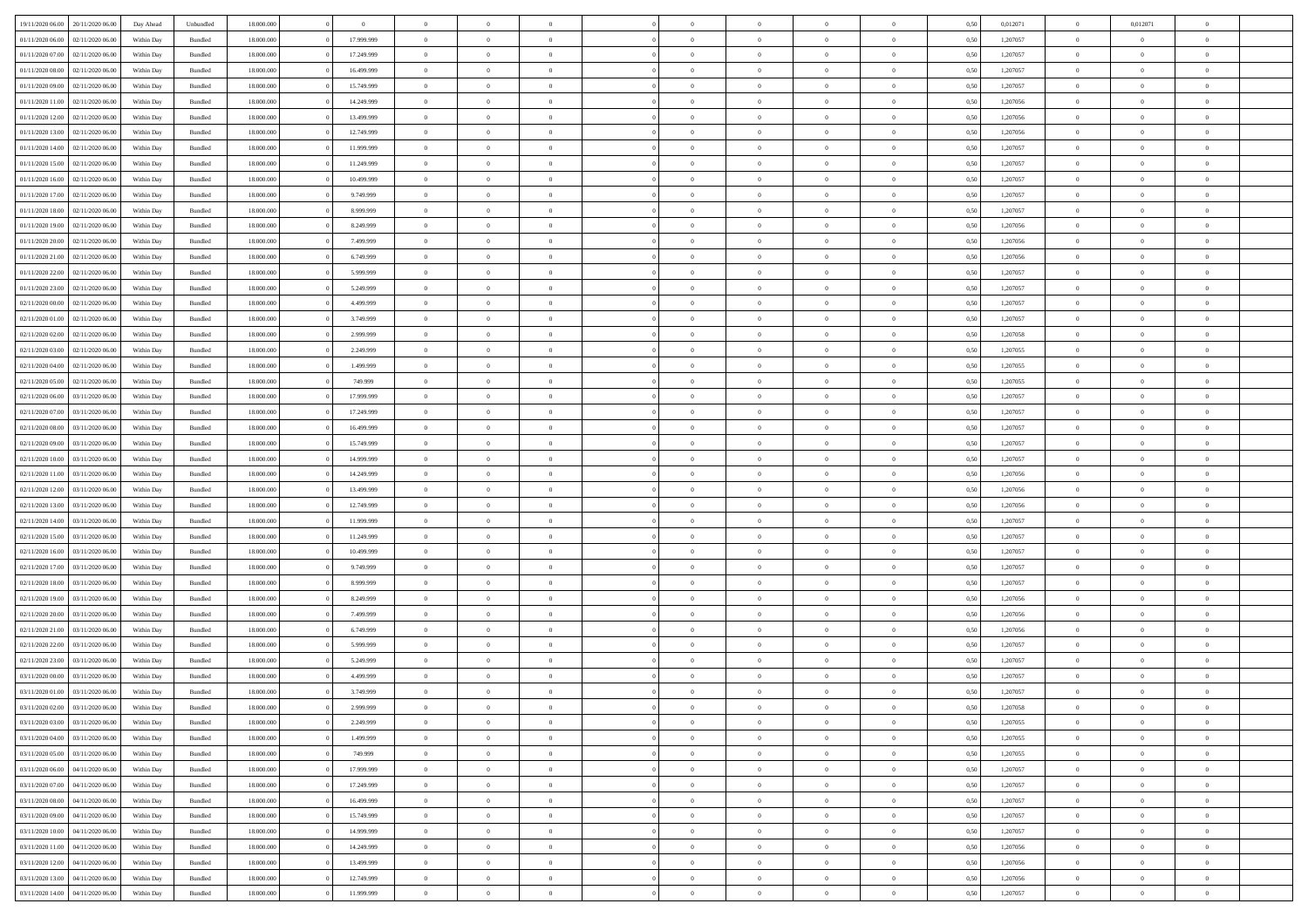| 19/11/2020 06.00                  | 20/11/2020 06:00 | Day Ahead                | Unbundled          | 18.000.000 | $\theta$   | $\Omega$       | $\theta$       |                | $\Omega$       | $\Omega$       | $\Omega$       | $\theta$       | 0.50 | 0,012071 | $\theta$       | 0,012071       | $\theta$       |  |
|-----------------------------------|------------------|--------------------------|--------------------|------------|------------|----------------|----------------|----------------|----------------|----------------|----------------|----------------|------|----------|----------------|----------------|----------------|--|
| 01/11/2020 06.00                  | 02/11/2020 06.00 | Within Day               | Bundled            | 18.000.000 | 17.999.999 | $\overline{0}$ | $\theta$       | $\overline{0}$ | $\overline{0}$ | $\bf{0}$       | $\overline{0}$ | $\overline{0}$ | 0,50 | 1,207057 | $\theta$       | $\theta$       | $\overline{0}$ |  |
|                                   |                  |                          |                    |            |            |                |                |                |                |                |                |                |      |          |                |                |                |  |
| 01/11/2020 07.00                  | 02/11/2020 06.00 | Within Day               | Bundled            | 18.000.000 | 17.249.999 | $\overline{0}$ | $\overline{0}$ | $\overline{0}$ | $\bf{0}$       | $\bf{0}$       | $\bf{0}$       | $\bf{0}$       | 0,50 | 1,207057 | $\overline{0}$ | $\overline{0}$ | $\overline{0}$ |  |
| 01/11/2020 08:00                  | 02/11/2020 06:00 | Within Dav               | Bundled            | 18.000.000 | 16.499.999 | $\overline{0}$ | $\overline{0}$ | $\overline{0}$ | $\overline{0}$ | $\bf{0}$       | $\overline{0}$ | $\overline{0}$ | 0.50 | 1,207057 | $\theta$       | $\theta$       | $\overline{0}$ |  |
| 01/11/2020 09:00                  | 02/11/2020 06.00 | Within Day               | Bundled            | 18.000.000 | 15.749.999 | $\overline{0}$ | $\theta$       | $\overline{0}$ | $\overline{0}$ | $\bf{0}$       | $\overline{0}$ | $\bf{0}$       | 0,50 | 1,207057 | $\theta$       | $\theta$       | $\overline{0}$ |  |
| 01/11/2020 11.00                  | 02/11/2020 06.00 | Within Day               | Bundled            | 18.000.000 | 14.249.999 | $\overline{0}$ | $\bf{0}$       | $\overline{0}$ | $\bf{0}$       | $\overline{0}$ | $\overline{0}$ | $\mathbf{0}$   | 0,50 | 1,207056 | $\overline{0}$ | $\overline{0}$ | $\bf{0}$       |  |
| 01/11/2020 12:00                  | 02/11/2020 06:00 | Within Dav               | Bundled            | 18.000.000 | 13.499.999 | $\overline{0}$ | $\overline{0}$ | $\overline{0}$ | $\overline{0}$ | $\overline{0}$ | $\overline{0}$ | $\overline{0}$ | 0.50 | 1,207056 | $\theta$       | $\overline{0}$ | $\overline{0}$ |  |
| 01/11/2020 13:00                  | 02/11/2020 06.00 | Within Day               | Bundled            | 18.000.000 | 12.749.999 | $\overline{0}$ | $\theta$       | $\overline{0}$ | $\overline{0}$ | $\bf{0}$       | $\overline{0}$ | $\bf{0}$       | 0,50 | 1,207056 | $\theta$       | $\theta$       | $\overline{0}$ |  |
| 01/11/2020 14:00                  | 02/11/2020 06.00 | Within Day               | Bundled            | 18.000.000 | 11.999.999 | $\overline{0}$ | $\overline{0}$ | $\overline{0}$ | $\bf{0}$       | $\bf{0}$       | $\bf{0}$       | $\bf{0}$       | 0,50 | 1,207057 | $\,0\,$        | $\overline{0}$ | $\overline{0}$ |  |
| 01/11/2020 15:00                  | 02/11/2020 06:00 | Within Dav               | Bundled            | 18.000.000 | 11.249.999 | $\overline{0}$ | $\overline{0}$ | $\overline{0}$ | $\overline{0}$ | $\overline{0}$ | $\overline{0}$ | $\overline{0}$ | 0.50 | 1,207057 | $\theta$       | $\overline{0}$ | $\overline{0}$ |  |
| 01/11/2020 16.00                  | 02/11/2020 06.00 | Within Day               | Bundled            | 18.000.000 | 10.499.999 | $\overline{0}$ | $\theta$       | $\overline{0}$ | $\overline{0}$ | $\bf{0}$       | $\overline{0}$ | $\bf{0}$       | 0,50 | 1,207057 | $\theta$       | $\theta$       | $\overline{0}$ |  |
|                                   |                  |                          |                    |            |            |                |                |                |                |                |                |                |      |          |                |                |                |  |
| 01/11/2020 17.00                  | 02/11/2020 06.00 | Within Day               | Bundled            | 18.000.000 | 9.749.999  | $\overline{0}$ | $\overline{0}$ | $\overline{0}$ | $\overline{0}$ | $\bf{0}$       | $\overline{0}$ | $\bf{0}$       | 0,50 | 1,207057 | $\bf{0}$       | $\overline{0}$ | $\overline{0}$ |  |
| 01/11/2020 18:00                  | 02/11/2020 06:00 | Within Day               | Bundled            | 18.000.000 | 8.999.999  | $\overline{0}$ | $\overline{0}$ | $\overline{0}$ | $\overline{0}$ | $\bf{0}$       | $\overline{0}$ | $\overline{0}$ | 0.50 | 1,207057 | $\theta$       | $\theta$       | $\overline{0}$ |  |
| 01/11/2020 19:00                  | 02/11/2020 06.00 | Within Day               | Bundled            | 18.000.000 | 8.249.999  | $\overline{0}$ | $\theta$       | $\overline{0}$ | $\overline{0}$ | $\bf{0}$       | $\overline{0}$ | $\bf{0}$       | 0,50 | 1,207056 | $\theta$       | $\theta$       | $\overline{0}$ |  |
| 01/11/2020 20.00                  | 02/11/2020 06.00 | Within Day               | Bundled            | 18.000.000 | 7.499.999  | $\overline{0}$ | $\overline{0}$ | $\overline{0}$ | $\overline{0}$ | $\overline{0}$ | $\overline{0}$ | $\mathbf{0}$   | 0,50 | 1,207056 | $\bf{0}$       | $\overline{0}$ | $\bf{0}$       |  |
| 01/11/2020 21.00                  | 02/11/2020 06:00 | Within Dav               | Bundled            | 18.000.000 | 6.749.999  | $\overline{0}$ | $\overline{0}$ | $\overline{0}$ | $\overline{0}$ | $\overline{0}$ | $\overline{0}$ | $\overline{0}$ | 0.50 | 1,207056 | $\theta$       | $\overline{0}$ | $\overline{0}$ |  |
| 01/11/2020 22.00                  | 02/11/2020 06.00 | Within Day               | Bundled            | 18.000.000 | 5.999.999  | $\overline{0}$ | $\theta$       | $\overline{0}$ | $\overline{0}$ | $\bf{0}$       | $\overline{0}$ | $\bf{0}$       | 0,50 | 1,207057 | $\theta$       | $\theta$       | $\overline{0}$ |  |
| 01/11/2020 23.00                  | 02/11/2020 06.00 | Within Day               | Bundled            | 18.000.000 | 5.249.999  | $\overline{0}$ | $\overline{0}$ | $\overline{0}$ | $\overline{0}$ | $\bf{0}$       | $\overline{0}$ | $\bf{0}$       | 0,50 | 1,207057 | $\,0\,$        | $\overline{0}$ | $\overline{0}$ |  |
| 02/11/2020 00.00                  | 02/11/2020 06:00 | Within Day               | Bundled            | 18.000.000 | 4.499.999  | $\overline{0}$ | $\overline{0}$ | $\overline{0}$ | $\overline{0}$ | $\overline{0}$ | $\overline{0}$ | $\overline{0}$ | 0.50 | 1,207057 | $\theta$       | $\overline{0}$ | $\overline{0}$ |  |
| 02/11/2020 01:00                  | 02/11/2020 06.00 | Within Day               | Bundled            | 18.000.000 | 3.749.999  | $\overline{0}$ | $\theta$       | $\overline{0}$ | $\overline{0}$ | $\bf{0}$       | $\overline{0}$ | $\bf{0}$       | 0,50 | 1,207057 | $\theta$       | $\theta$       | $\overline{0}$ |  |
| 02/11/2020 02.00                  | 02/11/2020 06.00 | Within Day               | Bundled            | 18.000.000 | 2.999.999  | $\overline{0}$ | $\overline{0}$ | $\overline{0}$ | $\overline{0}$ | $\bf{0}$       | $\overline{0}$ | $\bf{0}$       | 0,50 | 1,207058 | $\,0\,$        | $\overline{0}$ | $\overline{0}$ |  |
| 02/11/2020 03:00                  | 02/11/2020 06:00 | Within Day               | Bundled            | 18.000.000 | 2.249.999  | $\overline{0}$ | $\overline{0}$ | $\overline{0}$ | $\overline{0}$ | $\bf{0}$       | $\overline{0}$ | $\overline{0}$ | 0.50 | 1.207055 | $\theta$       | $\theta$       | $\overline{0}$ |  |
|                                   |                  |                          |                    |            |            |                |                |                |                |                |                |                |      |          |                |                |                |  |
| 02/11/2020 04:00                  | 02/11/2020 06.00 | Within Day               | Bundled            | 18.000.000 | 1.499.999  | $\overline{0}$ | $\theta$       | $\overline{0}$ | $\overline{0}$ | $\bf{0}$       | $\overline{0}$ | $\bf{0}$       | 0,50 | 1,207055 | $\theta$       | $\overline{0}$ | $\overline{0}$ |  |
| 02/11/2020 05.00                  | 02/11/2020 06.00 | Within Day               | Bundled            | 18.000.000 | 749.999    | $\overline{0}$ | $\bf{0}$       | $\overline{0}$ | $\overline{0}$ | $\overline{0}$ | $\overline{0}$ | $\mathbf{0}$   | 0,50 | 1,207055 | $\bf{0}$       | $\overline{0}$ | $\bf{0}$       |  |
| 02/11/2020 06.00                  | 03/11/2020 06:00 | Within Dav               | Bundled            | 18.000.000 | 17.999.999 | $\overline{0}$ | $\overline{0}$ | $\overline{0}$ | $\overline{0}$ | $\overline{0}$ | $\overline{0}$ | $\overline{0}$ | 0.50 | 1,207057 | $\theta$       | $\theta$       | $\overline{0}$ |  |
| 02/11/2020 07.00                  | 03/11/2020 06.00 | Within Day               | Bundled            | 18.000.000 | 17.249.999 | $\overline{0}$ | $\theta$       | $\overline{0}$ | $\overline{0}$ | $\bf{0}$       | $\overline{0}$ | $\bf{0}$       | 0,50 | 1,207057 | $\theta$       | $\theta$       | $\overline{0}$ |  |
| 02/11/2020 08:00                  | 03/11/2020 06.00 | Within Day               | Bundled            | 18.000.000 | 16.499.999 | $\overline{0}$ | $\overline{0}$ | $\overline{0}$ | $\overline{0}$ | $\bf{0}$       | $\overline{0}$ | $\bf{0}$       | 0,50 | 1,207057 | $\,0\,$        | $\overline{0}$ | $\overline{0}$ |  |
| 02/11/2020 09:00                  | 03/11/2020 06:00 | Within Day               | Bundled            | 18.000.000 | 15.749.999 | $\overline{0}$ | $\overline{0}$ | $\overline{0}$ | $\overline{0}$ | $\overline{0}$ | $\overline{0}$ | $\overline{0}$ | 0.50 | 1,207057 | $\theta$       | $\overline{0}$ | $\overline{0}$ |  |
| 02/11/2020 10:00                  | 03/11/2020 06.00 | Within Day               | Bundled            | 18.000.000 | 14.999.999 | $\overline{0}$ | $\theta$       | $\overline{0}$ | $\overline{0}$ | $\bf{0}$       | $\overline{0}$ | $\bf{0}$       | 0,50 | 1,207057 | $\,$ 0 $\,$    | $\theta$       | $\overline{0}$ |  |
| 02/11/2020 11:00                  | 03/11/2020 06.00 | Within Day               | Bundled            | 18.000.000 | 14.249.999 | $\overline{0}$ | $\overline{0}$ | $\overline{0}$ | $\overline{0}$ | $\bf{0}$       | $\overline{0}$ | $\bf{0}$       | 0,50 | 1,207056 | $\bf{0}$       | $\overline{0}$ | $\overline{0}$ |  |
| 02/11/2020 12:00                  | 03/11/2020 06.00 | Within Day               | Bundled            | 18.000.000 | 13.499.999 | $\overline{0}$ | $\Omega$       | $\Omega$       | $\Omega$       | $\Omega$       | $\overline{0}$ | $\overline{0}$ | 0,50 | 1,207056 | $\,0\,$        | $\theta$       | $\theta$       |  |
| 02/11/2020 13:00                  | 03/11/2020 06.00 | Within Day               | Bundled            | 18.000.000 | 12.749.999 | $\overline{0}$ | $\theta$       | $\overline{0}$ | $\overline{0}$ | $\bf{0}$       | $\overline{0}$ | $\bf{0}$       | 0,50 | 1,207056 | $\theta$       | $\theta$       | $\overline{0}$ |  |
|                                   |                  |                          |                    |            |            |                |                |                |                |                |                |                |      |          |                |                |                |  |
| 02/11/2020 14:00                  | 03/11/2020 06.00 | Within Day               | Bundled            | 18.000.000 | 11.999.999 | $\overline{0}$ | $\bf{0}$       | $\overline{0}$ | $\overline{0}$ | $\bf{0}$       | $\overline{0}$ | $\mathbf{0}$   | 0,50 | 1,207057 | $\bf{0}$       | $\overline{0}$ | $\bf{0}$       |  |
| 02/11/2020 15:00                  | 03/11/2020 06.00 | Within Day               | Bundled            | 18,000,000 | 11.249.999 | $\overline{0}$ | $\Omega$       | $\Omega$       | $\Omega$       | $\bf{0}$       | $\overline{0}$ | $\overline{0}$ | 0.50 | 1,207057 | $\,0\,$        | $\theta$       | $\theta$       |  |
| 02/11/2020 16:00                  | 03/11/2020 06.00 | Within Day               | Bundled            | 18.000.000 | 10.499.999 | $\overline{0}$ | $\theta$       | $\overline{0}$ | $\overline{0}$ | $\bf{0}$       | $\overline{0}$ | $\bf{0}$       | 0,50 | 1,207057 | $\theta$       | $\theta$       | $\overline{0}$ |  |
| 02/11/2020 17:00                  | 03/11/2020 06.00 | Within Day               | Bundled            | 18.000.000 | 9.749.999  | $\overline{0}$ | $\overline{0}$ | $\overline{0}$ | $\overline{0}$ | $\bf{0}$       | $\overline{0}$ | $\bf{0}$       | 0,50 | 1,207057 | $\bf{0}$       | $\overline{0}$ | $\overline{0}$ |  |
| 02/11/2020 18:00                  | 03/11/2020 06:00 | Within Day               | Bundled            | 18,000,000 | 8.999.999  | $\overline{0}$ | $\Omega$       | $\Omega$       | $\Omega$       | $\Omega$       | $\theta$       | $\overline{0}$ | 0.50 | 1,207057 | $\theta$       | $\theta$       | $\theta$       |  |
| 02/11/2020 19:00                  | 03/11/2020 06.00 | Within Day               | Bundled            | 18.000.000 | 8.249.999  | $\overline{0}$ | $\theta$       | $\overline{0}$ | $\overline{0}$ | $\bf{0}$       | $\overline{0}$ | $\bf{0}$       | 0,50 | 1,207056 | $\,$ 0 $\,$    | $\overline{0}$ | $\overline{0}$ |  |
| 02/11/2020 20.00                  | 03/11/2020 06.00 | Within Day               | Bundled            | 18.000.000 | 7.499.999  | $\overline{0}$ | $\overline{0}$ | $\overline{0}$ | $\overline{0}$ | $\bf{0}$       | $\overline{0}$ | $\bf{0}$       | 0,50 | 1,207056 | $\bf{0}$       | $\overline{0}$ | $\overline{0}$ |  |
| 02/11/2020 21.00                  | 03/11/2020 06.00 | Within Day               | Bundled            | 18.000.000 | 6.749.999  | $\overline{0}$ | $\Omega$       | $\Omega$       | $\Omega$       | $\Omega$       | $\overline{0}$ | $\overline{0}$ | 0.50 | 1,207056 | $\,0\,$        | $\theta$       | $\theta$       |  |
| 02/11/2020 22.00                  | 03/11/2020 06.00 | Within Day               | Bundled            | 18.000.000 | 5.999.999  | $\overline{0}$ | $\theta$       | $\overline{0}$ | $\overline{0}$ | $\bf{0}$       | $\overline{0}$ | $\bf{0}$       | 0,50 | 1,207057 | $\,$ 0 $\,$    | $\theta$       | $\overline{0}$ |  |
| 02/11/2020 23.00                  | 03/11/2020 06.00 | Within Day               | Bundled            | 18.000.000 | 5.249.999  | $\overline{0}$ | $\overline{0}$ | $\overline{0}$ | $\overline{0}$ | $\bf{0}$       | $\overline{0}$ | $\mathbf{0}$   | 0,50 | 1,207057 | $\bf{0}$       | $\overline{0}$ | $\bf{0}$       |  |
| 03/11/2020 00:00                  | 03/11/2020 06.00 |                          | Bundled            | 18,000,000 | 4.499.999  | $\overline{0}$ | $\Omega$       | $\Omega$       | $\Omega$       | $\Omega$       | $\Omega$       | $\overline{0}$ | 0.50 | 1,207057 | $\theta$       | $\theta$       | $\theta$       |  |
| 03/11/2020 01:00                  | 03/11/2020 06.00 | Within Day<br>Within Day | Bundled            | 18.000.000 | 3.749.999  | $\overline{0}$ | $\overline{0}$ | $\overline{0}$ | $\bf{0}$       | $\,$ 0         | $\bf{0}$       | $\bf{0}$       | 0,50 | 1,207057 | $\,0\,$        | $\,$ 0 $\,$    | $\overline{0}$ |  |
|                                   |                  |                          |                    |            |            |                |                |                |                |                |                |                |      |          |                |                |                |  |
| 03/11/2020 02:00 03/11/2020 06:00 |                  | Within Day               | $\mathbf B$ undled | 18.000.000 | 2.999.999  | $\bf{0}$       | $\bf{0}$       |                |                | $\bf{0}$       |                |                | 0,50 | 1,207058 | $\bf{0}$       | $\overline{0}$ |                |  |
| 03/11/2020 03:00                  | 03/11/2020 06:00 | Within Day               | Bundled            | 18,000,000 | 2.249.999  | $\overline{0}$ | $\overline{0}$ | $\overline{0}$ | $\Omega$       | $\overline{0}$ | $\overline{0}$ | $\overline{0}$ | 0,50 | 1,207055 | $\theta$       | $\theta$       | $\theta$       |  |
| 03/11/2020 04:00                  | 03/11/2020 06.00 | Within Day               | Bundled            | 18.000.000 | 1.499.999  | $\overline{0}$ | $\,$ 0         | $\overline{0}$ | $\bf{0}$       | $\,$ 0 $\,$    | $\overline{0}$ | $\mathbf{0}$   | 0,50 | 1,207055 | $\,$ 0 $\,$    | $\,$ 0 $\,$    | $\,$ 0         |  |
| 03/11/2020 05:00                  | 03/11/2020 06.00 | Within Day               | Bundled            | 18.000.000 | 749.999    | $\overline{0}$ | $\overline{0}$ | $\overline{0}$ | $\overline{0}$ | $\overline{0}$ | $\overline{0}$ | $\mathbf{0}$   | 0,50 | 1,207055 | $\overline{0}$ | $\bf{0}$       | $\bf{0}$       |  |
| 03/11/2020 06.00                  | 04/11/2020 06.00 | Within Day               | Bundled            | 18.000.000 | 17.999.999 | $\overline{0}$ | $\overline{0}$ | $\overline{0}$ | $\Omega$       | $\overline{0}$ | $\overline{0}$ | $\bf{0}$       | 0,50 | 1,207057 | $\overline{0}$ | $\overline{0}$ | $\overline{0}$ |  |
| 03/11/2020 07.00                  | 04/11/2020 06.00 | Within Day               | Bundled            | 18.000.000 | 17.249.999 | $\overline{0}$ | $\,$ 0         | $\overline{0}$ | $\overline{0}$ | $\,$ 0 $\,$    | $\overline{0}$ | $\mathbf{0}$   | 0,50 | 1,207057 | $\,$ 0 $\,$    | $\overline{0}$ | $\overline{0}$ |  |
| 03/11/2020 08:00                  | 04/11/2020 06.00 | Within Day               | Bundled            | 18.000.000 | 16.499.999 | $\overline{0}$ | $\overline{0}$ | $\overline{0}$ | $\overline{0}$ | $\overline{0}$ | $\overline{0}$ | $\mathbf{0}$   | 0,50 | 1,207057 | $\overline{0}$ | $\overline{0}$ | $\bf{0}$       |  |
| 03/11/2020 09:00                  | 04/11/2020 06.00 | Within Day               | Bundled            | 18.000.000 | 15.749.999 | $\overline{0}$ | $\overline{0}$ | $\overline{0}$ | $\Omega$       | $\overline{0}$ | $\overline{0}$ | $\bf{0}$       | 0.50 | 1,207057 | $\overline{0}$ | $\theta$       | $\overline{0}$ |  |
| 03/11/2020 10:00                  | 04/11/2020 06.00 | Within Day               | Bundled            | 18.000.000 | 14.999.999 | $\overline{0}$ | $\,$ 0         | $\overline{0}$ | $\bf{0}$       | $\bf{0}$       | $\bf{0}$       | $\bf{0}$       | 0,50 | 1,207057 | $\,$ 0 $\,$    | $\overline{0}$ | $\overline{0}$ |  |
|                                   |                  |                          |                    |            |            |                | $\bf{0}$       |                |                |                |                |                |      |          |                | $\overline{0}$ | $\bf{0}$       |  |
| 03/11/2020 11:00                  | 04/11/2020 06.00 | Within Day               | Bundled            | 18.000.000 | 14.249.999 | $\overline{0}$ |                | $\overline{0}$ | $\overline{0}$ | $\overline{0}$ | $\overline{0}$ | $\mathbf{0}$   | 0,50 | 1,207056 | $\overline{0}$ |                |                |  |
| 03/11/2020 12:00                  | 04/11/2020 06.00 | Within Day               | Bundled            | 18,000,000 | 13.499.999 | $\overline{0}$ | $\overline{0}$ | $\overline{0}$ | $\Omega$       | $\overline{0}$ | $\overline{0}$ | $\bf{0}$       | 0.50 | 1,207056 | $\overline{0}$ | $\overline{0}$ | $\overline{0}$ |  |
| 03/11/2020 13:00                  | 04/11/2020 06.00 | Within Day               | Bundled            | 18.000.000 | 12.749.999 | $\overline{0}$ | $\bf{0}$       | $\overline{0}$ | $\overline{0}$ | $\bf{0}$       | $\bf{0}$       | $\mathbf{0}$   | 0,50 | 1,207056 | $\,$ 0 $\,$    | $\,$ 0 $\,$    | $\bf{0}$       |  |
| 03/11/2020 14:00                  | 04/11/2020 06.00 | Within Day               | Bundled            | 18.000.000 | 11.999.999 | $\overline{0}$ | $\overline{0}$ | $\overline{0}$ | $\overline{0}$ | $\bf{0}$       | $\overline{0}$ | $\mathbf{0}$   | 0,50 | 1,207057 | $\overline{0}$ | $\bf{0}$       | $\bf{0}$       |  |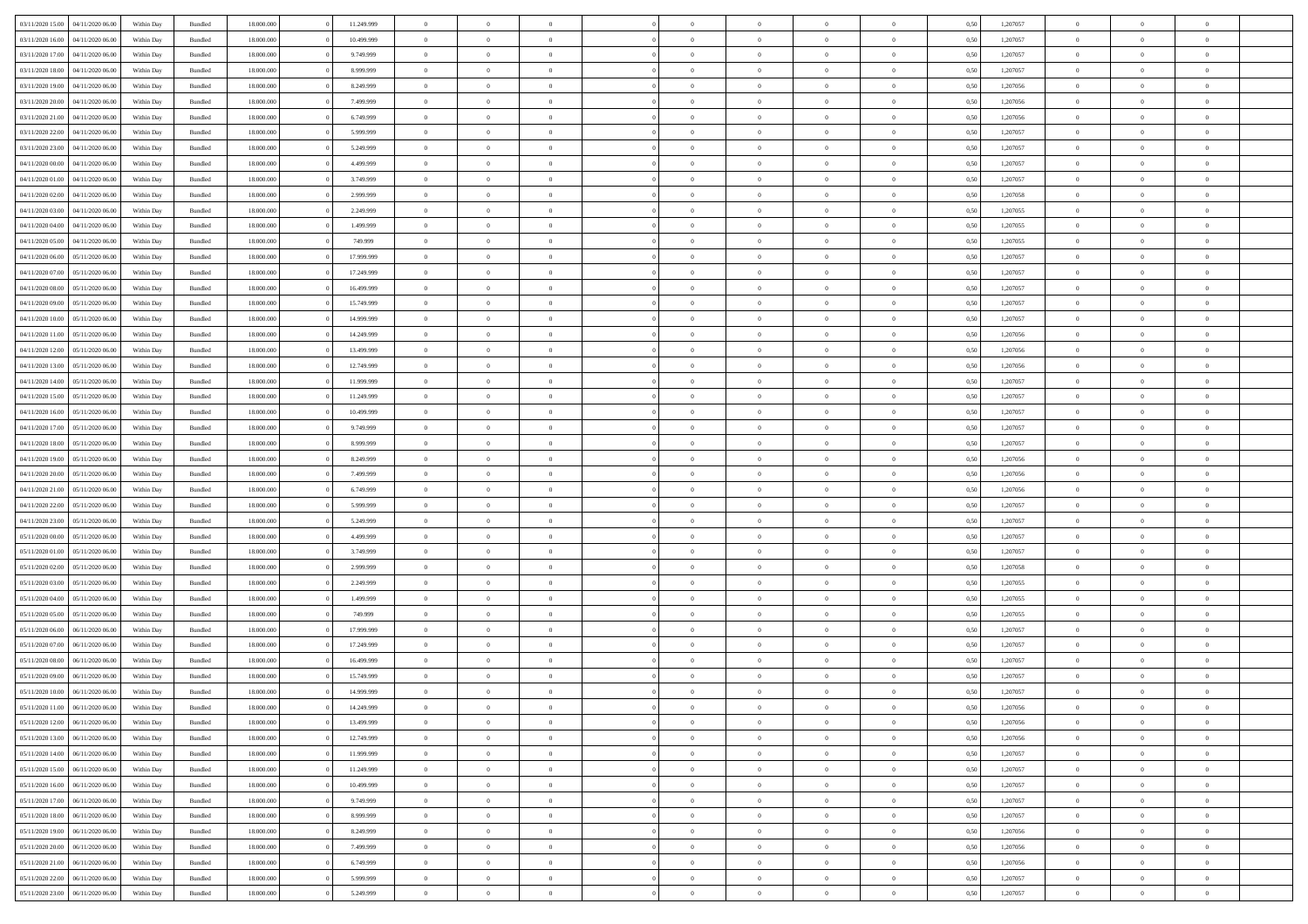| 03/11/2020 15:00                  | 04/11/2020 06.00 | Within Day | Bundled | 18,000,000 | 11.249.999 | $\overline{0}$ | $\theta$       |                |                | $\Omega$       | $\Omega$       | $\overline{0}$ | 0,50 | 1,207057 | $\theta$       | $\theta$       | $\theta$       |  |
|-----------------------------------|------------------|------------|---------|------------|------------|----------------|----------------|----------------|----------------|----------------|----------------|----------------|------|----------|----------------|----------------|----------------|--|
| 03/11/2020 16:00                  | 04/11/2020 06.00 | Within Dav | Bundled | 18.000.000 | 10.499.999 | $\overline{0}$ | $\Omega$       |                | $\Omega$       | $\Omega$       | $\Omega$       | $\bf{0}$       | 0.50 | 1,207057 | $\theta$       | $\Omega$       | $\sqrt{ }$     |  |
| 03/11/2020 17.00                  | 04/11/2020 06.00 | Within Day | Bundled | 18.000.000 | 9.749.999  | $\overline{0}$ | $\overline{0}$ | $\overline{0}$ | $\overline{0}$ | $\,$ 0 $\,$    | $\overline{0}$ | $\,$ 0 $\,$    | 0,50 | 1,207057 | $\,$ 0 $\,$    | $\overline{0}$ | $\overline{0}$ |  |
|                                   |                  |            |         |            |            | $\overline{0}$ | $\overline{0}$ | $\overline{0}$ | $\overline{0}$ |                |                |                |      |          |                |                | $\overline{0}$ |  |
| 03/11/2020 18:00                  | 04/11/2020 06.00 | Within Day | Bundled | 18.000.000 | 8.999.999  |                |                |                |                | $\bf{0}$       | $\overline{0}$ | $\bf{0}$       | 0,50 | 1,207057 | $\bf{0}$       | $\overline{0}$ |                |  |
| 03/11/2020 19:00                  | 04/11/2020 06.00 | Within Day | Bundled | 18.000.000 | 8.249.999  | $\overline{0}$ | $\Omega$       | $^{\circ}$     | $\Omega$       | $\overline{0}$ | $\Omega$       | $\overline{0}$ | 0.50 | 1,207056 | $\theta$       | $\theta$       | $\sqrt{ }$     |  |
| 03/11/2020 20.00                  | 04/11/2020 06.00 | Within Day | Bundled | 18.000.000 | 7.499.999  | $\overline{0}$ | $\overline{0}$ | $\overline{0}$ | $\overline{0}$ | $\,$ 0 $\,$    | $\overline{0}$ | $\,$ 0 $\,$    | 0,50 | 1,207056 | $\,$ 0 $\,$    | $\overline{0}$ | $\overline{0}$ |  |
| 03/11/2020 21.00                  | 04/11/2020 06.00 | Within Day | Bundled | 18.000.000 | 6.749.999  | $\overline{0}$ | $\overline{0}$ | $\overline{0}$ | $\overline{0}$ | $\overline{0}$ | $\overline{0}$ | $\bf{0}$       | 0,50 | 1,207056 | $\bf{0}$       | $\theta$       | $\overline{0}$ |  |
| 03/11/2020 22.00                  | 04/11/2020 06.00 | Within Dav | Bundled | 18.000.000 | 5.999.999  | $\overline{0}$ | $\Omega$       | $^{\circ}$     | $\Omega$       | $\bf{0}$       | $\Omega$       | $\overline{0}$ | 0.50 | 1,207057 | $\theta$       | $\theta$       | $\sqrt{ }$     |  |
|                                   |                  |            |         |            |            |                |                |                |                |                |                |                |      |          |                |                |                |  |
| 03/11/2020 23.00                  | 04/11/2020 06.00 | Within Day | Bundled | 18.000.000 | 5.249.999  | $\overline{0}$ | $\overline{0}$ | $\overline{0}$ | $\overline{0}$ | $\overline{0}$ | $\overline{0}$ | $\,$ 0 $\,$    | 0,50 | 1,207057 | $\,$ 0 $\,$    | $\overline{0}$ | $\overline{0}$ |  |
| 04/11/2020 00.00                  | 04/11/2020 06.00 | Within Day | Bundled | 18,000,000 | 4.499.999  | $\overline{0}$ | $\overline{0}$ | $\overline{0}$ | $\Omega$       | $\overline{0}$ | $\overline{0}$ | $\bf{0}$       | 0,50 | 1,207057 | $\bf{0}$       | $\theta$       | $\overline{0}$ |  |
| 04/11/2020 01.00                  | 04/11/2020 06.00 | Within Dav | Bundled | 18.000.000 | 3.749.999  | $\overline{0}$ | $\Omega$       | $^{\circ}$     | $\Omega$       | $\bf{0}$       | $\Omega$       | $\overline{0}$ | 0.50 | 1,207057 | $\theta$       | $\theta$       | $\sqrt{ }$     |  |
| 04/11/2020 02.00                  | 04/11/2020 06.00 | Within Day | Bundled | 18.000.000 | 2.999.999  | $\overline{0}$ | $\overline{0}$ | $\overline{0}$ | $\overline{0}$ | $\,$ 0 $\,$    | $\overline{0}$ | $\,$ 0 $\,$    | 0,50 | 1,207058 | $\,$ 0 $\,$    | $\overline{0}$ | $\overline{0}$ |  |
| 04/11/2020 03.00                  | 04/11/2020 06.00 | Within Day | Bundled | 18.000.000 | 2.249.999  | $\overline{0}$ | $\overline{0}$ | $\overline{0}$ | $\overline{0}$ | $\bf{0}$       | $\overline{0}$ | $\bf{0}$       | 0,50 | 1,207055 | $\bf{0}$       | $\overline{0}$ | $\bf{0}$       |  |
|                                   |                  |            |         |            |            |                |                |                |                |                |                |                |      |          |                |                |                |  |
| 04/11/2020 04:00                  | 04/11/2020 06.00 | Within Day | Bundled | 18.000.000 | 1.499.999  | $\overline{0}$ | $\theta$       | $^{\circ}$     | $\overline{0}$ | $\overline{0}$ | $\Omega$       | $\bf{0}$       | 0.50 | 1,207055 | $\theta$       | $\theta$       | $\sqrt{ }$     |  |
| 04/11/2020 05:00                  | 04/11/2020 06.00 | Within Day | Bundled | 18.000.000 | 749.999    | $\overline{0}$ | $\theta$       | $\overline{0}$ | $\overline{0}$ | $\,$ 0 $\,$    | $\overline{0}$ | $\,$ 0 $\,$    | 0,50 | 1,207055 | $\theta$       | $\overline{0}$ | $\overline{0}$ |  |
| 04/11/2020 06.00                  | 05/11/2020 06.00 | Within Day | Bundled | 18.000.000 | 17.999.999 | $\overline{0}$ | $\overline{0}$ | $\overline{0}$ | $\Omega$       | $\overline{0}$ | $\overline{0}$ | $\bf{0}$       | 0,50 | 1,207057 | $\theta$       | $\overline{0}$ | $\overline{0}$ |  |
| 04/11/2020 07.00                  | 05/11/2020 06.00 | Within Day | Bundled | 18.000.000 | 17.249.999 | $\overline{0}$ | $\Omega$       | $^{\circ}$     | $\Omega$       | $\overline{0}$ | $\Omega$       | $\bf{0}$       | 0.50 | 1,207057 | $\theta$       | $\Omega$       | -0             |  |
| 04/11/2020 08.00                  | 05/11/2020 06.00 |            |         | 18.000.000 | 16.499.999 | $\overline{0}$ | $\overline{0}$ | $\overline{0}$ | $\overline{0}$ | $\,$ 0 $\,$    | $\overline{0}$ | $\,$ 0 $\,$    |      | 1,207057 | $\,$ 0 $\,$    | $\overline{0}$ | $\overline{0}$ |  |
|                                   |                  | Within Day | Bundled |            |            |                |                |                |                |                |                |                | 0,50 |          |                |                |                |  |
| 04/11/2020 09:00                  | 05/11/2020 06:00 | Within Day | Bundled | 18,000,000 | 15.749.999 | $\overline{0}$ | $\overline{0}$ | $\overline{0}$ | $\Omega$       | $\overline{0}$ | $\overline{0}$ | $\bf{0}$       | 0,50 | 1,207057 | $\bf{0}$       | $\theta$       | $\overline{0}$ |  |
| 04/11/2020 10:00                  | 05/11/2020 06.00 | Within Dav | Bundled | 18.000.000 | 14.999.999 | $\overline{0}$ | $\Omega$       | $\Omega$       | $\Omega$       | $\bf{0}$       | $\Omega$       | $\overline{0}$ | 0.50 | 1,207057 | $\theta$       | $\theta$       | $\sqrt{ }$     |  |
| 04/11/2020 11:00                  | 05/11/2020 06.00 | Within Day | Bundled | 18.000.000 | 14.249.999 | $\overline{0}$ | $\overline{0}$ | $\overline{0}$ | $\overline{0}$ | $\,$ 0 $\,$    | $\overline{0}$ | $\,$ 0 $\,$    | 0,50 | 1,207056 | $\,$ 0 $\,$    | $\overline{0}$ | $\overline{0}$ |  |
| 04/11/2020 12:00                  | 05/11/2020 06.00 | Within Day | Bundled | 18.000.000 | 13.499.999 | $\overline{0}$ | $\overline{0}$ | $\overline{0}$ | $\overline{0}$ | $\bf{0}$       | $\overline{0}$ | $\bf{0}$       | 0,50 | 1,207056 | $\bf{0}$       | $\overline{0}$ | $\overline{0}$ |  |
|                                   |                  |            |         |            |            |                |                |                |                |                |                |                |      |          |                |                |                |  |
| 04/11/2020 13.00                  | 05/11/2020 06.00 | Within Day | Bundled | 18.000.000 | 12.749.999 | $\overline{0}$ | $\Omega$       | $^{\circ}$     | $\overline{0}$ | $\bf{0}$       | $\Omega$       | $\overline{0}$ | 0.50 | 1,207056 | $\theta$       | $\theta$       | $\sqrt{ }$     |  |
| 04/11/2020 14:00                  | 05/11/2020 06.00 | Within Day | Bundled | 18.000.000 | 11.999.999 | $\overline{0}$ | $\overline{0}$ | $\overline{0}$ | $\overline{0}$ | $\,$ 0 $\,$    | $\overline{0}$ | $\,$ 0 $\,$    | 0,50 | 1,207057 | $\,$ 0 $\,$    | $\overline{0}$ | $\overline{0}$ |  |
| 04/11/2020 15:00                  | 05/11/2020 06.00 | Within Day | Bundled | 18.000.000 | 11.249.999 | $\overline{0}$ | $\overline{0}$ | $\overline{0}$ | $\overline{0}$ | $\overline{0}$ | $\overline{0}$ | $\bf{0}$       | 0,50 | 1,207057 | $\bf{0}$       | $\overline{0}$ | $\overline{0}$ |  |
| 04/11/2020 16.00                  | 05/11/2020 06.00 | Within Dav | Bundled | 18.000.000 | 10.499.999 | $\overline{0}$ | $\Omega$       | $\Omega$       | $\Omega$       | $\bf{0}$       | $\Omega$       | $\overline{0}$ | 0.50 | 1,207057 | $\theta$       | $\theta$       | $\sqrt{ }$     |  |
| 04/11/2020 17.00                  | 05/11/2020 06.00 | Within Day | Bundled | 18.000.000 | 9.749.999  | $\overline{0}$ | $\overline{0}$ | $\overline{0}$ | $\overline{0}$ | $\overline{0}$ | $\overline{0}$ | $\,$ 0 $\,$    | 0,50 | 1,207057 | $\,$ 0 $\,$    | $\overline{0}$ | $\overline{0}$ |  |
|                                   |                  |            |         |            |            |                |                |                |                |                |                |                |      |          |                |                |                |  |
| 04/11/2020 18.00                  | 05/11/2020 06:00 | Within Day | Bundled | 18,000,000 | 8.999.999  | $\overline{0}$ | $\overline{0}$ | $\overline{0}$ | $\Omega$       | $\overline{0}$ | $\overline{0}$ | $\bf{0}$       | 0,50 | 1,207057 | $\bf{0}$       | $\theta$       | $\overline{0}$ |  |
| 04/11/2020 19:00                  | 05/11/2020 06:00 | Within Day | Bundled | 18.000.000 | 8.249.999  | $\overline{0}$ | $\Omega$       | $^{\circ}$     | $\Omega$       | $\overline{0}$ | $\Omega$       | $\overline{0}$ | 0.50 | 1,207056 | $\theta$       | $\theta$       | $\sqrt{ }$     |  |
| 04/11/2020 20.00                  | 05/11/2020 06.00 | Within Day | Bundled | 18.000.000 | 7.499.999  | $\overline{0}$ | $\overline{0}$ | $\overline{0}$ | $\overline{0}$ | $\,$ 0 $\,$    | $\overline{0}$ | $\,$ 0 $\,$    | 0,50 | 1,207056 | $\,$ 0 $\,$    | $\overline{0}$ | $\overline{0}$ |  |
| 04/11/2020 21.00                  | 05/11/2020 06.00 | Within Day | Bundled | 18.000.000 | 6.749.999  | $\overline{0}$ | $\overline{0}$ | $\overline{0}$ | $\bf{0}$       | $\bf{0}$       | $\bf{0}$       | $\bf{0}$       | 0,50 | 1,207056 | $\,$ 0 $\,$    | $\overline{0}$ | $\overline{0}$ |  |
| 04/11/2020 22.00                  | 05/11/2020 06:00 | Within Day | Bundled | 18.000.000 | 5.999.999  | $\overline{0}$ | $\theta$       | $\Omega$       | $\overline{0}$ | $\bf{0}$       | $\Omega$       | $\bf{0}$       | 0.50 | 1,207057 | $\theta$       | $\theta$       | $\sqrt{ }$     |  |
|                                   |                  |            |         |            |            |                |                |                |                |                |                |                |      |          |                |                |                |  |
| 04/11/2020 23.00                  | 05/11/2020 06.00 | Within Day | Bundled | 18.000.000 | 5.249.999  | $\overline{0}$ | $\overline{0}$ | $\overline{0}$ | $\overline{0}$ | $\,$ 0 $\,$    | $\overline{0}$ | $\,$ 0 $\,$    | 0,50 | 1,207057 | $\theta$       | $\overline{0}$ | $\overline{0}$ |  |
| 05/11/2020 00.00                  | 05/11/2020 06.00 | Within Day | Bundled | 18.000.000 | 4.499.999  | $\overline{0}$ | $\theta$       | $\overline{0}$ | $\overline{0}$ | $\,$ 0         | $\bf{0}$       | $\bf{0}$       | 0,50 | 1,207057 | $\,$ 0 $\,$    | $\overline{0}$ | $\overline{0}$ |  |
| 05/11/2020 01:00                  | 05/11/2020 06.00 | Within Day | Bundled | 18.000.000 | 3.749.999  | $\overline{0}$ | $\Omega$       | $^{\circ}$     | $\Omega$       | $\overline{0}$ | $\Omega$       | $\overline{0}$ | 0.50 | 1,207057 | $\theta$       | $\theta$       | $\sqrt{ }$     |  |
| 05/11/2020 02.00                  | 05/11/2020 06.00 | Within Day | Bundled | 18.000.000 | 2.999.999  | $\overline{0}$ | $\overline{0}$ | $\overline{0}$ | $\overline{0}$ | $\,$ 0 $\,$    | $\bf{0}$       | $\,$ 0 $\,$    | 0,50 | 1,207058 | $\,$ 0 $\,$    | $\overline{0}$ | $\overline{0}$ |  |
|                                   |                  |            |         |            |            |                |                |                |                |                |                |                |      |          |                |                |                |  |
| 05/11/2020 03.00                  | 05/11/2020 06.00 | Within Day | Bundled | 18.000.000 | 2.249.999  | $\bf{0}$       | $\overline{0}$ | $\overline{0}$ | $\bf{0}$       | $\bf{0}$       | $\overline{0}$ | $\bf{0}$       | 0,50 | 1,207055 | $\,$ 0 $\,$    | $\overline{0}$ | $\overline{0}$ |  |
| 05/11/2020 04:00                  | 05/11/2020 06:00 | Within Day | Bundled | 18.000.000 | 1.499.999  | $\overline{0}$ | $\Omega$       | $^{\circ}$     | $\Omega$       | $\overline{0}$ | $\Omega$       | $\overline{0}$ | 0.50 | 1,207055 | $\theta$       | $\theta$       | $\sqrt{ }$     |  |
| 05/11/2020 05.00                  | 05/11/2020 06.00 | Within Day | Bundled | 18.000.000 | 749.999    | $\overline{0}$ | $\overline{0}$ | $\overline{0}$ | $\overline{0}$ | $\,$ 0 $\,$    | $\overline{0}$ | $\,$ 0 $\,$    | 0,50 | 1,207055 | $\,$ 0 $\,$    | $\overline{0}$ | $\overline{0}$ |  |
| 05/11/2020 06.00                  | 06/11/2020 06.00 | Within Day | Bundled | 18.000.000 | 17.999.999 | $\bf{0}$       | $\overline{0}$ | $\overline{0}$ | $\bf{0}$       | $\,$ 0         | $\overline{0}$ | $\bf{0}$       | 0,50 | 1,207057 | $\,$ 0 $\,$    | $\overline{0}$ | $\overline{0}$ |  |
| 05/11/2020 07:00                  | 06/11/2020 06.00 | Within Day | Bundled | 18.000.000 | 17.249.999 | $\overline{0}$ | $\theta$       | $\Omega$       | $\Omega$       | $\bf{0}$       | $\Omega$       | $\overline{0}$ | 0.50 | 1,207057 | $\theta$       | $\theta$       | $\sqrt{ }$     |  |
|                                   |                  |            |         |            |            | $\overline{0}$ | $\theta$       | $\overline{0}$ | $\overline{0}$ | $\,$ 0 $\,$    | $\overline{0}$ |                |      |          | $\,$ 0 $\,$    | $\overline{0}$ | $\overline{0}$ |  |
| 05/11/2020 08:00                  | 06/11/2020 06.00 | Within Day | Bundled | 18.000.000 | 16.499.999 |                |                |                |                |                |                | $\,$ 0 $\,$    | 0,50 | 1,207057 |                |                |                |  |
| 05/11/2020 09:00                  | 06/11/2020 06.0  | Within Day | Bundled | 18.000.000 | 15.749.999 | $\overline{0}$ | $\theta$       | $\overline{0}$ | $\overline{0}$ | $\bf{0}$       | $\overline{0}$ | $\bf{0}$       | 0,50 | 1,207057 | $\,$ 0 $\,$    | $\overline{0}$ | $\overline{0}$ |  |
| 05/11/2020 10:00                  | 06/11/2020 06:00 | Within Day | Bundled | 18.000.000 | 14.999.999 | $\overline{0}$ | $\overline{0}$ | $\Omega$       | $\overline{0}$ | $\bf{0}$       | $\overline{0}$ | $\overline{0}$ | 0,50 | 1,207057 | $\theta$       | $\theta$       | $\overline{0}$ |  |
| 05/11/2020 11:00 06/11/2020 06:00 |                  | Within Day | Bundled | 18.000.000 | 14.249.999 | $\overline{0}$ | $\theta$       |                |                | $\bf{0}$       |                |                | 0,50 | 1.207056 | $\theta$       | $\theta$       |                |  |
| 05/11/2020 12:00                  | 06/11/2020 06.00 | Within Day | Bundled | 18.000.000 | 13.499.999 | $\bf{0}$       | $\overline{0}$ | $\overline{0}$ | $\bf{0}$       | $\bf{0}$       | $\overline{0}$ | $\bf{0}$       | 0,50 | 1,207056 | $\bf{0}$       | $\overline{0}$ | $\bf{0}$       |  |
|                                   |                  |            |         |            |            |                |                |                |                |                |                |                |      |          |                |                |                |  |
| 05/11/2020 13:00                  | 06/11/2020 06.00 | Within Day | Bundled | 18.000.000 | 12.749.999 | $\overline{0}$ | $\overline{0}$ | $\overline{0}$ | $\overline{0}$ | $\theta$       | $\overline{0}$ | $\overline{0}$ | 0,50 | 1,207056 | $\overline{0}$ | $\theta$       | $\overline{0}$ |  |
| 05/11/2020 14:00                  | 06/11/2020 06.00 | Within Day | Bundled | 18.000.000 | 11.999.999 | $\overline{0}$ | $\bf{0}$       | $\overline{0}$ | $\overline{0}$ | $\bf{0}$       | $\overline{0}$ | $\,$ 0 $\,$    | 0,50 | 1,207057 | $\mathbf{0}$   | $\,$ 0 $\,$    | $\bf{0}$       |  |
| 05/11/2020 15.00                  | 06/11/2020 06.00 | Within Day | Bundled | 18.000.000 | 11.249.999 | $\overline{0}$ | $\overline{0}$ | $\overline{0}$ | $\bf{0}$       | $\bf{0}$       | $\overline{0}$ | $\bf{0}$       | 0,50 | 1,207057 | $\bf{0}$       | $\overline{0}$ | $\bf{0}$       |  |
| 05/11/2020 16:00                  | 06/11/2020 06.00 | Within Day | Bundled | 18.000.000 | 10.499.999 | $\overline{0}$ | $\overline{0}$ | $\overline{0}$ | $\overline{0}$ | $\overline{0}$ | $\overline{0}$ | $\overline{0}$ | 0,50 | 1,207057 | $\overline{0}$ | $\overline{0}$ | $\overline{0}$ |  |
| 05/11/2020 17.00                  | 06/11/2020 06.00 | Within Day | Bundled | 18.000.000 | 9.749.999  | $\overline{0}$ | $\bf{0}$       | $\overline{0}$ | $\overline{0}$ | $\bf{0}$       | $\overline{0}$ | $\,$ 0 $\,$    | 0,50 | 1,207057 | $\,$ 0 $\,$    | $\,$ 0 $\,$    | $\,$ 0         |  |
|                                   |                  |            |         |            |            |                |                |                |                |                |                |                |      |          |                |                |                |  |
| 05/11/2020 18.00                  | 06/11/2020 06.00 | Within Day | Bundled | 18.000.000 | 8.999.999  | $\bf{0}$       | $\overline{0}$ | $\overline{0}$ | $\bf{0}$       | $\bf{0}$       | $\bf{0}$       | $\bf{0}$       | 0,50 | 1,207057 | $\bf{0}$       | $\overline{0}$ | $\bf{0}$       |  |
| 05/11/2020 19:00                  | 06/11/2020 06:00 | Within Day | Bundled | 18.000.000 | 8.249.999  | $\overline{0}$ | $\overline{0}$ | $\overline{0}$ | $\overline{0}$ | $\overline{0}$ | $\overline{0}$ | $\mathbf{0}$   | 0,50 | 1,207056 | $\overline{0}$ | $\overline{0}$ | $\overline{0}$ |  |
| 05/11/2020 20.00                  | 06/11/2020 06.00 | Within Day | Bundled | 18.000.000 | 7.499.999  | $\overline{0}$ | $\bf{0}$       | $\overline{0}$ | $\bf{0}$       | $\,$ 0 $\,$    | $\overline{0}$ | $\,$ 0 $\,$    | 0,50 | 1,207056 | $\overline{0}$ | $\,$ 0 $\,$    | $\,$ 0         |  |
| 05/11/2020 21.00                  | 06/11/2020 06.00 | Within Day | Bundled | 18.000.000 | 6.749.999  | $\overline{0}$ | $\overline{0}$ | $\overline{0}$ | $\bf{0}$       | $\bf{0}$       | $\bf{0}$       | $\bf{0}$       | 0,50 | 1,207056 | $\bf{0}$       | $\overline{0}$ | $\overline{0}$ |  |
| 05/11/2020 22.00                  | 06/11/2020 06.00 | Within Day | Bundled | 18.000.000 | 5.999.999  | $\overline{0}$ | $\overline{0}$ | $\overline{0}$ | $\overline{0}$ | $\mathbf{0}$   | $\overline{0}$ | $\overline{0}$ | 0.50 | 1,207057 | $\overline{0}$ | $\theta$       | $\overline{0}$ |  |
|                                   |                  |            |         |            |            |                |                |                |                |                |                |                |      |          |                |                |                |  |
| 05/11/2020 23.00                  | 06/11/2020 06:00 | Within Day | Bundled | 18.000.000 | 5.249.999  | $\mathbf{0}$   | $\bf{0}$       | $\overline{0}$ | $\overline{0}$ | $\bf{0}$       | $\overline{0}$ | $\,$ 0 $\,$    | 0,50 | 1,207057 | $\mathbf{0}$   | $\,$ 0 $\,$    | $\,$ 0 $\,$    |  |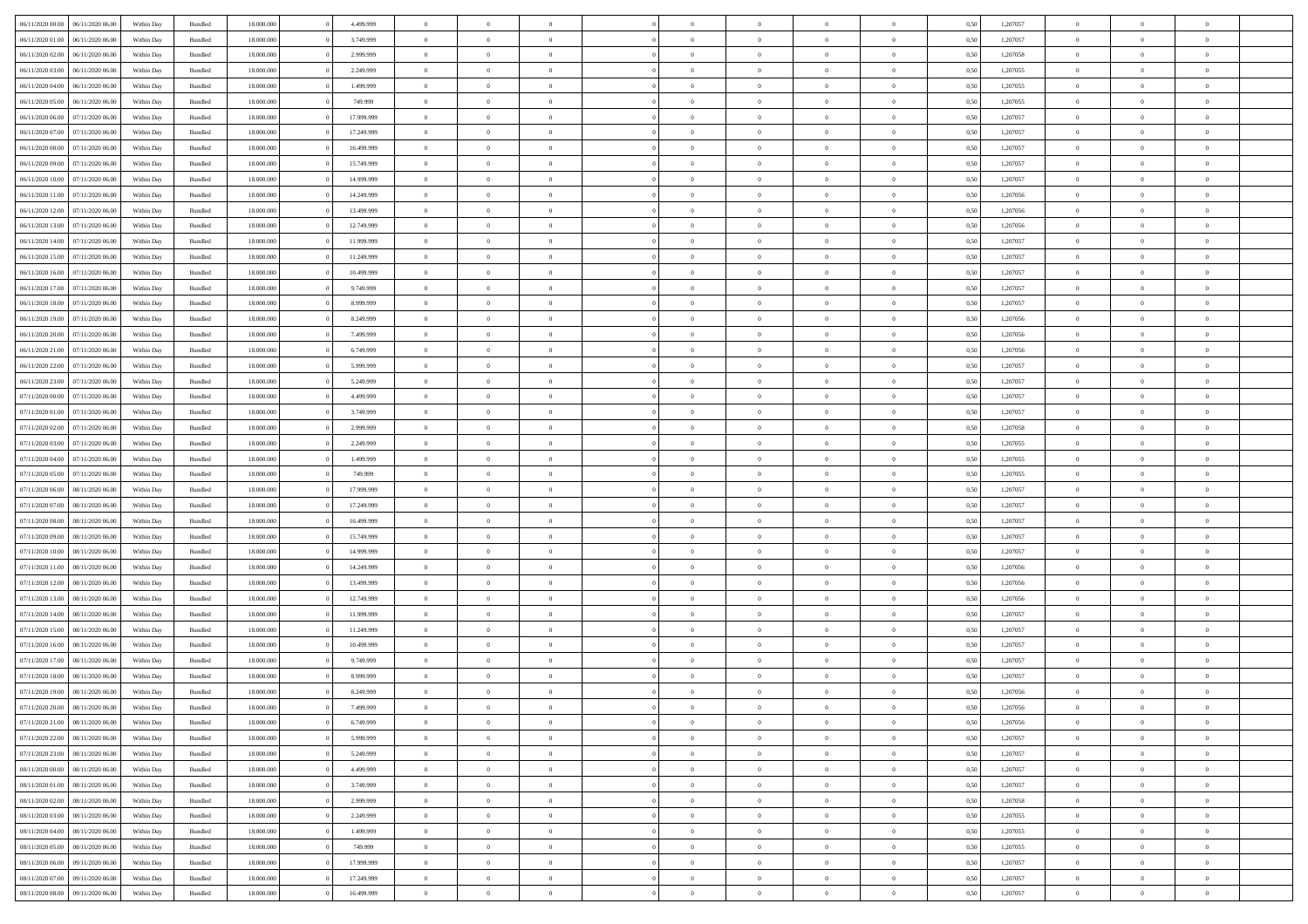| 06/11/2020 00:00 06/11/2020 06:00                                            | Within Day               | Bundled            | 18.000.000               | 4.499.999              | $\overline{0}$                   | $\overline{0}$             |                                  | $\Omega$                         | $\theta$                         | $\Omega$                         | $\theta$                   | 0,50         | 1,207057             | $\theta$             | $\theta$             | $\theta$                         |  |
|------------------------------------------------------------------------------|--------------------------|--------------------|--------------------------|------------------------|----------------------------------|----------------------------|----------------------------------|----------------------------------|----------------------------------|----------------------------------|----------------------------|--------------|----------------------|----------------------|----------------------|----------------------------------|--|
| 06/11/2020 01:00<br>06/11/2020 06.00                                         | Within Day               | Bundled            | 18.000.000               | 3.749.999              | $\overline{0}$                   | $\overline{0}$             | $\overline{0}$                   | $\overline{0}$                   | $\theta$                         | $\overline{0}$                   | $\,$ 0 $\,$                | 0,50         | 1,207057             | $\theta$             | $\theta$             | $\overline{0}$                   |  |
| 06/11/2020 02.00<br>06/11/2020 06.00                                         | Within Day               | Bundled            | 18.000.000               | 2.999.999              | $\overline{0}$                   | $\bf{0}$                   | $\overline{0}$                   | $\overline{0}$                   | $\overline{0}$                   | $\overline{0}$                   | $\bf{0}$                   | 0,50         | 1,207058             | $\bf{0}$             | $\overline{0}$       | $\overline{0}$                   |  |
| 06/11/2020 03:00<br>06/11/2020 06:00                                         | Within Day               | Bundled            | 18.000.000               | 2.249.999              | $\overline{0}$                   | $\overline{0}$             | $\overline{0}$                   | $\overline{0}$                   | $\overline{0}$                   | $\overline{0}$                   | $\overline{0}$             | 0.50         | 1.207055             | $\theta$             | $\theta$             | $\overline{0}$                   |  |
| 06/11/2020 04:00<br>06/11/2020 06.00                                         | Within Day               | Bundled            | 18.000.000               | 1.499.999              | $\overline{0}$                   | $\theta$                   | $\overline{0}$                   | $\overline{0}$                   | $\theta$                         | $\overline{0}$                   | $\bf{0}$                   | 0,50         | 1,207055             | $\theta$             | $\theta$             | $\overline{0}$                   |  |
| 06/11/2020 05:00<br>06/11/2020 06.00                                         | Within Day               | Bundled            | 18.000.000               | 749.999                | $\overline{0}$                   | $\bf{0}$                   | $\overline{0}$                   | $\overline{0}$                   | $\overline{0}$                   | $\overline{0}$                   | $\bf{0}$                   | 0,50         | 1,207055             | $\bf{0}$             | $\overline{0}$       | $\bf{0}$                         |  |
| 06/11/2020 06:00<br>07/11/2020 06:00                                         | Within Day               | Bundled            | 18.000.000               | 17.999.999             | $\overline{0}$                   | $\overline{0}$             | $\overline{0}$                   | $\overline{0}$                   | $\overline{0}$                   | $\overline{0}$                   | $\overline{0}$             | 0.5(         | 1,207057             | $\theta$             | $\theta$             | $\overline{0}$                   |  |
| 06/11/2020 07:00<br>07/11/2020 06.00                                         | Within Day               | Bundled            | 18.000.000               | 17.249.999             | $\bf{0}$                         | $\theta$                   | $\overline{0}$                   | $\overline{0}$                   | $\theta$                         | $\overline{0}$                   | $\bf{0}$                   | 0,50         | 1,207057             | $\theta$             | $\theta$             | $\overline{0}$                   |  |
| 06/11/2020 08:00<br>07/11/2020 06.00                                         | Within Day               | Bundled            | 18.000.000               | 16.499.999             | $\overline{0}$                   | $\bf{0}$                   | $\overline{0}$                   | $\overline{0}$                   | $\overline{0}$                   | $\bf{0}$                         | $\bf{0}$                   | 0,50         | 1,207057             | $\bf{0}$             | $\bf{0}$             | $\overline{0}$                   |  |
| 06/11/2020 09:00<br>07/11/2020 06.00                                         | Within Day               | Bundled            | 18.000.000               | 15.749.999             | $\overline{0}$                   | $\overline{0}$             | $\overline{0}$                   | $\overline{0}$                   | $\overline{0}$                   | $\overline{0}$                   | $\overline{0}$             | 0.50         | 1,207057             | $\theta$             | $\theta$             | $\overline{0}$                   |  |
| 06/11/2020 10:00<br>07/11/2020 06.00                                         | Within Day               | Bundled            | 18.000.000               | 14.999.999             | $\bf{0}$                         | $\overline{0}$             | $\overline{0}$                   | $\overline{0}$                   | $\theta$                         | $\overline{0}$                   | $\bf{0}$                   | 0,50         | 1,207057             | $\theta$             | $\theta$             | $\overline{0}$                   |  |
| 06/11/2020 11:00<br>07/11/2020 06.00                                         | Within Day               | Bundled            | 18.000.000               | 14.249.999             | $\overline{0}$                   | $\bf{0}$                   | $\overline{0}$                   | $\overline{0}$                   | $\overline{0}$                   | $\overline{0}$                   | $\bf{0}$                   | 0,50         | 1,207056             | $\bf{0}$             | $\overline{0}$       | $\overline{0}$                   |  |
| 06/11/2020 12:00<br>07/11/2020 06:00                                         | Within Day               | Bundled            | 18.000.000               | 13.499.999             | $\overline{0}$                   | $\overline{0}$             | $\overline{0}$                   | $\overline{0}$                   | $\overline{0}$                   | $\overline{0}$                   | $\overline{0}$             | 0.5(         | 1.207056             | $\theta$             | $\theta$             | $\overline{0}$                   |  |
| 06/11/2020 13:00<br>07/11/2020 06.00                                         | Within Day               | Bundled            | 18.000.000               | 12.749.999             | $\overline{0}$                   | $\theta$                   | $\overline{0}$                   | $\overline{0}$                   | $\theta$                         | $\overline{0}$                   | $\bf{0}$                   | 0,50         | 1,207056             | $\theta$             | $\theta$             | $\overline{0}$                   |  |
| 06/11/2020 14:00<br>07/11/2020 06.00                                         | Within Day               | Bundled            | 18.000.000               | 11.999.999             | $\overline{0}$                   | $\bf{0}$                   | $\overline{0}$                   | $\overline{0}$                   | $\bf{0}$                         | $\overline{0}$                   | $\bf{0}$                   | 0,50         | 1,207057             | $\bf{0}$             | $\overline{0}$       | $\bf{0}$                         |  |
| 06/11/2020 15:00<br>07/11/2020 06:00                                         | Within Day               | Bundled            | 18.000.000               | 11.249.999             | $\overline{0}$                   | $\overline{0}$             | $\overline{0}$                   | $\overline{0}$                   | $\overline{0}$                   | $\overline{0}$                   | $\overline{0}$             | 0.5(         | 1,207057             | $\theta$             | $\theta$             | $\overline{0}$                   |  |
| 06/11/2020 16:00<br>07/11/2020 06.00                                         | Within Day               | Bundled            | 18.000.000               | 10.499.999             | $\bf{0}$                         | $\theta$                   | $\overline{0}$                   | $\overline{0}$                   | $\theta$                         | $\overline{0}$                   | $\bf{0}$                   | 0,50         | 1,207057             | $\theta$             | $\theta$             | $\overline{0}$                   |  |
| 06/11/2020 17:00<br>07/11/2020 06.00                                         | Within Day               | Bundled            | 18.000.000               | 9.749.999              | $\overline{0}$                   | $\bf{0}$                   | $\bf{0}$                         | $\overline{0}$                   | $\overline{0}$                   | $\overline{0}$                   | $\bf{0}$                   | 0,50         | 1,207057             | $\bf{0}$             | $\overline{0}$       | $\overline{0}$                   |  |
| 06/11/2020 18:00<br>07/11/2020 06:00                                         | Within Day               | Bundled            | 18.000.000               | 8.999.999              | $\overline{0}$                   | $\overline{0}$             | $\overline{0}$                   | $\overline{0}$                   | $\overline{0}$                   | $\overline{0}$                   | $\overline{0}$             | 0.50         | 1,207057             | $\theta$             | $\theta$             | $\overline{0}$                   |  |
| 06/11/2020 19:00<br>07/11/2020 06.00                                         | Within Day               | Bundled            | 18.000.000               | 8.249.999              | $\bf{0}$                         | $\overline{0}$             | $\overline{0}$                   | $\overline{0}$                   | $\theta$                         | $\overline{0}$                   | $\bf{0}$                   | 0,50         | 1,207056             | $\theta$             | $\theta$             | $\overline{0}$                   |  |
|                                                                              |                          |                    |                          |                        |                                  |                            |                                  |                                  |                                  |                                  |                            |              |                      |                      |                      |                                  |  |
| 06/11/2020 20:00<br>07/11/2020 06.00<br>06/11/2020 21:00<br>07/11/2020 06:00 | Within Day<br>Within Day | Bundled<br>Bundled | 18.000.000<br>18.000.000 | 7.499.999<br>6.749.999 | $\overline{0}$<br>$\overline{0}$ | $\bf{0}$<br>$\overline{0}$ | $\overline{0}$<br>$\overline{0}$ | $\overline{0}$<br>$\overline{0}$ | $\overline{0}$<br>$\overline{0}$ | $\overline{0}$<br>$\overline{0}$ | $\bf{0}$<br>$\overline{0}$ | 0,50<br>0.5( | 1,207056<br>1.207056 | $\bf{0}$<br>$\theta$ | $\bf{0}$<br>$\theta$ | $\overline{0}$<br>$\overline{0}$ |  |
|                                                                              |                          |                    |                          |                        |                                  |                            |                                  |                                  |                                  |                                  |                            |              |                      |                      |                      |                                  |  |
| 06/11/2020 22.00<br>07/11/2020 06.00                                         | Within Day               | Bundled            | 18.000.000               | 5.999.999              | $\bf{0}$                         | $\overline{0}$             | $\overline{0}$                   | $\overline{0}$                   | $\theta$                         | $\overline{0}$                   | $\bf{0}$                   | 0,50         | 1,207057             | $\theta$             | $\theta$             | $\overline{0}$                   |  |
| 06/11/2020 23.00<br>07/11/2020 06.00                                         | Within Day               | Bundled            | 18.000.000               | 5.249.999              | $\overline{0}$                   | $\bf{0}$                   | $\overline{0}$                   | $\overline{0}$                   | $\bf{0}$                         | $\overline{0}$                   | $\bf{0}$                   | 0,50         | 1,207057             | $\bf{0}$             | $\overline{0}$       | $\bf{0}$                         |  |
| 07/11/2020 00:00<br>07/11/2020 06:00                                         | Within Day               | Bundled            | 18.000.000               | 4.499.999              | $\overline{0}$                   | $\overline{0}$             | $\overline{0}$                   | $\overline{0}$                   | $\overline{0}$                   | $\overline{0}$                   | $\overline{0}$             | 0.5(         | 1,207057             | $\theta$             | $\theta$             | $\overline{0}$                   |  |
| 07/11/2020 01:00<br>07/11/2020 06.00                                         | Within Day               | Bundled            | 18.000.000               | 3.749.999              | $\overline{0}$                   | $\theta$                   | $\overline{0}$                   | $\overline{0}$                   | $\theta$                         | $\overline{0}$                   | $\bf{0}$                   | 0,50         | 1,207057             | $\theta$             | $\theta$             | $\overline{0}$                   |  |
| 07/11/2020 02.00<br>07/11/2020 06.00                                         | Within Day               | Bundled            | 18.000.000               | 2.999.999              | $\overline{0}$                   | $\bf{0}$                   | $\overline{0}$                   | $\overline{0}$                   | $\overline{0}$                   | $\bf{0}$                         | $\bf{0}$                   | 0,50         | 1,207058             | $\bf{0}$             | $\bf{0}$             | $\overline{0}$                   |  |
| 07/11/2020 03:00<br>07/11/2020 06.00                                         | Within Day               | Bundled            | 18.000.000               | 2.249.999              | $\overline{0}$                   | $\overline{0}$             | $\overline{0}$                   | $\overline{0}$                   | $\overline{0}$                   | $\overline{0}$                   | $\overline{0}$             | 0.5(         | 1,207055             | $\theta$             | $\theta$             | $\overline{0}$                   |  |
| 07/11/2020 04:00<br>07/11/2020 06.00                                         | Within Day               | Bundled            | 18.000.000               | 1.499.999              | $\bf{0}$                         | $\overline{0}$             | $\overline{0}$                   | $\overline{0}$                   | $\theta$                         | $\overline{0}$                   | $\bf{0}$                   | 0,50         | 1,207055             | $\theta$             | $\theta$             | $\overline{0}$                   |  |
| 07/11/2020 05:00<br>07/11/2020 06.00                                         | Within Day               | Bundled            | 18.000.000               | 749.999                | $\overline{0}$                   | $\bf{0}$                   | $\overline{0}$                   | $\overline{0}$                   | $\overline{0}$                   | $\overline{0}$                   | $\bf{0}$                   | 0,50         | 1,207055             | $\bf{0}$             | $\overline{0}$       | $\overline{0}$                   |  |
| 07/11/202006.00<br>08/11/2020 06.00                                          | Within Day               | Bundled            | 18,000,000               | 17.999.999             | $\overline{0}$                   | $\overline{0}$             | $\Omega$                         | $\Omega$                         | $\Omega$                         | $\theta$                         | $\overline{0}$             | 0.50         | 1,207057             | $\,$ 0 $\,$          | $\Omega$             | $\theta$                         |  |
| 07/11/2020 07:00<br>08/11/2020 06:00                                         | Within Day               | Bundled            | 18.000.000               | 17.249.999             | $\bf{0}$                         | $\overline{0}$             | $\overline{0}$                   | $\overline{0}$                   | $\theta$                         | $\overline{0}$                   | $\bf{0}$                   | 0,50         | 1,207057             | $\theta$             | $\theta$             | $\overline{0}$                   |  |
| 07/11/2020 08:00<br>08/11/2020 06.00                                         | Within Day               | Bundled            | 18.000.000               | 16.499.999             | $\overline{0}$                   | $\bf{0}$                   | $\overline{0}$                   | $\overline{0}$                   | $\bf{0}$                         | $\overline{0}$                   | $\bf{0}$                   | 0,50         | 1,207057             | $\bf{0}$             | $\overline{0}$       | $\bf{0}$                         |  |
| 07/11/2020 09:00<br>08/11/2020 06:00                                         | Within Day               | Bundled            | 18,000,000               | 15.749.999             | $\overline{0}$                   | $\overline{0}$             | $\Omega$                         | $\Omega$                         | $\overline{0}$                   | $\theta$                         | $\overline{0}$             | 0.50         | 1,207057             | $\bf{0}$             | $\overline{0}$       | $\theta$                         |  |
| 07/11/2020 10:00<br>08/11/2020 06:00                                         | Within Day               | Bundled            | 18.000.000               | 14.999.999             | $\bf{0}$                         | $\overline{0}$             | $\overline{0}$                   | $\overline{0}$                   | $\theta$                         | $\overline{0}$                   | $\bf{0}$                   | 0,50         | 1,207057             | $\theta$             | $\theta$             | $\overline{0}$                   |  |
| 07/11/2020 11:00<br>08/11/2020 06.00                                         | Within Day               | Bundled            | 18.000.000               | 14.249.999             | $\overline{0}$                   | $\bf{0}$                   | $\bf{0}$                         | $\overline{0}$                   | $\overline{0}$                   | $\overline{0}$                   | $\bf{0}$                   | 0,50         | 1,207056             | $\bf{0}$             | $\bf{0}$             | $\overline{0}$                   |  |
| 07/11/2020 12:00<br>08/11/2020 06.00                                         | Within Day               | Bundled            | 18,000,000               | 13.499.999             | $\overline{0}$                   | $\theta$                   | $\Omega$                         | $\Omega$                         | $\Omega$                         | $\Omega$                         | $\overline{0}$             | 0.50         | 1,207056             | $\theta$             | $\Omega$             | $\theta$                         |  |
| 07/11/2020 13:00<br>08/11/2020 06:00                                         | Within Day               | Bundled            | 18.000.000               | 12.749.999             | $\bf{0}$                         | $\overline{0}$             | $\overline{0}$                   | $\overline{0}$                   | $\theta$                         | $\overline{0}$                   | $\bf{0}$                   | 0,50         | 1,207056             | $\theta$             | $\theta$             | $\overline{0}$                   |  |
| 07/11/2020 14:00<br>08/11/2020 06.00                                         | Within Day               | Bundled            | 18.000.000               | 11.999.999             | $\overline{0}$                   | $\bf{0}$                   | $\overline{0}$                   | $\overline{0}$                   | $\overline{0}$                   | $\overline{0}$                   | $\bf{0}$                   | 0,50         | 1,207057             | $\bf{0}$             | $\overline{0}$       | $\overline{0}$                   |  |
| 07/11/2020 15:00<br>08/11/2020 06.00                                         | Within Day               | Bundled            | 18,000,000               | 11.249.999             | $\overline{0}$                   | $\overline{0}$             | $\Omega$                         | $\Omega$                         | $\theta$                         | $\theta$                         | $\overline{0}$             | 0.50         | 1,207057             | $\,$ 0 $\,$          | $\Omega$             | $\theta$                         |  |
| 07/11/2020 16:00<br>08/11/2020 06:00                                         | Within Day               | Bundled            | 18.000.000               | 10.499.999             | $\bf{0}$                         | $\overline{0}$             | $\overline{0}$                   | $\overline{0}$                   | $\theta$                         | $\overline{0}$                   | $\bf{0}$                   | 0,50         | 1,207057             | $\theta$             | $\theta$             | $\overline{0}$                   |  |
| 07/11/2020 17.00<br>08/11/2020 06.00                                         | Within Day               | Bundled            | 18.000.000               | 9.749.999              | $\overline{0}$                   | $\bf{0}$                   | $\overline{0}$                   | $\overline{0}$                   | $\overline{0}$                   | $\overline{0}$                   | $\bf{0}$                   | 0,50         | 1,207057             | $\bf{0}$             | $\overline{0}$       | $\bf{0}$                         |  |
| 07/11/2020 18:00<br>08/11/2020 06.00                                         | Within Day               | Bundled            | 18,000,000               | 8.999.999              | $\overline{0}$                   | $\Omega$                   | $\Omega$                         | $\Omega$                         | $\Omega$                         | $\theta$                         | $\overline{0}$             | 0.50         | 1,207057             | $\theta$             | $\Omega$             | $\theta$                         |  |
| 07/11/2020 19:00<br>08/11/2020 06:00                                         | Within Day               | Bundled            | 18.000.000               | 8.249.999              | $\bf{0}$                         | $\bf{0}$                   | $\overline{0}$                   | $\overline{0}$                   | $\overline{0}$                   | $\bf{0}$                         | $\bf{0}$                   | 0,50         | 1,207056             | $\bf{0}$             | $\bf{0}$             | $\overline{0}$                   |  |
| 07/11/2020 20.00 08/11/2020 06:00                                            | Within Day               | Bundled            | 18.000.000               | 7.499.999              | $\bf{0}$                         | $\bf{0}$                   |                                  |                                  |                                  |                                  |                            | 0,50         | 1,207056             | $\bf{0}$             | $\bf{0}$             |                                  |  |
| 07/11/2020 21.00  08/11/2020 06:00                                           | Within Day               | Bundled            | 18,000,000               | 6.749.999              | $\Omega$                         | $\overline{0}$             | $\Omega$                         | $\theta$                         | $\Omega$                         | $\theta$                         | $\overline{0}$             | 0.50         | 1,207056             | $\theta$             | $\theta$             | $\theta$                         |  |
| 07/11/2020 22.00<br>08/11/2020 06:00                                         | Within Day               | Bundled            | 18.000.000               | 5.999.999              | $\overline{0}$                   | $\overline{0}$             | $\overline{0}$                   | $\overline{0}$                   | $\overline{0}$                   | $\overline{0}$                   | $\,$ 0 $\,$                | 0,50         | 1,207057             | $\,$ 0 $\,$          | $\,$ 0 $\,$          | $\,$ 0                           |  |
| 07/11/2020 23.00  08/11/2020 06:00                                           | Within Day               | Bundled            | 18.000.000               | 5.249.999              | $\overline{0}$                   | $\overline{0}$             | $\overline{0}$                   | $\overline{0}$                   | $\overline{0}$                   | $\overline{0}$                   | $\bf{0}$                   | 0,50         | 1,207057             | $\overline{0}$       | $\bf{0}$             | $\overline{0}$                   |  |
| 08/11/2020 00:00<br>08/11/2020 06:00                                         | Within Day               | Bundled            | 18,000,000               | 4.499.999              | $\overline{0}$                   | $\bf{0}$                   | $\overline{0}$                   | $\overline{0}$                   | $\overline{0}$                   | $\overline{0}$                   | $\bf{0}$                   | 0,50         | 1,207057             | $\bf{0}$             | $\theta$             | $\overline{0}$                   |  |
| 08/11/2020 01:00<br>08/11/2020 06:00                                         | Within Day               | Bundled            | 18.000.000               | 3.749.999              | $\overline{0}$                   | $\overline{0}$             | $\overline{0}$                   | $\overline{0}$                   | $\overline{0}$                   | $\overline{0}$                   | $\bf{0}$                   | 0,50         | 1,207057             | $\,$ 0 $\,$          | $\,$ 0 $\,$          | $\overline{0}$                   |  |
| 08/11/2020 02.00<br>08/11/2020 06:00                                         | Within Day               | Bundled            | 18.000.000               | 2.999.999              | $\overline{0}$                   | $\overline{0}$             | $\overline{0}$                   | $\overline{0}$                   | $\mathbf{0}$                     | $\overline{0}$                   | $\bf{0}$                   | 0,50         | 1,207058             | $\overline{0}$       | $\overline{0}$       | $\overline{0}$                   |  |
| 08/11/2020 03:00<br>08/11/2020 06:00                                         | Within Day               | Bundled            | 18,000,000               | 2.249.999              | $\overline{0}$                   | $\overline{0}$             | $\overline{0}$                   | $\overline{0}$                   | $\overline{0}$                   | $\overline{0}$                   | $\bf{0}$                   | 0.50         | 1,207055             | $\overline{0}$       | $\theta$             | $\overline{0}$                   |  |
| 08/11/2020 04:00<br>08/11/2020 06:00                                         | Within Day               | Bundled            | 18.000.000               | 1.499.999              | $\overline{0}$                   | $\overline{0}$             | $\overline{0}$                   | $\overline{0}$                   | $\overline{0}$                   | $\overline{0}$                   | $\bf{0}$                   | 0,50         | 1,207055             | $\,$ 0 $\,$          | $\bf{0}$             | $\overline{0}$                   |  |
| 08/11/2020 05:00<br>08/11/2020 06:00                                         | Within Day               | Bundled            | 18.000.000               | 749.999                | $\overline{0}$                   | $\bf{0}$                   | $\overline{0}$                   | $\overline{0}$                   | $\overline{0}$                   | $\overline{0}$                   | $\bf{0}$                   | 0,50         | 1,207055             | $\overline{0}$       | $\overline{0}$       | $\bf{0}$                         |  |
| 08/11/2020 06.00<br>09/11/2020 06.00                                         | Within Day               | Bundled            | 18,000,000               | 17.999.999             | $\overline{0}$                   | $\overline{0}$             | $\overline{0}$                   | $\overline{0}$                   | $\overline{0}$                   | $\overline{0}$                   | $\bf{0}$                   | 0.50         | 1,207057             | $\overline{0}$       | $\theta$             | $\overline{0}$                   |  |
| 08/11/2020 07:00<br>09/11/2020 06.00                                         | Within Day               | Bundled            | 18.000.000               | 17.249.999             | $\overline{0}$                   | $\,$ 0                     | $\overline{0}$                   | $\overline{0}$                   | $\overline{0}$                   | $\bf{0}$                         | $\bf{0}$                   | 0,50         | 1,207057             | $\,$ 0 $\,$          | $\,$ 0 $\,$          | $\overline{0}$                   |  |
| 08/11/2020 08:00 09/11/2020 06:00                                            | Within Day               | Bundled            | 18.000.000               | 16.499.999             | $\overline{0}$                   | $\bf{0}$                   | $\overline{0}$                   | $\overline{0}$                   | $\overline{0}$                   | $\overline{0}$                   | $\bf{0}$                   | 0,50         | 1,207057             | $\overline{0}$       | $\overline{0}$       | $\bf{0}$                         |  |
|                                                                              |                          |                    |                          |                        |                                  |                            |                                  |                                  |                                  |                                  |                            |              |                      |                      |                      |                                  |  |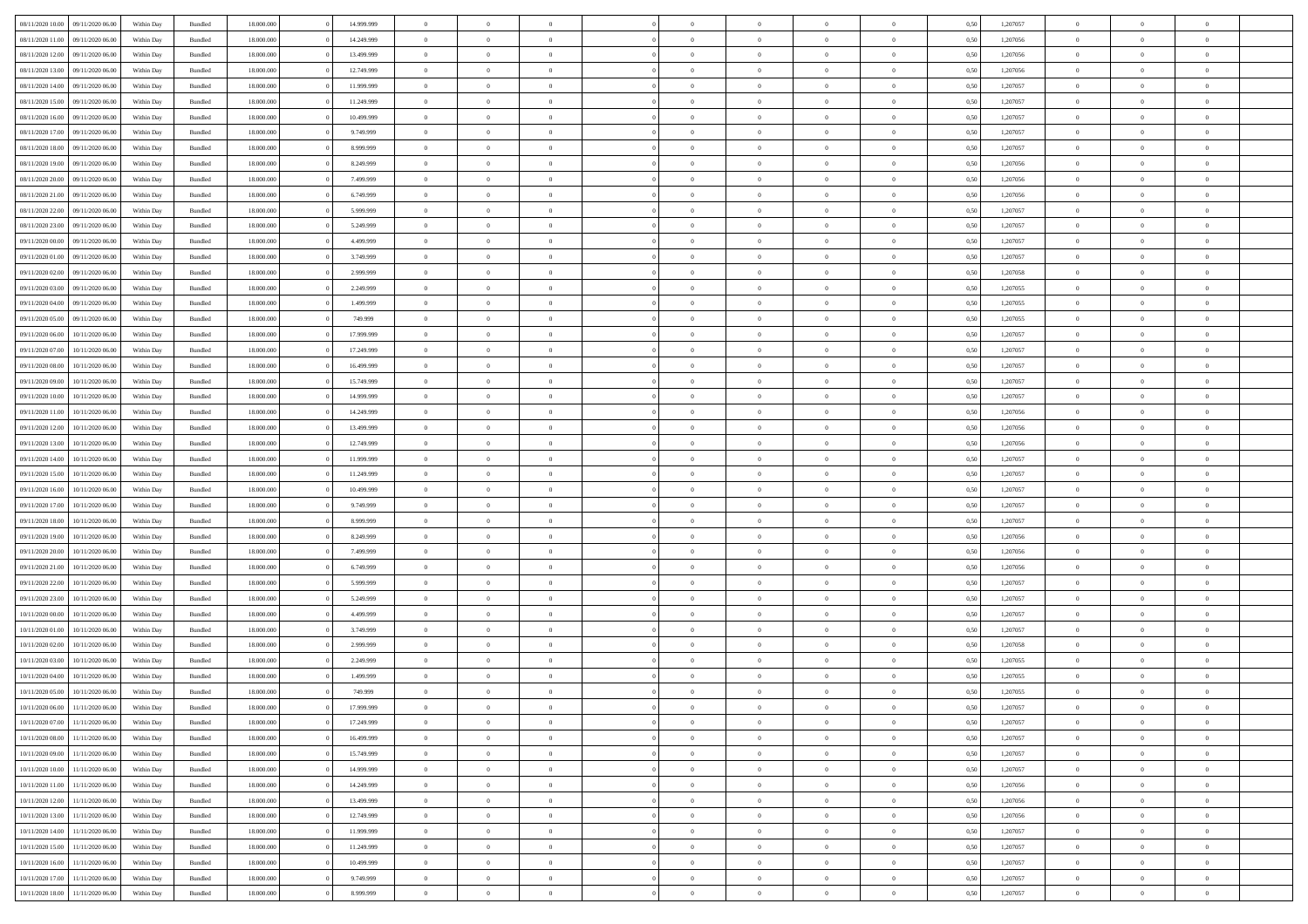| 08/11/2020 10:00 09/11/2020 06:00    | Within Day | Bundled | 18.000.000 | 14.999.999 | $\overline{0}$ | $\overline{0}$             | $\Omega$       | $\Omega$       | $\theta$                         | $\Omega$       | $\overline{0}$ | 0,50 | 1,207057 | $\theta$                         | $\theta$                   | $\overline{0}$             |  |
|--------------------------------------|------------|---------|------------|------------|----------------|----------------------------|----------------|----------------|----------------------------------|----------------|----------------|------|----------|----------------------------------|----------------------------|----------------------------|--|
| 08/11/2020 11:00<br>09/11/2020 06.00 | Within Day | Bundled | 18.000.000 | 14.249.999 | $\overline{0}$ | $\theta$                   | $\overline{0}$ | $\overline{0}$ | $\theta$                         | $\overline{0}$ | $\bf{0}$       | 0,50 | 1,207056 | $\theta$                         | $\theta$                   | $\overline{0}$             |  |
| 08/11/2020 12:00<br>09/11/2020 06.00 | Within Day | Bundled | 18.000.000 | 13.499.999 | $\overline{0}$ | $\bf{0}$                   | $\overline{0}$ | $\overline{0}$ | $\bf{0}$                         | $\overline{0}$ | $\bf{0}$       | 0,50 | 1,207056 | $\bf{0}$                         | $\overline{0}$             | $\bf{0}$                   |  |
| 08/11/2020 13:00<br>09/11/2020 06:00 | Within Day | Bundled | 18.000.000 | 12.749.999 | $\overline{0}$ | $\overline{0}$             | $\overline{0}$ | $\overline{0}$ | $\overline{0}$                   | $\overline{0}$ | $\overline{0}$ | 0.50 | 1,207056 | $\theta$                         | $\theta$                   | $\overline{0}$             |  |
| 08/11/2020 14:00<br>09/11/2020 06.00 | Within Day | Bundled | 18.000.000 | 11.999.999 | $\bf{0}$       | $\overline{0}$             | $\overline{0}$ | $\overline{0}$ | $\theta$                         | $\overline{0}$ | $\bf{0}$       | 0,50 | 1,207057 | $\theta$                         | $\theta$                   | $\overline{0}$             |  |
| 08/11/2020 15:00<br>09/11/2020 06.00 | Within Day | Bundled | 18.000.000 | 11.249.999 | $\overline{0}$ | $\bf{0}$                   | $\overline{0}$ | $\overline{0}$ | $\overline{0}$                   | $\overline{0}$ | $\bf{0}$       | 0,50 | 1,207057 | $\overline{0}$                   | $\overline{0}$             | $\bf{0}$                   |  |
| 08/11/2020 16:00<br>09/11/2020 06:00 | Within Day | Bundled | 18.000.000 | 10.499.999 | $\overline{0}$ | $\overline{0}$             | $\overline{0}$ | $\overline{0}$ | $\overline{0}$                   | $\overline{0}$ | $\overline{0}$ | 0.5( | 1,207057 | $\theta$                         | $\theta$                   | $\overline{0}$             |  |
|                                      |            |         |            |            |                |                            |                |                |                                  |                |                |      |          |                                  |                            |                            |  |
| 08/11/2020 17:00<br>09/11/2020 06.00 | Within Day | Bundled | 18.000.000 | 9.749.999  | $\bf{0}$       | $\theta$                   | $\overline{0}$ | $\overline{0}$ | $\theta$                         | $\overline{0}$ | $\bf{0}$       | 0,50 | 1,207057 | $\theta$                         | $\theta$                   | $\overline{0}$             |  |
| 08/11/2020 18:00<br>09/11/2020 06.00 | Within Day | Bundled | 18.000.000 | 8.999.999  | $\overline{0}$ | $\bf{0}$                   | $\overline{0}$ | $\overline{0}$ | $\overline{0}$                   | $\overline{0}$ | $\bf{0}$       | 0,50 | 1,207057 | $\bf{0}$                         | $\overline{0}$             | $\overline{0}$             |  |
| 08/11/2020 19:00<br>09/11/2020 06:00 | Within Day | Bundled | 18.000.000 | 8.249.999  | $\overline{0}$ | $\overline{0}$             | $\overline{0}$ | $\overline{0}$ | $\overline{0}$                   | $\overline{0}$ | $\bf{0}$       | 0.50 | 1,207056 | $\theta$                         | $\theta$                   | $\overline{0}$             |  |
| 08/11/2020 20:00<br>09/11/2020 06.00 | Within Day | Bundled | 18.000.000 | 7.499.999  | $\bf{0}$       | $\overline{0}$             | $\overline{0}$ | $\overline{0}$ | $\theta$                         | $\overline{0}$ | $\bf{0}$       | 0,50 | 1,207056 | $\theta$                         | $\theta$                   | $\overline{0}$             |  |
| 08/11/2020 21:00<br>09/11/2020 06.00 | Within Day | Bundled | 18.000.000 | 6.749.999  | $\overline{0}$ | $\bf{0}$                   | $\overline{0}$ | $\overline{0}$ | $\bf{0}$                         | $\overline{0}$ | $\bf{0}$       | 0,50 | 1,207056 | $\bf{0}$                         | $\overline{0}$             | $\bf{0}$                   |  |
| 08/11/2020 22.00<br>09/11/2020 06:00 | Within Day | Bundled | 18.000.000 | 5.999.999  | $\overline{0}$ | $\overline{0}$             | $\overline{0}$ | $\overline{0}$ | $\overline{0}$                   | $\overline{0}$ | $\overline{0}$ | 0.5( | 1,207057 | $\theta$                         | $\theta$                   | $\overline{0}$             |  |
| 08/11/2020 23:00<br>09/11/2020 06.00 | Within Day | Bundled | 18.000.000 | 5.249.999  | $\overline{0}$ | $\theta$                   | $\overline{0}$ | $\overline{0}$ | $\theta$                         | $\overline{0}$ | $\,$ 0 $\,$    | 0,50 | 1,207057 | $\theta$                         | $\theta$                   | $\overline{0}$             |  |
| 09/11/2020 00:00<br>09/11/2020 06.00 | Within Day | Bundled | 18.000.000 | 4.499.999  | $\overline{0}$ | $\bf{0}$                   | $\overline{0}$ | $\overline{0}$ | $\overline{0}$                   | $\overline{0}$ | $\bf{0}$       | 0,50 | 1,207057 | $\overline{0}$                   | $\overline{0}$             | $\overline{0}$             |  |
| 09/11/2020 01:00<br>09/11/2020 06:00 | Within Day | Bundled | 18.000.000 | 3.749.999  | $\overline{0}$ | $\overline{0}$             | $\overline{0}$ | $\overline{0}$ | $\overline{0}$                   | $\overline{0}$ | $\overline{0}$ | 0.5( | 1,207057 | $\theta$                         | $\overline{0}$             | $\overline{0}$             |  |
| 09/11/2020 02.00<br>09/11/2020 06.00 | Within Day | Bundled | 18.000.000 | 2.999.999  | $\bf{0}$       | $\overline{0}$             | $\overline{0}$ | $\overline{0}$ | $\theta$                         | $\overline{0}$ | $\bf{0}$       | 0,50 | 1,207058 | $\theta$                         | $\theta$                   | $\overline{0}$             |  |
| 09/11/2020 03:00<br>09/11/2020 06.00 | Within Day | Bundled | 18.000.000 | 2.249.999  | $\overline{0}$ | $\bf{0}$                   | $\overline{0}$ | $\overline{0}$ | $\overline{0}$                   | $\overline{0}$ | $\bf{0}$       | 0,50 | 1,207055 | $\bf{0}$                         | $\overline{0}$             | $\overline{0}$             |  |
| 09/11/2020 04:00<br>09/11/2020 06:00 | Within Day | Bundled | 18.000.000 | 1.499.999  | $\overline{0}$ | $\overline{0}$             | $\overline{0}$ | $\overline{0}$ | $\overline{0}$                   | $\overline{0}$ | $\overline{0}$ | 0.50 | 1,207055 | $\theta$                         | $\theta$                   | $\overline{0}$             |  |
| 09/11/2020 05:00<br>09/11/2020 06.00 | Within Day | Bundled | 18.000.000 | 749.999    | $\bf{0}$       | $\overline{0}$             | $\overline{0}$ | $\overline{0}$ | $\theta$                         | $\overline{0}$ | $\bf{0}$       | 0,50 | 1,207055 | $\theta$                         | $\theta$                   | $\overline{0}$             |  |
| 09/11/2020 06.00<br>10/11/2020 06.00 | Within Day | Bundled | 18.000.000 | 17.999.999 | $\overline{0}$ | $\bf{0}$                   | $\overline{0}$ | $\overline{0}$ | $\bf{0}$                         | $\overline{0}$ | $\bf{0}$       | 0,50 | 1,207057 | $\bf{0}$                         | $\overline{0}$             | $\bf{0}$                   |  |
| 09/11/2020 07:00<br>10/11/2020 06:00 | Within Day | Bundled | 18.000.000 | 17.249.999 | $\overline{0}$ | $\overline{0}$             | $\overline{0}$ | $\overline{0}$ | $\overline{0}$                   | $\overline{0}$ | $\overline{0}$ | 0.5( | 1,207057 | $\theta$                         | $\overline{0}$             | $\overline{0}$             |  |
| 09/11/2020 08:00<br>10/11/2020 06:00 | Within Day | Bundled | 18.000.000 | 16.499.999 | $\bf{0}$       | $\theta$                   | $\overline{0}$ | $\overline{0}$ | $\theta$                         | $\overline{0}$ | $\bf{0}$       | 0,50 | 1,207057 | $\theta$                         | $\theta$                   | $\overline{0}$             |  |
|                                      |            |         |            |            |                |                            |                |                |                                  |                |                |      |          |                                  |                            |                            |  |
| 09/11/2020 09:00<br>10/11/2020 06.00 | Within Day | Bundled | 18.000.000 | 15.749.999 | $\overline{0}$ | $\bf{0}$<br>$\overline{0}$ | $\overline{0}$ | $\overline{0}$ | $\overline{0}$<br>$\overline{0}$ | $\overline{0}$ | $\bf{0}$       | 0,50 | 1,207057 | $\overline{0}$<br>$\overline{0}$ | $\overline{0}$<br>$\theta$ | $\bf{0}$<br>$\overline{0}$ |  |
| 09/11/2020 10:00<br>10/11/2020 06:00 | Within Day | Bundled | 18.000.000 | 14.999.999 | $\overline{0}$ |                            | $\overline{0}$ | $\overline{0}$ |                                  | $\overline{0}$ | $\overline{0}$ | 0.5( | 1,207057 |                                  |                            |                            |  |
| 09/11/2020 11:00<br>10/11/2020 06:00 | Within Day | Bundled | 18.000.000 | 14.249.999 | $\bf{0}$       | $\overline{0}$             | $\overline{0}$ | $\overline{0}$ | $\theta$                         | $\overline{0}$ | $\bf{0}$       | 0,50 | 1,207056 | $\theta$                         | $\theta$                   | $\overline{0}$             |  |
| 09/11/2020 12:00<br>10/11/2020 06.00 | Within Day | Bundled | 18.000.000 | 13.499.999 | $\overline{0}$ | $\bf{0}$                   | $\overline{0}$ | $\overline{0}$ | $\overline{0}$                   | $\bf{0}$       | $\bf{0}$       | 0,50 | 1,207056 | $\bf{0}$                         | $\bf{0}$                   | $\overline{0}$             |  |
| 09/11/2020 13:00<br>10/11/2020 06:00 | Within Day | Bundled | 18.000.000 | 12.749.999 | $\overline{0}$ | $\overline{0}$             | $\overline{0}$ | $\overline{0}$ | $\overline{0}$                   | $\overline{0}$ | $\overline{0}$ | 0.5( | 1,207056 | $\theta$                         | $\theta$                   | $\overline{0}$             |  |
| 09/11/2020 14:00<br>10/11/2020 06:00 | Within Day | Bundled | 18.000.000 | 11.999.999 | $\bf{0}$       | $\overline{0}$             | $\overline{0}$ | $\overline{0}$ | $\theta$                         | $\overline{0}$ | $\bf{0}$       | 0,50 | 1,207057 | $\,$ 0 $\,$                      | $\theta$                   | $\overline{0}$             |  |
| 09/11/2020 15:00<br>10/11/2020 06.00 | Within Day | Bundled | 18.000.000 | 11.249.999 | $\overline{0}$ | $\bf{0}$                   | $\overline{0}$ | $\overline{0}$ | $\bf{0}$                         | $\overline{0}$ | $\bf{0}$       | 0,50 | 1,207057 | $\bf{0}$                         | $\overline{0}$             | $\bf{0}$                   |  |
| 09/11/2020 16:00<br>10/11/2020 06.00 | Within Day | Bundled | 18,000,000 | 10.499.999 | $\overline{0}$ | $\overline{0}$             | $\Omega$       | $\Omega$       | $\Omega$                         | $\Omega$       | $\overline{0}$ | 0,50 | 1,207057 | $\bf{0}$                         | $\overline{0}$             | $\theta$                   |  |
| 09/11/2020 17.00<br>10/11/2020 06:00 | Within Day | Bundled | 18.000.000 | 9.749.999  | $\bf{0}$       | $\overline{0}$             | $\overline{0}$ | $\overline{0}$ | $\theta$                         | $\overline{0}$ | $\bf{0}$       | 0,50 | 1,207057 | $\theta$                         | $\theta$                   | $\overline{0}$             |  |
| 09/11/2020 18:00<br>10/11/2020 06.00 | Within Day | Bundled | 18.000.000 | 8.999.999  | $\overline{0}$ | $\bf{0}$                   | $\overline{0}$ | $\overline{0}$ | $\overline{0}$                   | $\overline{0}$ | $\bf{0}$       | 0,50 | 1,207057 | $\bf{0}$                         | $\overline{0}$             | $\bf{0}$                   |  |
| 09/11/2020 19:00<br>10/11/2020 06.00 | Within Day | Bundled | 18,000,000 | 8.249.999  | $\overline{0}$ | $\overline{0}$             | $\Omega$       | $\Omega$       | $\overline{0}$                   | $\Omega$       | $\overline{0}$ | 0.50 | 1,207056 | $\bf{0}$                         | $\theta$                   | $\theta$                   |  |
| 09/11/2020 20:00<br>10/11/2020 06:00 | Within Day | Bundled | 18.000.000 | 7.499.999  | $\bf{0}$       | $\overline{0}$             | $\overline{0}$ | $\overline{0}$ | $\theta$                         | $\overline{0}$ | $\bf{0}$       | 0,50 | 1,207056 | $\theta$                         | $\theta$                   | $\overline{0}$             |  |
| 09/11/2020 21.00<br>10/11/2020 06.00 | Within Day | Bundled | 18.000.000 | 6.749.999  | $\overline{0}$ | $\bf{0}$                   | $\overline{0}$ | $\overline{0}$ | $\overline{0}$                   | $\bf{0}$       | $\bf{0}$       | 0,50 | 1,207056 | $\bf{0}$                         | $\overline{0}$             | $\bf{0}$                   |  |
| 09/11/2020 22.00<br>10/11/2020 06:00 | Within Day | Bundled | 18,000,000 | 5.999.999  | $\overline{0}$ | $\overline{0}$             | $\Omega$       | $\Omega$       | $\Omega$                         | $\theta$       | $\overline{0}$ | 0.50 | 1,207057 | $\overline{0}$                   | $\theta$                   | $\theta$                   |  |
| 09/11/2020 23.00<br>10/11/2020 06:00 | Within Day | Bundled | 18.000.000 | 5.249.999  | $\bf{0}$       | $\bf{0}$                   | $\overline{0}$ | $\overline{0}$ | $\theta$                         | $\overline{0}$ | $\bf{0}$       | 0,50 | 1,207057 | $\,$ 0 $\,$                      | $\,$ 0 $\,$                | $\overline{0}$             |  |
| 10/11/2020 00:00<br>10/11/2020 06.00 | Within Day | Bundled | 18.000.000 | 4.499.999  | $\overline{0}$ | $\bf{0}$                   | $\overline{0}$ | $\overline{0}$ | $\bf{0}$                         | $\overline{0}$ | $\bf{0}$       | 0,50 | 1,207057 | $\bf{0}$                         | $\overline{0}$             | $\bf{0}$                   |  |
| 10/11/2020 01:00<br>10/11/2020 06.00 | Within Day | Bundled | 18,000,000 | 3.749.999  | $\overline{0}$ | $\overline{0}$             | $\Omega$       | $\Omega$       | $\theta$                         | $\Omega$       | $\overline{0}$ | 0.50 | 1,207057 | $\bf{0}$                         | $\overline{0}$             | $\theta$                   |  |
| 10/11/2020 02:00<br>10/11/2020 06:00 | Within Day | Bundled | 18.000.000 | 2.999.999  | $\bf{0}$       | $\overline{0}$             | $\overline{0}$ | $\overline{0}$ | $\theta$                         | $\overline{0}$ | $\bf{0}$       | 0,50 | 1,207058 | $\theta$                         | $\theta$                   | $\overline{0}$             |  |
| 10/11/2020 03:00<br>10/11/2020 06.00 | Within Day | Bundled | 18.000.000 | 2.249.999  | $\overline{0}$ | $\bf{0}$                   | $\overline{0}$ | $\overline{0}$ | $\overline{0}$                   | $\overline{0}$ | $\bf{0}$       | 0,50 | 1,207055 | $\bf{0}$                         | $\overline{0}$             | $\bf{0}$                   |  |
| 10/11/2020 04:00<br>10/11/2020 06.00 | Within Day | Bundled | 18,000,000 | 1.499.999  | $\overline{0}$ | $\overline{0}$             | $\Omega$       | $\Omega$       | $\Omega$                         | $\theta$       | $\overline{0}$ | 0.50 | 1,207055 | $\theta$                         | $\overline{0}$             | $\theta$                   |  |
| 10/11/2020 05:00<br>10/11/2020 06:00 | Within Day | Bundled | 18.000.000 | 749.999    | $\bf{0}$       | $\bf{0}$                   | $\bf{0}$       | $\overline{0}$ | $\overline{0}$                   | $\bf{0}$       | $\bf{0}$       | 0,50 | 1,207055 | $\bf{0}$                         | $\,0\,$                    | $\overline{0}$             |  |
| 10/11/2020 06:00 11/11/2020 06:00    | Within Day | Bundled | 18.000.000 | 17.999.999 | $\bf{0}$       | $\bf{0}$                   |                | $\bf{0}$       | $\bf{0}$                         |                | $\bf{0}$       | 0,50 | 1,207057 | $\bf{0}$                         | $\bf{0}$                   |                            |  |
| 10/11/2020 07:00 11/11/2020 06:00    | Within Day | Bundled | 18,000,000 | 17.249.999 | $\Omega$       | $\overline{0}$             | $\Omega$       | $\theta$       | $\Omega$                         | $\theta$       | $\overline{0}$ | 0.50 | 1,207057 | $\theta$                         | $\theta$                   | $\theta$                   |  |
| 10/11/2020 08:00<br>11/11/2020 06:00 | Within Day | Bundled | 18.000.000 | 16.499.999 | $\bf{0}$       | $\,$ 0                     | $\overline{0}$ | $\overline{0}$ | $\overline{0}$                   | $\overline{0}$ | $\,$ 0 $\,$    | 0,50 | 1,207057 | $\,$ 0 $\,$                      | $\,$ 0 $\,$                | $\,$ 0                     |  |
| 10/11/2020 09:00<br>11/11/2020 06:00 | Within Day | Bundled | 18.000.000 | 15.749.999 | $\overline{0}$ | $\overline{0}$             | $\overline{0}$ | $\overline{0}$ | $\overline{0}$                   | $\overline{0}$ | $\bf{0}$       | 0,50 | 1,207057 | $\overline{0}$                   | $\bf{0}$                   | $\bf{0}$                   |  |
| 10/11/2020 10:00<br>11/11/2020 06:00 | Within Day | Bundled | 18.000.000 | 14.999.999 | $\overline{0}$ | $\overline{0}$             | $\overline{0}$ | $\overline{0}$ | $\overline{0}$                   | $\overline{0}$ | $\bf{0}$       | 0,50 | 1,207057 | $\bf{0}$                         | $\theta$                   | $\overline{0}$             |  |
| 10/11/2020 11:00<br>11/11/2020 06:00 | Within Day | Bundled | 18.000.000 | 14.249.999 | $\overline{0}$ | $\overline{0}$             | $\overline{0}$ | $\overline{0}$ | $\overline{0}$                   | $\overline{0}$ | $\bf{0}$       | 0,50 | 1,207056 | $\,$ 0 $\,$                      | $\,$ 0 $\,$                | $\overline{0}$             |  |
| 10/11/2020 12:00<br>11/11/2020 06:00 | Within Day | Bundled | 18.000.000 | 13.499.999 | $\overline{0}$ | $\overline{0}$             | $\overline{0}$ | $\overline{0}$ | $\overline{0}$                   | $\overline{0}$ | $\bf{0}$       | 0,50 | 1,207056 | $\overline{0}$                   | $\overline{0}$             | $\bf{0}$                   |  |
| 10/11/2020 13:00<br>11/11/2020 06.00 | Within Day | Bundled | 18,000,000 | 12.749.999 | $\overline{0}$ | $\overline{0}$             | $\overline{0}$ | $\overline{0}$ | $\overline{0}$                   | $\overline{0}$ | $\bf{0}$       | 0.50 | 1,207056 | $\overline{0}$                   | $\theta$                   | $\overline{0}$             |  |
| 10/11/2020 14:00<br>11/11/2020 06:00 | Within Day | Bundled | 18.000.000 | 11.999.999 | $\overline{0}$ | $\,$ 0                     | $\overline{0}$ | $\overline{0}$ | $\overline{0}$                   | $\overline{0}$ | $\bf{0}$       | 0,50 | 1,207057 | $\,$ 0 $\,$                      | $\bf{0}$                   | $\overline{0}$             |  |
| 10/11/2020 15:00<br>11/11/2020 06.00 | Within Day | Bundled | 18.000.000 | 11.249.999 | $\overline{0}$ | $\bf{0}$                   | $\overline{0}$ | $\overline{0}$ | $\overline{0}$                   | $\overline{0}$ | $\bf{0}$       | 0,50 | 1,207057 | $\bf{0}$                         | $\overline{0}$             | $\bf{0}$                   |  |
| 10/11/2020 16:00<br>11/11/2020 06:00 | Within Day | Bundled | 18,000,000 | 10.499.999 | $\overline{0}$ | $\overline{0}$             | $\overline{0}$ | $\overline{0}$ | $\overline{0}$                   | $\overline{0}$ | $\bf{0}$       | 0.50 | 1,207057 | $\overline{0}$                   | $\overline{0}$             | $\overline{0}$             |  |
| 10/11/2020 17:00<br>11/11/2020 06:00 | Within Day | Bundled | 18.000.000 | 9.749.999  | $\overline{0}$ | $\,$ 0                     | $\overline{0}$ | $\overline{0}$ | $\overline{0}$                   | $\bf{0}$       | $\bf{0}$       | 0,50 | 1,207057 | $\,$ 0 $\,$                      | $\,$ 0 $\,$                | $\overline{0}$             |  |
|                                      |            |         |            |            |                |                            |                |                |                                  |                |                |      |          |                                  |                            |                            |  |
| 10/11/2020 18:00 11/11/2020 06:00    | Within Day | Bundled | 18.000.000 | 8.999.999  | $\overline{0}$ | $\bf{0}$                   | $\overline{0}$ | $\overline{0}$ | $\overline{0}$                   | $\overline{0}$ | $\bf{0}$       | 0,50 | 1,207057 | $\overline{0}$                   | $\bf{0}$                   | $\overline{0}$             |  |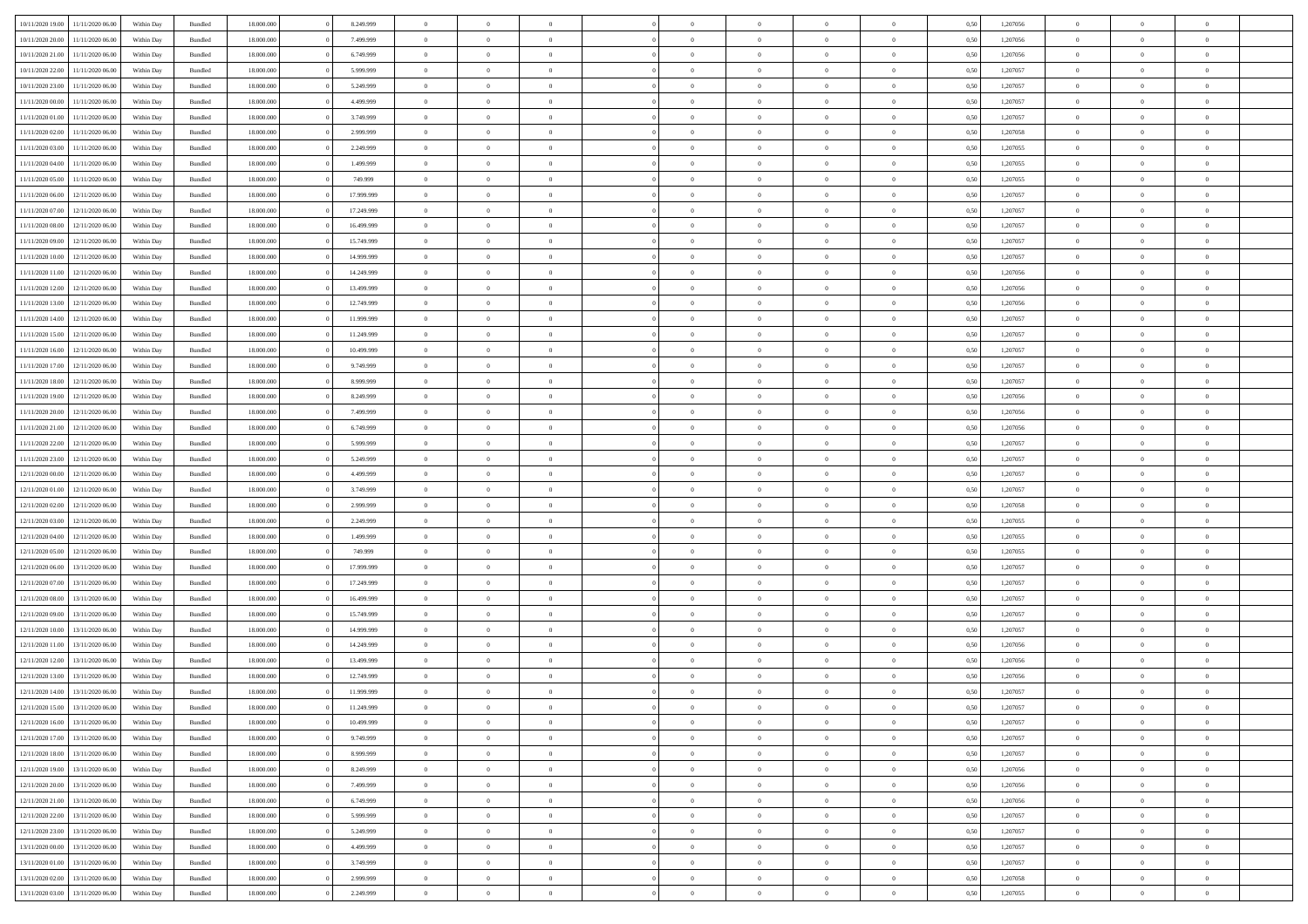| 10/11/2020 19:00                  | 11/11/2020 06.00 | Within Day | Bundled | 18,000,000 | 8.249.999  | $\overline{0}$ | $\theta$       |                |                | $\Omega$       | $\Omega$       | $\overline{0}$ | 0,50 | 1,207056 | $\theta$       | $\theta$       | $\theta$       |  |
|-----------------------------------|------------------|------------|---------|------------|------------|----------------|----------------|----------------|----------------|----------------|----------------|----------------|------|----------|----------------|----------------|----------------|--|
| 10/11/2020 20:00                  | 11/11/2020 06:00 | Within Dav | Bundled | 18.000.000 | 7.499.999  | $\overline{0}$ | $\Omega$       |                | $\Omega$       | $\Omega$       | $\Omega$       | $\bf{0}$       | 0.50 | 1,207056 | $\theta$       | $\Omega$       | $\sqrt{ }$     |  |
| 10/11/2020 21.00                  | 11/11/2020 06.00 | Within Day | Bundled | 18.000.000 | 6.749.999  | $\overline{0}$ | $\overline{0}$ | $\overline{0}$ | $\overline{0}$ | $\,$ 0 $\,$    | $\overline{0}$ | $\,$ 0 $\,$    | 0,50 | 1,207056 | $\,$ 0 $\,$    | $\overline{0}$ | $\overline{0}$ |  |
| 10/11/2020 22.00                  | 11/11/2020 06.00 | Within Day | Bundled | 18.000.000 | 5.999.999  | $\overline{0}$ | $\overline{0}$ | $\overline{0}$ | $\overline{0}$ | $\bf{0}$       | $\overline{0}$ | $\bf{0}$       | 0,50 | 1,207057 | $\bf{0}$       | $\overline{0}$ | $\overline{0}$ |  |
| 10/11/2020 23.00                  | 11/11/2020 06.00 | Within Day | Bundled | 18.000.000 | 5.249.999  | $\overline{0}$ | $\Omega$       | $^{\circ}$     | $\Omega$       | $\overline{0}$ | $\Omega$       | $\overline{0}$ | 0.50 | 1,207057 | $\theta$       | $\theta$       | $\sqrt{ }$     |  |
|                                   |                  |            |         |            |            |                |                |                |                |                |                |                |      |          |                |                |                |  |
| 11/11/2020 00.00                  | 11/11/2020 06.00 | Within Day | Bundled | 18.000.000 | 4.499.999  | $\overline{0}$ | $\overline{0}$ | $\overline{0}$ | $\overline{0}$ | $\,$ 0 $\,$    | $\overline{0}$ | $\,$ 0 $\,$    | 0,50 | 1,207057 | $\,$ 0 $\,$    | $\overline{0}$ | $\overline{0}$ |  |
| 11/11/2020 01:00                  | 11/11/2020 06.00 | Within Day | Bundled | 18.000.000 | 3.749.999  | $\overline{0}$ | $\overline{0}$ | $\overline{0}$ | $\overline{0}$ | $\overline{0}$ | $\overline{0}$ | $\bf{0}$       | 0,50 | 1,207057 | $\bf{0}$       | $\theta$       | $\overline{0}$ |  |
| 11/11/2020 02.00                  | 11/11/2020 06.00 | Within Dav | Bundled | 18.000.000 | 2.999.999  | $\overline{0}$ | $\Omega$       | $^{\circ}$     | $\Omega$       | $\bf{0}$       | $\Omega$       | $\overline{0}$ | 0.50 | 1,207058 | $\theta$       | $\theta$       | $\sqrt{ }$     |  |
| 11/11/2020 03.00                  | 11/11/2020 06.00 | Within Day | Bundled | 18.000.000 | 2.249.999  | $\overline{0}$ | $\overline{0}$ | $\overline{0}$ | $\overline{0}$ | $\,$ 0 $\,$    | $\overline{0}$ | $\,$ 0 $\,$    | 0,50 | 1,207055 | $\,$ 0 $\,$    | $\overline{0}$ | $\overline{0}$ |  |
| 11/11/2020 04.00                  | 11/11/2020 06.00 | Within Day | Bundled | 18,000,000 | 1.499.999  | $\overline{0}$ | $\overline{0}$ | $\overline{0}$ | $\Omega$       | $\overline{0}$ | $\overline{0}$ | $\bf{0}$       | 0,50 | 1,207055 | $\bf{0}$       | $\theta$       | $\overline{0}$ |  |
| 11/11/2020 05:00                  | 11/11/2020 06.00 | Within Dav | Bundled | 18.000.000 | 749.999    | $\overline{0}$ | $\Omega$       | $^{\circ}$     | $\Omega$       | $\bf{0}$       | $\Omega$       | $\overline{0}$ | 0.50 | 1,207055 | $\theta$       | $\theta$       | $\sqrt{ }$     |  |
| 11/11/2020 06.00                  | 12/11/2020 06.00 | Within Day | Bundled | 18.000.000 | 17.999.999 | $\overline{0}$ | $\overline{0}$ | $\overline{0}$ | $\overline{0}$ | $\,$ 0 $\,$    | $\overline{0}$ | $\,$ 0 $\,$    | 0,50 | 1,207057 | $\,$ 0 $\,$    | $\overline{0}$ | $\overline{0}$ |  |
| 11/11/2020 07.00                  | 12/11/2020 06.00 | Within Day | Bundled | 18.000.000 | 17.249.999 | $\overline{0}$ | $\bf{0}$       | $\overline{0}$ | $\overline{0}$ | $\bf{0}$       | $\overline{0}$ | $\bf{0}$       | 0,50 | 1,207057 | $\bf{0}$       | $\overline{0}$ | $\overline{0}$ |  |
| 11/11/2020 08:00                  | 12/11/2020 06:00 | Within Day | Bundled | 18.000.000 | 16.499.999 | $\overline{0}$ | $\theta$       | $^{\circ}$     | $\overline{0}$ | $\overline{0}$ | $\Omega$       | $\bf{0}$       | 0.50 | 1,207057 | $\theta$       | $\theta$       | $\sqrt{ }$     |  |
|                                   |                  |            |         |            |            |                |                |                |                |                |                |                |      |          |                |                |                |  |
| 11/11/2020 09:00                  | 12/11/2020 06.00 | Within Day | Bundled | 18.000.000 | 15.749.999 | $\overline{0}$ | $\theta$       | $\overline{0}$ | $\overline{0}$ | $\,$ 0 $\,$    | $\overline{0}$ | $\,$ 0 $\,$    | 0,50 | 1,207057 | $\theta$       | $\overline{0}$ | $\overline{0}$ |  |
| 11/11/2020 10:00                  | 12/11/2020 06:00 | Within Day | Bundled | 18.000.000 | 14.999.999 | $\overline{0}$ | $\overline{0}$ | $\overline{0}$ | $\Omega$       | $\overline{0}$ | $\overline{0}$ | $\bf{0}$       | 0,50 | 1,207057 | $\theta$       | $\overline{0}$ | $\overline{0}$ |  |
| 11/11/2020 11:00                  | 12/11/2020 06.00 | Within Day | Bundled | 18.000.000 | 14.249.999 | $\overline{0}$ | $\Omega$       | $^{\circ}$     | $\Omega$       | $\overline{0}$ | $\Omega$       | $\bf{0}$       | 0.50 | 1,207056 | $\theta$       | $\theta$       | -0             |  |
| 11/11/2020 12:00                  | 12/11/2020 06.00 | Within Day | Bundled | 18.000.000 | 13.499.999 | $\overline{0}$ | $\overline{0}$ | $\overline{0}$ | $\overline{0}$ | $\,$ 0 $\,$    | $\overline{0}$ | $\,$ 0 $\,$    | 0,50 | 1,207056 | $\,$ 0 $\,$    | $\overline{0}$ | $\overline{0}$ |  |
| 11/11/2020 13.00                  | 12/11/2020 06.00 | Within Day | Bundled | 18,000,000 | 12.749.999 | $\overline{0}$ | $\overline{0}$ | $\overline{0}$ | $\Omega$       | $\overline{0}$ | $\overline{0}$ | $\bf{0}$       | 0,50 | 1,207056 | $\bf{0}$       | $\theta$       | $\overline{0}$ |  |
| 11/11/2020 14:00                  | 12/11/2020 06:00 | Within Day | Bundled | 18.000.000 | 11.999.999 | $\overline{0}$ | $\Omega$       | $\Omega$       | $\Omega$       | $\bf{0}$       | $\Omega$       | $\overline{0}$ | 0.50 | 1,207057 | $\theta$       | $\theta$       | $\sqrt{ }$     |  |
| 11/11/2020 15:00                  | 12/11/2020 06.00 | Within Day | Bundled | 18.000.000 | 11.249.999 | $\overline{0}$ | $\overline{0}$ | $\overline{0}$ | $\overline{0}$ | $\,$ 0 $\,$    | $\overline{0}$ | $\,$ 0 $\,$    | 0,50 | 1,207057 | $\,$ 0 $\,$    | $\overline{0}$ | $\overline{0}$ |  |
| 11/11/2020 16:00                  | 12/11/2020 06.00 | Within Day | Bundled | 18.000.000 | 10.499.999 | $\overline{0}$ | $\bf{0}$       | $\overline{0}$ | $\overline{0}$ | $\bf{0}$       | $\overline{0}$ | $\bf{0}$       | 0,50 | 1,207057 | $\bf{0}$       | $\overline{0}$ | $\overline{0}$ |  |
| 11/11/2020 17.00                  | 12/11/2020 06:00 | Within Day | Bundled | 18.000.000 | 9.749.999  | $\overline{0}$ | $\Omega$       | $^{\circ}$     | $\overline{0}$ | $\bf{0}$       | $\Omega$       | $\overline{0}$ | 0.50 | 1,207057 | $\theta$       | $\theta$       | $\sqrt{ }$     |  |
|                                   |                  |            |         |            |            |                |                |                |                |                |                |                |      |          |                |                |                |  |
| 11/11/2020 18.00                  | 12/11/2020 06.00 | Within Day | Bundled | 18.000.000 | 8.999.999  | $\overline{0}$ | $\theta$       | $\overline{0}$ | $\overline{0}$ | $\,$ 0 $\,$    | $\overline{0}$ | $\,$ 0 $\,$    | 0,50 | 1,207057 | $\,$ 0 $\,$    | $\overline{0}$ | $\overline{0}$ |  |
| 11/11/2020 19:00                  | 12/11/2020 06:00 | Within Day | Bundled | 18.000.000 | 8.249.999  | $\overline{0}$ | $\overline{0}$ | $\overline{0}$ | $\overline{0}$ | $\overline{0}$ | $\overline{0}$ | $\bf{0}$       | 0,50 | 1,207056 | $\bf{0}$       | $\overline{0}$ | $\overline{0}$ |  |
| 11/11/2020 20.00                  | 12/11/2020 06:00 | Within Dav | Bundled | 18.000.000 | 7.499.999  | $\overline{0}$ | $\Omega$       | $^{\circ}$     | $\Omega$       | $\bf{0}$       | $\Omega$       | $\overline{0}$ | 0.50 | 1,207056 | $\theta$       | $\theta$       | $\sqrt{ }$     |  |
| 11/11/2020 21.00                  | 12/11/2020 06.00 | Within Day | Bundled | 18.000.000 | 6.749.999  | $\overline{0}$ | $\overline{0}$ | $\overline{0}$ | $\overline{0}$ | $\,$ 0 $\,$    | $\overline{0}$ | $\,$ 0 $\,$    | 0,50 | 1,207056 | $\,$ 0 $\,$    | $\overline{0}$ | $\overline{0}$ |  |
| 11/11/2020 22.00                  | 12/11/2020 06.00 | Within Day | Bundled | 18,000,000 | 5.999.999  | $\overline{0}$ | $\overline{0}$ | $\overline{0}$ | $\Omega$       | $\overline{0}$ | $\overline{0}$ | $\bf{0}$       | 0,50 | 1,207057 | $\bf{0}$       | $\theta$       | $\overline{0}$ |  |
| 11/11/2020 23.00                  | 12/11/2020 06:00 | Within Day | Bundled | 18.000.000 | 5.249.999  | $\overline{0}$ | $\Omega$       | $^{\circ}$     | $\Omega$       | $\overline{0}$ | $\Omega$       | $\overline{0}$ | 0.50 | 1,207057 | $\theta$       | $\theta$       | $\sqrt{ }$     |  |
| 12/11/2020 00:00                  | 12/11/2020 06.00 | Within Day | Bundled | 18.000.000 | 4.499.999  | $\overline{0}$ | $\overline{0}$ | $\overline{0}$ | $\overline{0}$ | $\,$ 0 $\,$    | $\overline{0}$ | $\,$ 0 $\,$    | 0,50 | 1,207057 | $\,$ 0 $\,$    | $\overline{0}$ | $\overline{0}$ |  |
| 12/11/2020 01:00                  | 12/11/2020 06.00 | Within Day | Bundled | 18.000.000 | 3.749.999  | $\bf{0}$       | $\overline{0}$ | $\overline{0}$ | $\bf{0}$       | $\bf{0}$       | $\bf{0}$       | $\bf{0}$       | 0,50 | 1,207057 | $\,$ 0 $\,$    | $\overline{0}$ | $\overline{0}$ |  |
| 12/11/2020 02.00                  | 12/11/2020 06:00 | Within Day | Bundled | 18.000.000 | 2.999.999  | $\overline{0}$ | $\theta$       | $^{\circ}$     | $\overline{0}$ | $\bf{0}$       | $\Omega$       | $\bf{0}$       | 0.50 | 1,207058 | $\theta$       | $\theta$       | $\sqrt{ }$     |  |
|                                   |                  |            |         |            |            |                |                |                |                |                |                |                |      |          |                |                |                |  |
| 12/11/2020 03:00                  | 12/11/2020 06.00 | Within Day | Bundled | 18.000.000 | 2.249.999  | $\overline{0}$ | $\overline{0}$ | $\overline{0}$ | $\overline{0}$ | $\,$ 0 $\,$    | $\overline{0}$ | $\,$ 0 $\,$    | 0,50 | 1,207055 | $\theta$       | $\overline{0}$ | $\overline{0}$ |  |
| 12/11/2020 04:00                  | 12/11/2020 06.00 | Within Day | Bundled | 18.000.000 | 1.499.999  | $\bf{0}$       | $\theta$       | $\overline{0}$ | $\overline{0}$ | $\,$ 0         | $\bf{0}$       | $\bf{0}$       | 0,50 | 1,207055 | $\,$ 0 $\,$    | $\overline{0}$ | $\overline{0}$ |  |
| 12/11/2020 05:00                  | 12/11/2020 06:00 | Within Day | Bundled | 18.000.000 | 749.999    | $\overline{0}$ | $\Omega$       | $^{\circ}$     | $\Omega$       | $\overline{0}$ | $\Omega$       | $\overline{0}$ | 0.50 | 1,207055 | $\theta$       | $\theta$       | -0             |  |
| 12/11/2020 06.00                  | 13/11/2020 06.00 | Within Day | Bundled | 18.000.000 | 17.999.999 | $\overline{0}$ | $\overline{0}$ | $\overline{0}$ | $\overline{0}$ | $\,$ 0 $\,$    | $\bf{0}$       | $\,$ 0 $\,$    | 0,50 | 1,207057 | $\,$ 0 $\,$    | $\overline{0}$ | $\overline{0}$ |  |
| 12/11/2020 07:00                  | 13/11/2020 06.00 | Within Day | Bundled | 18.000.000 | 17.249.999 | $\bf{0}$       | $\,$ 0 $\,$    | $\overline{0}$ | $\bf{0}$       | $\bf{0}$       | $\bf{0}$       | $\bf{0}$       | 0,50 | 1,207057 | $\,$ 0 $\,$    | $\overline{0}$ | $\overline{0}$ |  |
| 12/11/2020 08:00                  | 13/11/2020 06:00 | Within Day | Bundled | 18.000.000 | 16.499.999 | $\overline{0}$ | $\theta$       | $^{\circ}$     | $\Omega$       | $\overline{0}$ | $\Omega$       | $\overline{0}$ | 0.50 | 1,207057 | $\theta$       | $\theta$       | $\sqrt{ }$     |  |
| 12/11/2020 09:00                  | 13/11/2020 06.00 | Within Day | Bundled | 18.000.000 | 15.749.999 | $\overline{0}$ | $\overline{0}$ | $\overline{0}$ | $\overline{0}$ | $\,$ 0 $\,$    | $\overline{0}$ | $\,$ 0 $\,$    | 0,50 | 1,207057 | $\,$ 0 $\,$    | $\overline{0}$ | $\overline{0}$ |  |
| 12/11/2020 10:00                  | 13/11/2020 06.00 | Within Day | Bundled | 18.000.000 | 14.999.999 | $\bf{0}$       | $\,$ 0 $\,$    | $\overline{0}$ | $\bf{0}$       | $\,$ 0         | $\bf{0}$       | $\bf{0}$       | 0,50 | 1,207057 | $\,$ 0 $\,$    | $\overline{0}$ | $\overline{0}$ |  |
| 12/11/2020 11:00                  | 13/11/2020 06:00 | Within Day | Bundled | 18.000.000 | 14.249.999 | $\overline{0}$ | $\theta$       | $^{\circ}$     | $\Omega$       | $\bf{0}$       | $\Omega$       | $\overline{0}$ | 0.50 | 1,207056 | $\theta$       | $\theta$       | $\sqrt{ }$     |  |
|                                   |                  |            |         |            |            |                |                |                |                |                |                |                |      |          |                |                |                |  |
| 12/11/2020 12:00                  | 13/11/2020 06.00 | Within Day | Bundled | 18.000.000 | 13.499.999 | $\overline{0}$ | $\theta$       | $\overline{0}$ | $\overline{0}$ | $\,$ 0 $\,$    | $\overline{0}$ | $\,$ 0 $\,$    | 0,50 | 1,207056 | $\,$ 0 $\,$    | $\overline{0}$ | $\overline{0}$ |  |
| 12/11/2020 13:00                  | 13/11/2020 06.00 | Within Day | Bundled | 18.000.000 | 12.749.999 | $\overline{0}$ | $\theta$       | $\overline{0}$ | $\overline{0}$ | $\bf{0}$       | $\overline{0}$ | $\bf{0}$       | 0,50 | 1,207056 | $\,$ 0 $\,$    | $\overline{0}$ | $\overline{0}$ |  |
| 12/11/2020 14:00 13/11/2020 06:00 |                  | Within Day | Bundled | 18.000.000 | 11.999.999 | $\overline{0}$ | $\overline{0}$ | $\Omega$       | $\overline{0}$ | $\bf{0}$       | $\overline{0}$ | $\overline{0}$ | 0.50 | 1,207057 | $\theta$       | $\theta$       | $\overline{0}$ |  |
| 12/11/2020 15:00 13/11/2020 06:00 |                  | Within Day | Bundled | 18.000.000 | 11.249.999 | $\overline{0}$ | $\overline{0}$ |                |                | $\bf{0}$       |                |                | 0,50 | 1.207057 | $\theta$       | $\theta$       |                |  |
| 12/11/2020 16:00                  | 13/11/2020 06.00 | Within Day | Bundled | 18.000.000 | 10.499.999 | $\overline{0}$ | $\bf{0}$       | $\overline{0}$ | $\bf{0}$       | $\bf{0}$       | $\bf{0}$       | $\bf{0}$       | 0,50 | 1,207057 | $\bf{0}$       | $\overline{0}$ | $\bf{0}$       |  |
| 12/11/2020 17:00                  | 13/11/2020 06:00 | Within Day | Bundled | 18.000.000 | 9.749.999  | $\overline{0}$ | $\overline{0}$ | $\overline{0}$ | $\overline{0}$ | $\mathbf{0}$   | $\overline{0}$ | $\overline{0}$ | 0,50 | 1,207057 | $\overline{0}$ | $\overline{0}$ | $\overline{0}$ |  |
| 12/11/2020 18:00                  | 13/11/2020 06:00 | Within Day | Bundled | 18.000.000 | 8.999.999  | $\overline{0}$ | $\bf{0}$       | $\overline{0}$ | $\overline{0}$ | $\bf{0}$       | $\overline{0}$ | $\,$ 0 $\,$    | 0,50 | 1,207057 | $\mathbf{0}$   | $\,$ 0 $\,$    | $\bf{0}$       |  |
| 12/11/2020 19:00                  | 13/11/2020 06.00 | Within Day | Bundled | 18.000.000 | 8.249.999  | $\overline{0}$ | $\overline{0}$ | $\overline{0}$ | $\bf{0}$       | $\bf{0}$       | $\bf{0}$       | $\bf{0}$       | 0,50 | 1,207056 | $\bf{0}$       | $\overline{0}$ | $\bf{0}$       |  |
| 12/11/2020 20:00                  | 13/11/2020 06:00 | Within Day | Bundled | 18.000.000 | 7.499.999  | $\overline{0}$ | $\overline{0}$ | $\overline{0}$ | $\overline{0}$ | $\overline{0}$ | $\overline{0}$ | $\overline{0}$ | 0,50 | 1,207056 | $\overline{0}$ | $\theta$       | $\overline{0}$ |  |
|                                   |                  |            |         |            |            |                |                |                |                |                |                |                |      |          |                |                |                |  |
| 12/11/2020 21:00                  | 13/11/2020 06.00 | Within Day | Bundled | 18.000.000 | 6.749.999  | $\overline{0}$ | $\bf{0}$       | $\overline{0}$ | $\overline{0}$ | $\bf{0}$       | $\overline{0}$ | $\,$ 0 $\,$    | 0,50 | 1,207056 | $\,$ 0 $\,$    | $\,$ 0 $\,$    | $\,$ 0         |  |
| 12/11/2020 22.00                  | 13/11/2020 06.00 | Within Day | Bundled | 18.000.000 | 5.999.999  | $\bf{0}$       | $\overline{0}$ | $\overline{0}$ | $\bf{0}$       | $\bf{0}$       | $\bf{0}$       | $\bf{0}$       | 0,50 | 1,207057 | $\bf{0}$       | $\overline{0}$ | $\bf{0}$       |  |
| 12/11/2020 23.00                  | 13/11/2020 06:00 | Within Day | Bundled | 18.000.000 | 5.249.999  | $\overline{0}$ | $\overline{0}$ | $\overline{0}$ | $\overline{0}$ | $\overline{0}$ | $\overline{0}$ | $\mathbf{0}$   | 0,50 | 1,207057 | $\overline{0}$ | $\theta$       | $\overline{0}$ |  |
| 13/11/2020 00:00                  | 13/11/2020 06.00 | Within Day | Bundled | 18.000.000 | 4.499.999  | $\overline{0}$ | $\bf{0}$       | $\overline{0}$ | $\bf{0}$       | $\,$ 0 $\,$    | $\overline{0}$ | $\,$ 0 $\,$    | 0,50 | 1,207057 | $\mathbf{0}$   | $\,$ 0 $\,$    | $\,$ 0         |  |
| 13/11/2020 01.00                  | 13/11/2020 06.00 | Within Day | Bundled | 18.000.000 | 3.749.999  | $\overline{0}$ | $\overline{0}$ | $\overline{0}$ | $\bf{0}$       | $\bf{0}$       | $\bf{0}$       | $\bf{0}$       | 0,50 | 1,207057 | $\bf{0}$       | $\overline{0}$ | $\bf{0}$       |  |
| 13/11/2020 02.00                  | 13/11/2020 06:00 | Within Day | Bundled | 18.000.000 | 2.999.999  | $\overline{0}$ | $\overline{0}$ | $\overline{0}$ | $\overline{0}$ | $\mathbf{0}$   | $\overline{0}$ | $\overline{0}$ | 0.50 | 1,207058 | $\overline{0}$ | $\theta$       | $\overline{0}$ |  |
| 13/11/2020 03:00 13/11/2020 06:00 |                  | Within Day | Bundled | 18.000.000 | 2.249.999  | $\mathbf{0}$   | $\bf{0}$       | $\overline{0}$ | $\overline{0}$ | $\bf{0}$       | $\overline{0}$ | $\,$ 0 $\,$    | 0,50 | 1,207055 | $\mathbf{0}$   | $\,$ 0 $\,$    | $\,$ 0 $\,$    |  |
|                                   |                  |            |         |            |            |                |                |                |                |                |                |                |      |          |                |                |                |  |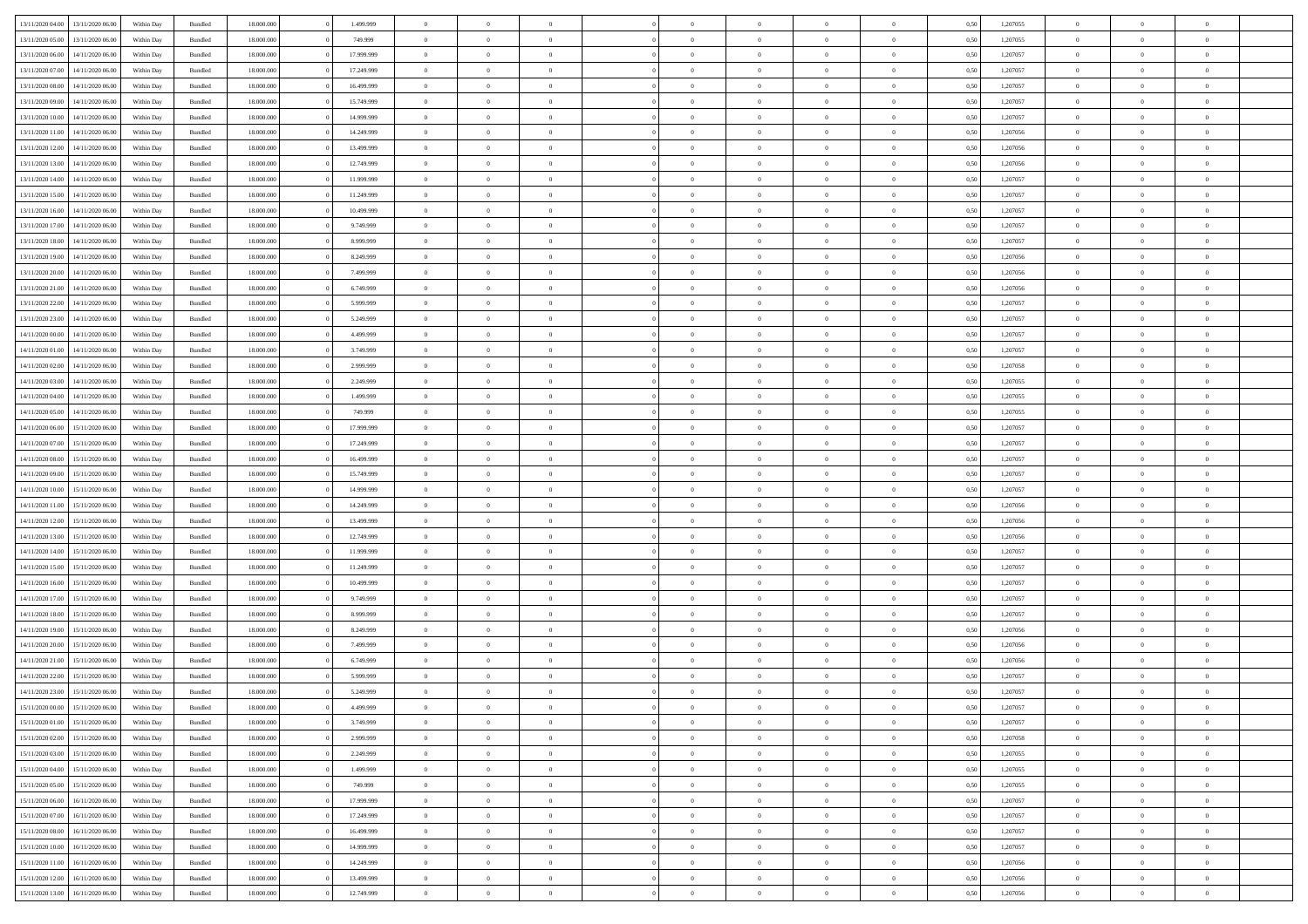| 13/11/2020 04:00 | 13/11/2020 06:00 | Within Dav | Bundled            | 18.000.000 | 1.499.999  | $\overline{0}$ | $\theta$       |                | $\Omega$       | $\Omega$       | $\Omega$       | $\theta$       | 0.50 | 1,207055 | $\theta$       | $\overline{0}$ | $\overline{0}$ |  |
|------------------|------------------|------------|--------------------|------------|------------|----------------|----------------|----------------|----------------|----------------|----------------|----------------|------|----------|----------------|----------------|----------------|--|
|                  |                  |            |                    |            |            |                |                |                |                |                |                |                |      |          |                |                |                |  |
| 13/11/2020 05:00 | 13/11/2020 06.00 | Within Day | Bundled            | 18.000.000 | 749.999    | $\overline{0}$ | $\theta$       | $\overline{0}$ | $\overline{0}$ | $\bf{0}$       | $\overline{0}$ | $\overline{0}$ | 0,50 | 1,207055 | $\theta$       | $\overline{0}$ | $\overline{0}$ |  |
| 13/11/2020 06:00 | 14/11/2020 06.00 | Within Day | Bundled            | 18.000.000 | 17.999.999 | $\overline{0}$ | $\overline{0}$ | $\overline{0}$ | $\bf{0}$       | $\bf{0}$       | $\bf{0}$       | $\bf{0}$       | 0,50 | 1,207057 | $\bf{0}$       | $\overline{0}$ | $\overline{0}$ |  |
| 13/11/2020 07:00 | 14/11/2020 06:00 | Within Dav | Bundled            | 18.000.000 | 17.249.999 | $\overline{0}$ | $\overline{0}$ | $\overline{0}$ | $\overline{0}$ | $\bf{0}$       | $\overline{0}$ | $\overline{0}$ | 0.50 | 1,207057 | $\theta$       | $\theta$       | $\overline{0}$ |  |
| 13/11/2020 08:00 | 14/11/2020 06.00 | Within Day | Bundled            | 18.000.000 | 16.499.999 | $\overline{0}$ | $\theta$       | $\overline{0}$ | $\overline{0}$ | $\bf{0}$       | $\overline{0}$ | $\bf{0}$       | 0,50 | 1,207057 | $\theta$       | $\theta$       | $\overline{0}$ |  |
| 13/11/2020 09:00 | 14/11/2020 06.00 | Within Day | Bundled            | 18.000.000 | 15.749.999 | $\overline{0}$ | $\bf{0}$       | $\overline{0}$ | $\bf{0}$       | $\overline{0}$ | $\overline{0}$ | $\mathbf{0}$   | 0,50 | 1,207057 | $\bf{0}$       | $\overline{0}$ | $\bf{0}$       |  |
|                  |                  |            |                    |            |            |                |                |                |                | $\bf{0}$       |                |                |      |          | $\theta$       | $\overline{0}$ | $\overline{0}$ |  |
| 13/11/2020 10:00 | 14/11/2020 06.00 | Within Dav | Bundled            | 18.000.000 | 14.999.999 | $\overline{0}$ | $\overline{0}$ | $\overline{0}$ | $\overline{0}$ |                | $\overline{0}$ | $\overline{0}$ | 0.50 | 1,207057 |                |                |                |  |
| 13/11/2020 11:00 | 14/11/2020 06.00 | Within Day | Bundled            | 18.000.000 | 14.249.999 | $\overline{0}$ | $\theta$       | $\overline{0}$ | $\overline{0}$ | $\bf{0}$       | $\overline{0}$ | $\bf{0}$       | 0,50 | 1,207056 | $\theta$       | $\theta$       | $\overline{0}$ |  |
| 13/11/2020 12:00 | 14/11/2020 06.00 | Within Day | Bundled            | 18.000.000 | 13.499.999 | $\overline{0}$ | $\overline{0}$ | $\overline{0}$ | $\bf{0}$       | $\bf{0}$       | $\bf{0}$       | $\bf{0}$       | 0,50 | 1,207056 | $\,0\,$        | $\overline{0}$ | $\overline{0}$ |  |
| 13/11/2020 13:00 | 14/11/2020 06.00 | Within Dav | Bundled            | 18.000.000 | 12.749.999 | $\overline{0}$ | $\overline{0}$ | $\overline{0}$ | $\overline{0}$ | $\overline{0}$ | $\overline{0}$ | $\overline{0}$ | 0.50 | 1,207056 | $\theta$       | $\overline{0}$ | $\overline{0}$ |  |
| 13/11/2020 14:00 | 14/11/2020 06.00 | Within Day | Bundled            | 18.000.000 | 11.999.999 | $\overline{0}$ | $\theta$       | $\overline{0}$ | $\overline{0}$ | $\bf{0}$       | $\overline{0}$ | $\bf{0}$       | 0,50 | 1,207057 | $\,$ 0 $\,$    | $\theta$       | $\overline{0}$ |  |
| 13/11/2020 15:00 | 14/11/2020 06.00 | Within Day | Bundled            | 18.000.000 | 11.249.999 | $\overline{0}$ | $\overline{0}$ | $\overline{0}$ | $\bf{0}$       | $\bf{0}$       | $\bf{0}$       | $\bf{0}$       | 0,50 | 1,207057 | $\bf{0}$       | $\overline{0}$ | $\overline{0}$ |  |
| 13/11/2020 16:00 | 14/11/2020 06:00 | Within Day | Bundled            | 18.000.000 | 10.499.999 | $\overline{0}$ | $\overline{0}$ | $\overline{0}$ | $\overline{0}$ | $\bf{0}$       | $\overline{0}$ | $\overline{0}$ | 0.50 | 1,207057 | $\theta$       | $\theta$       | $\overline{0}$ |  |
|                  |                  |            |                    |            |            | $\overline{0}$ | $\theta$       | $\overline{0}$ | $\overline{0}$ | $\bf{0}$       | $\overline{0}$ | $\overline{0}$ |      |          | $\theta$       | $\theta$       | $\overline{0}$ |  |
| 13/11/2020 17:00 | 14/11/2020 06.00 | Within Day | Bundled            | 18.000.000 | 9.749.999  |                |                |                |                |                |                |                | 0,50 | 1,207057 |                |                |                |  |
| 13/11/2020 18:00 | 14/11/2020 06.00 | Within Day | Bundled            | 18.000.000 | 8.999.999  | $\overline{0}$ | $\overline{0}$ | $\overline{0}$ | $\bf{0}$       | $\overline{0}$ | $\overline{0}$ | $\mathbf{0}$   | 0,50 | 1,207057 | $\bf{0}$       | $\overline{0}$ | $\bf{0}$       |  |
| 13/11/2020 19:00 | 14/11/2020 06:00 | Within Dav | Bundled            | 18.000.000 | 8.249.999  | $\overline{0}$ | $\overline{0}$ | $\overline{0}$ | $\overline{0}$ | $\overline{0}$ | $\overline{0}$ | $\overline{0}$ | 0.50 | 1,207056 | $\theta$       | $\overline{0}$ | $\overline{0}$ |  |
| 13/11/2020 20.00 | 14/11/2020 06.00 | Within Day | Bundled            | 18.000.000 | 7.499.999  | $\overline{0}$ | $\theta$       | $\overline{0}$ | $\overline{0}$ | $\bf{0}$       | $\overline{0}$ | $\bf{0}$       | 0,50 | 1,207056 | $\theta$       | $\theta$       | $\overline{0}$ |  |
| 13/11/2020 21:00 | 14/11/2020 06.00 | Within Day | Bundled            | 18.000.000 | 6.749.999  | $\overline{0}$ | $\overline{0}$ | $\overline{0}$ | $\bf{0}$       | $\bf{0}$       | $\bf{0}$       | $\bf{0}$       | 0,50 | 1,207056 | $\,0\,$        | $\overline{0}$ | $\overline{0}$ |  |
| 13/11/2020 22.00 | 14/11/2020 06:00 | Within Day | Bundled            | 18.000.000 | 5.999.999  | $\overline{0}$ | $\overline{0}$ | $\overline{0}$ | $\overline{0}$ | $\overline{0}$ | $\overline{0}$ | $\overline{0}$ | 0.50 | 1,207057 | $\theta$       | $\overline{0}$ | $\overline{0}$ |  |
| 13/11/2020 23.00 | 14/11/2020 06.00 | Within Day | Bundled            | 18.000.000 | 5.249.999  | $\overline{0}$ | $\theta$       | $\overline{0}$ | $\overline{0}$ | $\bf{0}$       | $\overline{0}$ | $\bf{0}$       | 0,50 | 1,207057 | $\theta$       | $\theta$       | $\overline{0}$ |  |
|                  |                  |            |                    |            |            |                |                |                |                |                |                |                |      |          |                |                |                |  |
| 14/11/2020 00:00 | 14/11/2020 06.00 | Within Day | Bundled            | 18.000.000 | 4.499.999  | $\overline{0}$ | $\overline{0}$ | $\overline{0}$ | $\bf{0}$       | $\bf{0}$       | $\bf{0}$       | $\bf{0}$       | 0,50 | 1,207057 | $\,0\,$        | $\overline{0}$ | $\overline{0}$ |  |
| 14/11/2020 01:00 | 14/11/2020 06:00 | Within Day | Bundled            | 18.000.000 | 3.749.999  | $\overline{0}$ | $\overline{0}$ | $\overline{0}$ | $\overline{0}$ | $\bf{0}$       | $\overline{0}$ | $\overline{0}$ | 0.50 | 1,207057 | $\theta$       | $\theta$       | $\overline{0}$ |  |
| 14/11/2020 02.00 | 14/11/2020 06.00 | Within Day | Bundled            | 18.000.000 | 2.999.999  | $\overline{0}$ | $\theta$       | $\overline{0}$ | $\overline{0}$ | $\bf{0}$       | $\overline{0}$ | $\bf{0}$       | 0,50 | 1,207058 | $\theta$       | $\overline{0}$ | $\overline{0}$ |  |
| 14/11/2020 03.00 | 14/11/2020 06.00 | Within Day | Bundled            | 18.000.000 | 2.249.999  | $\overline{0}$ | $\bf{0}$       | $\overline{0}$ | $\bf{0}$       | $\overline{0}$ | $\overline{0}$ | $\mathbf{0}$   | 0,50 | 1,207055 | $\bf{0}$       | $\overline{0}$ | $\bf{0}$       |  |
| 14/11/2020 04.00 | 14/11/2020 06.00 | Within Dav | Bundled            | 18.000.000 | 1.499.999  | $\overline{0}$ | $\overline{0}$ | $\overline{0}$ | $\overline{0}$ | $\overline{0}$ | $\overline{0}$ | $\overline{0}$ | 0.50 | 1,207055 | $\theta$       | $\theta$       | $\overline{0}$ |  |
| 14/11/2020 05:00 | 14/11/2020 06.00 | Within Day | Bundled            | 18.000.000 | 749.999    | $\overline{0}$ | $\theta$       | $\overline{0}$ | $\overline{0}$ | $\bf{0}$       | $\overline{0}$ | $\bf{0}$       | 0,50 | 1,207055 | $\theta$       | $\theta$       | $\overline{0}$ |  |
| 14/11/2020 06:00 | 15/11/2020 06.00 | Within Day | Bundled            | 18.000.000 | 17.999.999 | $\overline{0}$ | $\overline{0}$ | $\overline{0}$ | $\bf{0}$       | $\bf{0}$       | $\bf{0}$       | $\bf{0}$       | 0,50 | 1,207057 | $\,0\,$        | $\overline{0}$ | $\overline{0}$ |  |
|                  | 15/11/2020 06:00 |            | Bundled            | 18.000.000 | 17.249.999 | $\overline{0}$ | $\overline{0}$ | $\overline{0}$ | $\overline{0}$ | $\overline{0}$ | $\overline{0}$ | $\overline{0}$ | 0.50 | 1,207057 | $\theta$       | $\overline{0}$ | $\overline{0}$ |  |
| 14/11/2020 07.00 |                  | Within Day |                    |            |            |                |                |                |                |                |                |                |      |          |                |                |                |  |
| 14/11/2020 08:00 | 15/11/2020 06.00 | Within Day | Bundled            | 18.000.000 | 16.499.999 | $\overline{0}$ | $\theta$       | $\overline{0}$ | $\overline{0}$ | $\bf{0}$       | $\overline{0}$ | $\bf{0}$       | 0,50 | 1,207057 | $\,$ 0 $\,$    | $\theta$       | $\overline{0}$ |  |
| 14/11/2020 09:00 | 15/11/2020 06.00 | Within Day | Bundled            | 18.000.000 | 15.749.999 | $\overline{0}$ | $\overline{0}$ | $\overline{0}$ | $\bf{0}$       | $\bf{0}$       | $\bf{0}$       | $\bf{0}$       | 0,50 | 1,207057 | $\bf{0}$       | $\overline{0}$ | $\overline{0}$ |  |
| 14/11/2020 10:00 | 15/11/2020 06.00 | Within Day | Bundled            | 18.000.000 | 14.999.999 | $\overline{0}$ | $\Omega$       | $\Omega$       | $\Omega$       | $\Omega$       | $\overline{0}$ | $\overline{0}$ | 0.50 | 1,207057 | $\,0\,$        | $\theta$       | $\theta$       |  |
| 14/11/2020 11:00 | 15/11/2020 06.00 | Within Day | Bundled            | 18.000.000 | 14.249.999 | $\overline{0}$ | $\theta$       | $\overline{0}$ | $\overline{0}$ | $\bf{0}$       | $\overline{0}$ | $\bf{0}$       | 0,50 | 1,207056 | $\theta$       | $\theta$       | $\overline{0}$ |  |
| 14/11/2020 12:00 | 15/11/2020 06.00 | Within Day | Bundled            | 18.000.000 | 13.499.999 | $\overline{0}$ | $\overline{0}$ | $\overline{0}$ | $\overline{0}$ | $\bf{0}$       | $\overline{0}$ | $\mathbf{0}$   | 0,50 | 1,207056 | $\overline{0}$ | $\overline{0}$ | $\bf{0}$       |  |
| 14/11/2020 13:00 | 15/11/2020 06.00 | Within Day | Bundled            | 18,000,000 | 12.749.999 | $\overline{0}$ | $\Omega$       | $\Omega$       | $\Omega$       | $\bf{0}$       | $\overline{0}$ | $\overline{0}$ | 0.50 | 1,207056 | $\,0\,$        | $\theta$       | $\theta$       |  |
| 14/11/2020 14:00 | 15/11/2020 06.00 | Within Day | Bundled            | 18.000.000 | 11.999.999 | $\overline{0}$ | $\theta$       | $\overline{0}$ | $\overline{0}$ | $\bf{0}$       | $\overline{0}$ | $\bf{0}$       | 0,50 | 1,207057 | $\theta$       | $\theta$       | $\overline{0}$ |  |
|                  |                  |            |                    |            |            |                |                |                |                |                |                |                |      |          |                |                |                |  |
| 14/11/2020 15:00 | 15/11/2020 06.00 | Within Day | Bundled            | 18.000.000 | 11.249.999 | $\overline{0}$ | $\overline{0}$ | $\overline{0}$ | $\overline{0}$ | $\bf{0}$       | $\overline{0}$ | $\bf{0}$       | 0,50 | 1,207057 | $\bf{0}$       | $\overline{0}$ | $\overline{0}$ |  |
| 14/11/2020 16.00 | 15/11/2020 06.00 | Within Day | Bundled            | 18,000,000 | 10.499.999 | $\overline{0}$ | $\Omega$       | $\Omega$       | $\Omega$       | $\Omega$       | $\theta$       | $\overline{0}$ | 0.50 | 1,207057 | $\theta$       | $\theta$       | $\theta$       |  |
| 14/11/2020 17.00 | 15/11/2020 06.00 | Within Day | Bundled            | 18.000.000 | 9.749.999  | $\overline{0}$ | $\theta$       | $\overline{0}$ | $\overline{0}$ | $\bf{0}$       | $\overline{0}$ | $\bf{0}$       | 0,50 | 1,207057 | $\,$ 0 $\,$    | $\overline{0}$ | $\overline{0}$ |  |
| 14/11/2020 18:00 | 15/11/2020 06.00 | Within Day | Bundled            | 18.000.000 | 8.999.999  | $\overline{0}$ | $\overline{0}$ | $\overline{0}$ | $\overline{0}$ | $\bf{0}$       | $\overline{0}$ | $\bf{0}$       | 0,50 | 1,207057 | $\overline{0}$ | $\overline{0}$ | $\overline{0}$ |  |
| 14/11/2020 19:00 | 15/11/2020 06.00 | Within Day | Bundled            | 18.000.000 | 8.249.999  | $\overline{0}$ | $\Omega$       | $\Omega$       | $\Omega$       | $\Omega$       | $\overline{0}$ | $\overline{0}$ | 0.50 | 1,207056 | $\,0\,$        | $\theta$       | $\theta$       |  |
| 14/11/2020 20.00 | 15/11/2020 06.00 | Within Day | Bundled            | 18.000.000 | 7.499.999  | $\overline{0}$ | $\theta$       | $\overline{0}$ | $\overline{0}$ | $\bf{0}$       | $\overline{0}$ | $\bf{0}$       | 0,50 | 1,207056 | $\,$ 0 $\,$    | $\theta$       | $\overline{0}$ |  |
| 14/11/2020 21.00 | 15/11/2020 06.00 | Within Day | Bundled            | 18.000.000 | 6.749.999  | $\overline{0}$ | $\overline{0}$ | $\overline{0}$ | $\overline{0}$ | $\bf{0}$       | $\overline{0}$ | $\mathbf{0}$   | 0,50 | 1,207056 | $\overline{0}$ | $\overline{0}$ | $\bf{0}$       |  |
|                  | 15/11/2020 06.00 |            | Bundled            | 18,000,000 | 5.999.999  | $\overline{0}$ | $\Omega$       | $\Omega$       | $\Omega$       | $\Omega$       | $\Omega$       | $\overline{0}$ | 0.50 | 1,207057 | $\theta$       | $\theta$       | $\theta$       |  |
| 14/11/2020 22.00 |                  | Within Day |                    |            |            |                |                |                |                |                |                |                |      |          |                |                |                |  |
| 14/11/2020 23.00 | 15/11/2020 06.00 | Within Day | Bundled            | 18.000.000 | 5.249.999  | $\overline{0}$ | $\overline{0}$ | $\overline{0}$ | $\bf{0}$       | $\,$ 0         | $\overline{0}$ | $\bf{0}$       | 0,50 | 1,207057 | $\,0\,$        | $\overline{0}$ | $\overline{0}$ |  |
| 15/11/2020 00:00 | 15/11/2020 06.00 | Within Day | $\mathbf B$ undled | 18.000.000 | 4.499.999  | $\bf{0}$       | $\bf{0}$       |                |                | $\bf{0}$       |                |                | 0,50 | 1,207057 | $\bf{0}$       | $\overline{0}$ |                |  |
| 15/11/2020 01:00 | 15/11/2020 06:00 | Within Day | Bundled            | 18,000,000 | 3.749.999  | $\overline{0}$ | $\overline{0}$ | $\overline{0}$ | $\Omega$       | $\overline{0}$ | $\overline{0}$ | $\overline{0}$ | 0,50 | 1,207057 | $\theta$       | $\theta$       | $\theta$       |  |
| 15/11/2020 02:00 | 15/11/2020 06.00 | Within Day | Bundled            | 18.000.000 | 2.999.999  | $\overline{0}$ | $\,$ 0         | $\overline{0}$ | $\overline{0}$ | $\,$ 0 $\,$    | $\overline{0}$ | $\mathbf{0}$   | 0,50 | 1,207058 | $\,$ 0 $\,$    | $\,$ 0 $\,$    | $\,$ 0         |  |
| 15/11/2020 03.00 | 15/11/2020 06.00 | Within Day | Bundled            | 18.000.000 | 2.249.999  | $\overline{0}$ | $\overline{0}$ | $\overline{0}$ | $\overline{0}$ | $\overline{0}$ | $\overline{0}$ | $\mathbf{0}$   | 0,50 | 1,207055 | $\overline{0}$ | $\bf{0}$       | $\bf{0}$       |  |
| 15/11/2020 04:00 | 15/11/2020 06.00 | Within Day | Bundled            | 18.000.000 | 1.499.999  | $\overline{0}$ | $\overline{0}$ | $\overline{0}$ | $\Omega$       | $\overline{0}$ | $\overline{0}$ | $\bf{0}$       | 0,50 | 1,207055 | $\overline{0}$ | $\overline{0}$ | $\overline{0}$ |  |
| 15/11/2020 05:00 | 15/11/2020 06.00 | Within Day | Bundled            | 18.000.000 | 749.999    | $\overline{0}$ | $\,$ 0         | $\overline{0}$ | $\overline{0}$ | $\,$ 0 $\,$    | $\overline{0}$ | $\mathbf{0}$   | 0,50 | 1,207055 | $\,$ 0 $\,$    | $\overline{0}$ | $\overline{0}$ |  |
|                  |                  |            |                    |            |            |                |                |                |                |                |                |                |      |          |                |                |                |  |
| 15/11/2020 06.00 | 16/11/2020 06.00 | Within Day | Bundled            | 18.000.000 | 17.999.999 | $\overline{0}$ | $\overline{0}$ | $\overline{0}$ | $\overline{0}$ | $\overline{0}$ | $\overline{0}$ | $\mathbf{0}$   | 0,50 | 1,207057 | $\overline{0}$ | $\overline{0}$ | $\bf{0}$       |  |
| 15/11/2020 07:00 | 16/11/2020 06.00 | Within Day | Bundled            | 18.000.000 | 17.249.999 | $\overline{0}$ | $\overline{0}$ | $\overline{0}$ | $\Omega$       | $\overline{0}$ | $\overline{0}$ | $\bf{0}$       | 0.50 | 1,207057 | $\overline{0}$ | $\theta$       | $\overline{0}$ |  |
| 15/11/2020 08:00 | 16/11/2020 06.00 | Within Day | Bundled            | 18.000.000 | 16.499.999 | $\overline{0}$ | $\,$ 0         | $\overline{0}$ | $\overline{0}$ | $\bf{0}$       | $\bf{0}$       | $\bf{0}$       | 0,50 | 1,207057 | $\,$ 0 $\,$    | $\overline{0}$ | $\overline{0}$ |  |
| 15/11/2020 10:00 | 16/11/2020 06.00 | Within Day | Bundled            | 18.000.000 | 14.999.999 | $\overline{0}$ | $\bf{0}$       | $\overline{0}$ | $\overline{0}$ | $\overline{0}$ | $\overline{0}$ | $\mathbf{0}$   | 0,50 | 1,207057 | $\overline{0}$ | $\overline{0}$ | $\bf{0}$       |  |
| 15/11/2020 11:00 | 16/11/2020 06.00 | Within Day | Bundled            | 18,000,000 | 14.249.999 | $\overline{0}$ | $\overline{0}$ | $\overline{0}$ | $\Omega$       | $\overline{0}$ | $\overline{0}$ | $\bf{0}$       | 0.50 | 1,207056 | $\overline{0}$ | $\overline{0}$ | $\overline{0}$ |  |
| 15/11/2020 12:00 | 16/11/2020 06.00 | Within Day | Bundled            | 18.000.000 | 13.499.999 | $\overline{0}$ | $\bf{0}$       | $\overline{0}$ | $\overline{0}$ | $\bf{0}$       | $\bf{0}$       | $\mathbf{0}$   | 0,50 | 1,207056 | $\,$ 0 $\,$    | $\,$ 0 $\,$    | $\bf{0}$       |  |
| 15/11/2020 13:00 | 16/11/2020 06.00 | Within Day | Bundled            | 18.000.000 | 12.749.999 | $\overline{0}$ | $\overline{0}$ | $\overline{0}$ | $\overline{0}$ | $\bf{0}$       | $\bf{0}$       | $\mathbf{0}$   | 0,50 | 1,207056 | $\overline{0}$ | $\bf{0}$       | $\bf{0}$       |  |
|                  |                  |            |                    |            |            |                |                |                |                |                |                |                |      |          |                |                |                |  |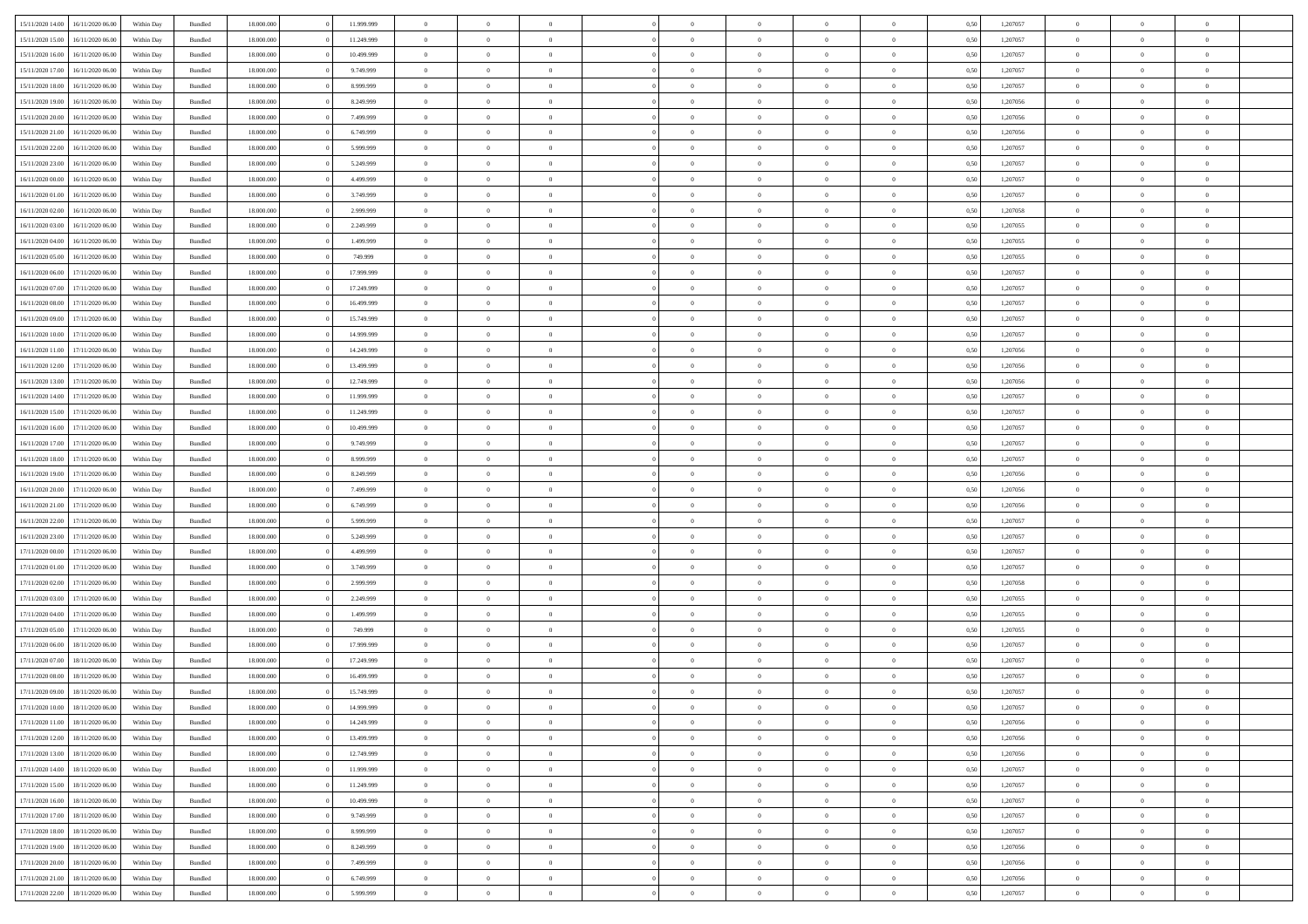|                  | 16/11/2020 06:00 | Within Dav | Bundled            | 18.000.000 | 11.999.999 | $\overline{0}$ | $\theta$       |                | $\Omega$       | $\Omega$       | $\theta$       | $\theta$       | 0.50 | 1,207057 | $\theta$       | $\overline{0}$ | $\theta$       |  |
|------------------|------------------|------------|--------------------|------------|------------|----------------|----------------|----------------|----------------|----------------|----------------|----------------|------|----------|----------------|----------------|----------------|--|
| 15/11/2020 14:00 |                  |            |                    |            |            |                |                |                |                |                |                |                |      |          |                |                |                |  |
| 15/11/2020 15:00 | 16/11/2020 06.00 | Within Day | Bundled            | 18.000.000 | 11.249.999 | $\overline{0}$ | $\theta$       | $\overline{0}$ | $\overline{0}$ | $\bf{0}$       | $\overline{0}$ | $\bf{0}$       | 0,50 | 1,207057 | $\theta$       | $\overline{0}$ | $\overline{0}$ |  |
| 15/11/2020 16:00 | 16/11/2020 06.00 | Within Day | Bundled            | 18.000.000 | 10.499.999 | $\overline{0}$ | $\overline{0}$ | $\overline{0}$ | $\bf{0}$       | $\bf{0}$       | $\bf{0}$       | $\bf{0}$       | 0,50 | 1,207057 | $\bf{0}$       | $\overline{0}$ | $\overline{0}$ |  |
|                  |                  |            |                    |            |            |                |                |                |                |                |                |                |      |          | $\theta$       |                |                |  |
| 15/11/2020 17:00 | 16/11/2020 06:00 | Within Dav | Bundled            | 18.000.000 | 9.749.999  | $\overline{0}$ | $\overline{0}$ | $\overline{0}$ | $\overline{0}$ | $\bf{0}$       | $\overline{0}$ | $\overline{0}$ | 0.50 | 1.207057 |                | $\theta$       | $\overline{0}$ |  |
| 15/11/2020 18:00 | 16/11/2020 06.00 | Within Day | Bundled            | 18.000.000 | 8.999.999  | $\overline{0}$ | $\theta$       | $\overline{0}$ | $\overline{0}$ | $\bf{0}$       | $\overline{0}$ | $\bf{0}$       | 0,50 | 1,207057 | $\theta$       | $\theta$       | $\overline{0}$ |  |
| 15/11/2020 19:00 | 16/11/2020 06.00 | Within Day | Bundled            | 18.000.000 | 8.249.999  | $\overline{0}$ | $\bf{0}$       | $\overline{0}$ | $\bf{0}$       | $\overline{0}$ | $\overline{0}$ | $\mathbf{0}$   | 0,50 | 1,207056 | $\bf{0}$       | $\overline{0}$ | $\bf{0}$       |  |
| 15/11/2020 20.00 | 16/11/2020 06:00 | Within Dav | Bundled            | 18.000.000 | 7.499.999  | $\overline{0}$ | $\overline{0}$ | $\overline{0}$ | $\overline{0}$ | $\overline{0}$ | $\overline{0}$ | $\overline{0}$ | 0.50 | 1,207056 | $\theta$       | $\overline{0}$ | $\overline{0}$ |  |
|                  |                  |            |                    |            |            |                |                |                |                |                |                |                |      |          |                |                |                |  |
| 15/11/2020 21.00 | 16/11/2020 06.00 | Within Day | Bundled            | 18.000.000 | 6.749.999  | $\overline{0}$ | $\theta$       | $\overline{0}$ | $\overline{0}$ | $\bf{0}$       | $\overline{0}$ | $\bf{0}$       | 0,50 | 1,207056 | $\theta$       | $\theta$       | $\overline{0}$ |  |
| 15/11/2020 22.00 | 16/11/2020 06.00 | Within Day | Bundled            | 18.000.000 | 5.999.999  | $\overline{0}$ | $\overline{0}$ | $\overline{0}$ | $\bf{0}$       | $\bf{0}$       | $\bf{0}$       | $\bf{0}$       | 0,50 | 1,207057 | $\,0\,$        | $\overline{0}$ | $\overline{0}$ |  |
| 15/11/2020 23.00 | 16/11/2020 06:00 | Within Dav | Bundled            | 18.000.000 | 5.249.999  | $\overline{0}$ | $\overline{0}$ | $\overline{0}$ | $\overline{0}$ | $\overline{0}$ | $\overline{0}$ | $\overline{0}$ | 0.50 | 1,207057 | $\theta$       | $\overline{0}$ | $\overline{0}$ |  |
|                  |                  |            |                    |            |            |                |                |                |                |                |                |                |      |          |                |                |                |  |
| 16/11/2020 00.00 | 16/11/2020 06.00 | Within Day | Bundled            | 18.000.000 | 4.499.999  | $\overline{0}$ | $\theta$       | $\overline{0}$ | $\overline{0}$ | $\bf{0}$       | $\overline{0}$ | $\bf{0}$       | 0,50 | 1,207057 | $\,$ 0 $\,$    | $\theta$       | $\overline{0}$ |  |
| 16/11/2020 01.00 | 16/11/2020 06.00 | Within Day | Bundled            | 18.000.000 | 3.749.999  | $\overline{0}$ | $\overline{0}$ | $\overline{0}$ | $\bf{0}$       | $\bf{0}$       | $\bf{0}$       | $\bf{0}$       | 0,50 | 1,207057 | $\bf{0}$       | $\overline{0}$ | $\overline{0}$ |  |
| 16/11/2020 02.00 | 16/11/2020 06:00 | Within Day | Bundled            | 18.000.000 | 2.999.999  | $\overline{0}$ | $\overline{0}$ | $\overline{0}$ | $\overline{0}$ | $\bf{0}$       | $\overline{0}$ | $\overline{0}$ | 0.50 | 1,207058 | $\theta$       | $\theta$       | $\overline{0}$ |  |
| 16/11/2020 03.00 | 16/11/2020 06.00 | Within Day | Bundled            | 18.000.000 | 2.249.999  | $\overline{0}$ | $\theta$       | $\overline{0}$ | $\overline{0}$ | $\bf{0}$       | $\overline{0}$ | $\bf{0}$       | 0,50 | 1,207055 | $\theta$       | $\theta$       | $\overline{0}$ |  |
|                  |                  |            |                    |            |            |                |                |                |                |                |                |                |      |          |                |                |                |  |
| 16/11/2020 04:00 | 16/11/2020 06.00 | Within Day | Bundled            | 18.000.000 | 1.499.999  | $\overline{0}$ | $\bf{0}$       | $\overline{0}$ | $\overline{0}$ | $\overline{0}$ | $\overline{0}$ | $\mathbf{0}$   | 0,50 | 1,207055 | $\bf{0}$       | $\overline{0}$ | $\bf{0}$       |  |
| 16/11/2020 05:00 | 16/11/2020 06:00 | Within Dav | Bundled            | 18.000.000 | 749.999    | $\overline{0}$ | $\overline{0}$ | $\overline{0}$ | $\overline{0}$ | $\overline{0}$ | $\overline{0}$ | $\overline{0}$ | 0.50 | 1,207055 | $\theta$       | $\overline{0}$ | $\overline{0}$ |  |
| 16/11/2020 06.00 | 17/11/2020 06.00 | Within Day | Bundled            | 18.000.000 | 17.999.999 | $\overline{0}$ | $\theta$       | $\overline{0}$ | $\overline{0}$ | $\bf{0}$       | $\overline{0}$ | $\bf{0}$       | 0,50 | 1,207057 | $\theta$       | $\theta$       | $\overline{0}$ |  |
|                  |                  |            |                    |            |            |                |                |                |                |                |                |                |      |          |                |                |                |  |
| 16/11/2020 07:00 | 17/11/2020 06.00 | Within Day | Bundled            | 18.000.000 | 17.249.999 | $\overline{0}$ | $\overline{0}$ | $\overline{0}$ | $\overline{0}$ | $\bf{0}$       | $\overline{0}$ | $\bf{0}$       | 0,50 | 1,207057 | $\,0\,$        | $\overline{0}$ | $\overline{0}$ |  |
| 16/11/2020 08:00 | 17/11/2020 06.00 | Within Day | Bundled            | 18.000.000 | 16.499.999 | $\overline{0}$ | $\overline{0}$ | $\overline{0}$ | $\overline{0}$ | $\overline{0}$ | $\overline{0}$ | $\overline{0}$ | 0.50 | 1,207057 | $\theta$       | $\overline{0}$ | $\overline{0}$ |  |
| 16/11/2020 09:00 | 17/11/2020 06.00 | Within Day | Bundled            | 18.000.000 | 15.749.999 | $\overline{0}$ | $\theta$       | $\overline{0}$ | $\overline{0}$ | $\bf{0}$       | $\overline{0}$ | $\bf{0}$       | 0,50 | 1,207057 | $\theta$       | $\theta$       | $\overline{0}$ |  |
| 16/11/2020 10:00 | 17/11/2020 06.00 | Within Day | Bundled            | 18.000.000 | 14.999.999 | $\overline{0}$ | $\overline{0}$ | $\overline{0}$ | $\overline{0}$ | $\bf{0}$       | $\overline{0}$ | $\bf{0}$       | 0,50 | 1,207057 | $\,0\,$        | $\overline{0}$ | $\overline{0}$ |  |
|                  |                  |            |                    |            |            |                |                |                |                |                |                |                |      |          |                |                |                |  |
| 16/11/2020 11:00 | 17/11/2020 06:00 | Within Day | Bundled            | 18.000.000 | 14.249.999 | $\overline{0}$ | $\overline{0}$ | $\overline{0}$ | $\overline{0}$ | $\bf{0}$       | $\overline{0}$ | $\overline{0}$ | 0.50 | 1,207056 | $\theta$       | $\theta$       | $\overline{0}$ |  |
| 16/11/2020 12:00 | 17/11/2020 06.00 | Within Day | Bundled            | 18.000.000 | 13.499.999 | $\overline{0}$ | $\theta$       | $\overline{0}$ | $\overline{0}$ | $\bf{0}$       | $\overline{0}$ | $\bf{0}$       | 0,50 | 1,207056 | $\,$ 0 $\,$    | $\overline{0}$ | $\overline{0}$ |  |
| 16/11/2020 13:00 | 17/11/2020 06.00 | Within Day | Bundled            | 18.000.000 | 12.749.999 | $\overline{0}$ | $\bf{0}$       | $\overline{0}$ | $\overline{0}$ | $\overline{0}$ | $\overline{0}$ | $\mathbf{0}$   | 0,50 | 1,207056 | $\overline{0}$ | $\overline{0}$ | $\bf{0}$       |  |
| 16/11/2020 14:00 | 17/11/2020 06.00 | Within Dav | Bundled            | 18.000.000 | 11.999.999 | $\overline{0}$ | $\overline{0}$ | $\overline{0}$ | $\overline{0}$ | $\overline{0}$ | $\overline{0}$ | $\overline{0}$ | 0.50 | 1,207057 | $\theta$       | $\overline{0}$ | $\overline{0}$ |  |
|                  |                  |            |                    |            |            |                |                |                |                |                |                |                |      |          |                |                |                |  |
| 16/11/2020 15:00 | 17/11/2020 06.00 | Within Day | Bundled            | 18.000.000 | 11.249.999 | $\overline{0}$ | $\theta$       | $\overline{0}$ | $\overline{0}$ | $\bf{0}$       | $\overline{0}$ | $\bf{0}$       | 0,50 | 1,207057 | $\theta$       | $\theta$       | $\overline{0}$ |  |
| 16/11/2020 16:00 | 17/11/2020 06.00 | Within Day | Bundled            | 18.000.000 | 10.499.999 | $\overline{0}$ | $\overline{0}$ | $\overline{0}$ | $\overline{0}$ | $\bf{0}$       | $\overline{0}$ | $\bf{0}$       | 0,50 | 1,207057 | $\,0\,$        | $\overline{0}$ | $\overline{0}$ |  |
| 16/11/2020 17:00 | 17/11/2020 06.00 | Within Day | Bundled            | 18.000.000 | 9.749.999  | $\overline{0}$ | $\overline{0}$ | $\overline{0}$ | $\overline{0}$ | $\overline{0}$ | $\overline{0}$ | $\overline{0}$ | 0.50 | 1,207057 | $\theta$       | $\overline{0}$ | $\overline{0}$ |  |
| 16/11/2020 18:00 | 17/11/2020 06.00 | Within Day | Bundled            | 18.000.000 | 8.999.999  | $\overline{0}$ | $\theta$       | $\overline{0}$ | $\overline{0}$ | $\bf{0}$       | $\overline{0}$ | $\bf{0}$       | 0,50 | 1,207057 | $\,$ 0 $\,$    | $\theta$       | $\overline{0}$ |  |
|                  |                  |            |                    |            |            |                |                |                |                |                |                |                |      |          |                |                |                |  |
| 16/11/2020 19.00 | 17/11/2020 06.00 | Within Day | Bundled            | 18.000.000 | 8.249.999  | $\overline{0}$ | $\overline{0}$ | $\overline{0}$ | $\overline{0}$ | $\bf{0}$       | $\overline{0}$ | $\bf{0}$       | 0,50 | 1,207056 | $\overline{0}$ | $\overline{0}$ | $\overline{0}$ |  |
| 16/11/2020 20.00 | 17/11/2020 06.00 | Within Day | Bundled            | 18.000.000 | 7.499.999  | $\overline{0}$ | $\Omega$       | $\Omega$       | $\Omega$       | $\Omega$       | $\overline{0}$ | $\overline{0}$ | 0,50 | 1,207056 | $\,0\,$        | $\theta$       | $\theta$       |  |
| 16/11/2020 21.00 | 17/11/2020 06.00 | Within Day | Bundled            | 18.000.000 | 6.749.999  | $\overline{0}$ | $\theta$       | $\overline{0}$ | $\overline{0}$ | $\bf{0}$       | $\overline{0}$ | $\bf{0}$       | 0,50 | 1,207056 | $\theta$       | $\theta$       | $\overline{0}$ |  |
|                  |                  |            |                    |            |            |                |                |                |                |                |                |                |      |          |                |                |                |  |
| 16/11/2020 22:00 | 17/11/2020 06.00 | Within Day | Bundled            | 18.000.000 | 5.999.999  | $\overline{0}$ | $\overline{0}$ | $\overline{0}$ | $\overline{0}$ | $\bf{0}$       | $\overline{0}$ | $\mathbf{0}$   | 0,50 | 1,207057 | $\overline{0}$ | $\overline{0}$ | $\bf{0}$       |  |
| 16/11/2020 23.00 | 17/11/2020 06.00 | Within Day | Bundled            | 18,000,000 | 5.249.999  | $\overline{0}$ | $\Omega$       | $\Omega$       | $\Omega$       | $\bf{0}$       | $\overline{0}$ | $\overline{0}$ | 0.50 | 1,207057 | $\,0\,$        | $\theta$       | $\theta$       |  |
| 17/11/2020 00.00 | 17/11/2020 06.00 | Within Day | Bundled            | 18.000.000 | 4.499.999  | $\overline{0}$ | $\theta$       | $\overline{0}$ | $\overline{0}$ | $\bf{0}$       | $\overline{0}$ | $\bf{0}$       | 0,50 | 1,207057 | $\,$ 0 $\,$    | $\theta$       | $\overline{0}$ |  |
| 17/11/2020 01:00 | 17/11/2020 06.00 | Within Day | Bundled            | 18.000.000 | 3.749.999  | $\overline{0}$ | $\overline{0}$ | $\overline{0}$ | $\overline{0}$ | $\bf{0}$       | $\overline{0}$ | $\bf{0}$       | 0,50 | 1,207057 | $\bf{0}$       | $\overline{0}$ | $\overline{0}$ |  |
|                  |                  |            |                    |            |            |                |                |                |                |                |                |                |      |          |                |                |                |  |
| 17/11/2020 02.00 | 17/11/2020 06.00 | Within Day | Bundled            | 18,000,000 | 2.999.999  | $\overline{0}$ | $\Omega$       | $\Omega$       | $\Omega$       | $\Omega$       | $\theta$       | $\overline{0}$ | 0.50 | 1,207058 | $\theta$       | $\theta$       | $\theta$       |  |
| 17/11/2020 03:00 | 17/11/2020 06.00 | Within Day | Bundled            | 18.000.000 | 2.249.999  | $\overline{0}$ | $\theta$       | $\overline{0}$ | $\overline{0}$ | $\,$ 0         | $\overline{0}$ | $\bf{0}$       | 0,50 | 1,207055 | $\,$ 0 $\,$    | $\overline{0}$ | $\overline{0}$ |  |
| 17/11/2020 04:00 | 17/11/2020 06.00 | Within Day | Bundled            | 18.000.000 | 1.499.999  | $\overline{0}$ | $\overline{0}$ | $\overline{0}$ | $\overline{0}$ | $\bf{0}$       | $\overline{0}$ | $\bf{0}$       | 0,50 | 1,207055 | $\bf{0}$       | $\overline{0}$ | $\overline{0}$ |  |
| 17/11/2020 05:00 | 17/11/2020 06.00 |            |                    | 18.000.000 | 749.999    | $\overline{0}$ | $\Omega$       | $\overline{0}$ | $\Omega$       | $\overline{0}$ | $\overline{0}$ | $\overline{0}$ | 0.50 | 1,207055 | $\,0\,$        | $\theta$       | $\theta$       |  |
|                  |                  | Within Day | Bundled            |            |            |                |                |                |                |                |                |                |      |          |                |                |                |  |
| 17/11/2020 06.00 | 18/11/2020 06.00 | Within Day | Bundled            | 18.000.000 | 17.999.999 | $\overline{0}$ | $\theta$       | $\overline{0}$ | $\overline{0}$ | $\bf{0}$       | $\overline{0}$ | $\bf{0}$       | 0,50 | 1,207057 | $\,$ 0 $\,$    | $\theta$       | $\overline{0}$ |  |
| 17/11/2020 07:00 | 18/11/2020 06.00 | Within Day | Bundled            | 18.000.000 | 17.249.999 | $\overline{0}$ | $\overline{0}$ | $\overline{0}$ | $\overline{0}$ | $\bf{0}$       | $\bf{0}$       | $\mathbf{0}$   | 0,50 | 1,207057 | $\overline{0}$ | $\overline{0}$ | $\bf{0}$       |  |
| 17/11/2020 08:00 | 18/11/2020 06:00 | Within Day | Bundled            | 18,000,000 | 16.499.999 | $\overline{0}$ | $\Omega$       | $\Omega$       | $\Omega$       | $\Omega$       | $\Omega$       | $\overline{0}$ | 0.50 | 1,207057 | $\theta$       | $\theta$       | $\theta$       |  |
| 17/11/2020 09:00 | 18/11/2020 06:00 | Within Day | Bundled            | 18.000.000 | 15.749.999 | $\overline{0}$ | $\overline{0}$ | $\overline{0}$ | $\bf{0}$       | $\,$ 0         | $\bf{0}$       | $\bf{0}$       | 0,50 | 1,207057 | $\,0\,$        | $\overline{0}$ | $\overline{0}$ |  |
|                  |                  |            |                    |            |            |                |                |                |                |                |                |                |      |          |                |                |                |  |
| 17/11/2020 10:00 | 18/11/2020 06.00 | Within Day | $\mathbf B$ undled | 18.000.000 | 14.999.999 | $\bf{0}$       | $\bf{0}$       |                |                | $\bf{0}$       |                |                | 0,50 | 1,207057 | $\bf{0}$       | $\overline{0}$ |                |  |
| 17/11/2020 11:00 | 18/11/2020 06:00 | Within Day | Bundled            | 18,000,000 | 14.249.999 | $\overline{0}$ | $\overline{0}$ | $\overline{0}$ | $\Omega$       | $\theta$       | $\overline{0}$ | $\overline{0}$ | 0,50 | 1,207056 | $\theta$       | $\theta$       | $\theta$       |  |
| 17/11/2020 12:00 | 18/11/2020 06.00 | Within Day | Bundled            | 18.000.000 | 13.499.999 | $\overline{0}$ | $\,$ 0         | $\overline{0}$ | $\bf{0}$       | $\,$ 0 $\,$    | $\overline{0}$ | $\mathbf{0}$   | 0,50 | 1,207056 | $\,$ 0 $\,$    | $\,$ 0 $\,$    | $\,$ 0         |  |
|                  |                  |            |                    |            |            |                |                |                |                |                |                |                |      |          |                |                |                |  |
| 17/11/2020 13:00 | 18/11/2020 06:00 | Within Day | Bundled            | 18.000.000 | 12.749.999 | $\overline{0}$ | $\overline{0}$ | $\overline{0}$ | $\overline{0}$ | $\overline{0}$ | $\overline{0}$ | $\mathbf{0}$   | 0,50 | 1,207056 | $\overline{0}$ | $\bf{0}$       | $\bf{0}$       |  |
| 17/11/2020 14:00 | 18/11/2020 06:00 | Within Day | Bundled            | 18.000.000 | 11.999.999 | $\overline{0}$ | $\overline{0}$ | $\overline{0}$ | $\Omega$       | $\overline{0}$ | $\overline{0}$ | $\bf{0}$       | 0,50 | 1,207057 | $\overline{0}$ | $\overline{0}$ | $\overline{0}$ |  |
| 17/11/2020 15:00 | 18/11/2020 06.00 | Within Day | Bundled            | 18.000.000 | 11.249.999 | $\overline{0}$ | $\,$ 0         | $\overline{0}$ | $\overline{0}$ | $\,$ 0 $\,$    | $\overline{0}$ | $\mathbf{0}$   | 0,50 | 1,207057 | $\,$ 0 $\,$    | $\overline{0}$ | $\overline{0}$ |  |
| 17/11/2020 16.00 | 18/11/2020 06:00 | Within Day | Bundled            | 18.000.000 | 10.499.999 | $\overline{0}$ | $\overline{0}$ | $\overline{0}$ | $\overline{0}$ | $\overline{0}$ | $\overline{0}$ | $\mathbf{0}$   | 0,50 | 1,207057 | $\overline{0}$ | $\overline{0}$ | $\bf{0}$       |  |
|                  |                  |            |                    |            |            |                |                |                |                |                |                |                |      |          |                |                |                |  |
| 17/11/2020 17:00 | 18/11/2020 06:00 | Within Day | Bundled            | 18.000.000 | 9.749.999  | $\overline{0}$ | $\overline{0}$ | $\overline{0}$ | $\Omega$       | $\overline{0}$ | $\overline{0}$ | $\bf{0}$       | 0.50 | 1,207057 | $\overline{0}$ | $\theta$       | $\overline{0}$ |  |
| 17/11/2020 18:00 | 18/11/2020 06.00 | Within Day | Bundled            | 18.000.000 | 8.999.999  | $\overline{0}$ | $\,$ 0         | $\overline{0}$ | $\bf{0}$       | $\bf{0}$       | $\bf{0}$       | $\bf{0}$       | 0,50 | 1,207057 | $\,$ 0 $\,$    | $\overline{0}$ | $\overline{0}$ |  |
| 17/11/2020 19:00 | 18/11/2020 06:00 | Within Day | Bundled            | 18.000.000 | 8.249.999  | $\overline{0}$ | $\bf{0}$       | $\overline{0}$ | $\overline{0}$ | $\overline{0}$ | $\overline{0}$ | $\mathbf{0}$   | 0,50 | 1,207056 | $\overline{0}$ | $\overline{0}$ | $\bf{0}$       |  |
| 17/11/2020 20.00 | 18/11/2020 06:00 | Within Day | Bundled            | 18,000,000 | 7.499.999  | $\overline{0}$ | $\overline{0}$ | $\overline{0}$ | $\Omega$       | $\overline{0}$ | $\overline{0}$ | $\bf{0}$       | 0.50 | 1,207056 | $\overline{0}$ | $\overline{0}$ | $\overline{0}$ |  |
|                  |                  |            |                    |            |            |                |                |                |                |                |                |                |      |          |                |                |                |  |
| 17/11/2020 21.00 | 18/11/2020 06.00 | Within Day | Bundled            | 18.000.000 | 6.749.999  | $\overline{0}$ | $\bf{0}$       | $\overline{0}$ | $\overline{0}$ | $\bf{0}$       | $\bf{0}$       | $\mathbf{0}$   | 0,50 | 1,207056 | $\,$ 0 $\,$    | $\,$ 0 $\,$    | $\bf{0}$       |  |
| 17/11/2020 22.00 | 18/11/2020 06.00 | Within Day | Bundled            | 18.000.000 | 5.999.999  | $\overline{0}$ | $\overline{0}$ | $\overline{0}$ | $\overline{0}$ | $\bf{0}$       | $\bf{0}$       | $\mathbf{0}$   | 0,50 | 1,207057 | $\overline{0}$ | $\bf{0}$       | $\bf{0}$       |  |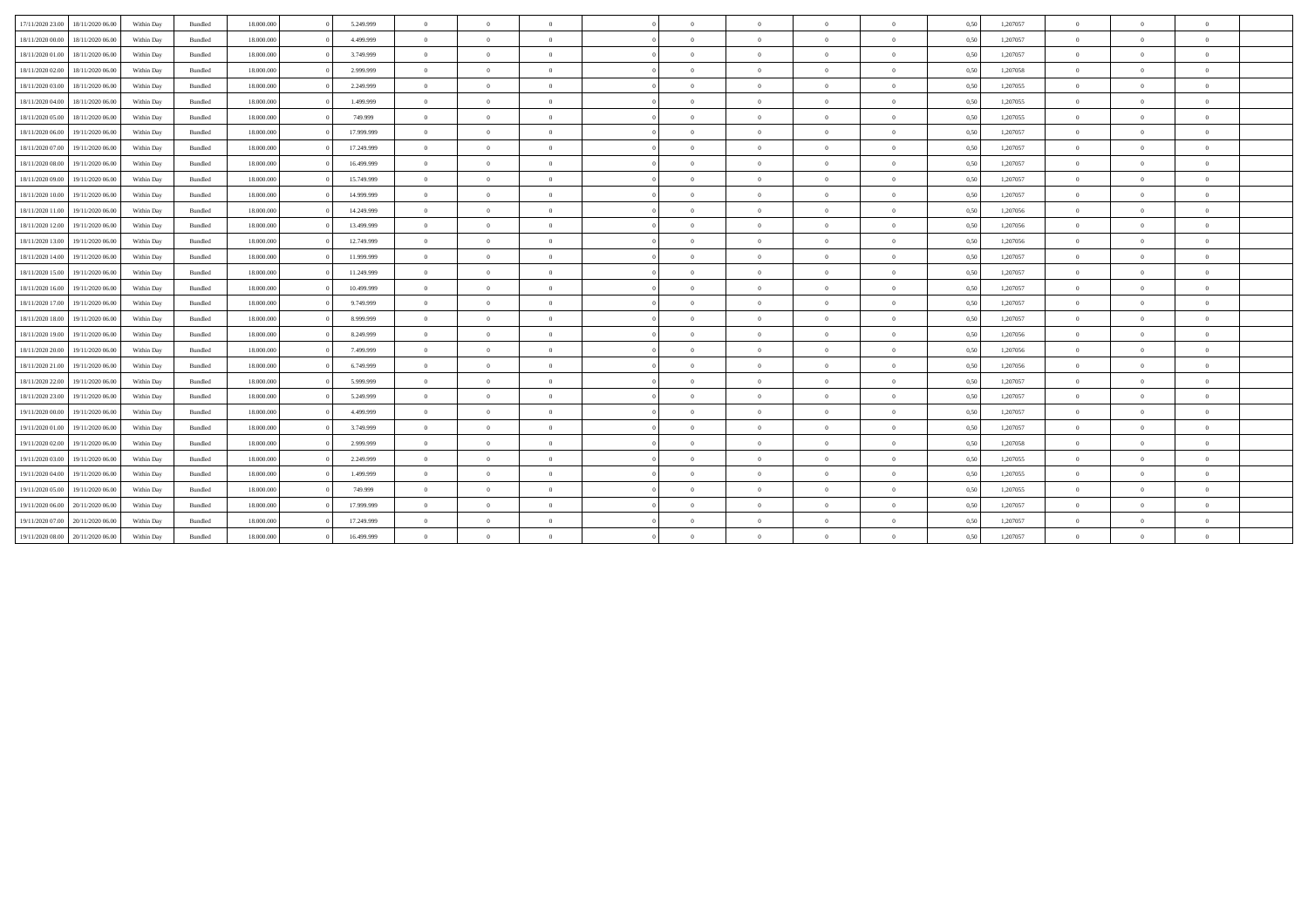| 17/11/2020 23:00<br>18/11/2020 06.00 | Within Day | Bundled | 18.000.000 | 5.249.999  | $\overline{0}$ | $\Omega$       | $\theta$       | $\Omega$   | $\overline{0}$ | $\overline{0}$ | $\Omega$       | 0,50 | 1,207057 | $\Omega$       | $\Omega$       | $\theta$                 |  |
|--------------------------------------|------------|---------|------------|------------|----------------|----------------|----------------|------------|----------------|----------------|----------------|------|----------|----------------|----------------|--------------------------|--|
| 18/11/2020 00:00<br>18/11/2020 06.00 | Within Day | Bundled | 18.000.000 | 4.499.999  | $\overline{0}$ | $\Omega$       | $\sqrt{2}$     | $\Omega$   | $\Omega$       | $\overline{0}$ | $\Omega$       | 0,50 | 1,207057 | $\Omega$       | $\Omega$       | $\theta$                 |  |
| 18/11/2020 01:00<br>18/11/2020 06.00 | Within Day | Bundled | 18.000.000 | 3.749.999  | $\overline{0}$ | $\overline{0}$ | $\overline{0}$ | $\Omega$   | $\overline{0}$ | $\overline{0}$ | $\Omega$       | 0,50 | 1,207057 | $\theta$       | $\overline{0}$ | $\overline{0}$           |  |
| 18/11/2020 02:00<br>18/11/2020 06.00 | Within Day | Bundled | 18.000.000 | 2.999.999  | $\overline{0}$ | $\overline{0}$ | $\overline{0}$ | $\Omega$   | $\overline{0}$ | $\overline{0}$ | $\overline{0}$ | 0,50 | 1,207058 | $\overline{0}$ | $\overline{0}$ | $\overline{0}$           |  |
| 18/11/2020 03:00<br>18/11/2020 06.00 | Within Day | Bundled | 18.000.000 | 2.249.999  | $\overline{0}$ | $\overline{0}$ | $\overline{0}$ | $\Omega$   | $\bf{0}$       | $\overline{0}$ | $\Omega$       | 0,50 | 1,207055 | $\theta$       | $\Omega$       | $\overline{0}$           |  |
| 18/11/2020 04:00<br>18/11/2020 06.00 | Within Day | Bundled | 18.000.000 | 1.499.999  | $\overline{0}$ | $\overline{0}$ | $\overline{0}$ | $\Omega$   | $\overline{0}$ | $\overline{0}$ | $\overline{0}$ | 0,50 | 1,207055 | $\theta$       | $\Omega$       | $\overline{0}$           |  |
| 18/11/2020 05:00<br>18/11/2020 06.00 | Within Day | Bundled | 18.000.000 | 749.999    | $\overline{0}$ | $\overline{0}$ | $\theta$       | $\Omega$   | $\overline{0}$ | $\overline{0}$ | $\overline{0}$ | 0,50 | 1,207055 | $\theta$       | $\overline{0}$ | $\overline{0}$           |  |
| 18/11/2020 06:00<br>19/11/2020 06.00 | Within Day | Bundled | 18.000.000 | 17.999.999 | $\theta$       | $\Omega$       | $\sqrt{2}$     | $\Omega$   | $\Omega$       | $\overline{0}$ | $\Omega$       | 0,50 | 1,207057 | $\theta$       | $\Omega$       | $\theta$                 |  |
| 18/11/2020 07:00<br>19/11/2020 06.00 | Within Day | Bundled | 18.000.000 | 17.249.999 | $\overline{0}$ | $\theta$       | $\Omega$       | $\Omega$   | $\Omega$       | $\overline{0}$ | $\overline{0}$ | 0,50 | 1,207057 | $\theta$       | $\Omega$       | $\theta$                 |  |
| 18/11/2020 08:00<br>19/11/2020 06.00 | Within Day | Bundled | 18.000.000 | 16.499.999 | $\overline{0}$ | $\overline{0}$ | $\overline{0}$ | $\Omega$   | $\overline{0}$ | $\overline{0}$ | $\overline{0}$ | 0,50 | 1,207057 | $\overline{0}$ | $\overline{0}$ | $\overline{0}$           |  |
| 18/11/2020 09:00<br>19/11/2020 06.00 | Within Day | Bundled | 18.000.000 | 15.749.999 | $\overline{0}$ | $\Omega$       | $\theta$       | $\Omega$   | $\bf{0}$       | $\overline{0}$ | $\Omega$       | 0,50 | 1,207057 | $\theta$       | $\Omega$       | $\overline{0}$           |  |
| 18/11/2020 10:00<br>19/11/2020 06.00 | Within Day | Bundled | 18.000.000 | 14.999.999 | $\overline{0}$ | $\theta$       | $\Omega$       | $\Omega$   | $\bf{0}$       | $\overline{0}$ | $\overline{0}$ | 0,50 | 1,207057 | $\theta$       | $\Omega$       | $\theta$                 |  |
| 18/11/2020 11:00<br>19/11/2020 06.00 | Within Day | Bundled | 18.000.000 | 14.249.999 | $\overline{0}$ | $\overline{0}$ | $\overline{0}$ | $\Omega$   | $\overline{0}$ | $\overline{0}$ | $\overline{0}$ | 0,50 | 1,207056 | $\theta$       | $\overline{0}$ | $\overline{0}$           |  |
| 18/11/2020 12.00 19/11/2020 06.00    | Within Day | Bundled | 18.000.000 | 13.499.999 | $\theta$       | $\Omega$       | $\sqrt{2}$     | $\Omega$   | $\Omega$       | $\overline{0}$ | $\Omega$       | 0,50 | 1,207056 | $\Omega$       | $\Omega$       | $\theta$                 |  |
| 18/11/2020 13:00<br>19/11/2020 06.00 | Within Day | Bundled | 18,000,000 | 12.749.999 | $\overline{0}$ | $\theta$       | $\Omega$       | $\Omega$   | $\theta$       | $\overline{0}$ | $\theta$       | 0,50 | 1,207056 | $\theta$       | $\Omega$       | $\theta$                 |  |
| 18/11/2020 14:00<br>19/11/2020 06.00 | Within Day | Bundled | 18.000.000 | 11.999.999 | $\overline{0}$ | $\overline{0}$ | $\overline{0}$ | $\Omega$   | $\overline{0}$ | $\overline{0}$ | $\overline{0}$ | 0,50 | 1,207057 | $\theta$       | $\overline{0}$ | $\overline{0}$           |  |
| 18/11/2020 15:00<br>19/11/2020 06.00 | Within Day | Bundled | 18,000,000 | 11.249.999 | $\overline{0}$ | $\overline{0}$ | $\overline{0}$ | $\Omega$   | $\bf{0}$       | $\overline{0}$ | $\overline{0}$ | 0,50 | 1,207057 | $\theta$       | $\overline{0}$ | $\overline{0}$           |  |
| 18/11/2020 16:00 19/11/2020 06:00    | Within Day | Bundled | 18,000,000 | 10.499.999 | $\overline{0}$ | $\overline{0}$ | $\Omega$       | $\Omega$   | $\overline{0}$ | $\overline{0}$ | $\overline{0}$ | 0,50 | 1,207057 | $\theta$       | $\Omega$       | $\overline{0}$           |  |
| 18/11/2020 17:00<br>19/11/2020 06.00 | Within Day | Bundled | 18,000,000 | 9.749.999  | $\overline{0}$ | $\overline{0}$ | $\overline{0}$ | $\Omega$   | $\overline{0}$ | $\overline{0}$ | $\overline{0}$ | 0,50 | 1,207057 | $\theta$       | $\overline{0}$ | $\overline{0}$           |  |
| 18/11/2020 18:00<br>19/11/2020 06.00 | Within Day | Bundled | 18.000.000 | 8,999,999  | $\overline{0}$ | $\Omega$       | $\sqrt{2}$     | $\Omega$   | $\Omega$       | $\overline{0}$ | $\Omega$       | 0,50 | 1,207057 | $\theta$       | $\Omega$       | $\theta$                 |  |
| 18/11/2020 19:00<br>19/11/2020 06:00 | Within Day | Bundled | 18,000,000 | 8.249.999  | $\overline{0}$ | $\overline{0}$ | $\Omega$       |            | $\bf{0}$       | $\overline{0}$ | $\Omega$       | 0,50 | 1.207056 | $\theta$       | $\Omega$       | $\overline{0}$           |  |
| 18/11/2020 20:00<br>19/11/2020 06.00 | Within Day | Bundled | 18.000.000 | 7.499.999  | $\overline{0}$ | $\overline{0}$ | $\overline{0}$ | $\Omega$   | $\bf{0}$       | $\overline{0}$ | $\overline{0}$ | 0,50 | 1,207056 | $\bf{0}$       | $\overline{0}$ | $\overline{\phantom{a}}$ |  |
| 18/11/2020 21:00<br>19/11/2020 06:00 | Within Day | Bundled | 18.000.000 | 6.749.999  | $\overline{0}$ | $\overline{0}$ | $\Omega$       | $\sqrt{2}$ | $\bf{0}$       | $\overline{0}$ | $\Omega$       | 0,50 | 1,207056 | $\theta$       | $\Omega$       | $\overline{0}$           |  |
| 18/11/2020 22.00<br>19/11/2020 06.00 | Within Dav | Bundled | 18,000,000 | 5.999.999  | $\overline{0}$ | $\theta$       | $\Omega$       | $\Omega$   | $\overline{0}$ | $\overline{0}$ | $\theta$       | 0,50 | 1,207057 | $\Omega$       | $\Omega$       | $\theta$                 |  |
| 18/11/2020 23:00<br>19/11/2020 06.00 | Within Day | Bundled | 18.000.000 | 5.249.999  | $\overline{0}$ | $\overline{0}$ | $\overline{0}$ | $\Omega$   | $\overline{0}$ | $\overline{0}$ | $\overline{0}$ | 0,50 | 1,207057 | $\theta$       | $\overline{0}$ | $\overline{0}$           |  |
| 19/11/2020 00:00<br>19/11/2020 06.00 | Within Day | Bundled | 18.000.000 | 4.499.999  | $\overline{0}$ | $\Omega$       | $\Omega$       | $\Omega$   | $\Omega$       | $\overline{0}$ | $\Omega$       | 0,50 | 1,207057 | $\Omega$       | $\Omega$       | $\theta$                 |  |
| 19/11/2020 01:00<br>19/11/2020 06.00 | Within Day | Bundled | 18.000.000 | 3.749.999  | $\overline{0}$ | $\theta$       | $\Omega$       | $\Omega$   | $\Omega$       | $\overline{0}$ | $\Omega$       | 0,50 | 1,207057 | $\theta$       | $\Omega$       | $\theta$                 |  |
| 19/11/2020 02.00<br>19/11/2020 06.00 | Within Day | Bundled | 18.000.000 | 2.999.999  | $\overline{0}$ | $\overline{0}$ | $\overline{0}$ | $\Omega$   | $\overline{0}$ | $\overline{0}$ | $\overline{0}$ | 0,50 | 1,207058 | $\overline{0}$ | $\overline{0}$ | $\bf{0}$                 |  |
| 19/11/2020 03:00<br>19/11/2020 06.00 | Within Day | Bundled | 18.000.000 | 2.249.999  | $\overline{0}$ | $\theta$       | $\Omega$       | $\Omega$   | $\bf{0}$       | $\overline{0}$ | $\theta$       | 0,50 | 1,207055 | $\theta$       | $\Omega$       | $\overline{0}$           |  |
| 19/11/2020 04:00<br>19/11/2020 06.00 | Within Day | Bundled | 18,000,000 | 1.499.999  | $\overline{0}$ | $\Omega$       | $\Omega$       | $\Omega$   | $\Omega$       | $\overline{0}$ | $\overline{0}$ | 0,50 | 1,207055 | $\Omega$       | $\Omega$       | $\theta$                 |  |
| 19/11/2020 05:00<br>19/11/2020 06.00 | Within Day | Bundled | 18.000.000 | 749.999    | $\overline{0}$ | $\overline{0}$ | $\Omega$       |            | $\bf{0}$       | $\overline{0}$ | $\theta$       | 0,50 | 1,207055 | $\theta$       | $\overline{0}$ | $\overline{0}$           |  |
| 19/11/2020 06:00<br>20/11/2020 06:00 | Within Day | Bundled | 18.000.000 | 17.999.999 | $\theta$       | $\theta$       | $\sqrt{2}$     | $\Omega$   | $\Omega$       | $\overline{0}$ | $\Omega$       | 0,50 | 1,207057 | $\theta$       | $\Omega$       | $\theta$                 |  |
| 19/11/2020 07:00<br>20/11/2020 06.00 | Within Day | Bundled | 18.000.000 | 17.249.999 | $\Omega$       | $\Omega$       | $\Omega$       |            | $\Omega$       | $\Omega$       | $\Omega$       | 0,50 | 1,207057 | $\theta$       | $\Omega$       | $\theta$                 |  |
| 19/11/2020 08:00<br>20/11/2020 06.00 | Within Day | Bundled | 18.000.000 | 16.499.999 | $\overline{0}$ | $\Omega$       | $\sqrt{2}$     |            | $\Omega$       | $\Omega$       | $\Omega$       | 0,50 | 1,207057 | $\theta$       | $\Omega$       | $\theta$                 |  |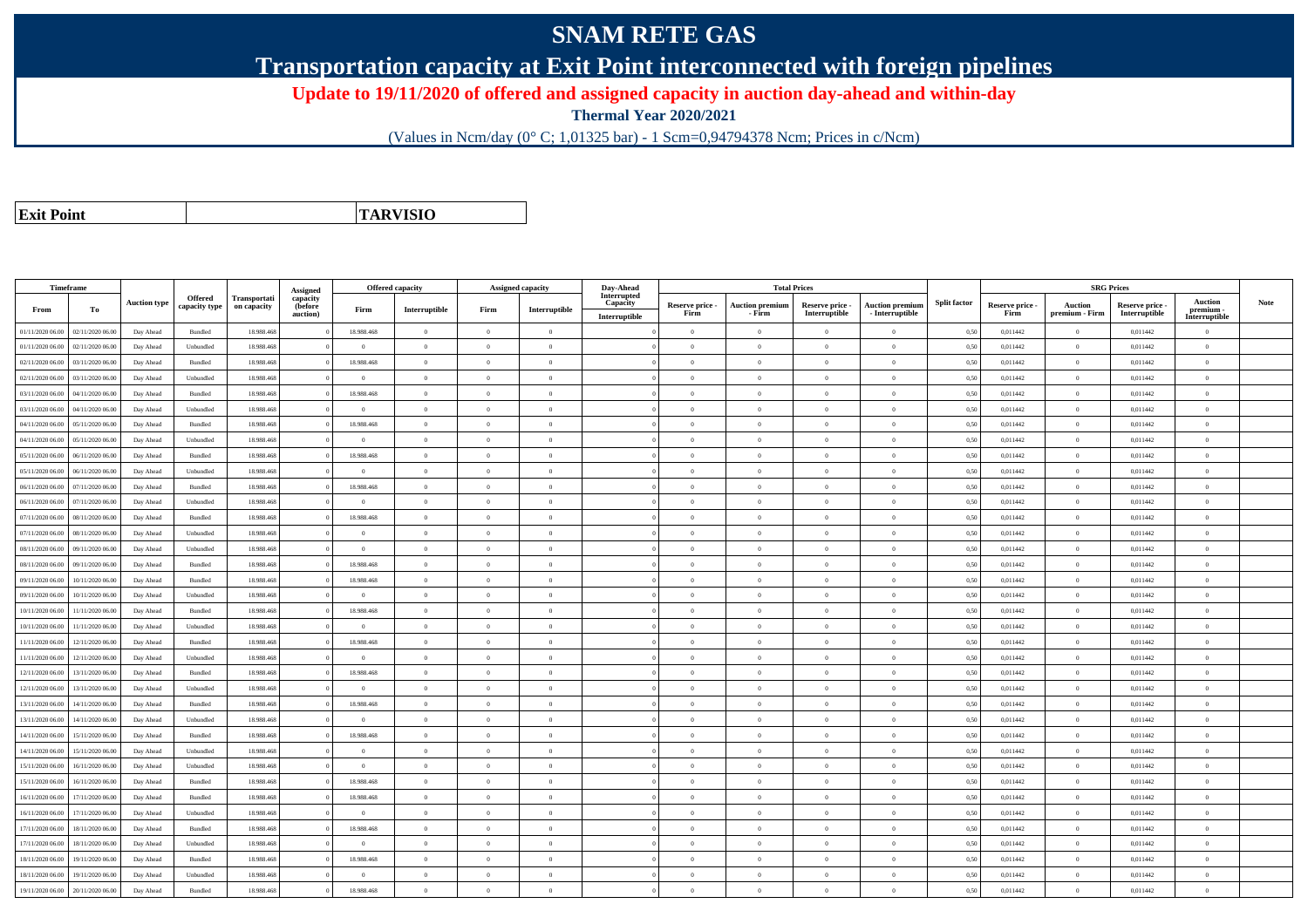## **SNAM RETE GAS**

**Transportation capacity at Exit Point interconnected with foreign pipelines**

**Update to 19/11/2020 of offered and assigned capacity in auction day-ahead and within-day**

**Thermal Year 2020/2021**

(Values in Ncm/day (0° C; 1,01325 bar) - 1 Scm=0,94794378 Ncm; Prices in c/Ncm)

**Exit Point**

**TARVISIO**

|                     | Timeframe        |                     |                                 |                             |                                                    |                | Offered capacity |                | <b>Assigned capacity</b> | Day-Ahead                                | <b>Total Prices</b>     |                                  |                                  |                                           |                     |                         | <b>SRG Prices</b>                |                                  |                                              |             |
|---------------------|------------------|---------------------|---------------------------------|-----------------------------|----------------------------------------------------|----------------|------------------|----------------|--------------------------|------------------------------------------|-------------------------|----------------------------------|----------------------------------|-------------------------------------------|---------------------|-------------------------|----------------------------------|----------------------------------|----------------------------------------------|-------------|
| From                | To               | <b>Auction type</b> | <b>Offered</b><br>capacity type | Transportati<br>on capacity | <b>Assigned</b><br>capacity<br>(before<br>auction) | Firm           | Interruptible    | Firm           | Interruptible            | Interrupted<br>Capacity<br>Interruptible | Reserve price -<br>Firm | <b>Auction premium</b><br>- Firm | Reserve price -<br>Interruptible | <b>Auction premium</b><br>- Interruptible | <b>Split factor</b> | Reserve price -<br>Firm | <b>Auction</b><br>premium - Firm | Reserve price -<br>Interruptible | <b>Auction</b><br>premium -<br>Interruptible | <b>Note</b> |
| 01/11/2020 06:00    | 02/11/2020 06.00 | Day Ahead           | Bundled                         | 18.988.468                  |                                                    | 18.988.468     | $\overline{0}$   | $\overline{0}$ | $\overline{0}$           |                                          | $\Omega$                | $\theta$                         | $\Omega$                         | $\theta$                                  | 0.50                | 0,011442                | $\theta$                         | 0,011442                         | $\theta$                                     |             |
| 01/11/2020 06.00    | 02/11/2020 06.00 | Day Ahead           | Unbundled                       | 18.988.468                  |                                                    | $\theta$       | $\overline{0}$   | $\overline{0}$ | $\overline{0}$           |                                          | $\theta$                | $\theta$                         | $\overline{0}$                   | $\mathbf{0}$                              | 0,50                | 0,011442                | $\overline{0}$                   | 0,011442                         | $\bf{0}$                                     |             |
| 02/11/2020 06:00    | 03/11/2020 06:00 | Day Ahead           | Bundled                         | 18,988,468                  |                                                    | 18,988,468     | $\overline{0}$   | $\theta$       | $\Omega$                 |                                          | $\Omega$                | $\theta$                         | $\Omega$                         | $\Omega$                                  | 0.50                | 0.011442                | $\overline{0}$                   | 0.011442                         | $\Omega$                                     |             |
| 02/11/2020 06:00    | 03/11/2020 06.00 | Day Ahead           | Unbundled                       | 18,988,468                  |                                                    | $\overline{0}$ | $\overline{0}$   | $\Omega$       | $\Omega$                 |                                          | $\Omega$                | $\Omega$                         | $\theta$                         | $\theta$                                  | 0,50                | 0,011442                | $\overline{0}$                   | 0.011442                         | $\theta$                                     |             |
| 03/11/2020 06:00    | 04/11/2020 06.00 | Day Ahead           | Bundled                         | 18.988.468                  |                                                    | 18.988.468     | $\overline{0}$   | $\overline{0}$ | $\overline{0}$           |                                          | $\overline{0}$          | $\overline{0}$                   | $\overline{0}$                   | $\mathbf{0}$                              | 0,50                | 0,011442                | $\overline{0}$                   | 0,011442                         | $\bf{0}$                                     |             |
| 03/11/2020 06.00    | 04/11/2020 06.00 | Day Ahead           | Unbundled                       | 18.988.468                  |                                                    | $\overline{0}$ | $\overline{0}$   | $\overline{0}$ | $\overline{0}$           |                                          | $\overline{0}$          | $\theta$                         | $\overline{0}$                   | $\overline{0}$                            | 0,50                | 0,011442                | $\overline{0}$                   | 0,011442                         | $\bf{0}$                                     |             |
| 04/11/2020 06.00    | 05/11/2020 06.00 | Day Ahead           | Bundled                         | 18.988.468                  |                                                    | 18.988.468     | $\overline{0}$   | $\overline{0}$ | $\overline{0}$           |                                          | $\overline{0}$          | $\theta$                         | $\overline{0}$                   | $\overline{0}$                            | 0,50                | 0,011442                | $\overline{0}$                   | 0,011442                         | $\Omega$                                     |             |
| 04/11/2020 06.00    | 05/11/2020 06.00 | Day Ahead           | Unbundled                       | 18.988.468                  |                                                    | $\overline{0}$ | $\overline{0}$   | $\Omega$       | $\Omega$                 |                                          | $\Omega$                | $\theta$                         | $\overline{0}$                   | $\Omega$                                  | 0,50                | 0,011442                | $\overline{0}$                   | 0,011442                         | $\Omega$                                     |             |
| $05/11/2020\ 06.00$ | 06/11/2020 06.00 | Day Ahead           | Bundled                         | 18,988,468                  |                                                    | 18,988,468     | $\overline{0}$   | $\theta$       | $\theta$                 |                                          | $\Omega$                | $\theta$                         | $\Omega$                         | $\Omega$                                  | 0.50                | 0,011442                | $\overline{0}$                   | 0,011442                         | $\Omega$                                     |             |
| 05/11/2020 06:00    | 06/11/2020 06.00 | Day Ahead           | Unbundled                       | 18.988.468                  |                                                    | $\theta$       | $\overline{0}$   | $\Omega$       | $\Omega$                 |                                          | $\Omega$                | $\Omega$                         | $\overline{0}$                   | $\theta$                                  | 0,50                | 0,011442                | $\overline{0}$                   | 0,011442                         | $\Omega$                                     |             |
| 06/11/2020 06:00    | 07/11/2020 06:00 | Day Ahead           | Bundled                         | 18,988,468                  |                                                    | 18,988,468     | $\overline{0}$   | $\overline{0}$ | $\overline{0}$           |                                          | $\overline{0}$          | $\theta$                         | $\overline{0}$                   | $\overline{0}$                            | 0,50                | 0.011442                | $\overline{0}$                   | 0.011442                         | $\bf{0}$                                     |             |
| 06/11/2020 06.00    | 07/11/2020 06.00 | Day Ahead           | Unbundled                       | 18.988.468                  |                                                    | $\overline{0}$ | $\overline{0}$   | $\overline{0}$ | $\overline{0}$           |                                          | $\overline{0}$          | $\theta$                         | $\overline{0}$                   | $\bf{0}$                                  | 0,50                | 0,011442                | $\overline{0}$                   | 0,011442                         | $\overline{0}$                               |             |
| 07/11/2020 06:00    | 08/11/2020 06.00 | Day Ahead           | Bundled                         | 18.988.468                  |                                                    | 18.988.468     | $\overline{0}$   | $\overline{0}$ | $\overline{0}$           |                                          | $\Omega$                |                                  | $\overline{0}$                   | $\mathbf{0}$                              | 0,50                | 0,011442                | $\overline{0}$                   | 0,011442                         | $\Omega$                                     |             |
| 07/11/2020 06.00    | 08/11/2020 06.00 | Day Ahead           | Unbundled                       | 18.988.468                  |                                                    | $\overline{0}$ | $\overline{0}$   | $\overline{0}$ | $\overline{0}$           |                                          | $\overline{0}$          | $\theta$                         | $\overline{0}$                   | $\overline{0}$                            | 0,50                | 0,011442                | $\,$ 0 $\,$                      | 0,011442                         | $\theta$                                     |             |
| 08/11/2020 06.00    | 09/11/2020 06.00 | Day Ahead           | Unbundled                       | 18.988.468                  |                                                    | $\overline{0}$ | $\overline{0}$   | $\overline{0}$ | $\Omega$                 |                                          | $\overline{0}$          | $\Omega$                         | $\overline{0}$                   | $\mathbf{0}$                              | 0,50                | 0,011442                | $\overline{0}$                   | 0,011442                         | $\bf{0}$                                     |             |
| 08/11/2020 06:00    | 09/11/2020 06:00 | Day Ahead           | Bundled                         | 18,988,468                  |                                                    | 18,988,468     | $\overline{0}$   | $\Omega$       | $\theta$                 |                                          | $\theta$                |                                  | $\Omega$                         | $\theta$                                  | 0.50                | 0.011442                | $\Omega$                         | 0.011442                         | $\Omega$                                     |             |
| 09/11/2020 06.00    | 10/11/2020 06:00 | Day Ahead           | Bundled                         | 18,988,468                  |                                                    | 18,988,468     | $\overline{0}$   | $\overline{0}$ | $\overline{0}$           |                                          | $\overline{0}$          | $\theta$                         | $\overline{0}$                   | $\overline{0}$                            | 0.50                | 0.011442                | $\overline{0}$                   | 0.011442                         | $\Omega$                                     |             |
| 09/11/2020 06.00    | 10/11/2020 06.00 | Day Ahead           | Unbundled                       | 18.988.468                  |                                                    | $\overline{0}$ | $\overline{0}$   | $\overline{0}$ | $\overline{0}$           |                                          | $\overline{0}$          | $\bf{0}$                         | $\overline{0}$                   | $\mathbf{0}$                              | 0,50                | 0,011442                | $\bf{0}$                         | 0,011442                         | $\bf{0}$                                     |             |
| 10/11/2020 06.00    | 11/11/2020 06.00 | Day Ahead           | Bundled                         | 18.988.468                  |                                                    | 18,988,468     | $\overline{0}$   | $\theta$       | $\overline{0}$           |                                          | $\Omega$                | $\theta$                         | $\overline{0}$                   | $\theta$                                  | 0,50                | 0,011442                | $\overline{0}$                   | 0,011442                         | $\Omega$                                     |             |
| 10/11/2020 06.00    | 11/11/2020 06.00 | Day Ahead           | Unbundled                       | 18.988.468                  |                                                    | $\overline{0}$ | $\overline{0}$   | $\overline{0}$ | $\overline{0}$           |                                          | $\Omega$                | $\theta$                         | $\overline{0}$                   | $\overline{0}$                            | 0,50                | 0,011442                | $\overline{0}$                   | 0,011442                         | $\Omega$                                     |             |
| 11/11/2020 06:00    | 12/11/2020 06:00 | Day Ahead           | Bundled                         | 18.988.468                  |                                                    | 18.988.468     | $\overline{0}$   | $\theta$       | $\Omega$                 |                                          | $\Omega$                | $\theta$                         | $\overline{0}$                   | $\theta$                                  | 0,50                | 0,011442                | $\overline{0}$                   | 0,011442                         | $\Omega$                                     |             |
| 11/11/2020 06:00    | 12/11/2020 06:00 | Day Ahead           | Unbundled                       | 18,988,468                  |                                                    | $\theta$       | $\overline{0}$   | $\theta$       | $\Omega$                 |                                          | $\Omega$                | $\theta$                         | $\Omega$                         | $\Omega$                                  | 0.50                | 0.011442                | $\overline{0}$                   | 0.011442                         | $\Omega$                                     |             |
| 12/11/2020 06.00    | 13/11/2020 06.00 | Day Ahead           | Bundled                         | 18.988.468                  |                                                    | 18.988.468     | $\overline{0}$   | $\overline{0}$ | $\overline{0}$           |                                          | $\overline{0}$          | $\theta$                         | $\overline{0}$                   | $\mathbf{0}$                              | 0,50                | 0,011442                | $\overline{0}$                   | 0,011442                         | $\bf{0}$                                     |             |
| 12/11/2020 06.00    | 13/11/2020 06.00 | Day Ahead           | Unbundled                       | 18.988.468                  |                                                    | $\overline{0}$ | $\overline{0}$   | $\overline{0}$ | $\overline{0}$           |                                          | $\overline{0}$          | $\theta$                         | $\overline{0}$                   | $\overline{0}$                            | 0,50                | 0,011442                | $\overline{0}$                   | 0,011442                         | $\bf{0}$                                     |             |
| 13/11/2020 06.00    | 14/11/2020 06.00 | Day Ahead           | Bundled                         | 18.988.468                  |                                                    | 18.988.468     | $\overline{0}$   | $\overline{0}$ | $\overline{0}$           |                                          | $\overline{0}$          | $\mathbf{0}$                     | $\overline{0}$                   | $\overline{0}$                            | 0,50                | 0,011442                | $\overline{0}$                   | 0,011442                         | $\bf{0}$                                     |             |
| 13/11/2020 06.00    | 14/11/2020 06.0  | Day Ahead           | Unbundled                       | 18.988.468                  |                                                    | $\overline{0}$ | $\overline{0}$   | $\overline{0}$ | $\overline{0}$           |                                          | $\overline{0}$          | $\theta$                         | $\overline{0}$                   | $\overline{0}$                            | 0,50                | 0,011442                | $\overline{0}$                   | 0,011442                         | $\bf{0}$                                     |             |
| 14/11/2020 06:00    | 15/11/2020 06.00 | Day Ahead           | Bundled                         | 18,988,468                  |                                                    | 18,988,468     | $\overline{0}$   | $\Omega$       | $\Omega$                 |                                          | $\Omega$                | $\theta$                         | $\theta$                         | $\theta$                                  | 0,50                | 0,011442                | $\overline{0}$                   | 0.011442                         | $\theta$                                     |             |
| 14/11/2020 06.00    | 15/11/2020 06.00 | Day Ahead           | Unbundled                       | 18.988.468                  |                                                    | $\theta$       | $\overline{0}$   | $\theta$       | $\Omega$                 |                                          | $\Omega$                | $\theta$                         | $\overline{0}$                   | $\Omega$                                  | 0,50                | 0,011442                | $\overline{0}$                   | 0,011442                         | $\Omega$                                     |             |
| 15/11/2020 06.00    | 16/11/2020 06.00 | Day Ahead           | Unbundled                       | 18.988.468                  |                                                    | $\overline{0}$ | $\overline{0}$   | $\overline{0}$ | $\overline{0}$           |                                          | $\overline{0}$          | $\theta$                         | $\overline{0}$                   | $\mathbf{0}$                              | 0,50                | 0,011442                | $\overline{0}$                   | 0,011442                         | $\bf{0}$                                     |             |
| 15/11/2020 06.00    | 16/11/2020 06.00 | Day Ahead           | Bundled                         | 18.988.468                  |                                                    | 18.988.468     | $\overline{0}$   | $\overline{0}$ | $\overline{0}$           |                                          | $\overline{0}$          | $\theta$                         | $\overline{0}$                   | $\,$ 0                                    | 0,50                | 0,011442                | $\overline{0}$                   | 0,011442                         | $\bf{0}$                                     |             |
| 16/11/2020 06.00    | 17/11/2020 06.00 | Day Ahead           | Bundled                         | 18.988.468                  |                                                    | 18.988.468     | $\overline{0}$   | $\overline{0}$ | $\overline{0}$           |                                          | $\overline{0}$          | $\theta$                         | $\overline{0}$                   | $\overline{0}$                            | 0,50                | 0,011442                | $\overline{0}$                   | 0,011442                         | $\bf{0}$                                     |             |
| 16/11/2020 06:00    | 17/11/2020 06:00 | Day Ahead           | Unbundled                       | 18.988.468                  |                                                    | $\overline{0}$ | $\overline{0}$   | $\overline{0}$ | $\Omega$                 |                                          | $\Omega$                |                                  | $\overline{0}$                   | $\Omega$                                  | 0,50                | 0,011442                | $\overline{0}$                   | 0,011442                         | $\Omega$                                     |             |
| 17/11/2020 06.00    | 18/11/2020 06.00 | Day Ahead           | Bundled                         | 18,988,468                  |                                                    | 18,988,468     | $\overline{0}$   | $\overline{0}$ | $\Omega$                 |                                          | $\Omega$                | $\theta$                         | $\theta$                         | $\theta$                                  | 0.50                | 0.011442                | $\overline{0}$                   | 0.011442                         | $\theta$                                     |             |
| 17/11/2020 06:00    | 18/11/2020 06:00 | Day Ahead           | Unbundled                       | 18.988.468                  |                                                    | $\theta$       | $\overline{0}$   | $\Omega$       | $\theta$                 |                                          | $\theta$                | $\theta$                         | $\Omega$                         | $\theta$                                  | 0,50                | 0,011442                | $\overline{0}$                   | 0,011442                         | $\Omega$                                     |             |
| 18/11/2020 06.00    | 19/11/2020 06.00 | Day Ahead           | Bundled                         | 18.988.468                  |                                                    | 18.988.468     | $\overline{0}$   | $\overline{0}$ | $\overline{0}$           |                                          | $\theta$                |                                  | $\overline{0}$                   | $\mathbf{0}$                              | 0,50                | 0,011442                | $\overline{0}$                   | 0,011442                         | $\bf{0}$                                     |             |
| 18/11/2020 06.00    | 19/11/2020 06.0  | Day Ahead           | Unbundled                       | 18.988.468                  |                                                    | $\overline{0}$ | $\overline{0}$   | $\overline{0}$ | $\overline{0}$           |                                          | $\overline{0}$          | $\theta$                         | $\overline{0}$                   | $\overline{0}$                            | 0,50                | 0,011442                | $\overline{0}$                   | 0,011442                         | $\bf{0}$                                     |             |
| 19/11/2020 06:00    | 20/11/2020 06:00 | Day Ahead           | Bundled                         | 18.988.468                  |                                                    | 18.988.468     | $\theta$         | $\Omega$       | $\Omega$                 |                                          | $\Omega$                |                                  | $\Omega$                         | $\theta$                                  | 0,50                | 0,011442                | $\overline{0}$                   | 0,011442                         | $\Omega$                                     |             |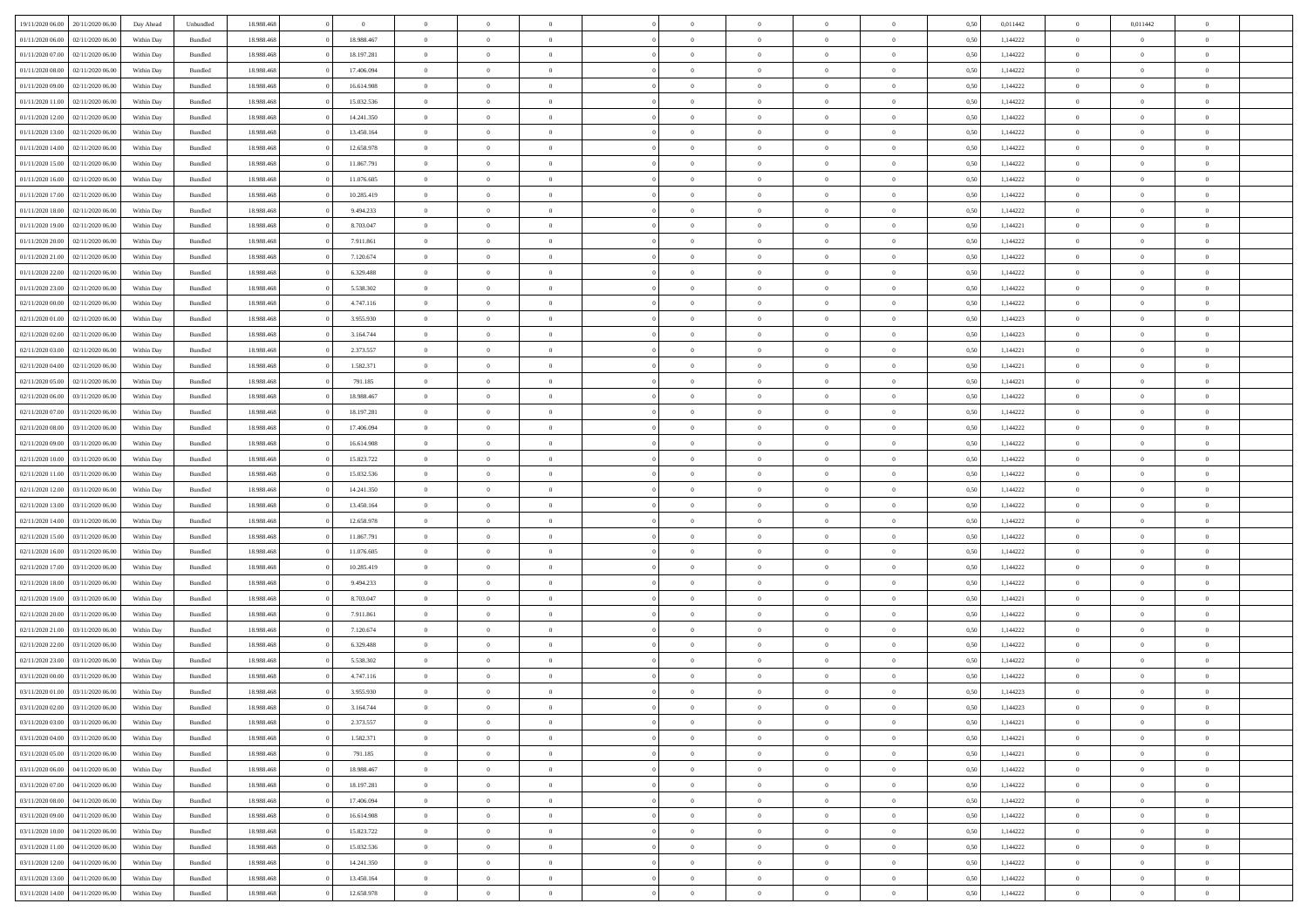| 19/11/2020 06:00 20/11/2020 06:00      | Day Ahead  | Unbundled          | 18.988.468 | $\overline{0}$ | $\overline{0}$ | $\overline{0}$ | $\Omega$       | $\theta$       | $\theta$       |                | $\overline{0}$ | 0,50 | 0,011442 | $\mathbf{0}$   | 0,011442       | $\Omega$       |  |
|----------------------------------------|------------|--------------------|------------|----------------|----------------|----------------|----------------|----------------|----------------|----------------|----------------|------|----------|----------------|----------------|----------------|--|
| 01/11/2020 06:00<br>02/11/2020 06.00   | Within Day | $\mathbf B$ undled | 18.988.468 | 18.988.467     | $\bf{0}$       | $\overline{0}$ | $\theta$       | $\theta$       | $\overline{0}$ | $\overline{0}$ | $\,$ 0         | 0,50 | 1,144222 | $\mathbf{0}$   | $\theta$       | $\bf{0}$       |  |
| 01/11/2020 07:00<br>02/11/2020 06.00   | Within Day | Bundled            | 18.988.468 | 18.197.281     | $\overline{0}$ | $\overline{0}$ | $\overline{0}$ | $\bf{0}$       | $\bf{0}$       | $\overline{0}$ | $\mathbf{0}$   | 0,50 | 1,144222 | $\bf{0}$       | $\bf{0}$       | $\overline{0}$ |  |
| 01/11/2020 08:00<br>02/11/2020 06:00   | Within Day | Bundled            | 18.988.468 | 17.406.094     | $\overline{0}$ | $\overline{0}$ | $\overline{0}$ | $\overline{0}$ | $\overline{0}$ | $\overline{0}$ | $\overline{0}$ | 0.50 | 1,144222 | $\overline{0}$ | $\overline{0}$ | $\bf{0}$       |  |
| 01/11/2020 09:00<br>02/11/2020 06.00   | Within Day | $\mathbf B$ undled | 18.988.468 | 16.614.908     | $\bf{0}$       | $\overline{0}$ | $\theta$       | $\theta$       | $\overline{0}$ | $\overline{0}$ | $\,$ 0         | 0,50 | 1,144222 | $\mathbf{0}$   | $\theta$       | $\overline{0}$ |  |
|                                        |            |                    |            |                |                |                |                |                |                |                |                |      |          |                |                |                |  |
| 01/11/2020 11:00<br>02/11/2020 06.00   | Within Day | Bundled            | 18.988.468 | 15.032.536     | $\overline{0}$ | $\overline{0}$ | $\overline{0}$ | $\bf{0}$       | $\overline{0}$ | $\overline{0}$ | $\overline{0}$ | 0,50 | 1,144222 | $\overline{0}$ | $\bf{0}$       | $\overline{0}$ |  |
| 01/11/2020 12:00<br>02/11/2020 06:00   | Within Day | Bundled            | 18.988.468 | 14.241.350     | $\overline{0}$ | $\overline{0}$ | $\overline{0}$ | $\overline{0}$ | $\overline{0}$ | $\overline{0}$ | $\mathbf{0}$   | 0.50 | 1,144222 | $\overline{0}$ | $\theta$       | $\overline{0}$ |  |
| 01/11/2020 13:00<br>02/11/2020 06.00   | Within Day | Bundled            | 18.988.468 | 13.450.164     | $\bf{0}$       | $\overline{0}$ | $\overline{0}$ | $\overline{0}$ | $\overline{0}$ | $\overline{0}$ | $\,$ 0         | 0,50 | 1,144222 | $\theta$       | $\theta$       | $\bf{0}$       |  |
| 01/11/2020 14:00<br>02/11/2020 06.00   | Within Day | Bundled            | 18.988.468 | 12.658.978     | $\overline{0}$ | $\overline{0}$ | $\bf{0}$       | $\bf{0}$       | $\bf{0}$       | $\overline{0}$ | $\bf{0}$       | 0,50 | 1,144222 | $\bf{0}$       | $\bf{0}$       | $\bf{0}$       |  |
| 01/11/2020 15:00<br>02/11/2020 06:00   | Within Day | Bundled            | 18.988.468 | 11.867.791     | $\overline{0}$ | $\overline{0}$ | $\overline{0}$ | $\overline{0}$ | $\overline{0}$ | $\overline{0}$ | $\overline{0}$ | 0.50 | 1,144222 | $\overline{0}$ | $\theta$       | $\overline{0}$ |  |
| 01/11/2020 16:00<br>02/11/2020 06.00   | Within Day | $\mathbf B$ undled | 18.988.468 | 11.076.605     | $\bf{0}$       | $\overline{0}$ | $\theta$       | $\overline{0}$ | $\overline{0}$ | $\overline{0}$ | $\,$ 0         | 0,50 | 1,144222 | $\theta$       | $\theta$       | $\bf{0}$       |  |
| 01/11/2020 17.00<br>02/11/2020 06.00   | Within Day | Bundled            | 18.988.468 | 10.285.419     | $\overline{0}$ | $\overline{0}$ | $\overline{0}$ | $\bf{0}$       | $\bf{0}$       | $\overline{0}$ | $\mathbf{0}$   | 0,50 | 1,144222 | $\bf{0}$       | $\bf{0}$       | $\bf{0}$       |  |
|                                        |            |                    |            |                |                |                |                |                |                |                |                |      |          |                |                |                |  |
| 01/11/2020 18:00<br>02/11/2020 06:00   | Within Day | Bundled            | 18.988.468 | 9.494.233      | $\overline{0}$ | $\overline{0}$ | $\overline{0}$ | $\overline{0}$ | $\overline{0}$ | $\overline{0}$ | $\overline{0}$ | 0.50 | 1,144222 | $\mathbf{0}$   | $\overline{0}$ | $\bf{0}$       |  |
| 01/11/2020 19:00<br>02/11/2020 06.00   | Within Day | $\mathbf B$ undled | 18.988.468 | 8.703.047      | $\bf{0}$       | $\overline{0}$ | $\theta$       | $\theta$       | $\overline{0}$ | $\overline{0}$ | $\,$ 0         | 0,50 | 1,144221 | $\theta$       | $\theta$       | $\bf{0}$       |  |
| 01/11/2020 20.00<br>02/11/2020 06.00   | Within Day | Bundled            | 18.988.468 | 7.911.861      | $\overline{0}$ | $\overline{0}$ | $\overline{0}$ | $\bf{0}$       | $\overline{0}$ | $\overline{0}$ | $\overline{0}$ | 0,50 | 1,144222 | $\overline{0}$ | $\bf{0}$       | $\overline{0}$ |  |
| 01/11/2020 21:00<br>02/11/2020 06:00   | Within Day | Bundled            | 18.988.468 | 7.120.674      | $\overline{0}$ | $\overline{0}$ | $\overline{0}$ | $\overline{0}$ | $\overline{0}$ | $\overline{0}$ | $\mathbf{0}$   | 0.50 | 1,144222 | $\overline{0}$ | $\overline{0}$ | $\overline{0}$ |  |
| 01/11/2020 22.00<br>02/11/2020 06.00   | Within Day | Bundled            | 18.988.468 | 6.329.488      | $\bf{0}$       | $\overline{0}$ | $\overline{0}$ | $\overline{0}$ | $\overline{0}$ | $\overline{0}$ | $\bf{0}$       | 0,50 | 1,144222 | $\theta$       | $\theta$       | $\bf{0}$       |  |
| 01/11/2020 23.00<br>02/11/2020 06.00   | Within Day | Bundled            | 18.988.468 | 5.538.302      | $\overline{0}$ | $\overline{0}$ | $\bf{0}$       | $\bf{0}$       | $\bf{0}$       | $\overline{0}$ | $\mathbf{0}$   | 0,50 | 1,144222 | $\bf{0}$       | $\bf{0}$       | $\bf{0}$       |  |
| 02/11/2020 00:00<br>02/11/2020 06:00   | Within Day | Bundled            | 18.988.468 | 4.747.116      | $\overline{0}$ | $\overline{0}$ | $\overline{0}$ | $\overline{0}$ | $\overline{0}$ | $\overline{0}$ | $\overline{0}$ | 0.50 | 1,144222 | $\overline{0}$ | $\theta$       | $\overline{0}$ |  |
|                                        |            |                    |            |                |                |                |                |                |                |                |                |      |          |                |                |                |  |
| 02/11/2020 01:00<br>02/11/2020 06.00   | Within Day | Bundled            | 18.988.468 | 3.955.930      | $\bf{0}$       | $\overline{0}$ | $\overline{0}$ | $\overline{0}$ | $\overline{0}$ | $\overline{0}$ | $\,$ 0         | 0,50 | 1,144223 | $\theta$       | $\theta$       | $\bf{0}$       |  |
| 02/11/2020 02.00<br>02/11/2020 06.00   | Within Day | Bundled            | 18.988.468 | 3.164.744      | $\overline{0}$ | $\overline{0}$ | $\overline{0}$ | $\bf{0}$       | $\bf{0}$       | $\overline{0}$ | $\mathbf{0}$   | 0,50 | 1,144223 | $\bf{0}$       | $\bf{0}$       | $\bf{0}$       |  |
| 02/11/2020 03:00<br>02/11/2020 06:00   | Within Day | Bundled            | 18.988.468 | 2.373.557      | $\overline{0}$ | $\overline{0}$ | $\overline{0}$ | $\overline{0}$ | $\overline{0}$ | $\overline{0}$ | $\overline{0}$ | 0.50 | 1,144221 | $\overline{0}$ | $\overline{0}$ | $\bf{0}$       |  |
| 02/11/2020 04:00<br>02/11/2020 06.00   | Within Day | $\mathbf B$ undled | 18.988.468 | 1.582.371      | $\bf{0}$       | $\overline{0}$ | $\theta$       | $\overline{0}$ | $\overline{0}$ | $\overline{0}$ | $\,$ 0         | 0,50 | 1,144221 | $\mathbf{0}$   | $\theta$       | $\bf{0}$       |  |
| 02/11/2020 05.00<br>02/11/2020 06.00   | Within Day | Bundled            | 18.988.468 | 791.185        | $\overline{0}$ | $\overline{0}$ | $\overline{0}$ | $\bf{0}$       | $\overline{0}$ | $\overline{0}$ | $\overline{0}$ | 0,50 | 1,144221 | $\overline{0}$ | $\bf{0}$       | $\overline{0}$ |  |
| 02/11/2020 06:00<br>03/11/2020 06:00   | Within Day | Bundled            | 18.988.468 | 18.988.467     | $\overline{0}$ | $\overline{0}$ | $\overline{0}$ | $\overline{0}$ | $\overline{0}$ | $\overline{0}$ | $\overline{0}$ | 0.50 | 1,144222 | $\overline{0}$ | $\overline{0}$ | $\overline{0}$ |  |
| 02/11/2020 07:00<br>03/11/2020 06:00   | Within Day | Bundled            | 18.988.468 | 18.197.281     | $\bf{0}$       | $\overline{0}$ | $\overline{0}$ | $\overline{0}$ | $\overline{0}$ | $\overline{0}$ | $\bf{0}$       | 0,50 | 1,144222 | $\theta$       | $\theta$       | $\bf{0}$       |  |
|                                        |            |                    |            |                |                |                |                |                |                |                |                |      |          |                |                |                |  |
| 02/11/2020 08:00<br>03/11/2020 06.00   | Within Day | Bundled            | 18.988.468 | 17.406.094     | $\overline{0}$ | $\overline{0}$ | $\bf{0}$       | $\bf{0}$       | $\bf{0}$       | $\overline{0}$ | $\bf{0}$       | 0,50 | 1,144222 | $\bf{0}$       | $\bf{0}$       | $\bf{0}$       |  |
| 02/11/2020 09:00<br>03/11/2020 06:00   | Within Day | Bundled            | 18.988.468 | 16.614.908     | $\overline{0}$ | $\overline{0}$ | $\overline{0}$ | $\overline{0}$ | $\overline{0}$ | $\overline{0}$ | $\overline{0}$ | 0.50 | 1,144222 | $\overline{0}$ | $\overline{0}$ | $\overline{0}$ |  |
| 02/11/2020 10:00<br>03/11/2020 06:00   | Within Day | $\mathbf B$ undled | 18.988.468 | 15.823.722     | $\bf{0}$       | $\overline{0}$ | $\overline{0}$ | $\overline{0}$ | $\overline{0}$ | $\overline{0}$ | $\,$ 0         | 0,50 | 1,144222 | $\,$ 0 $\,$    | $\theta$       | $\bf{0}$       |  |
| 02/11/2020 11:00<br>03/11/2020 06:00   | Within Day | Bundled            | 18.988.468 | 15.032.536     | $\overline{0}$ | $\overline{0}$ | $\overline{0}$ | $\bf{0}$       | $\bf{0}$       | $\overline{0}$ | $\mathbf{0}$   | 0,50 | 1,144222 | $\overline{0}$ | $\bf{0}$       | $\bf{0}$       |  |
| 02/11/2020 12:00<br>03/11/2020 06.00   | Within Day | Bundled            | 18.988.468 | 14.241.350     | $\overline{0}$ | $\overline{0}$ | $\overline{0}$ | $\overline{0}$ | $\overline{0}$ | $\Omega$       | $\overline{0}$ | 0,50 | 1,144222 | $\bf{0}$       | $\theta$       | $\Omega$       |  |
| 02/11/2020 13:00<br>03/11/2020 06:00   | Within Day | Bundled            | 18.988.468 | 13.450.164     | $\bf{0}$       | $\overline{0}$ | $\overline{0}$ | $\theta$       | $\overline{0}$ | $\overline{0}$ | $\,$ 0         | 0,50 | 1,144222 | $\theta$       | $\theta$       | $\bf{0}$       |  |
| 02/11/2020 14:00<br>03/11/2020 06:00   | Within Day | Bundled            | 18.988.468 | 12.658.978     | $\overline{0}$ | $\overline{0}$ | $\overline{0}$ | $\bf{0}$       | $\overline{0}$ | $\overline{0}$ | $\overline{0}$ | 0,50 | 1,144222 | $\overline{0}$ | $\bf{0}$       | $\overline{0}$ |  |
| 02/11/2020 15:00<br>03/11/2020 06.00   | Within Day | Bundled            | 18,988,468 | 11.867.791     | $\overline{0}$ | $\overline{0}$ | $\Omega$       | $\overline{0}$ | $\overline{0}$ | $\Omega$       | $\overline{0}$ | 0.50 | 1,144222 | $\overline{0}$ | $\overline{0}$ | $\Omega$       |  |
|                                        |            |                    |            |                |                |                |                |                |                |                |                |      |          |                |                |                |  |
| 02/11/2020 16:00<br>03/11/2020 06.00   | Within Day | Bundled            | 18.988.468 | 11.076.605     | $\bf{0}$       | $\overline{0}$ | $\overline{0}$ | $\overline{0}$ | $\overline{0}$ | $\overline{0}$ | $\bf{0}$       | 0,50 | 1,144222 | $\theta$       | $\theta$       | $\bf{0}$       |  |
| 02/11/2020 17:00<br>03/11/2020 06.00   | Within Day | Bundled            | 18.988.468 | 10.285.419     | $\overline{0}$ | $\overline{0}$ | $\overline{0}$ | $\bf{0}$       | $\bf{0}$       | $\overline{0}$ | $\mathbf{0}$   | 0,50 | 1,144222 | $\bf{0}$       | $\bf{0}$       | $\bf{0}$       |  |
| $02/11/2020$ 18.00<br>03/11/2020 06.00 | Within Day | Bundled            | 18,988,468 | 9.494.233      | $\overline{0}$ | $\overline{0}$ | $\Omega$       | $\overline{0}$ | $\overline{0}$ | $\Omega$       | $\theta$       | 0.50 | 1,144222 | $\overline{0}$ | $\overline{0}$ | $\theta$       |  |
| 02/11/2020 19:00<br>03/11/2020 06:00   | Within Day | Bundled            | 18.988.468 | 8.703.047      | $\bf{0}$       | $\overline{0}$ | $\overline{0}$ | $\overline{0}$ | $\overline{0}$ | $\overline{0}$ | $\,$ 0         | 0,50 | 1,144221 | $\theta$       | $\theta$       | $\bf{0}$       |  |
| 02/11/2020 20.00<br>03/11/2020 06:00   | Within Day | Bundled            | 18.988.468 | 7.911.861      | $\overline{0}$ | $\overline{0}$ | $\overline{0}$ | $\bf{0}$       | $\bf{0}$       | $\overline{0}$ | $\mathbf{0}$   | 0,50 | 1,144222 | $\overline{0}$ | $\bf{0}$       | $\bf{0}$       |  |
| 02/11/2020 21:00<br>03/11/2020 06.00   | Within Day | Bundled            | 18.988.468 | 7.120.674      | $\overline{0}$ | $\overline{0}$ | $\overline{0}$ | $\overline{0}$ | $\bf{0}$       | $\Omega$       | $\overline{0}$ | 0,50 | 1,144222 | $\overline{0}$ | $\overline{0}$ | $\Omega$       |  |
| 02/11/2020 22.00<br>03/11/2020 06.00   | Within Day | Bundled            | 18.988.468 | 6.329.488      | $\bf{0}$       | $\overline{0}$ | $\overline{0}$ | $\overline{0}$ | $\overline{0}$ | $\overline{0}$ | $\,$ 0         | 0,50 | 1,144222 | $\bf{0}$       | $\theta$       | $\bf{0}$       |  |
| 02/11/2020 23.00<br>03/11/2020 06.00   | Within Day | Bundled            | 18.988.468 | 5.538.302      | $\overline{0}$ | $\overline{0}$ | $\overline{0}$ | $\bf{0}$       | $\overline{0}$ | $\overline{0}$ | $\overline{0}$ | 0,50 | 1,144222 | $\overline{0}$ | $\bf{0}$       | $\overline{0}$ |  |
|                                        |            |                    |            |                |                |                |                |                |                |                |                |      |          |                |                |                |  |
| 03/11/2020 00:00<br>03/11/2020 06.00   | Within Day | Bundled            | 18,988,468 | 4.747.116      | $\overline{0}$ | $\overline{0}$ | $\Omega$       | $\overline{0}$ | $\overline{0}$ | $\Omega$       | $\overline{0}$ | 0.50 | 1,144222 | $\bf{0}$       | $\theta$       | $\overline{0}$ |  |
| 03/11/2020 01.00 03/11/2020 06.00      | Within Day | Bundled            | 18.988.468 | 3.955.930      | $\bf{0}$       | $\overline{0}$ | $\overline{0}$ | $\bf{0}$       | $\bf{0}$       | $\bf{0}$       | $\,$ 0 $\,$    | 0,50 | 1,144223 | $\bf{0}$       | $\,$ 0         | $\,$ 0         |  |
| 03/11/2020 02.00 03/11/2020 06.00      | Within Day | Bundled            | 18.988.468 | 3.164.744      | $\bf{0}$       | $\bf{0}$       |                | $\bf{0}$       |                |                | $\bf{0}$       | 0,50 | 1,144223 | $\bf{0}$       | $\bf{0}$       |                |  |
| 03/11/2020 03:00 03/11/2020 06:00      | Within Day | Bundled            | 18.988.468 | 2.373.557      | $\overline{0}$ | $\overline{0}$ | $\theta$       | $\overline{0}$ | $\overline{0}$ | $\theta$       | $\mathbf{0}$   | 0,50 | 1,144221 | $\overline{0}$ | $\overline{0}$ | $\Omega$       |  |
| 03/11/2020 04:00<br>03/11/2020 06:00   | Within Day | Bundled            | 18.988.468 | 1.582.371      | $\bf{0}$       | $\overline{0}$ | $\overline{0}$ | $\bf{0}$       | $\overline{0}$ | $\overline{0}$ | $\mathbf{0}$   | 0,50 | 1,144221 | $\,$ 0 $\,$    | $\overline{0}$ | $\,0\,$        |  |
| 03/11/2020 05:00<br>03/11/2020 06.00   | Within Day | Bundled            | 18.988.468 | 791.185        | $\overline{0}$ | $\overline{0}$ | $\overline{0}$ | $\bf{0}$       | $\overline{0}$ | $\overline{0}$ | $\overline{0}$ | 0,50 | 1,144221 | $\bf{0}$       | $\overline{0}$ | $\overline{0}$ |  |
| 03/11/2020 06.00<br>04/11/2020 06.00   | Within Day | Bundled            | 18.988.468 | 18.988.467     | $\overline{0}$ | $\overline{0}$ | $\overline{0}$ | $\overline{0}$ | $\bf{0}$       | $\overline{0}$ | $\bf{0}$       | 0,50 | 1,144222 | $\overline{0}$ | $\overline{0}$ | $\overline{0}$ |  |
| 03/11/2020 07.00<br>04/11/2020 06:00   | Within Day | Bundled            | 18.988.468 | 18.197.281     | $\overline{0}$ | $\overline{0}$ | $\overline{0}$ | $\overline{0}$ | $\overline{0}$ | $\overline{0}$ | $\,$ 0 $\,$    | 0,50 | 1,144222 | $\,$ 0 $\,$    | $\theta$       | $\bf{0}$       |  |
|                                        |            |                    |            |                |                |                |                |                |                |                |                |      |          |                |                |                |  |
| 03/11/2020 08:00<br>04/11/2020 06.00   | Within Day | Bundled            | 18.988.468 | 17.406.094     | $\overline{0}$ | $\overline{0}$ | $\overline{0}$ | $\bf{0}$       | $\overline{0}$ | $\overline{0}$ | $\overline{0}$ | 0,50 | 1,144222 | $\bf{0}$       | $\overline{0}$ | $\overline{0}$ |  |
| 03/11/2020 09:00<br>04/11/2020 06.00   | Within Day | Bundled            | 18.988.468 | 16.614.908     | $\overline{0}$ | $\overline{0}$ | $\overline{0}$ | $\overline{0}$ | $\overline{0}$ | $\overline{0}$ | $\bf{0}$       | 0.50 | 1,144222 | $\overline{0}$ | $\overline{0}$ | $\overline{0}$ |  |
| 03/11/2020 10:00<br>04/11/2020 06.00   | Within Day | Bundled            | 18.988.468 | 15.823.722     | $\overline{0}$ | $\overline{0}$ | $\overline{0}$ | $\overline{0}$ | $\bf{0}$       | $\overline{0}$ | $\,$ 0 $\,$    | 0,50 | 1,144222 | $\,$ 0 $\,$    | $\theta$       | $\,$ 0         |  |
| 03/11/2020 11:00<br>04/11/2020 06.00   | Within Day | Bundled            | 18.988.468 | 15.032.536     | $\overline{0}$ | $\overline{0}$ | $\overline{0}$ | $\bf{0}$       | $\overline{0}$ | $\overline{0}$ | $\mathbf{0}$   | 0,50 | 1,144222 | $\bf{0}$       | $\bf{0}$       | $\overline{0}$ |  |
| 03/11/2020 12:00<br>04/11/2020 06.00   | Within Day | Bundled            | 18,988,468 | 14.241.350     | $\overline{0}$ | $\overline{0}$ | $\overline{0}$ | $\overline{0}$ | $\overline{0}$ | $\overline{0}$ | $\bf{0}$       | 0.50 | 1,144222 | $\overline{0}$ | $\overline{0}$ | $\overline{0}$ |  |
| 03/11/2020 13:00<br>04/11/2020 06.00   | Within Day | Bundled            | 18.988.468 | 13.450.164     | $\overline{0}$ | $\overline{0}$ | $\overline{0}$ | $\bf{0}$       | $\bf{0}$       | $\bf{0}$       | $\,$ 0 $\,$    | 0,50 | 1,144222 | $\,$ 0 $\,$    | $\,$ 0         | $\,$ 0         |  |
| 03/11/2020 14:00 04/11/2020 06:00      | Within Day | Bundled            | 18.988.468 | 12.658.978     | $\overline{0}$ | $\overline{0}$ | $\overline{0}$ | $\bf{0}$       | $\bf{0}$       | $\overline{0}$ | $\overline{0}$ | 0,50 | 1,144222 | $\bf{0}$       | $\bf{0}$       | $\overline{0}$ |  |
|                                        |            |                    |            |                |                |                |                |                |                |                |                |      |          |                |                |                |  |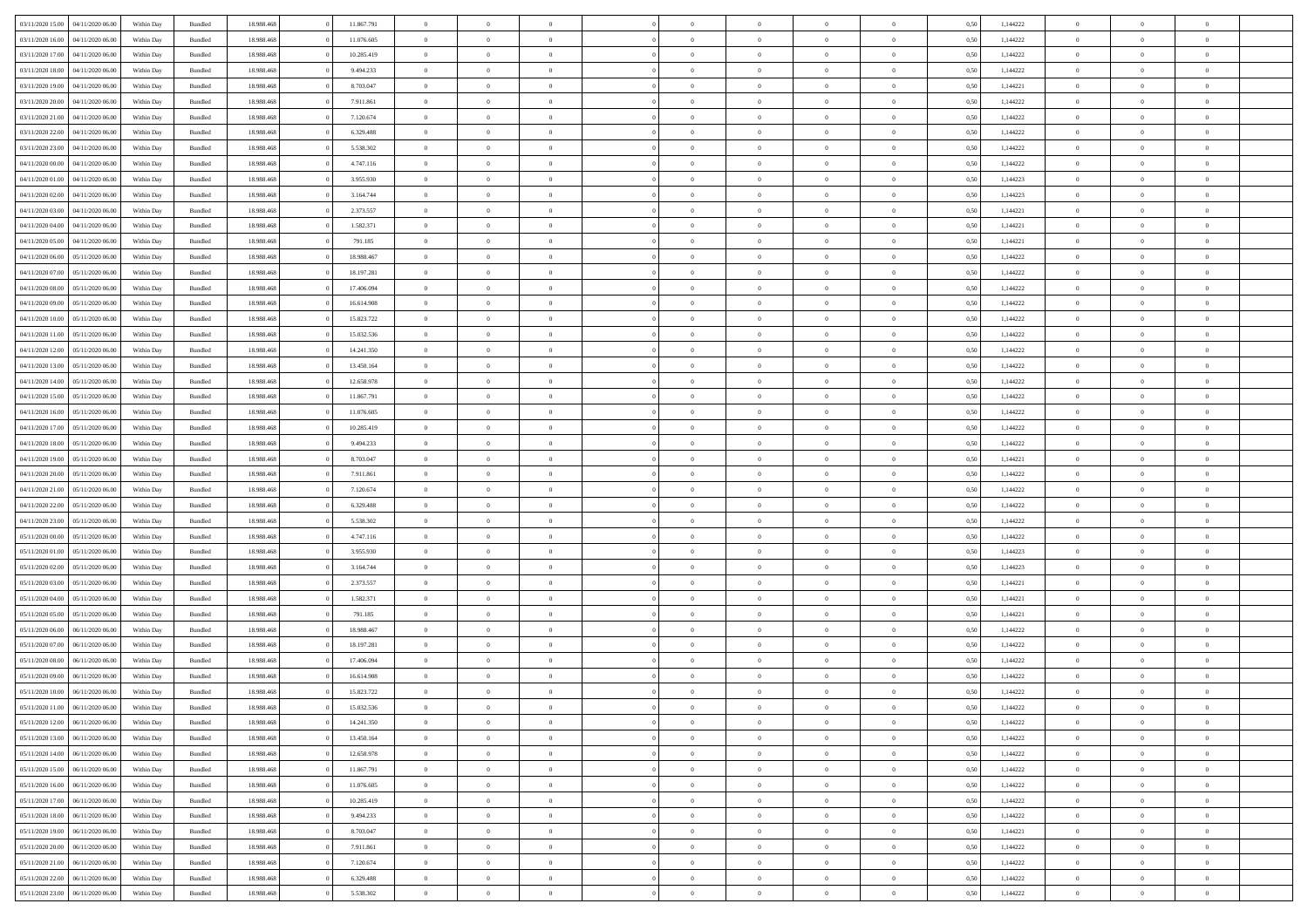|                  | 04/11/2020 06.00 | Within Dav | Bundled            | 18.988.468 | 11.867.791 | $\overline{0}$ | $\theta$       |                | $\Omega$       | $\Omega$       | $\Omega$       | $\theta$       | 0.50 | 1,144222 | $\theta$       | $\overline{0}$ | $\theta$       |  |
|------------------|------------------|------------|--------------------|------------|------------|----------------|----------------|----------------|----------------|----------------|----------------|----------------|------|----------|----------------|----------------|----------------|--|
| 03/11/2020 15:00 |                  |            |                    |            |            |                |                |                |                |                |                |                |      |          |                |                |                |  |
| 03/11/2020 16:00 | 04/11/2020 06.00 | Within Day | Bundled            | 18.988.468 | 11.076.605 | $\overline{0}$ | $\theta$       | $\overline{0}$ | $\overline{0}$ | $\bf{0}$       | $\overline{0}$ | $\overline{0}$ | 0,50 | 1,144222 | $\theta$       | $\overline{0}$ | $\overline{0}$ |  |
| 03/11/2020 17:00 | 04/11/2020 06.00 | Within Day | Bundled            | 18.988.468 | 10.285.419 | $\overline{0}$ | $\overline{0}$ | $\overline{0}$ | $\bf{0}$       | $\bf{0}$       | $\bf{0}$       | $\bf{0}$       | 0,50 | 1,144222 | $\bf{0}$       | $\overline{0}$ | $\overline{0}$ |  |
| 03/11/2020 18:00 | 04/11/2020 06.00 | Within Dav | Bundled            | 18.988.468 | 9.494.233  | $\overline{0}$ | $\overline{0}$ | $\overline{0}$ | $\overline{0}$ | $\bf{0}$       | $\overline{0}$ | $\overline{0}$ | 0.50 | 1,144222 | $\theta$       | $\theta$       | $\overline{0}$ |  |
|                  |                  |            |                    |            |            |                |                |                |                |                |                |                |      |          |                |                |                |  |
| 03/11/2020 19:00 | 04/11/2020 06.00 | Within Day | Bundled            | 18.988.468 | 8.703.047  | $\overline{0}$ | $\theta$       | $\overline{0}$ | $\overline{0}$ | $\bf{0}$       | $\overline{0}$ | $\bf{0}$       | 0,50 | 1,144221 | $\theta$       | $\theta$       | $\overline{0}$ |  |
| 03/11/2020 20.00 | 04/11/2020 06.00 | Within Day | Bundled            | 18.988.468 | 7.911.861  | $\overline{0}$ | $\bf{0}$       | $\overline{0}$ | $\bf{0}$       | $\overline{0}$ | $\overline{0}$ | $\mathbf{0}$   | 0,50 | 1,144222 | $\overline{0}$ | $\overline{0}$ | $\bf{0}$       |  |
| 03/11/2020 21.00 | 04/11/2020 06.00 | Within Dav | Bundled            | 18.988.468 | 7.120.674  | $\overline{0}$ | $\overline{0}$ | $\overline{0}$ | $\overline{0}$ | $\bf{0}$       | $\overline{0}$ | $\overline{0}$ | 0.50 | 1,144222 | $\theta$       | $\overline{0}$ | $\overline{0}$ |  |
| 03/11/2020 22.00 | 04/11/2020 06.00 | Within Day | Bundled            | 18.988.468 | 6.329.488  | $\overline{0}$ | $\theta$       | $\overline{0}$ | $\overline{0}$ | $\bf{0}$       | $\overline{0}$ | $\bf{0}$       | 0,50 | 1,144222 | $\theta$       | $\theta$       | $\overline{0}$ |  |
| 03/11/2020 23.00 | 04/11/2020 06.00 | Within Day | Bundled            | 18.988.468 | 5.538.302  | $\overline{0}$ | $\overline{0}$ | $\overline{0}$ | $\bf{0}$       | $\bf{0}$       | $\bf{0}$       | $\bf{0}$       | 0,50 | 1,144222 | $\,0\,$        | $\overline{0}$ | $\overline{0}$ |  |
|                  |                  |            |                    |            |            |                |                |                |                |                |                |                |      |          |                |                |                |  |
| 04/11/2020 00.00 | 04/11/2020 06.00 | Within Dav | Bundled            | 18.988.468 | 4.747.116  | $\overline{0}$ | $\overline{0}$ | $\overline{0}$ | $\overline{0}$ | $\overline{0}$ | $\overline{0}$ | $\overline{0}$ | 0.50 | 1,144222 | $\theta$       | $\overline{0}$ | $\overline{0}$ |  |
| 04/11/2020 01:00 | 04/11/2020 06.00 | Within Day | Bundled            | 18.988.468 | 3.955.930  | $\overline{0}$ | $\theta$       | $\overline{0}$ | $\overline{0}$ | $\bf{0}$       | $\overline{0}$ | $\bf{0}$       | 0,50 | 1,144223 | $\,$ 0 $\,$    | $\theta$       | $\overline{0}$ |  |
| 04/11/2020 02.00 | 04/11/2020 06.00 | Within Day | Bundled            | 18.988.468 | 3.164.744  | $\overline{0}$ | $\overline{0}$ | $\overline{0}$ | $\overline{0}$ | $\bf{0}$       | $\overline{0}$ | $\bf{0}$       | 0,50 | 1,144223 | $\bf{0}$       | $\overline{0}$ | $\overline{0}$ |  |
| 04/11/2020 03:00 | 04/11/2020 06.00 | Within Day | Bundled            | 18.988.468 | 2.373.557  | $\overline{0}$ | $\overline{0}$ | $\overline{0}$ | $\overline{0}$ | $\bf{0}$       | $\overline{0}$ | $\overline{0}$ | 0.50 | 1,144221 | $\theta$       | $\theta$       | $\overline{0}$ |  |
| 04/11/2020 04.00 | 04/11/2020 06.00 | Within Day | Bundled            | 18.988.468 | 1.582.371  | $\overline{0}$ | $\theta$       | $\overline{0}$ | $\overline{0}$ | $\bf{0}$       | $\overline{0}$ | $\overline{0}$ | 0,50 | 1,144221 | $\theta$       | $\theta$       | $\overline{0}$ |  |
|                  |                  |            |                    |            |            |                |                |                |                |                |                |                |      |          |                |                |                |  |
| 04/11/2020 05.00 | 04/11/2020 06.00 | Within Day | Bundled            | 18.988.468 | 791.185    | $\overline{0}$ | $\overline{0}$ | $\overline{0}$ | $\overline{0}$ | $\overline{0}$ | $\overline{0}$ | $\mathbf{0}$   | 0,50 | 1,144221 | $\bf{0}$       | $\overline{0}$ | $\bf{0}$       |  |
| 04/11/2020 06.00 | 05/11/2020 06:00 | Within Dav | Bundled            | 18.988.468 | 18.988.467 | $\overline{0}$ | $\overline{0}$ | $\overline{0}$ | $\overline{0}$ | $\bf{0}$       | $\overline{0}$ | $\overline{0}$ | 0.50 | 1,144222 | $\theta$       | $\overline{0}$ | $\overline{0}$ |  |
| 04/11/2020 07.00 | 05/11/2020 06.00 | Within Day | Bundled            | 18.988.468 | 18.197.281 | $\overline{0}$ | $\theta$       | $\overline{0}$ | $\overline{0}$ | $\bf{0}$       | $\overline{0}$ | $\bf{0}$       | 0,50 | 1,144222 | $\theta$       | $\theta$       | $\overline{0}$ |  |
| 04/11/2020 08:00 | 05/11/2020 06.00 | Within Day | Bundled            | 18.988.468 | 17.406.094 | $\overline{0}$ | $\overline{0}$ | $\overline{0}$ | $\overline{0}$ | $\bf{0}$       | $\overline{0}$ | $\bf{0}$       | 0,50 | 1,144222 | $\,0\,$        | $\overline{0}$ | $\overline{0}$ |  |
| 04/11/2020 09:00 | 05/11/2020 06:00 | Within Day | Bundled            | 18.988.468 | 16.614.908 | $\overline{0}$ | $\overline{0}$ | $\overline{0}$ | $\overline{0}$ | $\overline{0}$ | $\overline{0}$ | $\overline{0}$ | 0.50 | 1,144222 | $\theta$       | $\overline{0}$ | $\overline{0}$ |  |
|                  |                  |            |                    |            |            |                |                |                |                |                |                |                |      |          |                |                |                |  |
| 04/11/2020 10:00 | 05/11/2020 06.00 | Within Day | Bundled            | 18.988.468 | 15.823.722 | $\overline{0}$ | $\theta$       | $\overline{0}$ | $\overline{0}$ | $\bf{0}$       | $\overline{0}$ | $\bf{0}$       | 0,50 | 1,144222 | $\theta$       | $\theta$       | $\overline{0}$ |  |
| 04/11/2020 11:00 | 05/11/2020 06.00 | Within Day | Bundled            | 18.988.468 | 15.032.536 | $\overline{0}$ | $\overline{0}$ | $\overline{0}$ | $\overline{0}$ | $\bf{0}$       | $\overline{0}$ | $\bf{0}$       | 0,50 | 1,144222 | $\,0\,$        | $\overline{0}$ | $\overline{0}$ |  |
| 04/11/2020 12.00 | 05/11/2020 06:00 | Within Day | Bundled            | 18.988.468 | 14.241.350 | $\overline{0}$ | $\overline{0}$ | $\overline{0}$ | $\overline{0}$ | $\bf{0}$       | $\overline{0}$ | $\overline{0}$ | 0.50 | 1,144222 | $\theta$       | $\theta$       | $\overline{0}$ |  |
| 04/11/2020 13.00 | 05/11/2020 06.00 | Within Day | Bundled            | 18.988.468 | 13.450.164 | $\overline{0}$ | $\theta$       | $\overline{0}$ | $\overline{0}$ | $\bf{0}$       | $\overline{0}$ | $\bf{0}$       | 0,50 | 1,144222 | $\,$ 0 $\,$    | $\overline{0}$ | $\overline{0}$ |  |
| 04/11/2020 14.00 | 05/11/2020 06.00 | Within Day | Bundled            | 18.988.468 | 12.658.978 | $\overline{0}$ | $\overline{0}$ | $\overline{0}$ | $\overline{0}$ | $\overline{0}$ | $\overline{0}$ | $\mathbf{0}$   | 0,50 | 1,144222 | $\overline{0}$ | $\overline{0}$ | $\bf{0}$       |  |
|                  |                  |            |                    |            |            |                |                |                |                |                |                |                |      |          |                |                |                |  |
| 04/11/2020 15:00 | 05/11/2020 06:00 | Within Dav | Bundled            | 18.988.468 | 11.867.791 | $\overline{0}$ | $\overline{0}$ | $\overline{0}$ | $\overline{0}$ | $\overline{0}$ | $\overline{0}$ | $\overline{0}$ | 0.50 | 1,144222 | $\theta$       | $\theta$       | $\overline{0}$ |  |
| 04/11/2020 16.00 | 05/11/2020 06.00 | Within Day | Bundled            | 18.988.468 | 11.076.605 | $\overline{0}$ | $\theta$       | $\overline{0}$ | $\overline{0}$ | $\bf{0}$       | $\overline{0}$ | $\bf{0}$       | 0,50 | 1,144222 | $\theta$       | $\theta$       | $\overline{0}$ |  |
| 04/11/2020 17.00 | 05/11/2020 06.00 | Within Day | Bundled            | 18.988.468 | 10.285.419 | $\overline{0}$ | $\overline{0}$ | $\overline{0}$ | $\overline{0}$ | $\bf{0}$       | $\overline{0}$ | $\bf{0}$       | 0,50 | 1,144222 | $\,0\,$        | $\overline{0}$ | $\overline{0}$ |  |
| 04/11/2020 18.00 | 05/11/2020 06:00 | Within Day | Bundled            | 18.988.468 | 9.494.233  | $\overline{0}$ | $\overline{0}$ | $\overline{0}$ | $\overline{0}$ | $\overline{0}$ | $\overline{0}$ | $\overline{0}$ | 0.50 | 1,144222 | $\theta$       | $\overline{0}$ | $\overline{0}$ |  |
| 04/11/2020 19.00 | 05/11/2020 06.00 | Within Day | Bundled            | 18.988.468 | 8.703.047  | $\overline{0}$ | $\theta$       | $\overline{0}$ | $\overline{0}$ | $\bf{0}$       | $\overline{0}$ | $\bf{0}$       | 0,50 | 1,144221 | $\,$ 0 $\,$    | $\theta$       | $\overline{0}$ |  |
|                  |                  |            |                    |            |            |                |                |                |                |                |                |                |      |          |                |                |                |  |
| 04/11/2020 20.00 | 05/11/2020 06.00 | Within Day | Bundled            | 18.988.468 | 7.911.861  | $\overline{0}$ | $\overline{0}$ | $\overline{0}$ | $\overline{0}$ | $\bf{0}$       | $\overline{0}$ | $\bf{0}$       | 0,50 | 1,144222 | $\overline{0}$ | $\overline{0}$ | $\overline{0}$ |  |
| 04/11/2020 21.00 | 05/11/2020 06.00 | Within Day | Bundled            | 18.988.468 | 7.120.674  | $\overline{0}$ | $\Omega$       | $\Omega$       | $\Omega$       | $\Omega$       | $\overline{0}$ | $\overline{0}$ | 0.50 | 1,144222 | $\,0\,$        | $\theta$       | $\theta$       |  |
| 04/11/2020 22.00 | 05/11/2020 06.00 | Within Day | Bundled            | 18.988.468 | 6.329.488  | $\overline{0}$ | $\theta$       | $\overline{0}$ | $\overline{0}$ | $\bf{0}$       | $\overline{0}$ | $\bf{0}$       | 0,50 | 1,144222 | $\theta$       | $\theta$       | $\overline{0}$ |  |
| 04/11/2020 23.00 | 05/11/2020 06.00 | Within Day | Bundled            | 18.988.468 | 5.538.302  | $\overline{0}$ | $\bf{0}$       | $\overline{0}$ | $\bf{0}$       | $\bf{0}$       | $\overline{0}$ | $\mathbf{0}$   | 0,50 | 1,144222 | $\overline{0}$ | $\overline{0}$ | $\bf{0}$       |  |
| 05/11/2020 00:00 | 05/11/2020 06.00 | Within Day | Bundled            | 18.988.468 | 4.747.116  | $\overline{0}$ | $\Omega$       | $\Omega$       | $\Omega$       | $\bf{0}$       | $\overline{0}$ | $\overline{0}$ | 0.50 | 1,144222 | $\,0\,$        | $\theta$       | $\theta$       |  |
| 05/11/2020 01:00 | 05/11/2020 06.00 |            |                    | 18.988.468 | 3.955.930  | $\overline{0}$ | $\theta$       | $\overline{0}$ | $\overline{0}$ | $\bf{0}$       | $\overline{0}$ |                |      | 1,144223 | $\theta$       | $\theta$       | $\overline{0}$ |  |
|                  |                  | Within Day | Bundled            |            |            |                |                |                |                |                |                | $\bf{0}$       | 0,50 |          |                |                |                |  |
| 05/11/2020 02.00 | 05/11/2020 06.00 | Within Day | Bundled            | 18.988.468 | 3.164.744  | $\overline{0}$ | $\overline{0}$ | $\overline{0}$ | $\bf{0}$       | $\bf{0}$       | $\bf{0}$       | $\bf{0}$       | 0,50 | 1,144223 | $\bf{0}$       | $\overline{0}$ | $\overline{0}$ |  |
| 05/11/2020 03.00 | 05/11/2020 06:00 | Within Day | Bundled            | 18.988.468 | 2.373.557  | $\overline{0}$ | $\Omega$       | $\Omega$       | $\Omega$       | $\Omega$       | $\theta$       | $\overline{0}$ | 0.50 | 1,144221 | $\theta$       | $\theta$       | $\theta$       |  |
| 05/11/2020 04:00 | 05/11/2020 06.00 | Within Day | Bundled            | 18.988.468 | 1.582.371  | $\overline{0}$ | $\theta$       | $\overline{0}$ | $\overline{0}$ | $\bf{0}$       | $\overline{0}$ | $\bf{0}$       | 0,50 | 1,144221 | $\,$ 0 $\,$    | $\theta$       | $\overline{0}$ |  |
| 05/11/2020 05:00 | 05/11/2020 06.00 | Within Day | Bundled            | 18.988.468 | 791.185    | $\overline{0}$ | $\overline{0}$ | $\overline{0}$ | $\bf{0}$       | $\bf{0}$       | $\bf{0}$       | $\bf{0}$       | 0,50 | 1,144221 | $\bf{0}$       | $\overline{0}$ | $\overline{0}$ |  |
| 05/11/2020 06.00 | 06/11/2020 06.00 | Within Day | Bundled            | 18.988.468 | 18.988.467 | $\overline{0}$ | $\Omega$       | $\Omega$       | $\Omega$       | $\Omega$       | $\overline{0}$ | $\overline{0}$ | 0.50 | 1,144222 | $\,0\,$        | $\theta$       | $\theta$       |  |
|                  |                  |            |                    |            |            |                |                |                |                |                |                |                |      |          |                |                |                |  |
| 05/11/2020 07.00 | 06/11/2020 06.00 | Within Day | Bundled            | 18.988.468 | 18.197.281 | $\overline{0}$ | $\theta$       | $\overline{0}$ | $\overline{0}$ | $\bf{0}$       | $\overline{0}$ | $\bf{0}$       | 0,50 | 1,144222 | $\,$ 0 $\,$    | $\theta$       | $\overline{0}$ |  |
| 05/11/2020 08.00 | 06/11/2020 06.00 | Within Day | Bundled            | 18.988.468 | 17.406.094 | $\overline{0}$ | $\overline{0}$ | $\overline{0}$ | $\bf{0}$       | $\bf{0}$       | $\bf{0}$       | $\mathbf{0}$   | 0,50 | 1,144222 | $\overline{0}$ | $\overline{0}$ | $\bf{0}$       |  |
| 05/11/2020 09:00 | 06/11/2020 06.00 | Within Day | Bundled            | 18.988.468 | 16.614.908 | $\overline{0}$ | $\Omega$       | $\Omega$       | $\Omega$       | $\Omega$       | $\Omega$       | $\overline{0}$ | 0.50 | 1,144222 | $\theta$       | $\theta$       | $\theta$       |  |
| 05/11/2020 10:00 | 06/11/2020 06.00 | Within Day | Bundled            | 18.988.468 | 15.823.722 | $\overline{0}$ | $\,$ 0 $\,$    | $\overline{0}$ | $\bf{0}$       | $\,$ 0         | $\bf{0}$       | $\bf{0}$       | 0,50 | 1,144222 | $\,0\,$        | $\overline{0}$ | $\overline{0}$ |  |
| 05/11/2020 11:00 | 06/11/2020 06.00 | Within Day | $\mathbf B$ undled | 18.988.468 | 15.032.536 | $\bf{0}$       | $\bf{0}$       |                |                | $\bf{0}$       |                |                | 0,50 | 1,144222 | $\bf{0}$       | $\overline{0}$ |                |  |
|                  |                  |            |                    |            |            |                |                |                |                |                |                |                |      |          |                |                |                |  |
| 05/11/2020 12:00 | 06/11/2020 06:00 | Within Day | Bundled            | 18,988,468 | 14.241.350 | $\overline{0}$ | $\overline{0}$ | $\overline{0}$ | $\Omega$       | $\theta$       | $\overline{0}$ | $\overline{0}$ | 0,50 | 1,144222 | $\theta$       | $\theta$       | $\theta$       |  |
| 05/11/2020 13:00 | 06/11/2020 06.00 | Within Day | Bundled            | 18.988.468 | 13.450.164 | $\overline{0}$ | $\,$ 0         | $\overline{0}$ | $\overline{0}$ | $\,$ 0 $\,$    | $\overline{0}$ | $\mathbf{0}$   | 0,50 | 1,144222 | $\,$ 0 $\,$    | $\,$ 0 $\,$    | $\,$ 0         |  |
| 05/11/2020 14:00 | 06/11/2020 06.00 | Within Day | Bundled            | 18.988.468 | 12.658.978 | $\overline{0}$ | $\overline{0}$ | $\overline{0}$ | $\overline{0}$ | $\overline{0}$ | $\overline{0}$ | $\mathbf{0}$   | 0,50 | 1,144222 | $\overline{0}$ | $\bf{0}$       | $\bf{0}$       |  |
| 05/11/2020 15:00 | 06/11/2020 06.00 | Within Day | Bundled            | 18.988.468 | 11.867.791 | $\overline{0}$ | $\theta$       | $\overline{0}$ | $\Omega$       | $\overline{0}$ | $\overline{0}$ | $\bf{0}$       | 0,50 | 1,144222 | $\overline{0}$ | $\overline{0}$ | $\overline{0}$ |  |
| 05/11/2020 16.00 | 06/11/2020 06.00 | Within Day | Bundled            | 18.988.468 | 11.076.605 | $\overline{0}$ | $\,$ 0         | $\overline{0}$ | $\overline{0}$ | $\overline{0}$ | $\overline{0}$ | $\bf{0}$       | 0,50 | 1,144222 | $\,$ 0 $\,$    | $\overline{0}$ | $\overline{0}$ |  |
|                  |                  |            |                    |            |            |                |                |                |                |                |                |                |      |          |                |                |                |  |
| 05/11/2020 17.00 | 06/11/2020 06.00 | Within Day | Bundled            | 18.988.468 | 10.285.419 | $\overline{0}$ | $\overline{0}$ | $\overline{0}$ | $\overline{0}$ | $\overline{0}$ | $\overline{0}$ | $\mathbf{0}$   | 0,50 | 1,144222 | $\overline{0}$ | $\bf{0}$       | $\bf{0}$       |  |
| 05/11/2020 18:00 | 06/11/2020 06.00 | Within Day | Bundled            | 18.988.468 | 9.494.233  | $\overline{0}$ | $\overline{0}$ | $\overline{0}$ | $\Omega$       | $\overline{0}$ | $\overline{0}$ | $\bf{0}$       | 0.50 | 1,144222 | $\overline{0}$ | $\theta$       | $\overline{0}$ |  |
| 05/11/2020 19:00 | 06/11/2020 06.00 | Within Day | Bundled            | 18.988.468 | 8.703.047  | $\overline{0}$ | $\,$ 0         | $\overline{0}$ | $\bf{0}$       | $\bf{0}$       | $\bf{0}$       | $\bf{0}$       | 0,50 | 1,144221 | $\,$ 0 $\,$    | $\overline{0}$ | $\overline{0}$ |  |
| 05/11/2020 20.00 | 06/11/2020 06.00 | Within Day | Bundled            | 18.988.468 | 7.911.861  | $\overline{0}$ | $\bf{0}$       | $\overline{0}$ | $\overline{0}$ | $\overline{0}$ | $\bf{0}$       | $\mathbf{0}$   | 0,50 | 1,144222 | $\overline{0}$ | $\overline{0}$ | $\bf{0}$       |  |
| 05/11/2020 21.00 | 06/11/2020 06.00 | Within Day | Bundled            | 18,988,468 | 7.120.674  | $\overline{0}$ | $\overline{0}$ | $\overline{0}$ | $\Omega$       | $\overline{0}$ | $\overline{0}$ | $\bf{0}$       | 0.50 | 1,144222 | $\overline{0}$ | $\overline{0}$ | $\overline{0}$ |  |
| 05/11/2020 22.00 | 06/11/2020 06.00 | Within Day | Bundled            | 18.988.468 | 6.329.488  | $\overline{0}$ | $\bf{0}$       | $\overline{0}$ | $\overline{0}$ | $\bf{0}$       | $\bf{0}$       | $\mathbf{0}$   | 0,50 | 1,144222 | $\,$ 0 $\,$    | $\,$ 0 $\,$    | $\bf{0}$       |  |
|                  |                  |            |                    |            |            |                |                |                |                |                |                |                |      |          |                |                |                |  |
| 05/11/2020 23.00 | 06/11/2020 06.00 | Within Day | Bundled            | 18.988.468 | 5.538.302  | $\overline{0}$ | $\overline{0}$ | $\overline{0}$ | $\overline{0}$ | $\bf{0}$       | $\bf{0}$       | $\mathbf{0}$   | 0,50 | 1,144222 | $\overline{0}$ | $\bf{0}$       | $\bf{0}$       |  |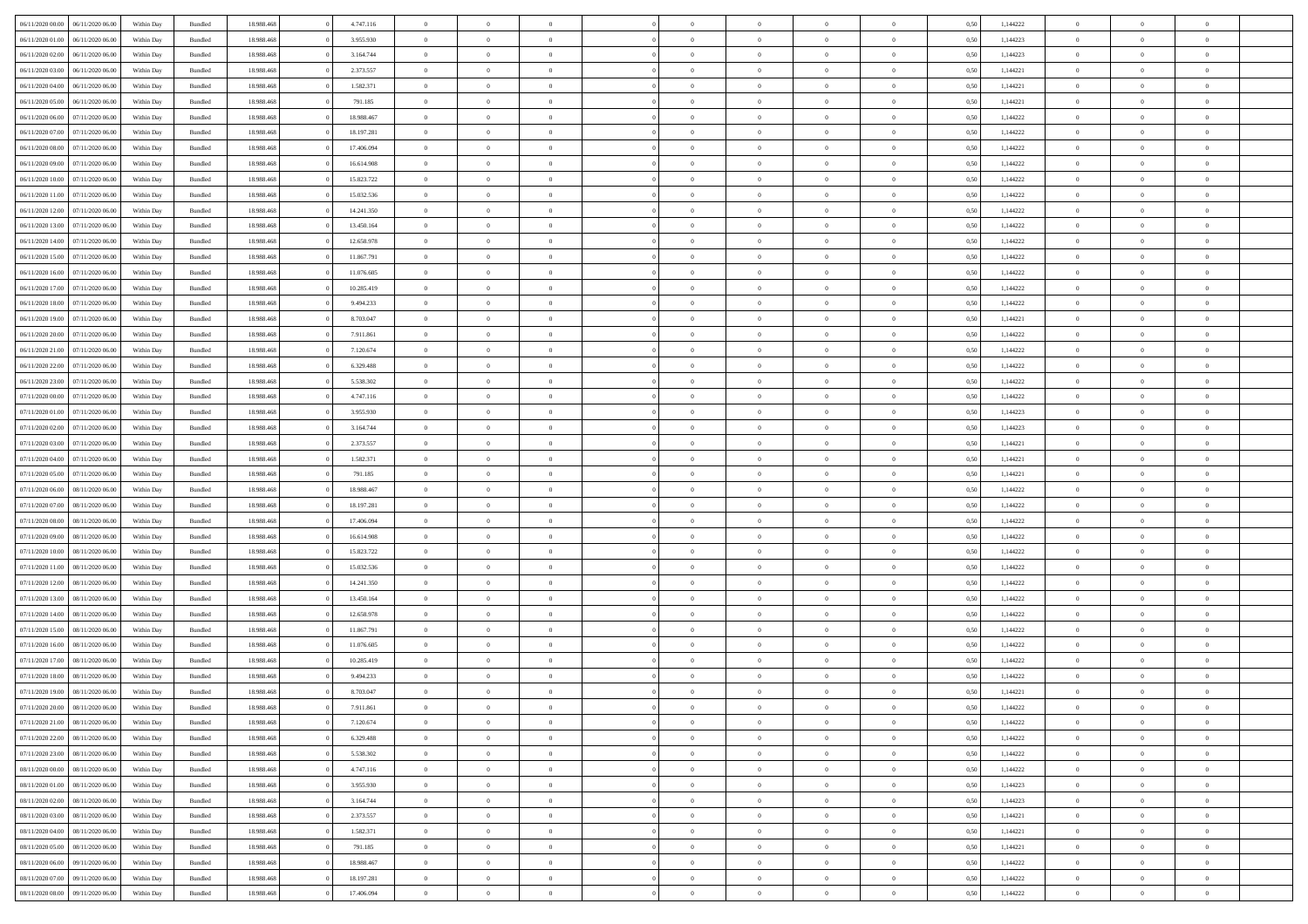| 06/11/2020 00:00 06/11/2020 06:00    | Within Day | Bundled            | 18.988.468 | 4.747.116  | $\overline{0}$ | $\overline{0}$ | $\Omega$       | $\Omega$       | $\Omega$       |                | $\overline{0}$ | 0,50 | 1,144222 | $\mathbf{0}$   | $\Omega$       | $\Omega$       |  |
|--------------------------------------|------------|--------------------|------------|------------|----------------|----------------|----------------|----------------|----------------|----------------|----------------|------|----------|----------------|----------------|----------------|--|
| 06/11/2020 01:00<br>06/11/2020 06.00 | Within Day | Bundled            | 18.988.468 | 3.955.930  | $\bf{0}$       | $\overline{0}$ | $\theta$       | $\theta$       | $\overline{0}$ | $\overline{0}$ | $\,$ 0         | 0,50 | 1,144223 | $\theta$       | $\theta$       | $\bf{0}$       |  |
| 06/11/2020 02:00<br>06/11/2020 06.00 | Within Day | Bundled            | 18.988.468 | 3.164.744  | $\overline{0}$ | $\overline{0}$ | $\overline{0}$ | $\bf{0}$       | $\bf{0}$       | $\overline{0}$ | $\mathbf{0}$   | 0,50 | 1,144223 | $\bf{0}$       | $\bf{0}$       | $\bf{0}$       |  |
| 06/11/2020 03:00<br>06/11/2020 06:00 | Within Day | Bundled            | 18.988.468 | 2.373.557  | $\overline{0}$ | $\overline{0}$ | $\overline{0}$ | $\overline{0}$ | $\overline{0}$ | $\Omega$       | $\overline{0}$ | 0.50 | 1,144221 | $\overline{0}$ | $\overline{0}$ | $\bf{0}$       |  |
| 06/11/2020 04:00<br>06/11/2020 06.00 | Within Day | $\mathbf B$ undled | 18.988.468 | 1.582.371  | $\bf{0}$       | $\overline{0}$ | $\theta$       | $\theta$       | $\overline{0}$ | $\overline{0}$ | $\bf{0}$       | 0,50 | 1,144221 | $\theta$       | $\theta$       | $\overline{0}$ |  |
| 06/11/2020 05:00<br>06/11/2020 06.00 | Within Day | Bundled            | 18.988.468 | 791.185    | $\overline{0}$ | $\overline{0}$ | $\overline{0}$ | $\bf{0}$       | $\overline{0}$ | $\overline{0}$ | $\overline{0}$ | 0,50 | 1,144221 | $\overline{0}$ | $\bf{0}$       | $\overline{0}$ |  |
| 06/11/2020 06:00<br>07/11/2020 06:00 | Within Day | Bundled            | 18.988.468 | 18.988.467 | $\overline{0}$ | $\overline{0}$ | $\overline{0}$ | $\overline{0}$ | $\overline{0}$ | $\overline{0}$ | $\overline{0}$ | 0.50 | 1,144222 | $\overline{0}$ | $\overline{0}$ | $\overline{0}$ |  |
|                                      |            |                    |            |            |                |                |                |                |                |                |                |      |          |                |                |                |  |
| 06/11/2020 07:00<br>07/11/2020 06.00 | Within Day | Bundled            | 18.988.468 | 18.197.281 | $\bf{0}$       | $\overline{0}$ | $\overline{0}$ | $\theta$       | $\overline{0}$ | $\overline{0}$ | $\bf{0}$       | 0,50 | 1,144222 | $\theta$       | $\theta$       | $\bf{0}$       |  |
| 06/11/2020 08:00<br>07/11/2020 06.00 | Within Day | Bundled            | 18.988.468 | 17.406.094 | $\overline{0}$ | $\overline{0}$ | $\bf{0}$       | $\bf{0}$       | $\bf{0}$       | $\overline{0}$ | $\bf{0}$       | 0,50 | 1,144222 | $\bf{0}$       | $\bf{0}$       | $\bf{0}$       |  |
| 06/11/2020 09:00<br>07/11/2020 06.00 | Within Day | Bundled            | 18.988.468 | 16.614.908 | $\overline{0}$ | $\overline{0}$ | $\overline{0}$ | $\overline{0}$ | $\overline{0}$ | $\overline{0}$ | $\overline{0}$ | 0.50 | 1,144222 | $\overline{0}$ | $\overline{0}$ | $\overline{0}$ |  |
| 06/11/2020 10:00<br>07/11/2020 06.00 | Within Day | $\mathbf B$ undled | 18.988.468 | 15.823.722 | $\bf{0}$       | $\overline{0}$ | $\theta$       | $\overline{0}$ | $\overline{0}$ | $\overline{0}$ | $\,$ 0         | 0,50 | 1,144222 | $\theta$       | $\theta$       | $\bf{0}$       |  |
| 06/11/2020 11:00<br>07/11/2020 06.00 | Within Day | Bundled            | 18.988.468 | 15.032.536 | $\overline{0}$ | $\overline{0}$ | $\bf{0}$       | $\bf{0}$       | $\bf{0}$       | $\overline{0}$ | $\mathbf{0}$   | 0,50 | 1,144222 | $\bf{0}$       | $\bf{0}$       | $\bf{0}$       |  |
| 06/11/2020 12:00<br>07/11/2020 06:00 | Within Day | Bundled            | 18.988.468 | 14.241.350 | $\overline{0}$ | $\overline{0}$ | $\overline{0}$ | $\overline{0}$ | $\overline{0}$ | $\overline{0}$ | $\overline{0}$ | 0.50 | 1,144222 | $\mathbf{0}$   | $\overline{0}$ | $\bf{0}$       |  |
| 06/11/2020 13:00<br>07/11/2020 06.00 | Within Day | $\mathbf B$ undled | 18.988.468 | 13.450.164 | $\bf{0}$       | $\overline{0}$ | $\theta$       | $\theta$       | $\overline{0}$ | $\overline{0}$ | $\,$ 0         | 0,50 | 1,144222 | $\theta$       | $\theta$       | $\overline{0}$ |  |
| 06/11/2020 14:00<br>07/11/2020 06.00 | Within Day | Bundled            | 18.988.468 | 12.658.978 | $\overline{0}$ | $\overline{0}$ | $\overline{0}$ | $\bf{0}$       | $\overline{0}$ | $\overline{0}$ | $\overline{0}$ | 0,50 | 1,144222 | $\bf{0}$       | $\bf{0}$       | $\overline{0}$ |  |
| 06/11/2020 15:00<br>07/11/2020 06:00 | Within Day | Bundled            | 18.988.468 | 11.867.791 | $\overline{0}$ | $\overline{0}$ | $\overline{0}$ | $\overline{0}$ | $\overline{0}$ | $\overline{0}$ | $\overline{0}$ | 0.50 | 1,144222 | $\overline{0}$ | $\overline{0}$ | $\overline{0}$ |  |
| 06/11/2020 16:00<br>07/11/2020 06.00 | Within Day | Bundled            | 18.988.468 | 11.076.605 | $\bf{0}$       | $\overline{0}$ | $\overline{0}$ | $\theta$       | $\overline{0}$ | $\overline{0}$ | $\bf{0}$       | 0,50 | 1,144222 | $\theta$       | $\theta$       | $\bf{0}$       |  |
| 06/11/2020 17:00<br>07/11/2020 06.00 | Within Day | Bundled            | 18.988.468 | 10.285.419 | $\overline{0}$ | $\overline{0}$ | $\bf{0}$       | $\bf{0}$       | $\bf{0}$       | $\overline{0}$ | $\bf{0}$       | 0,50 | 1,144222 | $\bf{0}$       | $\bf{0}$       | $\bf{0}$       |  |
| 06/11/2020 18:00<br>07/11/2020 06:00 | Within Day | Bundled            | 18.988.468 | 9.494.233  | $\overline{0}$ | $\overline{0}$ | $\overline{0}$ | $\overline{0}$ | $\overline{0}$ | $\overline{0}$ | $\overline{0}$ | 0.50 | 1,144222 | $\overline{0}$ | $\overline{0}$ | $\overline{0}$ |  |
|                                      |            |                    |            |            |                |                |                |                |                |                |                |      |          |                |                |                |  |
| 06/11/2020 19:00<br>07/11/2020 06.00 | Within Day | $\mathbf B$ undled | 18.988.468 | 8.703.047  | $\bf{0}$       | $\overline{0}$ | $\overline{0}$ | $\theta$       | $\overline{0}$ | $\overline{0}$ | $\,$ 0         | 0,50 | 1,144221 | $\theta$       | $\theta$       | $\bf{0}$       |  |
| 06/11/2020 20:00<br>07/11/2020 06.00 | Within Day | Bundled            | 18.988.468 | 7.911.861  | $\overline{0}$ | $\overline{0}$ | $\overline{0}$ | $\bf{0}$       | $\bf{0}$       | $\overline{0}$ | $\mathbf{0}$   | 0,50 | 1,144222 | $\bf{0}$       | $\bf{0}$       | $\bf{0}$       |  |
| 06/11/2020 21:00<br>07/11/2020 06:00 | Within Day | Bundled            | 18.988.468 | 7.120.674  | $\overline{0}$ | $\overline{0}$ | $\overline{0}$ | $\overline{0}$ | $\overline{0}$ | $\overline{0}$ | $\overline{0}$ | 0.50 | 1,144222 | $\overline{0}$ | $\overline{0}$ | $\bf{0}$       |  |
| 06/11/2020 22.00<br>07/11/2020 06.00 | Within Day | $\mathbf B$ undled | 18.988.468 | 6.329.488  | $\bf{0}$       | $\overline{0}$ | $\theta$       | $\theta$       | $\overline{0}$ | $\overline{0}$ | $\,$ 0         | 0,50 | 1,144222 | $\mathbf{0}$   | $\theta$       | $\bf{0}$       |  |
| 06/11/2020 23.00<br>07/11/2020 06.00 | Within Day | Bundled            | 18.988.468 | 5.538.302  | $\overline{0}$ | $\overline{0}$ | $\overline{0}$ | $\bf{0}$       | $\overline{0}$ | $\overline{0}$ | $\overline{0}$ | 0,50 | 1,144222 | $\overline{0}$ | $\bf{0}$       | $\overline{0}$ |  |
| 07/11/2020 00:00<br>07/11/2020 06:00 | Within Day | Bundled            | 18.988.468 | 4.747.116  | $\overline{0}$ | $\overline{0}$ | $\overline{0}$ | $\overline{0}$ | $\overline{0}$ | $\overline{0}$ | $\overline{0}$ | 0.50 | 1,144222 | $\overline{0}$ | $\overline{0}$ | $\overline{0}$ |  |
| 07/11/2020 01:00<br>07/11/2020 06.00 | Within Day | Bundled            | 18.988.468 | 3.955.930  | $\bf{0}$       | $\overline{0}$ | $\overline{0}$ | $\overline{0}$ | $\overline{0}$ | $\overline{0}$ | $\bf{0}$       | 0,50 | 1,144223 | $\theta$       | $\theta$       | $\bf{0}$       |  |
| 07/11/2020 02.00<br>07/11/2020 06.00 | Within Day | Bundled            | 18.988.468 | 3.164.744  | $\overline{0}$ | $\overline{0}$ | $\bf{0}$       | $\bf{0}$       | $\bf{0}$       | $\overline{0}$ | $\bf{0}$       | 0,50 | 1,144223 | $\bf{0}$       | $\,$ 0         | $\bf{0}$       |  |
| 07/11/2020 03:00<br>07/11/2020 06.00 | Within Day | Bundled            | 18.988.468 | 2.373.557  | $\overline{0}$ | $\overline{0}$ | $\overline{0}$ | $\overline{0}$ | $\overline{0}$ | $\overline{0}$ | $\overline{0}$ | 0.50 | 1,144221 | $\overline{0}$ | $\overline{0}$ | $\overline{0}$ |  |
| 07/11/2020 04:00<br>07/11/2020 06.00 | Within Day | Bundled            | 18.988.468 | 1.582.371  | $\bf{0}$       | $\overline{0}$ | $\overline{0}$ | $\overline{0}$ | $\overline{0}$ | $\overline{0}$ | $\,$ 0         | 0,50 | 1,144221 | $\theta$       | $\theta$       | $\bf{0}$       |  |
| 07/11/2020 05.00<br>07/11/2020 06.00 | Within Day | Bundled            | 18.988.468 | 791.185    | $\overline{0}$ | $\overline{0}$ | $\bf{0}$       | $\bf{0}$       | $\bf{0}$       | $\overline{0}$ | $\mathbf{0}$   | 0,50 | 1,144221 | $\bf{0}$       | $\bf{0}$       | $\bf{0}$       |  |
| 07/11/2020 06:00<br>08/11/2020 06.00 | Within Day | Bundled            | 18.988.468 | 18.988.467 | $\overline{0}$ | $\overline{0}$ | $\overline{0}$ | $\overline{0}$ | $\overline{0}$ | $\Omega$       | $\overline{0}$ | 0,50 | 1,144222 | $\bf{0}$       | $\Omega$       | $\Omega$       |  |
| 07/11/2020 07:00<br>08/11/2020 06:00 | Within Day | Bundled            | 18.988.468 | 18.197.281 | $\bf{0}$       | $\overline{0}$ | $\overline{0}$ | $\theta$       | $\overline{0}$ | $\overline{0}$ | $\,$ 0         | 0,50 | 1,144222 | $\theta$       | $\theta$       | $\bf{0}$       |  |
|                                      |            |                    |            |            |                |                |                |                |                |                |                |      |          |                |                |                |  |
| 07/11/2020 08:00<br>08/11/2020 06.00 | Within Day | Bundled            | 18.988.468 | 17.406.094 | $\overline{0}$ | $\overline{0}$ | $\overline{0}$ | $\bf{0}$       | $\overline{0}$ | $\overline{0}$ | $\overline{0}$ | 0,50 | 1,144222 | $\overline{0}$ | $\bf{0}$       | $\overline{0}$ |  |
| 07/11/2020 09:00<br>08/11/2020 06:00 | Within Day | Bundled            | 18,988,468 | 16.614.908 | $\overline{0}$ | $\overline{0}$ | $\Omega$       | $\overline{0}$ | $\overline{0}$ | $\Omega$       | $\overline{0}$ | 0.50 | 1,144222 | $\overline{0}$ | $\Omega$       | $\Omega$       |  |
| 07/11/2020 10:00<br>08/11/2020 06:00 | Within Day | Bundled            | 18.988.468 | 15.823.722 | $\bf{0}$       | $\overline{0}$ | $\overline{0}$ | $\overline{0}$ | $\overline{0}$ | $\overline{0}$ | $\bf{0}$       | 0,50 | 1,144222 | $\theta$       | $\theta$       | $\bf{0}$       |  |
| 07/11/2020 11:00<br>08/11/2020 06.00 | Within Day | Bundled            | 18.988.468 | 15.032.536 | $\overline{0}$ | $\overline{0}$ | $\bf{0}$       | $\bf{0}$       | $\bf{0}$       | $\overline{0}$ | $\bf{0}$       | 0,50 | 1,144222 | $\bf{0}$       | $\bf{0}$       | $\bf{0}$       |  |
| 07/11/2020 12:00<br>08/11/2020 06.00 | Within Day | Bundled            | 18,988,468 | 14.241.350 | $\overline{0}$ | $\overline{0}$ | $\Omega$       | $\overline{0}$ | $\overline{0}$ | $\Omega$       | $\theta$       | 0.50 | 1,144222 | $\overline{0}$ | $\Omega$       | $\Omega$       |  |
| 07/11/2020 13:00<br>08/11/2020 06:00 | Within Day | Bundled            | 18.988.468 | 13.450.164 | $\bf{0}$       | $\overline{0}$ | $\bf{0}$       | $\theta$       | $\overline{0}$ | $\overline{0}$ | $\,$ 0         | 0,50 | 1,144222 | $\theta$       | $\theta$       | $\bf{0}$       |  |
| 07/11/2020 14:00<br>08/11/2020 06.00 | Within Day | Bundled            | 18.988.468 | 12.658.978 | $\overline{0}$ | $\overline{0}$ | $\bf{0}$       | $\bf{0}$       | $\bf{0}$       | $\overline{0}$ | $\mathbf{0}$   | 0,50 | 1,144222 | $\bf{0}$       | $\bf{0}$       | $\bf{0}$       |  |
| 07/11/2020 15:00<br>08/11/2020 06.00 | Within Day | Bundled            | 18.988.468 | 11.867.791 | $\overline{0}$ | $\overline{0}$ | $\overline{0}$ | $\overline{0}$ | $\overline{0}$ | $\Omega$       | $\overline{0}$ | 0,50 | 1,144222 | $\overline{0}$ | $\Omega$       | $\Omega$       |  |
| 07/11/2020 16:00<br>08/11/2020 06:00 | Within Day | Bundled            | 18.988.468 | 11.076.605 | $\bf{0}$       | $\overline{0}$ | $\overline{0}$ | $\overline{0}$ | $\overline{0}$ | $\overline{0}$ | $\,$ 0         | 0,50 | 1,144222 | $\overline{0}$ | $\theta$       | $\bf{0}$       |  |
| 07/11/2020 17:00<br>08/11/2020 06.00 | Within Day | Bundled            | 18.988.468 | 10.285.419 | $\overline{0}$ | $\overline{0}$ | $\overline{0}$ | $\bf{0}$       | $\overline{0}$ | $\overline{0}$ | $\overline{0}$ | 0,50 | 1,144222 | $\overline{0}$ | $\bf{0}$       | $\bf{0}$       |  |
| 07/11/2020 18:00<br>08/11/2020 06.00 | Within Day | Bundled            | 18,988,468 | 9.494.233  | $\overline{0}$ | $\theta$       | $\Omega$       | $\overline{0}$ | $\overline{0}$ | $\Omega$       | $\overline{0}$ | 0.50 | 1,144222 | $\overline{0}$ | $\Omega$       | $\Omega$       |  |
| 07/11/2020 19:00<br>08/11/2020 06:00 | Within Day | Bundled            | 18.988.468 | 8.703.047  | $\bf{0}$       | $\overline{0}$ | $\overline{0}$ | $\bf{0}$       | $\bf{0}$       | $\overline{0}$ | $\,$ 0 $\,$    | 0,50 | 1,144221 | $\bf{0}$       | $\,$ 0         | $\,$ 0         |  |
| 07/11/2020 20.00 08/11/2020 06.00    | Within Day | Bundled            | 18.988.468 | 7.911.861  | $\bf{0}$       | $\bf{0}$       |                | $\bf{0}$       |                |                | $\bf{0}$       | 0,50 | 1,144222 | $\bf{0}$       | $\bf{0}$       |                |  |
| 07/11/2020 21.00  08/11/2020 06:00   | Within Day | Bundled            | 18.988.468 | 7.120.674  | $\overline{0}$ | $\overline{0}$ | $\theta$       | $\overline{0}$ | $\overline{0}$ | $\theta$       | $\mathbf{0}$   | 0,50 | 1,144222 | $\overline{0}$ | $\overline{0}$ | $\Omega$       |  |
|                                      |            |                    |            |            |                |                |                |                |                |                |                |      |          |                |                |                |  |
| 07/11/2020 22.00<br>08/11/2020 06:00 | Within Day | Bundled            | 18.988.468 | 6.329.488  | $\overline{0}$ | $\overline{0}$ | $\overline{0}$ | $\bf{0}$       | $\overline{0}$ | $\overline{0}$ | $\mathbf{0}$   | 0,50 | 1,144222 | $\,$ 0 $\,$    | $\overline{0}$ | $\,$ 0 $\,$    |  |
| 07/11/2020 23.00<br>08/11/2020 06.00 | Within Day | Bundled            | 18.988.468 | 5.538.302  | $\overline{0}$ | $\overline{0}$ | $\overline{0}$ | $\bf{0}$       | $\overline{0}$ | $\overline{0}$ | $\overline{0}$ | 0,50 | 1,144222 | $\overline{0}$ | $\overline{0}$ | $\overline{0}$ |  |
| 08/11/2020 00:00<br>08/11/2020 06:00 | Within Day | Bundled            | 18.988.468 | 4.747.116  | $\overline{0}$ | $\overline{0}$ | $\overline{0}$ | $\overline{0}$ | $\bf{0}$       | $\overline{0}$ | $\bf{0}$       | 0,50 | 1,144222 | $\overline{0}$ | $\overline{0}$ | $\overline{0}$ |  |
| 08/11/2020 01:00<br>08/11/2020 06:00 | Within Day | Bundled            | 18.988.468 | 3.955.930  | $\overline{0}$ | $\overline{0}$ | $\overline{0}$ | $\overline{0}$ | $\overline{0}$ | $\overline{0}$ | $\,$ 0 $\,$    | 0,50 | 1,144223 | $\,$ 0 $\,$    | $\theta$       | $\bf{0}$       |  |
| 08/11/2020 02.00<br>08/11/2020 06:00 | Within Day | Bundled            | 18.988.468 | 3.164.744  | $\overline{0}$ | $\overline{0}$ | $\overline{0}$ | $\bf{0}$       | $\overline{0}$ | $\overline{0}$ | $\mathbf{0}$   | 0,50 | 1,144223 | $\overline{0}$ | $\overline{0}$ | $\overline{0}$ |  |
| 08/11/2020 03:00<br>08/11/2020 06.00 | Within Day | Bundled            | 18.988.468 | 2.373.557  | $\overline{0}$ | $\overline{0}$ | $\overline{0}$ | $\overline{0}$ | $\overline{0}$ | $\overline{0}$ | $\overline{0}$ | 0.50 | 1,144221 | $\overline{0}$ | $\overline{0}$ | $\overline{0}$ |  |
| 08/11/2020 04:00<br>08/11/2020 06:00 | Within Day | Bundled            | 18.988.468 | 1.582.371  | $\overline{0}$ | $\overline{0}$ | $\overline{0}$ | $\bf{0}$       | $\bf{0}$       | $\overline{0}$ | $\,$ 0 $\,$    | 0,50 | 1,144221 | $\,$ 0 $\,$    | $\theta$       | $\,$ 0         |  |
| 08/11/2020 05:00<br>08/11/2020 06:00 | Within Day | Bundled            | 18.988.468 | 791.185    | $\overline{0}$ | $\overline{0}$ | $\overline{0}$ | $\bf{0}$       | $\overline{0}$ | $\overline{0}$ | $\overline{0}$ | 0,50 | 1,144221 | $\bf{0}$       | $\bf{0}$       | $\overline{0}$ |  |
| 08/11/2020 06.00<br>09/11/2020 06.00 | Within Day | Bundled            | 18,988,468 | 18,988,467 | $\overline{0}$ | $\overline{0}$ | $\overline{0}$ | $\overline{0}$ | $\overline{0}$ | $\overline{0}$ | $\overline{0}$ | 0,50 | 1,144222 | $\overline{0}$ | $\overline{0}$ | $\overline{0}$ |  |
| 08/11/2020 07:00<br>09/11/2020 06.00 | Within Day | Bundled            | 18.988.468 | 18.197.281 | $\overline{0}$ | $\overline{0}$ | $\overline{0}$ | $\bf{0}$       | $\bf{0}$       | $\bf{0}$       | $\,$ 0 $\,$    | 0,50 | 1,144222 | $\,$ 0 $\,$    | $\,0\,$        | $\,$ 0         |  |
| 08/11/2020 08:00 09/11/2020 06:00    | Within Day | Bundled            | 18.988.468 | 17.406.094 | $\overline{0}$ | $\overline{0}$ | $\overline{0}$ | $\bf{0}$       | $\overline{0}$ | $\overline{0}$ | $\overline{0}$ | 0,50 | 1,144222 | $\overline{0}$ | $\bf{0}$       | $\overline{0}$ |  |
|                                      |            |                    |            |            |                |                |                |                |                |                |                |      |          |                |                |                |  |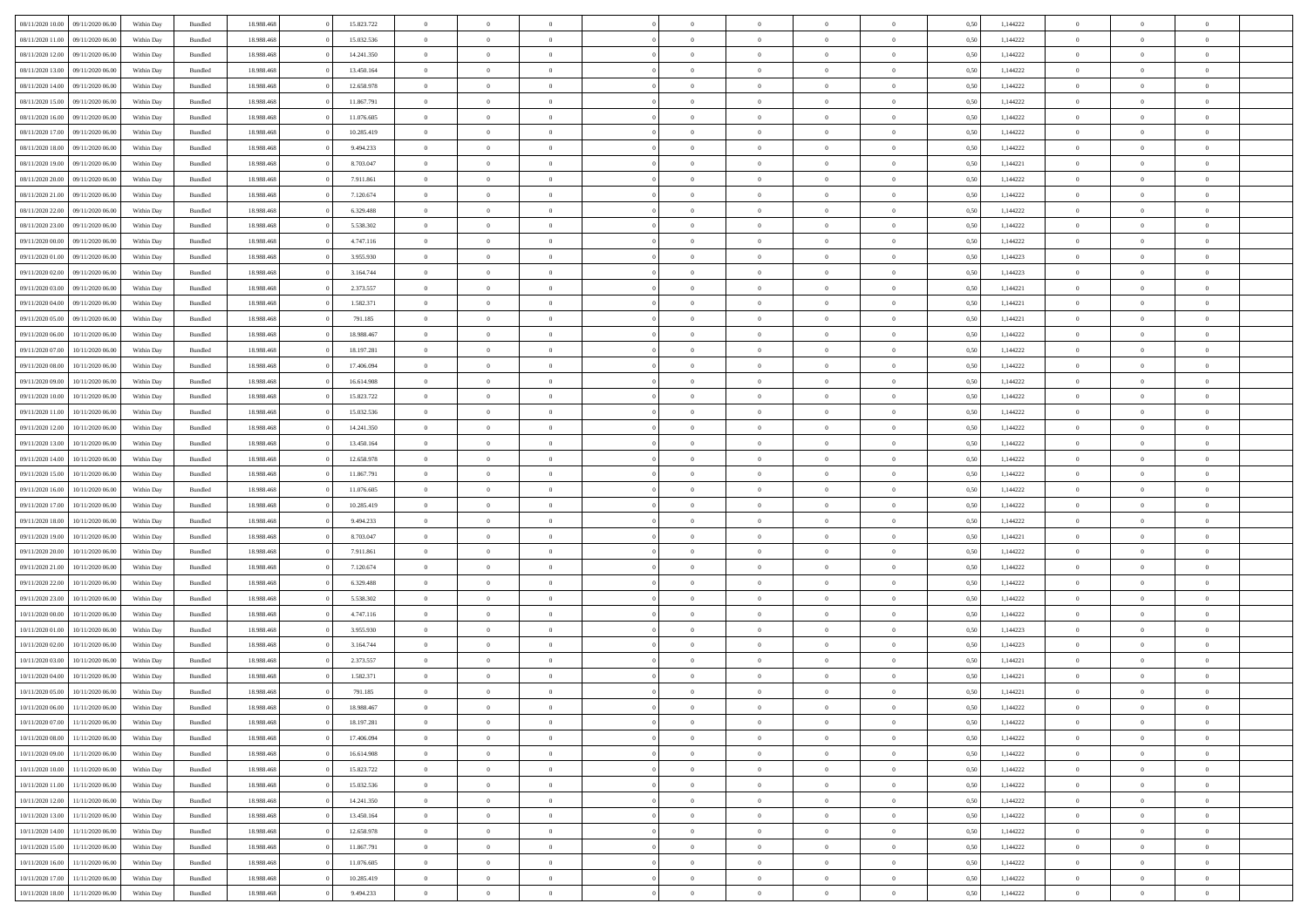| 08/11/2020 10:00 | 09/11/2020 06.00 | Within Dav | Bundled            | 18.988.468 | 15.823.722 | $\overline{0}$ | $\theta$       |                | $\Omega$       | $\Omega$       | $\Omega$       | $\theta$       | 0.50 | 1,144222 | $\theta$       | $\overline{0}$ | $\theta$       |  |
|------------------|------------------|------------|--------------------|------------|------------|----------------|----------------|----------------|----------------|----------------|----------------|----------------|------|----------|----------------|----------------|----------------|--|
|                  |                  |            |                    |            |            |                |                |                |                |                |                |                |      |          |                |                |                |  |
| 08/11/2020 11:00 | 09/11/2020 06.00 | Within Day | Bundled            | 18.988.468 | 15.032.536 | $\overline{0}$ | $\theta$       | $\overline{0}$ | $\overline{0}$ | $\bf{0}$       | $\overline{0}$ | $\overline{0}$ | 0,50 | 1,144222 | $\theta$       | $\overline{0}$ | $\overline{0}$ |  |
| 08/11/2020 12:00 | 09/11/2020 06.00 | Within Day | Bundled            | 18.988.468 | 14.241.350 | $\overline{0}$ | $\overline{0}$ | $\overline{0}$ | $\overline{0}$ | $\bf{0}$       | $\overline{0}$ | $\bf{0}$       | 0,50 | 1,144222 | $\bf{0}$       | $\overline{0}$ | $\overline{0}$ |  |
| 08/11/2020 13:00 | 09/11/2020 06:00 | Within Dav | Bundled            | 18.988.468 | 13.450.164 | $\overline{0}$ | $\theta$       | $\overline{0}$ | $\overline{0}$ | $\bf{0}$       | $\overline{0}$ | $\overline{0}$ | 0.50 | 1,144222 | $\theta$       | $\theta$       | $\overline{0}$ |  |
|                  |                  |            |                    |            |            |                |                |                |                |                |                |                |      |          |                |                |                |  |
| 08/11/2020 14:00 | 09/11/2020 06.00 | Within Day | Bundled            | 18.988.468 | 12.658.978 | $\overline{0}$ | $\theta$       | $\overline{0}$ | $\overline{0}$ | $\bf{0}$       | $\overline{0}$ | $\bf{0}$       | 0,50 | 1,144222 | $\theta$       | $\theta$       | $\overline{0}$ |  |
| 08/11/2020 15.00 | 09/11/2020 06.00 | Within Day | Bundled            | 18.988.468 | 11.867.791 | $\overline{0}$ | $\bf{0}$       | $\overline{0}$ | $\overline{0}$ | $\overline{0}$ | $\overline{0}$ | $\mathbf{0}$   | 0,50 | 1,144222 | $\bf{0}$       | $\overline{0}$ | $\bf{0}$       |  |
| 08/11/2020 16:00 | 09/11/2020 06:00 | Within Dav | Bundled            | 18.988.468 | 11.076.605 | $\overline{0}$ | $\overline{0}$ | $\overline{0}$ | $\overline{0}$ | $\bf{0}$       | $\overline{0}$ | $\overline{0}$ | 0.50 | 1,144222 | $\theta$       | $\overline{0}$ | $\overline{0}$ |  |
| 08/11/2020 17.00 | 09/11/2020 06.00 | Within Day | Bundled            | 18.988.468 | 10.285.419 | $\overline{0}$ | $\theta$       | $\overline{0}$ | $\overline{0}$ | $\bf{0}$       | $\overline{0}$ | $\bf{0}$       | 0,50 | 1,144222 | $\theta$       | $\theta$       | $\overline{0}$ |  |
| 08/11/2020 18:00 | 09/11/2020 06.00 | Within Day | Bundled            | 18.988.468 | 9.494.233  | $\overline{0}$ | $\overline{0}$ | $\overline{0}$ | $\bf{0}$       | $\bf{0}$       | $\bf{0}$       | $\bf{0}$       | 0,50 | 1,144222 | $\,0\,$        | $\overline{0}$ | $\overline{0}$ |  |
|                  |                  |            |                    |            |            |                |                |                |                |                |                |                |      |          |                |                |                |  |
| 08/11/2020 19:00 | 09/11/2020 06:00 | Within Dav | Bundled            | 18.988.468 | 8.703.047  | $\overline{0}$ | $\overline{0}$ | $\overline{0}$ | $\overline{0}$ | $\overline{0}$ | $\overline{0}$ | $\overline{0}$ | 0.50 | 1,144221 | $\theta$       | $\overline{0}$ | $\overline{0}$ |  |
| 08/11/2020 20.00 | 09/11/2020 06.00 | Within Day | Bundled            | 18.988.468 | 7.911.861  | $\overline{0}$ | $\theta$       | $\overline{0}$ | $\overline{0}$ | $\bf{0}$       | $\overline{0}$ | $\bf{0}$       | 0,50 | 1,144222 | $\,$ 0 $\,$    | $\theta$       | $\overline{0}$ |  |
| 08/11/2020 21.00 | 09/11/2020 06.00 | Within Day | Bundled            | 18.988.468 | 7.120.674  | $\overline{0}$ | $\overline{0}$ | $\overline{0}$ | $\bf{0}$       | $\bf{0}$       | $\bf{0}$       | $\bf{0}$       | 0,50 | 1,144222 | $\bf{0}$       | $\overline{0}$ | $\overline{0}$ |  |
| 08/11/2020 22.00 | 09/11/2020 06:00 | Within Day | Bundled            | 18.988.468 | 6.329.488  | $\overline{0}$ | $\overline{0}$ | $\overline{0}$ | $\overline{0}$ | $\bf{0}$       | $\overline{0}$ | $\overline{0}$ | 0.50 | 1,144222 | $\theta$       | $\theta$       | $\overline{0}$ |  |
| 08/11/2020 23.00 | 09/11/2020 06.00 | Within Day | Bundled            | 18.988.468 | 5.538.302  | $\overline{0}$ | $\theta$       | $\overline{0}$ | $\overline{0}$ | $\bf{0}$       | $\overline{0}$ | $\overline{0}$ | 0,50 | 1,144222 | $\theta$       | $\theta$       | $\overline{0}$ |  |
|                  |                  |            |                    |            |            |                |                |                |                |                |                |                |      |          |                |                |                |  |
| 09/11/2020 00:00 | 09/11/2020 06.00 | Within Day | Bundled            | 18.988.468 | 4.747.116  | $\overline{0}$ | $\overline{0}$ | $\overline{0}$ | $\bf{0}$       | $\overline{0}$ | $\overline{0}$ | $\mathbf{0}$   | 0,50 | 1,144222 | $\bf{0}$       | $\overline{0}$ | $\bf{0}$       |  |
| 09/11/2020 01:00 | 09/11/2020 06:00 | Within Dav | Bundled            | 18.988.468 | 3.955.930  | $\overline{0}$ | $\overline{0}$ | $\overline{0}$ | $\overline{0}$ | $\bf{0}$       | $\overline{0}$ | $\overline{0}$ | 0.50 | 1,144223 | $\theta$       | $\overline{0}$ | $\overline{0}$ |  |
| 09/11/2020 02.00 | 09/11/2020 06.00 | Within Day | Bundled            | 18.988.468 | 3.164.744  | $\overline{0}$ | $\theta$       | $\overline{0}$ | $\overline{0}$ | $\bf{0}$       | $\overline{0}$ | $\bf{0}$       | 0,50 | 1,144223 | $\theta$       | $\theta$       | $\overline{0}$ |  |
| 09/11/2020 03:00 | 09/11/2020 06.00 | Within Day | Bundled            | 18.988.468 | 2.373.557  | $\overline{0}$ | $\overline{0}$ | $\overline{0}$ | $\bf{0}$       | $\bf{0}$       | $\bf{0}$       | $\bf{0}$       | 0,50 | 1,144221 | $\,0\,$        | $\overline{0}$ | $\overline{0}$ |  |
| 09/11/2020 04:00 | 09/11/2020 06:00 | Within Day | Bundled            | 18.988.468 | 1.582.371  | $\overline{0}$ | $\overline{0}$ | $\overline{0}$ | $\overline{0}$ | $\overline{0}$ | $\overline{0}$ | $\overline{0}$ | 0.50 | 1,144221 | $\theta$       | $\overline{0}$ | $\overline{0}$ |  |
|                  |                  |            |                    |            |            |                |                |                |                |                |                |                |      |          |                |                |                |  |
| 09/11/2020 05.00 | 09/11/2020 06.00 | Within Day | Bundled            | 18.988.468 | 791.185    | $\overline{0}$ | $\theta$       | $\overline{0}$ | $\overline{0}$ | $\bf{0}$       | $\overline{0}$ | $\bf{0}$       | 0,50 | 1,144221 | $\theta$       | $\theta$       | $\overline{0}$ |  |
| 09/11/2020 06.00 | 10/11/2020 06.00 | Within Day | Bundled            | 18.988.468 | 18.988.467 | $\overline{0}$ | $\overline{0}$ | $\overline{0}$ | $\bf{0}$       | $\bf{0}$       | $\bf{0}$       | $\bf{0}$       | 0,50 | 1,144222 | $\,0\,$        | $\overline{0}$ | $\overline{0}$ |  |
| 09/11/2020 07.00 | 10/11/2020 06:00 | Within Day | Bundled            | 18.988.468 | 18.197.281 | $\overline{0}$ | $\overline{0}$ | $\overline{0}$ | $\overline{0}$ | $\bf{0}$       | $\overline{0}$ | $\overline{0}$ | 0.50 | 1,144222 | $\theta$       | $\theta$       | $\overline{0}$ |  |
| 09/11/2020 08:00 | 10/11/2020 06.00 | Within Day | Bundled            | 18.988.468 | 17.406.094 | $\overline{0}$ | $\theta$       | $\overline{0}$ | $\overline{0}$ | $\bf{0}$       | $\overline{0}$ | $\bf{0}$       | 0,50 | 1,144222 | $\,$ 0 $\,$    | $\overline{0}$ | $\overline{0}$ |  |
| 09/11/2020 09:00 | 10/11/2020 06.00 | Within Day | Bundled            | 18.988.468 | 16.614.908 | $\overline{0}$ | $\overline{0}$ | $\overline{0}$ | $\bf{0}$       | $\overline{0}$ | $\overline{0}$ | $\mathbf{0}$   | 0,50 | 1,144222 | $\overline{0}$ | $\overline{0}$ | $\bf{0}$       |  |
|                  |                  |            |                    |            |            |                |                |                |                |                |                |                |      |          |                |                |                |  |
| 09/11/2020 10:00 | 10/11/2020 06:00 | Within Dav | Bundled            | 18.988.468 | 15.823.722 | $\overline{0}$ | $\overline{0}$ | $\overline{0}$ | $\overline{0}$ | $\overline{0}$ | $\overline{0}$ | $\overline{0}$ | 0.50 | 1,144222 | $\theta$       | $\theta$       | $\overline{0}$ |  |
| 09/11/2020 11:00 | 10/11/2020 06.00 | Within Day | Bundled            | 18.988.468 | 15.032.536 | $\overline{0}$ | $\theta$       | $\overline{0}$ | $\overline{0}$ | $\bf{0}$       | $\overline{0}$ | $\bf{0}$       | 0,50 | 1,144222 | $\theta$       | $\theta$       | $\overline{0}$ |  |
| 09/11/2020 12:00 | 10/11/2020 06.00 | Within Day | Bundled            | 18.988.468 | 14.241.350 | $\overline{0}$ | $\overline{0}$ | $\overline{0}$ | $\bf{0}$       | $\bf{0}$       | $\bf{0}$       | $\bf{0}$       | 0,50 | 1,144222 | $\,0\,$        | $\overline{0}$ | $\overline{0}$ |  |
| 09/11/2020 13:00 | 10/11/2020 06.00 | Within Day | Bundled            | 18.988.468 | 13.450.164 | $\overline{0}$ | $\overline{0}$ | $\overline{0}$ | $\overline{0}$ | $\overline{0}$ | $\overline{0}$ | $\overline{0}$ | 0.50 | 1,144222 | $\theta$       | $\overline{0}$ | $\overline{0}$ |  |
| 09/11/2020 14:00 | 10/11/2020 06.00 | Within Day | Bundled            | 18.988.468 | 12.658.978 | $\overline{0}$ | $\theta$       | $\overline{0}$ | $\overline{0}$ | $\bf{0}$       | $\overline{0}$ | $\bf{0}$       | 0,50 | 1,144222 | $\,$ 0 $\,$    | $\theta$       | $\overline{0}$ |  |
|                  |                  |            |                    |            |            |                |                |                |                |                |                |                |      |          |                |                |                |  |
| 09/11/2020 15:00 | 10/11/2020 06.00 | Within Day | Bundled            | 18.988.468 | 11.867.791 | $\overline{0}$ | $\overline{0}$ | $\overline{0}$ | $\bf{0}$       | $\bf{0}$       | $\bf{0}$       | $\bf{0}$       | 0,50 | 1,144222 | $\overline{0}$ | $\overline{0}$ | $\overline{0}$ |  |
| 09/11/2020 16:00 | 10/11/2020 06.00 | Within Day | Bundled            | 18.988.468 | 11.076.605 | $\overline{0}$ | $\Omega$       | $\Omega$       | $\Omega$       | $\Omega$       | $\overline{0}$ | $\overline{0}$ | 0.50 | 1,144222 | $\,0\,$        | $\theta$       | $\theta$       |  |
| 09/11/2020 17.00 | 10/11/2020 06.00 | Within Day | Bundled            | 18.988.468 | 10.285.419 | $\overline{0}$ | $\theta$       | $\overline{0}$ | $\overline{0}$ | $\bf{0}$       | $\overline{0}$ | $\bf{0}$       | 0,50 | 1,144222 | $\theta$       | $\theta$       | $\overline{0}$ |  |
| 09/11/2020 18:00 | 10/11/2020 06.00 | Within Day | Bundled            | 18.988.468 | 9.494.233  | $\overline{0}$ | $\bf{0}$       | $\overline{0}$ | $\bf{0}$       | $\bf{0}$       | $\overline{0}$ | $\mathbf{0}$   | 0,50 | 1,144222 | $\overline{0}$ | $\overline{0}$ | $\bf{0}$       |  |
| 09/11/2020 19:00 | 10/11/2020 06:00 | Within Day | Bundled            | 18.988.468 | 8,703,047  | $\overline{0}$ | $\Omega$       | $\Omega$       | $\Omega$       | $\bf{0}$       | $\overline{0}$ | $\overline{0}$ | 0.50 | 1,144221 | $\,0\,$        | $\theta$       | $\theta$       |  |
|                  |                  |            |                    |            |            |                |                |                |                |                |                |                |      |          |                |                |                |  |
| 09/11/2020 20.00 | 10/11/2020 06.00 | Within Day | Bundled            | 18.988.468 | 7.911.861  | $\overline{0}$ | $\theta$       | $\overline{0}$ | $\overline{0}$ | $\bf{0}$       | $\overline{0}$ | $\bf{0}$       | 0,50 | 1,144222 | $\theta$       | $\theta$       | $\overline{0}$ |  |
| 09/11/2020 21.00 | 10/11/2020 06.00 | Within Day | Bundled            | 18.988.468 | 7.120.674  | $\overline{0}$ | $\overline{0}$ | $\overline{0}$ | $\bf{0}$       | $\bf{0}$       | $\bf{0}$       | $\bf{0}$       | 0,50 | 1,144222 | $\bf{0}$       | $\overline{0}$ | $\overline{0}$ |  |
| 09/11/2020 22.00 | 10/11/2020 06:00 | Within Day | Bundled            | 18.988.468 | 6.329.488  | $\overline{0}$ | $\Omega$       | $\Omega$       | $\Omega$       | $\Omega$       | $\theta$       | $\overline{0}$ | 0.50 | 1,144222 | $\theta$       | $\theta$       | $\theta$       |  |
| 09/11/2020 23.00 | 10/11/2020 06.00 | Within Day | Bundled            | 18.988.468 | 5.538.302  | $\overline{0}$ | $\theta$       | $\overline{0}$ | $\overline{0}$ | $\bf{0}$       | $\overline{0}$ | $\bf{0}$       | 0,50 | 1,144222 | $\,$ 0 $\,$    | $\theta$       | $\overline{0}$ |  |
| 10/11/2020 00:00 | 10/11/2020 06.00 | Within Day | Bundled            | 18.988.468 | 4.747.116  | $\overline{0}$ | $\overline{0}$ | $\overline{0}$ | $\bf{0}$       | $\bf{0}$       | $\bf{0}$       | $\bf{0}$       | 0,50 | 1,144222 | $\bf{0}$       | $\overline{0}$ | $\overline{0}$ |  |
|                  |                  |            |                    |            |            | $\overline{0}$ | $\Omega$       | $\Omega$       | $\Omega$       | $\Omega$       | $\overline{0}$ | $\overline{0}$ | 0.50 |          | $\,0\,$        | $\theta$       | $\theta$       |  |
| 10/11/2020 01:00 | 10/11/2020 06.00 | Within Day | Bundled            | 18.988.468 | 3.955.930  |                |                |                |                |                |                |                |      | 1,144223 |                |                |                |  |
| 10/11/2020 02.00 | 10/11/2020 06.00 | Within Day | Bundled            | 18.988.468 | 3.164.744  | $\overline{0}$ | $\theta$       | $\overline{0}$ | $\overline{0}$ | $\bf{0}$       | $\overline{0}$ | $\bf{0}$       | 0,50 | 1,144223 | $\,$ 0 $\,$    | $\theta$       | $\overline{0}$ |  |
| 10/11/2020 03:00 | 10/11/2020 06.00 | Within Day | Bundled            | 18.988.468 | 2.373.557  | $\overline{0}$ | $\overline{0}$ | $\overline{0}$ | $\bf{0}$       | $\bf{0}$       | $\bf{0}$       | $\mathbf{0}$   | 0,50 | 1,144221 | $\overline{0}$ | $\overline{0}$ | $\bf{0}$       |  |
| 10/11/2020 04:00 | 10/11/2020 06.00 | Within Day | Bundled            | 18.988.468 | 1.582.371  | $\overline{0}$ | $\Omega$       | $\Omega$       | $\Omega$       | $\Omega$       | $\Omega$       | $\overline{0}$ | 0.50 | 1,144221 | $\theta$       | $\theta$       | $\theta$       |  |
| 10/11/2020 05:00 | 10/11/2020 06.00 | Within Day | Bundled            | 18.988.468 | 791.185    | $\overline{0}$ | $\,$ 0 $\,$    | $\overline{0}$ | $\bf{0}$       | $\,$ 0         | $\overline{0}$ | $\bf{0}$       | 0,50 | 1,144221 | $\,0\,$        | $\overline{0}$ | $\overline{0}$ |  |
| 10/11/2020 06:00 | 11/11/2020 06.00 | Within Day | $\mathbf B$ undled |            |            |                |                |                |                |                |                |                |      |          |                |                |                |  |
|                  |                  |            |                    | 18.988.468 | 18.988.467 | $\bf{0}$       | $\bf{0}$       |                |                | $\bf{0}$       |                |                | 0,50 | 1,144222 | $\bf{0}$       | $\overline{0}$ |                |  |
| 10/11/2020 07.00 | 11/11/2020 06:00 | Within Day | Bundled            | 18,988,468 | 18.197.281 | $\overline{0}$ | $\overline{0}$ | $\overline{0}$ | $\Omega$       | $\theta$       | $\overline{0}$ | $\overline{0}$ | 0,50 | 1,144222 | $\theta$       | $\theta$       | $\theta$       |  |
| 10/11/2020 08:00 | 11/11/2020 06.00 | Within Day | Bundled            | 18.988.468 | 17.406.094 | $\overline{0}$ | $\,$ 0         | $\overline{0}$ | $\overline{0}$ | $\,$ 0 $\,$    | $\overline{0}$ | $\mathbf{0}$   | 0,50 | 1,144222 | $\,$ 0 $\,$    | $\overline{0}$ | $\,$ 0         |  |
| 10/11/2020 09:00 | 11/11/2020 06.00 | Within Day | Bundled            | 18.988.468 | 16.614.908 | $\overline{0}$ | $\overline{0}$ | $\overline{0}$ | $\overline{0}$ | $\overline{0}$ | $\overline{0}$ | $\mathbf{0}$   | 0,50 | 1,144222 | $\overline{0}$ | $\overline{0}$ | $\bf{0}$       |  |
| 10/11/2020 10:00 | 11/11/2020 06:00 | Within Day | Bundled            | 18.988.468 | 15.823.722 | $\overline{0}$ | $\theta$       | $\overline{0}$ | $\Omega$       | $\theta$       | $\overline{0}$ | $\bf{0}$       | 0,50 | 1,144222 | $\bf{0}$       | $\theta$       | $\overline{0}$ |  |
| 10/11/2020 11:00 | 11/11/2020 06.00 | Within Day | Bundled            | 18.988.468 | 15.032.536 | $\overline{0}$ | $\,$ 0         | $\overline{0}$ | $\overline{0}$ | $\overline{0}$ | $\overline{0}$ | $\bf{0}$       | 0,50 | 1,144222 | $\,$ 0 $\,$    | $\overline{0}$ | $\overline{0}$ |  |
|                  |                  |            |                    |            |            |                |                |                |                |                |                |                |      |          |                |                |                |  |
| 10/11/2020 12:00 | 11/11/2020 06.00 | Within Day | Bundled            | 18.988.468 | 14.241.350 | $\overline{0}$ | $\overline{0}$ | $\overline{0}$ | $\overline{0}$ | $\overline{0}$ | $\overline{0}$ | $\mathbf{0}$   | 0,50 | 1,144222 | $\overline{0}$ | $\overline{0}$ | $\bf{0}$       |  |
| 10/11/2020 13:00 | 11/11/2020 06:00 | Within Day | Bundled            | 18.988.468 | 13.450.164 | $\overline{0}$ | $\overline{0}$ | $\overline{0}$ | $\Omega$       | $\overline{0}$ | $\overline{0}$ | $\bf{0}$       | 0.50 | 1,144222 | $\overline{0}$ | $\theta$       | $\overline{0}$ |  |
| 10/11/2020 14:00 | 11/11/2020 06.00 | Within Day | Bundled            | 18.988.468 | 12.658.978 | $\overline{0}$ | $\,$ 0         | $\overline{0}$ | $\bf{0}$       | $\bf{0}$       | $\bf{0}$       | $\bf{0}$       | 0,50 | 1,144222 | $\,$ 0 $\,$    | $\overline{0}$ | $\overline{0}$ |  |
| 10/11/2020 15:00 | 11/11/2020 06.00 | Within Day | Bundled            | 18.988.468 | 11.867.791 | $\overline{0}$ | $\bf{0}$       | $\overline{0}$ | $\bf{0}$       | $\overline{0}$ | $\bf{0}$       | $\mathbf{0}$   | 0,50 | 1,144222 | $\overline{0}$ | $\overline{0}$ | $\bf{0}$       |  |
| 10/11/2020 16:00 | 11/11/2020 06.00 | Within Day | Bundled            | 18,988,468 | 11.076.605 | $\overline{0}$ | $\overline{0}$ | $\overline{0}$ | $\Omega$       | $\overline{0}$ | $\overline{0}$ | $\bf{0}$       | 0.50 | 1,144222 | $\overline{0}$ | $\theta$       | $\overline{0}$ |  |
|                  |                  |            |                    |            |            |                |                |                |                |                |                |                |      |          |                |                |                |  |
| 10/11/2020 17:00 | 11/11/2020 06.00 | Within Day | Bundled            | 18.988.468 | 10.285.419 | $\overline{0}$ | $\,$ 0         | $\overline{0}$ | $\overline{0}$ | $\bf{0}$       | $\bf{0}$       | $\bf{0}$       | 0,50 | 1,144222 | $\,$ 0 $\,$    | $\,$ 0 $\,$    | $\overline{0}$ |  |
| 10/11/2020 18:00 | 11/11/2020 06:00 | Within Day | Bundled            | 18.988.468 | 9.494.233  | $\overline{0}$ | $\overline{0}$ | $\overline{0}$ | $\overline{0}$ | $\bf{0}$       | $\bf{0}$       | $\mathbf{0}$   | 0,50 | 1,144222 | $\overline{0}$ | $\bf{0}$       | $\bf{0}$       |  |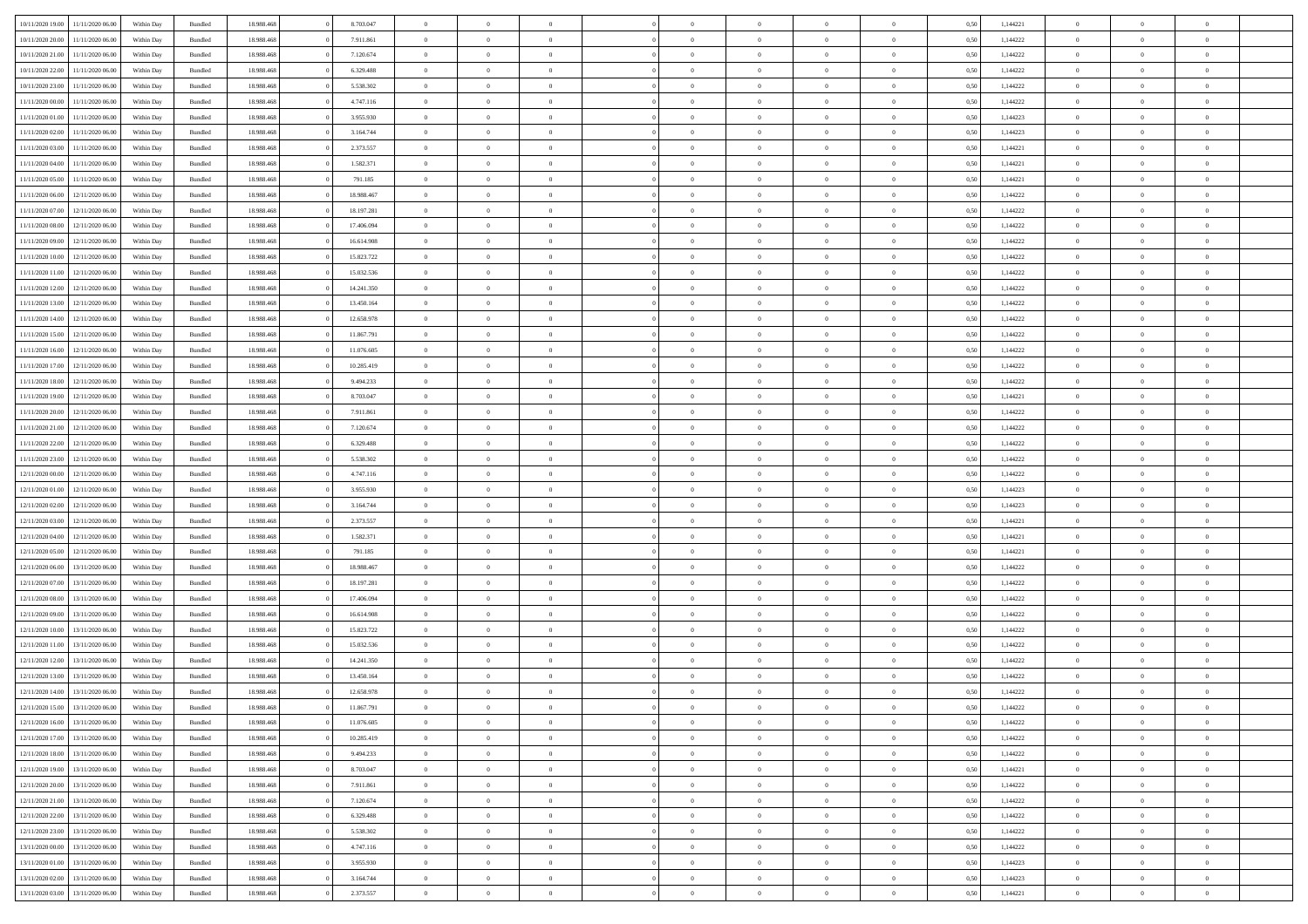| 10/11/2020 19:00 | 11/11/2020 06:00 | Within Dav | Bundled            | 18.988.468 | 8.703.047  | $\overline{0}$ | $\theta$       |                | $\Omega$       | $\Omega$       | $\Omega$       | $\theta$       | 0.50 | 1,144221 | $\theta$       | $\overline{0}$ | $\overline{0}$ |  |
|------------------|------------------|------------|--------------------|------------|------------|----------------|----------------|----------------|----------------|----------------|----------------|----------------|------|----------|----------------|----------------|----------------|--|
|                  |                  |            |                    |            |            |                |                |                |                |                |                |                |      |          |                |                |                |  |
| 10/11/2020 20.00 | 11/11/2020 06.00 | Within Day | Bundled            | 18.988.468 | 7.911.861  | $\overline{0}$ | $\theta$       | $\overline{0}$ | $\overline{0}$ | $\bf{0}$       | $\overline{0}$ | $\overline{0}$ | 0,50 | 1,144222 | $\theta$       | $\overline{0}$ | $\overline{0}$ |  |
| 10/11/2020 21:00 | 11/11/2020 06.00 | Within Day | Bundled            | 18.988.468 | 7.120.674  | $\overline{0}$ | $\overline{0}$ | $\overline{0}$ | $\bf{0}$       | $\bf{0}$       | $\bf{0}$       | $\bf{0}$       | 0,50 | 1,144222 | $\bf{0}$       | $\overline{0}$ | $\overline{0}$ |  |
| 10/11/2020 22.00 | 11/11/2020 06:00 | Within Dav | Bundled            | 18.988.468 | 6.329.488  | $\overline{0}$ | $\overline{0}$ | $\overline{0}$ | $\overline{0}$ | $\bf{0}$       | $\overline{0}$ | $\overline{0}$ | 0.50 | 1,144222 | $\theta$       | $\theta$       | $\overline{0}$ |  |
| 10/11/2020 23.00 | 11/11/2020 06.00 | Within Day | Bundled            | 18.988.468 | 5.538.302  | $\overline{0}$ | $\theta$       | $\overline{0}$ | $\overline{0}$ | $\bf{0}$       | $\overline{0}$ | $\bf{0}$       | 0,50 | 1,144222 | $\theta$       | $\theta$       | $\overline{0}$ |  |
| 11/11/2020 00:00 | 11/11/2020 06.00 | Within Day | Bundled            | 18.988.468 | 4.747.116  | $\overline{0}$ | $\bf{0}$       | $\overline{0}$ | $\bf{0}$       | $\overline{0}$ | $\overline{0}$ | $\mathbf{0}$   | 0,50 | 1,144222 | $\overline{0}$ | $\overline{0}$ | $\bf{0}$       |  |
|                  |                  |            |                    |            |            |                |                |                |                | $\bf{0}$       |                |                |      |          | $\theta$       | $\overline{0}$ | $\overline{0}$ |  |
| 11/11/2020 01:00 | 11/11/2020 06.00 | Within Dav | Bundled            | 18.988.468 | 3.955.930  | $\overline{0}$ | $\overline{0}$ | $\overline{0}$ | $\overline{0}$ |                | $\overline{0}$ | $\overline{0}$ | 0.50 | 1,144223 |                |                |                |  |
| 11/11/2020 02.00 | 11/11/2020 06.00 | Within Day | Bundled            | 18.988.468 | 3.164.744  | $\overline{0}$ | $\theta$       | $\overline{0}$ | $\overline{0}$ | $\bf{0}$       | $\overline{0}$ | $\bf{0}$       | 0,50 | 1,144223 | $\theta$       | $\theta$       | $\overline{0}$ |  |
| 11/11/2020 03:00 | 11/11/2020 06.00 | Within Day | Bundled            | 18.988.468 | 2.373.557  | $\overline{0}$ | $\overline{0}$ | $\overline{0}$ | $\bf{0}$       | $\bf{0}$       | $\bf{0}$       | $\bf{0}$       | 0,50 | 1,144221 | $\,0\,$        | $\overline{0}$ | $\overline{0}$ |  |
| 11/11/2020 04:00 | 11/11/2020 06:00 | Within Dav | Bundled            | 18.988.468 | 1.582.371  | $\overline{0}$ | $\overline{0}$ | $\overline{0}$ | $\overline{0}$ | $\overline{0}$ | $\overline{0}$ | $\overline{0}$ | 0.50 | 1,144221 | $\theta$       | $\overline{0}$ | $\overline{0}$ |  |
| 11/11/2020 05:00 | 11/11/2020 06.00 | Within Day | Bundled            | 18.988.468 | 791.185    | $\overline{0}$ | $\theta$       | $\overline{0}$ | $\overline{0}$ | $\bf{0}$       | $\overline{0}$ | $\bf{0}$       | 0,50 | 1,144221 | $\,$ 0 $\,$    | $\theta$       | $\overline{0}$ |  |
| 11/11/2020 06:00 | 12/11/2020 06.00 | Within Day | Bundled            | 18.988.468 | 18.988.467 | $\overline{0}$ | $\overline{0}$ | $\overline{0}$ | $\bf{0}$       | $\bf{0}$       | $\bf{0}$       | $\bf{0}$       | 0,50 | 1,144222 | $\bf{0}$       | $\overline{0}$ | $\overline{0}$ |  |
| 11/11/2020 07.00 | 12/11/2020 06:00 | Within Day | Bundled            | 18.988.468 | 18.197.281 | $\overline{0}$ | $\overline{0}$ | $\overline{0}$ | $\overline{0}$ | $\bf{0}$       | $\overline{0}$ | $\overline{0}$ | 0.50 | 1,144222 | $\theta$       | $\theta$       | $\overline{0}$ |  |
|                  |                  |            |                    |            |            | $\overline{0}$ | $\theta$       | $\overline{0}$ | $\overline{0}$ | $\bf{0}$       | $\overline{0}$ |                |      |          | $\theta$       | $\theta$       | $\overline{0}$ |  |
| 11/11/2020 08:00 | 12/11/2020 06.00 | Within Day | Bundled            | 18.988.468 | 17.406.094 |                |                |                |                |                |                | $\bf{0}$       | 0,50 | 1,144222 |                |                |                |  |
| 11/11/2020 09:00 | 12/11/2020 06.00 | Within Day | Bundled            | 18.988.468 | 16.614.908 | $\overline{0}$ | $\overline{0}$ | $\overline{0}$ | $\bf{0}$       | $\overline{0}$ | $\overline{0}$ | $\mathbf{0}$   | 0,50 | 1,144222 | $\overline{0}$ | $\overline{0}$ | $\bf{0}$       |  |
| 11/11/2020 10:00 | 12/11/2020 06.00 | Within Dav | Bundled            | 18.988.468 | 15.823.722 | $\overline{0}$ | $\overline{0}$ | $\overline{0}$ | $\overline{0}$ | $\overline{0}$ | $\overline{0}$ | $\overline{0}$ | 0.50 | 1,144222 | $\theta$       | $\overline{0}$ | $\overline{0}$ |  |
| 11/11/2020 11:00 | 12/11/2020 06.00 | Within Day | Bundled            | 18.988.468 | 15.032.536 | $\overline{0}$ | $\theta$       | $\overline{0}$ | $\overline{0}$ | $\bf{0}$       | $\overline{0}$ | $\bf{0}$       | 0,50 | 1,144222 | $\theta$       | $\theta$       | $\overline{0}$ |  |
| 11/11/2020 12:00 | 12/11/2020 06.00 | Within Day | Bundled            | 18.988.468 | 14.241.350 | $\overline{0}$ | $\overline{0}$ | $\overline{0}$ | $\bf{0}$       | $\bf{0}$       | $\bf{0}$       | $\bf{0}$       | 0,50 | 1,144222 | $\bf{0}$       | $\overline{0}$ | $\overline{0}$ |  |
| 11/11/2020 13:00 | 12/11/2020 06:00 | Within Day | Bundled            | 18.988.468 | 13.450.164 | $\overline{0}$ | $\overline{0}$ | $\overline{0}$ | $\overline{0}$ | $\overline{0}$ | $\overline{0}$ | $\overline{0}$ | 0.50 | 1,144222 | $\theta$       | $\overline{0}$ | $\overline{0}$ |  |
| 11/11/2020 14:00 | 12/11/2020 06.00 | Within Day | Bundled            | 18.988.468 | 12.658.978 | $\overline{0}$ | $\theta$       | $\overline{0}$ | $\overline{0}$ | $\bf{0}$       | $\overline{0}$ | $\bf{0}$       | 0,50 | 1,144222 | $\,$ 0 $\,$    | $\theta$       | $\overline{0}$ |  |
|                  |                  |            |                    |            |            |                |                |                |                |                |                |                |      |          |                |                |                |  |
| 11/11/2020 15:00 | 12/11/2020 06.00 | Within Day | Bundled            | 18.988.468 | 11.867.791 | $\overline{0}$ | $\overline{0}$ | $\overline{0}$ | $\overline{0}$ | $\bf{0}$       | $\overline{0}$ | $\bf{0}$       | 0,50 | 1,144222 | $\,0\,$        | $\overline{0}$ | $\overline{0}$ |  |
| 11/11/2020 16.00 | 12/11/2020 06:00 | Within Day | Bundled            | 18.988.468 | 11.076.605 | $\overline{0}$ | $\overline{0}$ | $\overline{0}$ | $\overline{0}$ | $\bf{0}$       | $\overline{0}$ | $\overline{0}$ | 0.50 | 1,144222 | $\theta$       | $\theta$       | $\overline{0}$ |  |
| 11/11/2020 17.00 | 12/11/2020 06.00 | Within Day | Bundled            | 18.988.468 | 10.285.419 | $\overline{0}$ | $\theta$       | $\overline{0}$ | $\overline{0}$ | $\bf{0}$       | $\overline{0}$ | $\bf{0}$       | 0,50 | 1,144222 | $\,$ 0 $\,$    | $\overline{0}$ | $\overline{0}$ |  |
| 11/11/2020 18.00 | 12/11/2020 06.00 | Within Day | Bundled            | 18.988.468 | 9.494.233  | $\overline{0}$ | $\overline{0}$ | $\overline{0}$ | $\overline{0}$ | $\overline{0}$ | $\overline{0}$ | $\mathbf{0}$   | 0,50 | 1,144222 | $\bf{0}$       | $\overline{0}$ | $\bf{0}$       |  |
| 11/11/2020 19:00 | 12/11/2020 06.00 | Within Dav | Bundled            | 18.988.468 | 8.703.047  | $\overline{0}$ | $\overline{0}$ | $\overline{0}$ | $\overline{0}$ | $\overline{0}$ | $\overline{0}$ | $\overline{0}$ | 0.50 | 1,144221 | $\theta$       | $\overline{0}$ | $\overline{0}$ |  |
| 11/11/2020 20.00 | 12/11/2020 06.00 | Within Day | Bundled            | 18.988.468 | 7.911.861  | $\overline{0}$ | $\theta$       | $\overline{0}$ | $\overline{0}$ | $\bf{0}$       | $\overline{0}$ | $\bf{0}$       | 0,50 | 1,144222 | $\theta$       | $\theta$       | $\overline{0}$ |  |
| 11/11/2020 21.00 | 12/11/2020 06.00 | Within Day | Bundled            | 18.988.468 | 7.120.674  | $\overline{0}$ | $\overline{0}$ | $\overline{0}$ | $\overline{0}$ | $\bf{0}$       | $\overline{0}$ | $\bf{0}$       | 0,50 | 1,144222 | $\,0\,$        | $\overline{0}$ | $\overline{0}$ |  |
| 11/11/2020 22.00 | 12/11/2020 06:00 |            | Bundled            | 18.988.468 | 6.329.488  | $\overline{0}$ | $\overline{0}$ | $\overline{0}$ | $\overline{0}$ | $\overline{0}$ | $\overline{0}$ | $\overline{0}$ | 0.50 | 1,144222 | $\theta$       | $\overline{0}$ | $\overline{0}$ |  |
|                  |                  | Within Day |                    |            |            |                |                |                |                |                |                |                |      |          |                |                |                |  |
| 11/11/2020 23.00 | 12/11/2020 06.00 | Within Day | Bundled            | 18.988.468 | 5.538.302  | $\overline{0}$ | $\theta$       | $\overline{0}$ | $\overline{0}$ | $\bf{0}$       | $\overline{0}$ | $\bf{0}$       | 0,50 | 1,144222 | $\,$ 0 $\,$    | $\theta$       | $\overline{0}$ |  |
| 12/11/2020 00:00 | 12/11/2020 06.00 | Within Day | Bundled            | 18.988.468 | 4.747.116  | $\overline{0}$ | $\overline{0}$ | $\overline{0}$ | $\bf{0}$       | $\bf{0}$       | $\bf{0}$       | $\bf{0}$       | 0,50 | 1,144222 | $\overline{0}$ | $\overline{0}$ | $\overline{0}$ |  |
| 12/11/2020 01:00 | 12/11/2020 06.00 | Within Day | Bundled            | 18.988.468 | 3.955.930  | $\overline{0}$ | $\Omega$       | $\Omega$       | $\Omega$       | $\Omega$       | $\overline{0}$ | $\overline{0}$ | 0,50 | 1,144223 | $\,0\,$        | $\theta$       | $\theta$       |  |
| 12/11/2020 02.00 | 12/11/2020 06.00 | Within Day | Bundled            | 18.988.468 | 3.164.744  | $\overline{0}$ | $\theta$       | $\overline{0}$ | $\overline{0}$ | $\bf{0}$       | $\overline{0}$ | $\bf{0}$       | 0,50 | 1,144223 | $\theta$       | $\theta$       | $\overline{0}$ |  |
| 12/11/2020 03:00 | 12/11/2020 06.00 | Within Day | Bundled            | 18.988.468 | 2.373.557  | $\overline{0}$ | $\bf{0}$       | $\overline{0}$ | $\bf{0}$       | $\bf{0}$       | $\overline{0}$ | $\mathbf{0}$   | 0,50 | 1,144221 | $\overline{0}$ | $\overline{0}$ | $\bf{0}$       |  |
| 12/11/2020 04:00 | 12/11/2020 06.00 | Within Day | Bundled            | 18.988.468 | 1.582.371  | $\overline{0}$ | $\Omega$       | $\Omega$       | $\Omega$       | $\bf{0}$       | $\overline{0}$ | $\overline{0}$ | 0.50 | 1,144221 | $\,0\,$        | $\theta$       | $\theta$       |  |
| 12/11/2020 05:00 | 12/11/2020 06.00 | Within Day | Bundled            | 18.988.468 | 791.185    | $\overline{0}$ | $\theta$       | $\overline{0}$ | $\overline{0}$ | $\bf{0}$       | $\overline{0}$ | $\bf{0}$       | 0,50 | 1,144221 | $\,$ 0 $\,$    | $\theta$       | $\overline{0}$ |  |
|                  |                  |            |                    |            |            |                |                |                |                |                |                |                |      |          |                |                |                |  |
| 12/11/2020 06:00 | 13/11/2020 06.00 | Within Day | Bundled            | 18.988.468 | 18.988.467 | $\overline{0}$ | $\overline{0}$ | $\overline{0}$ | $\bf{0}$       | $\bf{0}$       | $\bf{0}$       | $\bf{0}$       | 0,50 | 1,144222 | $\bf{0}$       | $\overline{0}$ | $\overline{0}$ |  |
| 12/11/2020 07:00 | 13/11/2020 06.00 | Within Day | Bundled            | 18.988.468 | 18.197.281 | $\overline{0}$ | $\Omega$       | $\Omega$       | $\Omega$       | $\Omega$       | $\theta$       | $\overline{0}$ | 0.50 | 1,144222 | $\,0\,$        | $\theta$       | $\theta$       |  |
| 12/11/2020 08:00 | 13/11/2020 06.00 | Within Day | Bundled            | 18.988.468 | 17.406.094 | $\overline{0}$ | $\theta$       | $\overline{0}$ | $\overline{0}$ | $\bf{0}$       | $\overline{0}$ | $\bf{0}$       | 0,50 | 1,144222 | $\,$ 0 $\,$    | $\theta$       | $\overline{0}$ |  |
| 12/11/2020 09:00 | 13/11/2020 06.00 | Within Day | Bundled            | 18.988.468 | 16.614.908 | $\overline{0}$ | $\overline{0}$ | $\overline{0}$ | $\bf{0}$       | $\bf{0}$       | $\bf{0}$       | $\bf{0}$       | 0,50 | 1,144222 | $\bf{0}$       | $\overline{0}$ | $\overline{0}$ |  |
| 12/11/2020 10:00 | 13/11/2020 06.00 | Within Day | Bundled            | 18.988.468 | 15.823.722 | $\overline{0}$ | $\Omega$       | $\Omega$       | $\Omega$       | $\Omega$       | $\overline{0}$ | $\overline{0}$ | 0.50 | 1,144222 | $\,0\,$        | $\theta$       | $\theta$       |  |
| 12/11/2020 11:00 | 13/11/2020 06.00 | Within Day | Bundled            | 18.988.468 | 15.032.536 | $\overline{0}$ | $\theta$       | $\overline{0}$ | $\overline{0}$ | $\bf{0}$       | $\overline{0}$ | $\bf{0}$       | 0,50 | 1,144222 | $\,$ 0 $\,$    | $\theta$       | $\overline{0}$ |  |
| 12/11/2020 12:00 | 13/11/2020 06.00 | Within Day | Bundled            | 18.988.468 | 14.241.350 | $\overline{0}$ | $\overline{0}$ | $\overline{0}$ | $\bf{0}$       | $\bf{0}$       | $\bf{0}$       | $\mathbf{0}$   | 0,50 | 1,144222 | $\overline{0}$ | $\overline{0}$ | $\bf{0}$       |  |
| 12/11/2020 13:00 | 13/11/2020 06.00 |            | Bundled            | 18.988.468 | 13.450.164 | $\overline{0}$ | $\Omega$       | $\Omega$       | $\Omega$       | $\Omega$       | $\Omega$       | $\overline{0}$ | 0.50 | 1,144222 | $\theta$       | $\theta$       | $\theta$       |  |
|                  |                  | Within Day |                    |            |            |                |                |                |                |                |                |                |      |          |                |                |                |  |
| 12/11/2020 14:00 | 13/11/2020 06.00 | Within Day | Bundled            | 18.988.468 | 12.658.978 | $\overline{0}$ | $\,$ 0 $\,$    | $\overline{0}$ | $\bf{0}$       | $\,$ 0         | $\bf{0}$       | $\bf{0}$       | 0,50 | 1,144222 | $\,0\,$        | $\overline{0}$ | $\overline{0}$ |  |
| 12/11/2020 15:00 | 13/11/2020 06.00 | Within Day | $\mathbf B$ undled | 18.988.468 | 11.867.791 | $\bf{0}$       | $\bf{0}$       |                |                | $\bf{0}$       |                |                | 0,50 | 1,144222 | $\bf{0}$       | $\overline{0}$ |                |  |
| 12/11/2020 16:00 | 13/11/2020 06:00 | Within Day | Bundled            | 18,988,468 | 11.076.605 | $\overline{0}$ | $\overline{0}$ | $\overline{0}$ | $\Omega$       | $\theta$       | $\overline{0}$ | $\overline{0}$ | 0,50 | 1,144222 | $\theta$       | $\theta$       | $\theta$       |  |
| 12/11/2020 17.00 | 13/11/2020 06.00 | Within Day | Bundled            | 18.988.468 | 10.285.419 | $\overline{0}$ | $\,$ 0         | $\overline{0}$ | $\bf{0}$       | $\,$ 0 $\,$    | $\overline{0}$ | $\mathbf{0}$   | 0,50 | 1,144222 | $\,$ 0 $\,$    | $\,$ 0 $\,$    | $\,$ 0         |  |
| 12/11/2020 18:00 | 13/11/2020 06.00 | Within Day | Bundled            | 18.988.468 | 9.494.233  | $\overline{0}$ | $\overline{0}$ | $\overline{0}$ | $\overline{0}$ | $\overline{0}$ | $\overline{0}$ | $\mathbf{0}$   | 0,50 | 1,144222 | $\overline{0}$ | $\bf{0}$       | $\bf{0}$       |  |
| 12/11/2020 19:00 | 13/11/2020 06.00 | Within Day | Bundled            | 18.988.468 | 8.703.047  | $\overline{0}$ | $\theta$       | $\overline{0}$ | $\Omega$       | $\overline{0}$ | $\overline{0}$ | $\bf{0}$       | 0,50 | 1,144221 | $\overline{0}$ | $\overline{0}$ | $\overline{0}$ |  |
| 12/11/2020 20.00 | 13/11/2020 06.00 | Within Day | Bundled            | 18.988.468 | 7.911.861  | $\overline{0}$ | $\,$ 0         | $\overline{0}$ | $\overline{0}$ | $\overline{0}$ | $\overline{0}$ | $\bf{0}$       | 0,50 | 1,144222 | $\,$ 0 $\,$    | $\overline{0}$ | $\overline{0}$ |  |
|                  |                  |            |                    |            |            |                |                |                |                |                |                |                |      |          |                |                |                |  |
| 12/11/2020 21.00 | 13/11/2020 06.00 | Within Day | Bundled            | 18.988.468 | 7.120.674  | $\overline{0}$ | $\overline{0}$ | $\overline{0}$ | $\overline{0}$ | $\overline{0}$ | $\overline{0}$ | $\mathbf{0}$   | 0,50 | 1,144222 | $\overline{0}$ | $\bf{0}$       | $\bf{0}$       |  |
| 12/11/2020 22.00 | 13/11/2020 06.00 | Within Day | Bundled            | 18.988.468 | 6.329.488  | $\overline{0}$ | $\overline{0}$ | $\overline{0}$ | $\Omega$       | $\overline{0}$ | $\overline{0}$ | $\bf{0}$       | 0.50 | 1,144222 | $\overline{0}$ | $\theta$       | $\overline{0}$ |  |
| 12/11/2020 23.00 | 13/11/2020 06.00 | Within Day | Bundled            | 18.988.468 | 5.538.302  | $\overline{0}$ | $\,$ 0         | $\overline{0}$ | $\bf{0}$       | $\bf{0}$       | $\bf{0}$       | $\bf{0}$       | 0,50 | 1,144222 | $\,$ 0 $\,$    | $\overline{0}$ | $\overline{0}$ |  |
| 13/11/2020 00:00 | 13/11/2020 06.00 | Within Day | Bundled            | 18.988.468 | 4.747.116  | $\overline{0}$ | $\bf{0}$       | $\overline{0}$ | $\overline{0}$ | $\overline{0}$ | $\bf{0}$       | $\mathbf{0}$   | 0,50 | 1,144222 | $\overline{0}$ | $\overline{0}$ | $\bf{0}$       |  |
| 13/11/2020 01:00 | 13/11/2020 06.00 | Within Day | Bundled            | 18,988,468 | 3.955.930  | $\overline{0}$ | $\overline{0}$ | $\overline{0}$ | $\Omega$       | $\overline{0}$ | $\overline{0}$ | $\bf{0}$       | 0.50 | 1,144223 | $\overline{0}$ | $\overline{0}$ | $\overline{0}$ |  |
| 13/11/2020 02:00 | 13/11/2020 06.00 | Within Day | Bundled            | 18.988.468 | 3.164.744  | $\overline{0}$ | $\bf{0}$       | $\overline{0}$ | $\overline{0}$ | $\bf{0}$       | $\bf{0}$       | $\mathbf{0}$   | 0,50 | 1,144223 | $\,$ 0 $\,$    | $\,$ 0 $\,$    | $\bf{0}$       |  |
| 13/11/2020 03:00 | 13/11/2020 06.00 | Within Day | Bundled            | 18.988.468 | 2.373.557  | $\overline{0}$ | $\overline{0}$ | $\overline{0}$ | $\overline{0}$ | $\bf{0}$       | $\bf{0}$       | $\mathbf{0}$   | 0,50 | 1,144221 | $\overline{0}$ | $\bf{0}$       | $\bf{0}$       |  |
|                  |                  |            |                    |            |            |                |                |                |                |                |                |                |      |          |                |                |                |  |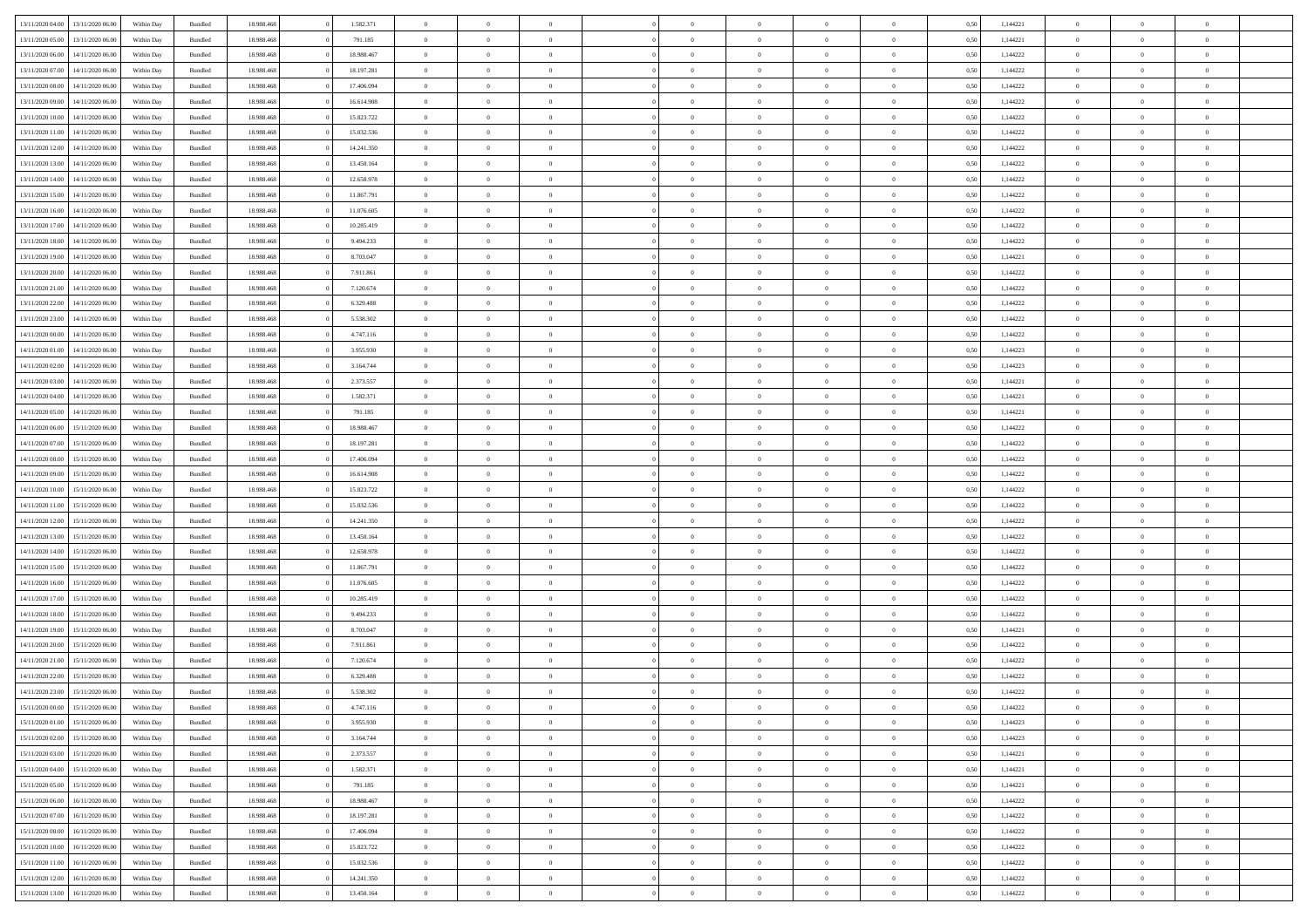| 13/11/2020 04:00 | 13/11/2020 06:00 | Within Dav | Bundled            | 18.988.468 | 1.582.371  | $\overline{0}$ | $\theta$       |                | $\Omega$       | $\Omega$       | $\Omega$       | $\theta$       | 0.50 | 1,144221 | $\theta$       | $\overline{0}$ | $\theta$       |  |
|------------------|------------------|------------|--------------------|------------|------------|----------------|----------------|----------------|----------------|----------------|----------------|----------------|------|----------|----------------|----------------|----------------|--|
|                  |                  |            |                    |            |            |                |                |                |                |                |                |                |      |          |                |                |                |  |
| 13/11/2020 05:00 | 13/11/2020 06.00 | Within Day | Bundled            | 18.988.468 | 791.185    | $\overline{0}$ | $\theta$       | $\overline{0}$ | $\overline{0}$ | $\bf{0}$       | $\overline{0}$ | $\overline{0}$ | 0,50 | 1,144221 | $\theta$       | $\overline{0}$ | $\overline{0}$ |  |
| 13/11/2020 06:00 | 14/11/2020 06.00 | Within Day | Bundled            | 18.988.468 | 18.988.467 | $\overline{0}$ | $\overline{0}$ | $\overline{0}$ | $\bf{0}$       | $\bf{0}$       | $\bf{0}$       | $\bf{0}$       | 0,50 | 1,144222 | $\bf{0}$       | $\overline{0}$ | $\overline{0}$ |  |
| 13/11/2020 07:00 | 14/11/2020 06:00 | Within Dav | Bundled            | 18.988.468 | 18.197.281 | $\overline{0}$ | $\theta$       | $\overline{0}$ | $\overline{0}$ | $\bf{0}$       | $\overline{0}$ | $\overline{0}$ | 0.50 | 1,144222 | $\theta$       | $\theta$       | $\overline{0}$ |  |
| 13/11/2020 08:00 | 14/11/2020 06.00 | Within Day | Bundled            | 18.988.468 | 17.406.094 | $\overline{0}$ | $\theta$       | $\overline{0}$ | $\overline{0}$ | $\bf{0}$       | $\overline{0}$ | $\bf{0}$       | 0,50 | 1,144222 | $\theta$       | $\theta$       | $\overline{0}$ |  |
| 13/11/2020 09:00 | 14/11/2020 06.00 | Within Day | Bundled            | 18.988.468 | 16.614.908 | $\overline{0}$ | $\overline{0}$ | $\overline{0}$ | $\bf{0}$       | $\overline{0}$ | $\overline{0}$ | $\mathbf{0}$   | 0,50 | 1,144222 | $\overline{0}$ | $\overline{0}$ | $\bf{0}$       |  |
|                  |                  |            |                    |            |            |                |                |                |                | $\bf{0}$       |                |                |      |          | $\theta$       | $\overline{0}$ | $\overline{0}$ |  |
| 13/11/2020 10:00 | 14/11/2020 06.00 | Within Dav | Bundled            | 18.988.468 | 15.823.722 | $\overline{0}$ | $\overline{0}$ | $\overline{0}$ | $\overline{0}$ |                | $\overline{0}$ | $\overline{0}$ | 0.50 | 1,144222 |                |                |                |  |
| 13/11/2020 11:00 | 14/11/2020 06.00 | Within Day | Bundled            | 18.988.468 | 15.032.536 | $\overline{0}$ | $\theta$       | $\overline{0}$ | $\overline{0}$ | $\bf{0}$       | $\overline{0}$ | $\bf{0}$       | 0,50 | 1,144222 | $\theta$       | $\theta$       | $\overline{0}$ |  |
| 13/11/2020 12:00 | 14/11/2020 06.00 | Within Day | Bundled            | 18.988.468 | 14.241.350 | $\overline{0}$ | $\overline{0}$ | $\overline{0}$ | $\bf{0}$       | $\bf{0}$       | $\bf{0}$       | $\bf{0}$       | 0,50 | 1,144222 | $\,0\,$        | $\overline{0}$ | $\overline{0}$ |  |
| 13/11/2020 13:00 | 14/11/2020 06.00 | Within Dav | Bundled            | 18.988.468 | 13.450.164 | $\overline{0}$ | $\overline{0}$ | $\overline{0}$ | $\overline{0}$ | $\overline{0}$ | $\overline{0}$ | $\overline{0}$ | 0.50 | 1,144222 | $\theta$       | $\overline{0}$ | $\overline{0}$ |  |
| 13/11/2020 14:00 | 14/11/2020 06.00 | Within Day | Bundled            | 18.988.468 | 12.658.978 | $\overline{0}$ | $\theta$       | $\overline{0}$ | $\overline{0}$ | $\bf{0}$       | $\overline{0}$ | $\bf{0}$       | 0,50 | 1,144222 | $\,$ 0 $\,$    | $\theta$       | $\overline{0}$ |  |
| 13/11/2020 15:00 | 14/11/2020 06.00 | Within Day | Bundled            | 18.988.468 | 11.867.791 | $\overline{0}$ | $\overline{0}$ | $\overline{0}$ | $\bf{0}$       | $\bf{0}$       | $\bf{0}$       | $\bf{0}$       | 0,50 | 1,144222 | $\bf{0}$       | $\overline{0}$ | $\overline{0}$ |  |
| 13/11/2020 16:00 | 14/11/2020 06:00 | Within Day | Bundled            | 18.988.468 | 11.076.605 | $\overline{0}$ | $\theta$       | $\overline{0}$ | $\overline{0}$ | $\bf{0}$       | $\overline{0}$ | $\overline{0}$ | 0.50 | 1,144222 | $\theta$       | $\theta$       | $\overline{0}$ |  |
|                  |                  |            |                    |            |            | $\overline{0}$ | $\theta$       |                |                |                |                |                |      |          | $\theta$       |                |                |  |
| 13/11/2020 17:00 | 14/11/2020 06.00 | Within Day | Bundled            | 18.988.468 | 10.285.419 |                |                | $\overline{0}$ | $\overline{0}$ | $\bf{0}$       | $\overline{0}$ | $\overline{0}$ | 0,50 | 1,144222 |                | $\theta$       | $\overline{0}$ |  |
| 13/11/2020 18:00 | 14/11/2020 06.00 | Within Day | Bundled            | 18.988.468 | 9.494.233  | $\overline{0}$ | $\overline{0}$ | $\overline{0}$ | $\bf{0}$       | $\overline{0}$ | $\overline{0}$ | $\mathbf{0}$   | 0,50 | 1,144222 | $\bf{0}$       | $\overline{0}$ | $\bf{0}$       |  |
| 13/11/2020 19:00 | 14/11/2020 06.00 | Within Dav | Bundled            | 18.988.468 | 8.703.047  | $\overline{0}$ | $\overline{0}$ | $\overline{0}$ | $\overline{0}$ | $\bf{0}$       | $\overline{0}$ | $\overline{0}$ | 0.50 | 1,144221 | $\theta$       | $\overline{0}$ | $\overline{0}$ |  |
| 13/11/2020 20.00 | 14/11/2020 06.00 | Within Day | Bundled            | 18.988.468 | 7.911.861  | $\overline{0}$ | $\theta$       | $\overline{0}$ | $\overline{0}$ | $\bf{0}$       | $\overline{0}$ | $\bf{0}$       | 0,50 | 1,144222 | $\theta$       | $\theta$       | $\overline{0}$ |  |
| 13/11/2020 21:00 | 14/11/2020 06.00 | Within Day | Bundled            | 18.988.468 | 7.120.674  | $\overline{0}$ | $\overline{0}$ | $\overline{0}$ | $\bf{0}$       | $\bf{0}$       | $\bf{0}$       | $\bf{0}$       | 0,50 | 1,144222 | $\,0\,$        | $\overline{0}$ | $\overline{0}$ |  |
| 13/11/2020 22.00 | 14/11/2020 06.00 | Within Day | Bundled            | 18.988.468 | 6.329.488  | $\overline{0}$ | $\overline{0}$ | $\overline{0}$ | $\overline{0}$ | $\overline{0}$ | $\overline{0}$ | $\overline{0}$ | 0.50 | 1,144222 | $\theta$       | $\overline{0}$ | $\overline{0}$ |  |
| 13/11/2020 23.00 | 14/11/2020 06.00 | Within Day | Bundled            | 18.988.468 | 5.538.302  | $\overline{0}$ | $\theta$       | $\overline{0}$ | $\overline{0}$ | $\bf{0}$       | $\overline{0}$ | $\bf{0}$       | 0,50 | 1,144222 | $\theta$       | $\theta$       | $\overline{0}$ |  |
|                  |                  |            |                    |            |            |                |                |                |                |                |                |                |      |          |                |                |                |  |
| 14/11/2020 00:00 | 14/11/2020 06.00 | Within Day | Bundled            | 18.988.468 | 4.747.116  | $\overline{0}$ | $\overline{0}$ | $\overline{0}$ | $\bf{0}$       | $\bf{0}$       | $\bf{0}$       | $\bf{0}$       | 0,50 | 1,144222 | $\,0\,$        | $\overline{0}$ | $\overline{0}$ |  |
| 14/11/2020 01:00 | 14/11/2020 06:00 | Within Day | Bundled            | 18.988.468 | 3.955.930  | $\overline{0}$ | $\overline{0}$ | $\overline{0}$ | $\overline{0}$ | $\bf{0}$       | $\overline{0}$ | $\overline{0}$ | 0.50 | 1,144223 | $\theta$       | $\theta$       | $\overline{0}$ |  |
| 14/11/2020 02.00 | 14/11/2020 06.00 | Within Day | Bundled            | 18.988.468 | 3.164.744  | $\overline{0}$ | $\theta$       | $\overline{0}$ | $\overline{0}$ | $\bf{0}$       | $\overline{0}$ | $\bf{0}$       | 0,50 | 1,144223 | $\,$ 0 $\,$    | $\overline{0}$ | $\overline{0}$ |  |
| 14/11/2020 03.00 | 14/11/2020 06.00 | Within Day | Bundled            | 18.988.468 | 2.373.557  | $\overline{0}$ | $\overline{0}$ | $\overline{0}$ | $\bf{0}$       | $\overline{0}$ | $\bf{0}$       | $\mathbf{0}$   | 0,50 | 1,144221 | $\overline{0}$ | $\overline{0}$ | $\bf{0}$       |  |
| 14/11/2020 04.00 | 14/11/2020 06.00 | Within Dav | Bundled            | 18.988.468 | 1.582.371  | $\overline{0}$ | $\overline{0}$ | $\overline{0}$ | $\overline{0}$ | $\overline{0}$ | $\overline{0}$ | $\overline{0}$ | 0.50 | 1,144221 | $\theta$       | $\overline{0}$ | $\overline{0}$ |  |
| 14/11/2020 05:00 | 14/11/2020 06.00 | Within Day | Bundled            | 18.988.468 | 791.185    | $\overline{0}$ | $\theta$       | $\overline{0}$ | $\overline{0}$ | $\bf{0}$       | $\overline{0}$ | $\bf{0}$       | 0,50 | 1,144221 | $\theta$       | $\theta$       | $\overline{0}$ |  |
| 14/11/2020 06:00 | 15/11/2020 06.00 | Within Day | Bundled            | 18.988.468 | 18.988.467 | $\overline{0}$ | $\overline{0}$ | $\overline{0}$ | $\bf{0}$       | $\bf{0}$       | $\bf{0}$       | $\bf{0}$       | 0,50 | 1,144222 | $\,0\,$        | $\overline{0}$ | $\overline{0}$ |  |
|                  | 15/11/2020 06:00 |            | Bundled            | 18.988.468 | 18.197.281 | $\overline{0}$ | $\overline{0}$ | $\overline{0}$ | $\overline{0}$ | $\overline{0}$ | $\overline{0}$ | $\overline{0}$ | 0.50 | 1,144222 | $\theta$       | $\overline{0}$ | $\overline{0}$ |  |
| 14/11/2020 07.00 |                  | Within Day |                    |            |            |                |                |                |                |                |                |                |      |          |                |                |                |  |
| 14/11/2020 08:00 | 15/11/2020 06.00 | Within Day | Bundled            | 18.988.468 | 17.406.094 | $\overline{0}$ | $\theta$       | $\overline{0}$ | $\overline{0}$ | $\bf{0}$       | $\overline{0}$ | $\bf{0}$       | 0,50 | 1,144222 | $\,$ 0 $\,$    | $\theta$       | $\overline{0}$ |  |
| 14/11/2020 09:00 | 15/11/2020 06.00 | Within Day | Bundled            | 18.988.468 | 16.614.908 | $\overline{0}$ | $\overline{0}$ | $\overline{0}$ | $\bf{0}$       | $\bf{0}$       | $\bf{0}$       | $\bf{0}$       | 0,50 | 1,144222 | $\overline{0}$ | $\overline{0}$ | $\overline{0}$ |  |
| 14/11/2020 10:00 | 15/11/2020 06.00 | Within Day | Bundled            | 18.988.468 | 15.823.722 | $\overline{0}$ | $\Omega$       | $\Omega$       | $\Omega$       | $\Omega$       | $\overline{0}$ | $\overline{0}$ | 0,50 | 1,144222 | $\,0\,$        | $\theta$       | $\theta$       |  |
| 14/11/2020 11:00 | 15/11/2020 06.00 | Within Day | Bundled            | 18.988.468 | 15.032.536 | $\overline{0}$ | $\theta$       | $\overline{0}$ | $\overline{0}$ | $\bf{0}$       | $\overline{0}$ | $\bf{0}$       | 0,50 | 1,144222 | $\theta$       | $\theta$       | $\overline{0}$ |  |
| 14/11/2020 12:00 | 15/11/2020 06.00 | Within Day | Bundled            | 18.988.468 | 14.241.350 | $\overline{0}$ | $\overline{0}$ | $\overline{0}$ | $\bf{0}$       | $\bf{0}$       | $\overline{0}$ | $\mathbf{0}$   | 0,50 | 1,144222 | $\overline{0}$ | $\overline{0}$ | $\bf{0}$       |  |
| 14/11/2020 13:00 | 15/11/2020 06.00 | Within Day | Bundled            | 18.988.468 | 13.450.164 | $\overline{0}$ | $\Omega$       | $\Omega$       | $\Omega$       | $\bf{0}$       | $\overline{0}$ | $\overline{0}$ | 0.50 | 1,144222 | $\,0\,$        | $\theta$       | $\theta$       |  |
| 14/11/2020 14:00 | 15/11/2020 06.00 | Within Day | Bundled            | 18.988.468 | 12.658.978 | $\overline{0}$ | $\theta$       | $\overline{0}$ | $\overline{0}$ | $\bf{0}$       | $\overline{0}$ | $\bf{0}$       | 0,50 | 1,144222 | $\theta$       | $\theta$       | $\overline{0}$ |  |
|                  |                  |            |                    |            |            |                |                |                |                |                |                |                |      |          |                |                |                |  |
| 14/11/2020 15:00 | 15/11/2020 06.00 | Within Day | Bundled            | 18.988.468 | 11.867.791 | $\overline{0}$ | $\overline{0}$ | $\overline{0}$ | $\bf{0}$       | $\bf{0}$       | $\bf{0}$       | $\bf{0}$       | 0,50 | 1,144222 | $\,0\,$        | $\overline{0}$ | $\overline{0}$ |  |
| 14/11/2020 16:00 | 15/11/2020 06.00 | Within Day | Bundled            | 18.988.468 | 11.076.605 | $\overline{0}$ | $\Omega$       | $\Omega$       | $\Omega$       | $\Omega$       | $\theta$       | $\overline{0}$ | 0.50 | 1,144222 | $\theta$       | $\theta$       | $\theta$       |  |
| 14/11/2020 17.00 | 15/11/2020 06.00 | Within Day | Bundled            | 18.988.468 | 10.285.419 | $\overline{0}$ | $\theta$       | $\overline{0}$ | $\overline{0}$ | $\bf{0}$       | $\overline{0}$ | $\bf{0}$       | 0,50 | 1,144222 | $\,$ 0 $\,$    | $\theta$       | $\overline{0}$ |  |
| 14/11/2020 18:00 | 15/11/2020 06.00 | Within Day | Bundled            | 18.988.468 | 9.494.233  | $\overline{0}$ | $\overline{0}$ | $\overline{0}$ | $\bf{0}$       | $\bf{0}$       | $\bf{0}$       | $\bf{0}$       | 0,50 | 1,144222 | $\bf{0}$       | $\overline{0}$ | $\overline{0}$ |  |
| 14/11/2020 19:00 | 15/11/2020 06.00 | Within Day | Bundled            | 18.988.468 | 8.703.047  | $\overline{0}$ | $\Omega$       | $\Omega$       | $\Omega$       | $\Omega$       | $\overline{0}$ | $\overline{0}$ | 0,50 | 1,144221 | $\,0\,$        | $\theta$       | $\theta$       |  |
| 14/11/2020 20.00 | 15/11/2020 06.00 | Within Day | Bundled            | 18.988.468 | 7.911.861  | $\overline{0}$ | $\theta$       | $\overline{0}$ | $\overline{0}$ | $\bf{0}$       | $\overline{0}$ | $\bf{0}$       | 0,50 | 1,144222 | $\,$ 0 $\,$    | $\theta$       | $\overline{0}$ |  |
| 14/11/2020 21.00 | 15/11/2020 06.00 | Within Day | Bundled            | 18.988.468 | 7.120.674  | $\overline{0}$ | $\overline{0}$ | $\overline{0}$ | $\bf{0}$       | $\bf{0}$       | $\bf{0}$       | $\mathbf{0}$   | 0,50 | 1,144222 | $\overline{0}$ | $\overline{0}$ | $\bf{0}$       |  |
|                  | 15/11/2020 06.00 |            | Bundled            | 18.988.468 | 6.329.488  | $\overline{0}$ | $\Omega$       | $\Omega$       | $\Omega$       | $\Omega$       | $\Omega$       | $\overline{0}$ | 0.50 | 1,144222 | $\theta$       | $\theta$       | $\theta$       |  |
| 14/11/2020 22.00 |                  | Within Day |                    |            |            |                |                |                |                |                |                |                |      |          |                |                |                |  |
| 14/11/2020 23.00 | 15/11/2020 06.00 | Within Day | Bundled            | 18.988.468 | 5.538.302  | $\overline{0}$ | $\,$ 0 $\,$    | $\overline{0}$ | $\bf{0}$       | $\,$ 0         | $\bf{0}$       | $\bf{0}$       | 0,50 | 1,144222 | $\,0\,$        | $\overline{0}$ | $\overline{0}$ |  |
| 15/11/2020 00:00 | 15/11/2020 06.00 | Within Day | $\mathbf B$ undled | 18.988.468 | 4.747.116  | $\bf{0}$       | $\bf{0}$       |                |                | $\bf{0}$       |                |                | 0,50 | 1,144222 | $\bf{0}$       | $\overline{0}$ |                |  |
| 15/11/2020 01:00 | 15/11/2020 06:00 | Within Day | Bundled            | 18,988,468 | 3.955.930  | $\overline{0}$ | $\overline{0}$ | $\overline{0}$ | $\Omega$       | $\theta$       | $\overline{0}$ | $\overline{0}$ | 0,50 | 1,144223 | $\theta$       | $\theta$       | $\theta$       |  |
| 15/11/2020 02.00 | 15/11/2020 06.00 | Within Day | Bundled            | 18.988.468 | 3.164.744  | $\overline{0}$ | $\,$ 0         | $\overline{0}$ | $\overline{0}$ | $\,$ 0 $\,$    | $\overline{0}$ | $\mathbf{0}$   | 0,50 | 1,144223 | $\,$ 0 $\,$    | $\,$ 0 $\,$    | $\,$ 0         |  |
| 15/11/2020 03:00 | 15/11/2020 06.00 | Within Day | Bundled            | 18.988.468 | 2.373.557  | $\overline{0}$ | $\overline{0}$ | $\overline{0}$ | $\overline{0}$ | $\overline{0}$ | $\overline{0}$ | $\mathbf{0}$   | 0,50 | 1,144221 | $\overline{0}$ | $\bf{0}$       | $\bf{0}$       |  |
| 15/11/2020 04:00 | 15/11/2020 06.00 | Within Day | Bundled            | 18.988.468 | 1.582.371  | $\overline{0}$ | $\theta$       | $\overline{0}$ | $\Omega$       | $\overline{0}$ | $\overline{0}$ | $\bf{0}$       | 0,50 | 1,144221 | $\overline{0}$ | $\theta$       | $\overline{0}$ |  |
| 15/11/2020 05:00 | 15/11/2020 06.00 | Within Day | Bundled            | 18.988.468 | 791.185    | $\overline{0}$ | $\,$ 0         | $\overline{0}$ | $\overline{0}$ | $\overline{0}$ | $\overline{0}$ | $\bf{0}$       | 0,50 | 1,144221 | $\,$ 0 $\,$    | $\overline{0}$ | $\overline{0}$ |  |
|                  |                  |            |                    |            |            |                |                |                |                |                |                |                |      |          |                |                |                |  |
| 15/11/2020 06.00 | 16/11/2020 06.00 | Within Day | Bundled            | 18.988.468 | 18.988.467 | $\overline{0}$ | $\overline{0}$ | $\overline{0}$ | $\overline{0}$ | $\overline{0}$ | $\overline{0}$ | $\mathbf{0}$   | 0,50 | 1,144222 | $\overline{0}$ | $\bf{0}$       | $\bf{0}$       |  |
| 15/11/2020 07.00 | 16/11/2020 06:00 | Within Day | Bundled            | 18.988.468 | 18.197.281 | $\overline{0}$ | $\overline{0}$ | $\overline{0}$ | $\Omega$       | $\overline{0}$ | $\overline{0}$ | $\bf{0}$       | 0.50 | 1,144222 | $\overline{0}$ | $\theta$       | $\overline{0}$ |  |
| 15/11/2020 08:00 | 16/11/2020 06.00 | Within Day | Bundled            | 18.988.468 | 17.406.094 | $\overline{0}$ | $\,$ 0         | $\overline{0}$ | $\bf{0}$       | $\bf{0}$       | $\bf{0}$       | $\bf{0}$       | 0,50 | 1,144222 | $\,$ 0 $\,$    | $\overline{0}$ | $\overline{0}$ |  |
| 15/11/2020 10:00 | 16/11/2020 06.00 | Within Day | Bundled            | 18.988.468 | 15.823.722 | $\overline{0}$ | $\bf{0}$       | $\overline{0}$ | $\overline{0}$ | $\overline{0}$ | $\bf{0}$       | $\mathbf{0}$   | 0,50 | 1,144222 | $\overline{0}$ | $\overline{0}$ | $\bf{0}$       |  |
| 15/11/2020 11:00 | 16/11/2020 06.00 | Within Day | Bundled            | 18,988,468 | 15.032.536 | $\overline{0}$ | $\overline{0}$ | $\overline{0}$ | $\Omega$       | $\overline{0}$ | $\overline{0}$ | $\bf{0}$       | 0.50 | 1,144222 | $\overline{0}$ | $\overline{0}$ | $\overline{0}$ |  |
| 15/11/2020 12:00 | 16/11/2020 06.00 | Within Day | Bundled            | 18.988.468 | 14.241.350 | $\overline{0}$ | $\bf{0}$       | $\overline{0}$ | $\overline{0}$ | $\bf{0}$       | $\bf{0}$       | $\mathbf{0}$   | 0,50 | 1,144222 | $\,$ 0 $\,$    | $\,$ 0 $\,$    | $\bf{0}$       |  |
| 15/11/2020 13:00 | 16/11/2020 06.00 | Within Day | Bundled            | 18.988.468 | 13.450.164 | $\overline{0}$ | $\overline{0}$ | $\overline{0}$ | $\overline{0}$ | $\bf{0}$       | $\bf{0}$       | $\mathbf{0}$   | 0,50 | 1,144222 | $\overline{0}$ | $\bf{0}$       | $\bf{0}$       |  |
|                  |                  |            |                    |            |            |                |                |                |                |                |                |                |      |          |                |                |                |  |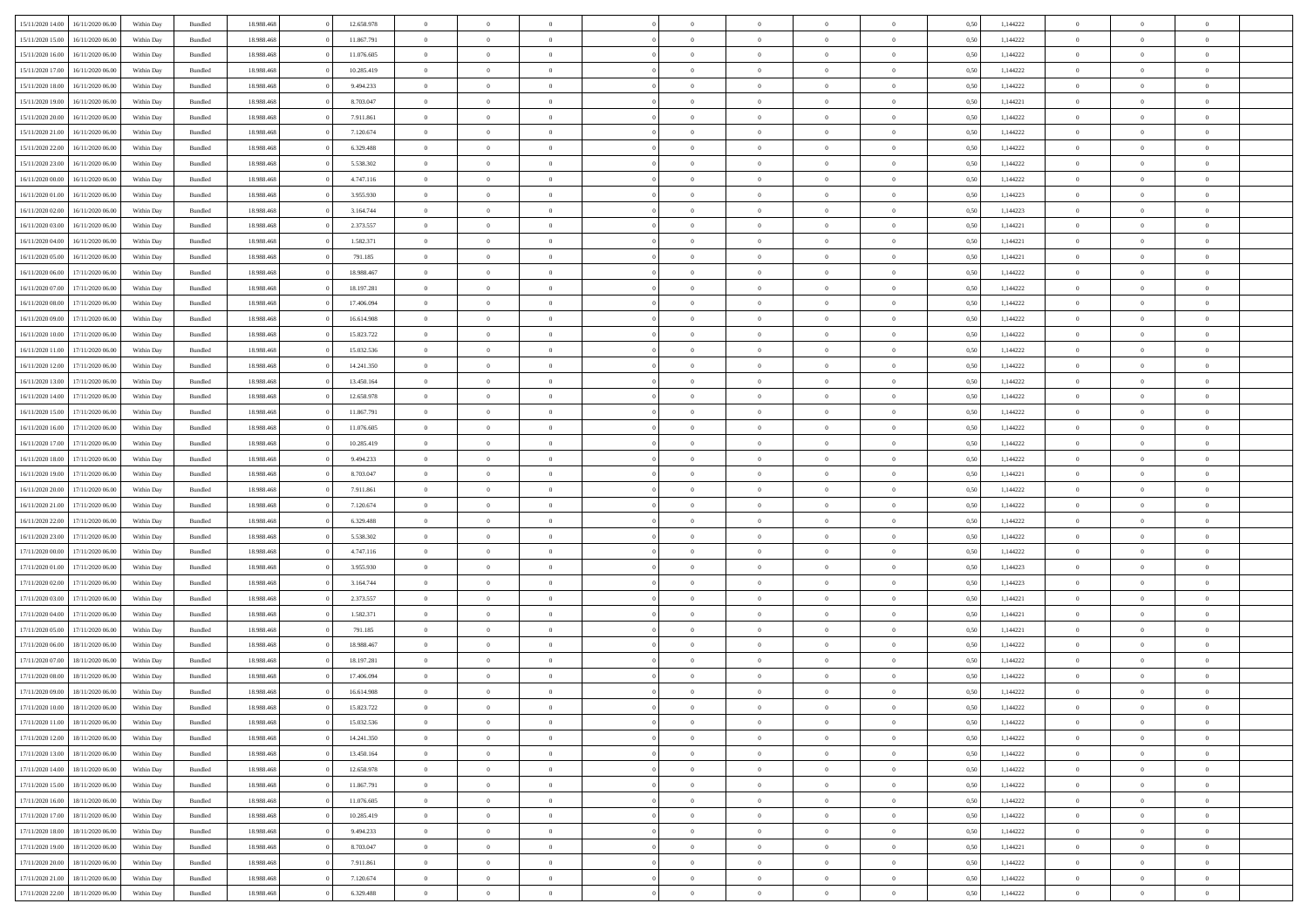|                  |                  |            |                    |            |            | $\overline{0}$ |                |                |                | $\Omega$       | $\Omega$       | $\theta$       |      |          | $\theta$       | $\overline{0}$ | $\theta$       |  |
|------------------|------------------|------------|--------------------|------------|------------|----------------|----------------|----------------|----------------|----------------|----------------|----------------|------|----------|----------------|----------------|----------------|--|
| 15/11/2020 14:00 | 16/11/2020 06:00 | Within Dav | Bundled            | 18.988.468 | 12.658.978 |                | $\theta$       |                | $\Omega$       |                |                |                | 0.50 | 1,144222 |                |                |                |  |
| 15/11/2020 15:00 | 16/11/2020 06.00 | Within Day | Bundled            | 18.988.468 | 11.867.791 | $\overline{0}$ | $\theta$       | $\overline{0}$ | $\overline{0}$ | $\bf{0}$       | $\overline{0}$ | $\overline{0}$ | 0,50 | 1,144222 | $\theta$       | $\overline{0}$ | $\overline{0}$ |  |
| 15/11/2020 16:00 | 16/11/2020 06.00 | Within Day | Bundled            | 18.988.468 | 11.076.605 | $\overline{0}$ | $\overline{0}$ | $\overline{0}$ | $\bf{0}$       | $\bf{0}$       | $\bf{0}$       | $\bf{0}$       | 0,50 | 1,144222 | $\bf{0}$       | $\overline{0}$ | $\overline{0}$ |  |
| 15/11/2020 17.00 | 16/11/2020 06:00 | Within Dav | Bundled            | 18.988.468 | 10.285.419 | $\overline{0}$ | $\overline{0}$ | $\overline{0}$ | $\overline{0}$ | $\bf{0}$       | $\overline{0}$ | $\overline{0}$ | 0.50 | 1,144222 | $\theta$       | $\theta$       | $\overline{0}$ |  |
|                  |                  |            |                    |            |            |                |                |                |                |                |                |                |      |          |                |                |                |  |
| 15/11/2020 18:00 | 16/11/2020 06.00 | Within Day | Bundled            | 18.988.468 | 9.494.233  | $\overline{0}$ | $\theta$       | $\overline{0}$ | $\overline{0}$ | $\bf{0}$       | $\overline{0}$ | $\bf{0}$       | 0,50 | 1,144222 | $\theta$       | $\theta$       | $\overline{0}$ |  |
| 15/11/2020 19:00 | 16/11/2020 06.00 | Within Day | Bundled            | 18.988.468 | 8.703.047  | $\overline{0}$ | $\bf{0}$       | $\overline{0}$ | $\bf{0}$       | $\overline{0}$ | $\overline{0}$ | $\mathbf{0}$   | 0,50 | 1,144221 | $\overline{0}$ | $\overline{0}$ | $\bf{0}$       |  |
| 15/11/2020 20.00 | 16/11/2020 06:00 | Within Dav | Bundled            | 18.988.468 | 7.911.861  | $\overline{0}$ | $\overline{0}$ | $\overline{0}$ | $\overline{0}$ | $\bf{0}$       | $\overline{0}$ | $\overline{0}$ | 0.50 | 1,144222 | $\theta$       | $\overline{0}$ | $\overline{0}$ |  |
| 15/11/2020 21.00 | 16/11/2020 06.00 | Within Day | Bundled            | 18.988.468 | 7.120.674  | $\overline{0}$ | $\theta$       | $\overline{0}$ | $\overline{0}$ | $\bf{0}$       | $\overline{0}$ | $\bf{0}$       | 0,50 | 1,144222 | $\theta$       | $\theta$       | $\overline{0}$ |  |
| 15/11/2020 22.00 | 16/11/2020 06.00 | Within Day | Bundled            | 18.988.468 | 6.329.488  | $\overline{0}$ | $\overline{0}$ | $\overline{0}$ | $\bf{0}$       | $\bf{0}$       | $\bf{0}$       | $\bf{0}$       | 0,50 | 1,144222 | $\,0\,$        | $\overline{0}$ | $\overline{0}$ |  |
|                  |                  |            |                    |            |            |                | $\overline{0}$ |                |                | $\overline{0}$ |                |                |      |          | $\theta$       | $\overline{0}$ | $\overline{0}$ |  |
| 15/11/2020 23.00 | 16/11/2020 06.00 | Within Dav | Bundled            | 18.988.468 | 5.538.302  | $\overline{0}$ |                | $\overline{0}$ | $\overline{0}$ |                | $\overline{0}$ | $\overline{0}$ | 0.50 | 1,144222 |                |                |                |  |
| 16/11/2020 00.00 | 16/11/2020 06.00 | Within Day | Bundled            | 18.988.468 | 4.747.116  | $\overline{0}$ | $\theta$       | $\overline{0}$ | $\overline{0}$ | $\bf{0}$       | $\overline{0}$ | $\bf{0}$       | 0,50 | 1,144222 | $\,$ 0 $\,$    | $\theta$       | $\overline{0}$ |  |
| 16/11/2020 01:00 | 16/11/2020 06.00 | Within Day | Bundled            | 18.988.468 | 3.955.930  | $\overline{0}$ | $\overline{0}$ | $\overline{0}$ | $\bf{0}$       | $\bf{0}$       | $\bf{0}$       | $\bf{0}$       | 0,50 | 1,144223 | $\bf{0}$       | $\overline{0}$ | $\overline{0}$ |  |
| 16/11/2020 02.00 | 16/11/2020 06:00 | Within Day | Bundled            | 18.988.468 | 3.164.744  | $\overline{0}$ | $\overline{0}$ | $\overline{0}$ | $\overline{0}$ | $\bf{0}$       | $\overline{0}$ | $\overline{0}$ | 0.50 | 1,144223 | $\theta$       | $\theta$       | $\overline{0}$ |  |
| 16/11/2020 03.00 | 16/11/2020 06.00 | Within Day | Bundled            | 18.988.468 | 2.373.557  | $\overline{0}$ | $\theta$       | $\overline{0}$ | $\overline{0}$ | $\bf{0}$       | $\overline{0}$ | $\bf{0}$       | 0,50 | 1,144221 | $\theta$       | $\theta$       | $\overline{0}$ |  |
|                  |                  |            |                    |            |            |                |                |                |                |                |                |                |      |          |                |                |                |  |
| 16/11/2020 04:00 | 16/11/2020 06.00 | Within Day | Bundled            | 18.988.468 | 1.582.371  | $\overline{0}$ | $\overline{0}$ | $\overline{0}$ | $\bf{0}$       | $\overline{0}$ | $\overline{0}$ | $\mathbf{0}$   | 0,50 | 1,144221 | $\overline{0}$ | $\overline{0}$ | $\bf{0}$       |  |
| 16/11/2020 05:00 | 16/11/2020 06:00 | Within Dav | Bundled            | 18.988.468 | 791.185    | $\overline{0}$ | $\overline{0}$ | $\overline{0}$ | $\overline{0}$ | $\overline{0}$ | $\overline{0}$ | $\overline{0}$ | 0.50 | 1,144221 | $\theta$       | $\overline{0}$ | $\overline{0}$ |  |
| 16/11/2020 06.00 | 17/11/2020 06.00 | Within Day | Bundled            | 18.988.468 | 18.988.467 | $\overline{0}$ | $\theta$       | $\overline{0}$ | $\overline{0}$ | $\bf{0}$       | $\overline{0}$ | $\bf{0}$       | 0,50 | 1,144222 | $\theta$       | $\theta$       | $\overline{0}$ |  |
| 16/11/2020 07:00 | 17/11/2020 06.00 | Within Day | Bundled            | 18.988.468 | 18.197.281 | $\overline{0}$ | $\overline{0}$ | $\overline{0}$ | $\bf{0}$       | $\bf{0}$       | $\bf{0}$       | $\bf{0}$       | 0,50 | 1,144222 | $\,0\,$        | $\overline{0}$ | $\overline{0}$ |  |
| 16/11/2020 08:00 | 17/11/2020 06.00 | Within Day | Bundled            | 18.988.468 | 17.406.094 | $\overline{0}$ | $\overline{0}$ | $\overline{0}$ | $\overline{0}$ | $\overline{0}$ | $\overline{0}$ | $\overline{0}$ | 0.50 | 1,144222 | $\theta$       | $\overline{0}$ | $\overline{0}$ |  |
| 16/11/2020 09:00 | 17/11/2020 06.00 | Within Day | Bundled            | 18.988.468 | 16.614.908 | $\overline{0}$ | $\theta$       | $\overline{0}$ | $\overline{0}$ | $\bf{0}$       | $\overline{0}$ | $\bf{0}$       | 0,50 | 1,144222 | $\,$ 0 $\,$    | $\theta$       | $\overline{0}$ |  |
|                  |                  |            |                    |            |            |                |                |                |                |                |                |                |      |          |                |                |                |  |
| 16/11/2020 10:00 | 17/11/2020 06.00 | Within Day | Bundled            | 18.988.468 | 15.823.722 | $\overline{0}$ | $\overline{0}$ | $\overline{0}$ | $\bf{0}$       | $\bf{0}$       | $\bf{0}$       | $\bf{0}$       | 0,50 | 1,144222 | $\,0\,$        | $\overline{0}$ | $\overline{0}$ |  |
| 16/11/2020 11:00 | 17/11/2020 06:00 | Within Day | Bundled            | 18.988.468 | 15.032.536 | $\overline{0}$ | $\overline{0}$ | $\overline{0}$ | $\overline{0}$ | $\bf{0}$       | $\overline{0}$ | $\overline{0}$ | 0.50 | 1,144222 | $\theta$       | $\theta$       | $\overline{0}$ |  |
| 16/11/2020 12:00 | 17/11/2020 06.00 | Within Day | Bundled            | 18.988.468 | 14.241.350 | $\overline{0}$ | $\theta$       | $\overline{0}$ | $\overline{0}$ | $\bf{0}$       | $\overline{0}$ | $\bf{0}$       | 0,50 | 1,144222 | $\,$ 0 $\,$    | $\overline{0}$ | $\overline{0}$ |  |
| 16/11/2020 13.00 | 17/11/2020 06.00 | Within Day | Bundled            | 18.988.468 | 13.450.164 | $\overline{0}$ | $\overline{0}$ | $\overline{0}$ | $\bf{0}$       | $\overline{0}$ | $\overline{0}$ | $\mathbf{0}$   | 0,50 | 1,144222 | $\overline{0}$ | $\overline{0}$ | $\bf{0}$       |  |
| 16/11/2020 14:00 | 17/11/2020 06.00 | Within Dav | Bundled            | 18.988.468 | 12.658.978 | $\overline{0}$ | $\overline{0}$ | $\overline{0}$ | $\overline{0}$ | $\overline{0}$ | $\overline{0}$ | $\overline{0}$ | 0.50 | 1,144222 | $\theta$       | $\overline{0}$ | $\overline{0}$ |  |
| 16/11/2020 15:00 | 17/11/2020 06.00 | Within Day | Bundled            | 18.988.468 | 11.867.791 | $\overline{0}$ | $\theta$       | $\overline{0}$ | $\overline{0}$ | $\bf{0}$       | $\overline{0}$ | $\bf{0}$       | 0,50 | 1,144222 | $\theta$       | $\theta$       | $\overline{0}$ |  |
|                  | 17/11/2020 06.00 | Within Day | Bundled            | 18.988.468 | 11.076.605 | $\overline{0}$ | $\overline{0}$ | $\overline{0}$ | $\bf{0}$       | $\bf{0}$       | $\bf{0}$       | $\bf{0}$       | 0,50 | 1,144222 | $\,0\,$        | $\overline{0}$ | $\overline{0}$ |  |
| 16/11/2020 16:00 |                  |            |                    |            |            |                |                |                |                |                |                |                |      |          |                |                |                |  |
| 16/11/2020 17.00 | 17/11/2020 06.00 | Within Day | Bundled            | 18.988.468 | 10.285.419 | $\overline{0}$ | $\overline{0}$ | $\overline{0}$ | $\overline{0}$ | $\overline{0}$ | $\overline{0}$ | $\overline{0}$ | 0.50 | 1,144222 | $\theta$       | $\overline{0}$ | $\overline{0}$ |  |
| 16/11/2020 18:00 | 17/11/2020 06.00 | Within Day | Bundled            | 18.988.468 | 9.494.233  | $\overline{0}$ | $\theta$       | $\overline{0}$ | $\overline{0}$ | $\bf{0}$       | $\overline{0}$ | $\bf{0}$       | 0,50 | 1,144222 | $\,$ 0 $\,$    | $\theta$       | $\overline{0}$ |  |
| 16/11/2020 19.00 | 17/11/2020 06.00 | Within Day | Bundled            | 18.988.468 | 8.703.047  | $\overline{0}$ | $\overline{0}$ | $\overline{0}$ | $\bf{0}$       | $\bf{0}$       | $\bf{0}$       | $\bf{0}$       | 0,50 | 1,144221 | $\overline{0}$ | $\overline{0}$ | $\overline{0}$ |  |
| 16/11/2020 20.00 | 17/11/2020 06.00 | Within Day | Bundled            | 18.988.468 | 7.911.861  | $\overline{0}$ | $\Omega$       | $\Omega$       | $\Omega$       | $\Omega$       | $\overline{0}$ | $\overline{0}$ | 0,50 | 1,144222 | $\,0\,$        | $\theta$       | $\theta$       |  |
| 16/11/2020 21.00 | 17/11/2020 06.00 | Within Day | Bundled            | 18.988.468 | 7.120.674  | $\overline{0}$ | $\theta$       | $\overline{0}$ | $\overline{0}$ | $\bf{0}$       | $\overline{0}$ | $\bf{0}$       | 0,50 | 1,144222 | $\theta$       | $\theta$       | $\overline{0}$ |  |
| 16/11/2020 22:00 | 17/11/2020 06.00 | Within Day | Bundled            | 18.988.468 | 6.329.488  | $\overline{0}$ | $\bf{0}$       | $\overline{0}$ | $\bf{0}$       | $\bf{0}$       | $\overline{0}$ | $\mathbf{0}$   | 0,50 | 1,144222 | $\overline{0}$ | $\overline{0}$ | $\bf{0}$       |  |
|                  |                  |            |                    |            |            |                |                |                |                |                |                |                |      |          |                |                |                |  |
| 16/11/2020 23.00 | 17/11/2020 06.00 | Within Day | Bundled            | 18.988.468 | 5.538.302  | $\overline{0}$ | $\Omega$       | $\Omega$       | $\Omega$       | $\bf{0}$       | $\overline{0}$ | $\overline{0}$ | 0.50 | 1,144222 | $\,0\,$        | $\theta$       | $\theta$       |  |
| 17/11/2020 00.00 | 17/11/2020 06.00 | Within Day | Bundled            | 18.988.468 | 4.747.116  | $\overline{0}$ | $\theta$       | $\overline{0}$ | $\overline{0}$ | $\bf{0}$       | $\overline{0}$ | $\bf{0}$       | 0,50 | 1,144222 | $\,$ 0 $\,$    | $\theta$       | $\overline{0}$ |  |
| 17/11/2020 01:00 | 17/11/2020 06.00 | Within Day | Bundled            | 18.988.468 | 3.955.930  | $\overline{0}$ | $\overline{0}$ | $\overline{0}$ | $\bf{0}$       | $\bf{0}$       | $\bf{0}$       | $\bf{0}$       | 0,50 | 1,144223 | $\bf{0}$       | $\overline{0}$ | $\overline{0}$ |  |
| 17/11/2020 02.00 | 17/11/2020 06.00 | Within Day | Bundled            | 18.988.468 | 3.164.744  | $\overline{0}$ | $\Omega$       | $\Omega$       | $\Omega$       | $\Omega$       | $\theta$       | $\overline{0}$ | 0.50 | 1,144223 | $\theta$       | $\theta$       | $\theta$       |  |
| 17/11/2020 03:00 | 17/11/2020 06.00 | Within Day | Bundled            | 18.988.468 | 2.373.557  | $\overline{0}$ | $\theta$       | $\overline{0}$ | $\overline{0}$ | $\bf{0}$       | $\overline{0}$ | $\bf{0}$       | 0,50 | 1,144221 | $\,$ 0 $\,$    | $\theta$       | $\overline{0}$ |  |
|                  |                  |            |                    |            |            |                | $\overline{0}$ |                |                | $\bf{0}$       |                |                |      |          | $\bf{0}$       | $\overline{0}$ | $\overline{0}$ |  |
| 17/11/2020 04:00 | 17/11/2020 06.00 | Within Day | Bundled            | 18.988.468 | 1.582.371  | $\overline{0}$ |                | $\overline{0}$ | $\bf{0}$       |                | $\bf{0}$       | $\bf{0}$       | 0,50 | 1,144221 |                |                |                |  |
| 17/11/2020 05:00 | 17/11/2020 06.00 | Within Day | Bundled            | 18.988.468 | 791.185    | $\overline{0}$ | $\Omega$       | $\Omega$       | $\Omega$       | $\Omega$       | $\overline{0}$ | $\overline{0}$ | 0.50 | 1,144221 | $\,0\,$        | $\theta$       | $\theta$       |  |
| 17/11/2020 06.00 | 18/11/2020 06.00 | Within Day | Bundled            | 18.988.468 | 18.988.467 | $\overline{0}$ | $\theta$       | $\overline{0}$ | $\overline{0}$ | $\bf{0}$       | $\overline{0}$ | $\bf{0}$       | 0,50 | 1,144222 | $\,$ 0 $\,$    | $\theta$       | $\overline{0}$ |  |
| 17/11/2020 07:00 | 18/11/2020 06.00 | Within Day | Bundled            | 18.988.468 | 18.197.281 | $\overline{0}$ | $\overline{0}$ | $\overline{0}$ | $\bf{0}$       | $\bf{0}$       | $\bf{0}$       | $\mathbf{0}$   | 0,50 | 1,144222 | $\bf{0}$       | $\overline{0}$ | $\bf{0}$       |  |
| 17/11/2020 08:00 | 18/11/2020 06.00 | Within Day | Bundled            | 18.988.468 | 17.406.094 | $\overline{0}$ | $\Omega$       | $\Omega$       | $\Omega$       | $\Omega$       | $\Omega$       | $\overline{0}$ | 0.50 | 1,144222 | $\theta$       | $\theta$       | $\theta$       |  |
| 17/11/2020 09:00 | 18/11/2020 06.00 | Within Day | Bundled            | 18.988.468 | 16.614.908 | $\overline{0}$ | $\,$ 0 $\,$    | $\overline{0}$ | $\bf{0}$       | $\,$ 0         | $\bf{0}$       | $\bf{0}$       | 0,50 | 1,144222 | $\,0\,$        | $\overline{0}$ | $\overline{0}$ |  |
| 17/11/2020 10:00 | 18/11/2020 06.00 | Within Day | $\mathbf B$ undled | 18.988.468 | 15.823.722 | $\bf{0}$       | $\bf{0}$       |                |                | $\bf{0}$       |                |                | 0,50 | 1,144222 | $\bf{0}$       | $\overline{0}$ |                |  |
|                  |                  |            |                    |            |            |                |                |                |                |                |                |                |      |          |                |                |                |  |
| 17/11/2020 11:00 | 18/11/2020 06:00 | Within Day | Bundled            | 18.988.468 | 15.032.536 | $\overline{0}$ | $\overline{0}$ | $\overline{0}$ | $\Omega$       | $\theta$       | $\overline{0}$ | $\overline{0}$ | 0,50 | 1,144222 | $\theta$       | $\theta$       | $\theta$       |  |
| 17/11/2020 12:00 | 18/11/2020 06.00 | Within Day | Bundled            | 18.988.468 | 14.241.350 | $\overline{0}$ | $\,$ 0         | $\overline{0}$ | $\bf{0}$       | $\,$ 0 $\,$    | $\overline{0}$ | $\mathbf{0}$   | 0,50 | 1,144222 | $\,$ 0 $\,$    | $\,$ 0 $\,$    | $\,$ 0         |  |
| 17/11/2020 13:00 | 18/11/2020 06:00 | Within Day | Bundled            | 18.988.468 | 13.450.164 | $\overline{0}$ | $\overline{0}$ | $\overline{0}$ | $\overline{0}$ | $\overline{0}$ | $\overline{0}$ | $\mathbf{0}$   | 0,50 | 1,144222 | $\overline{0}$ | $\bf{0}$       | $\bf{0}$       |  |
| 17/11/2020 14:00 | 18/11/2020 06:00 | Within Day | Bundled            | 18.988.468 | 12.658.978 | $\overline{0}$ | $\theta$       | $\overline{0}$ | $\Omega$       | $\overline{0}$ | $\overline{0}$ | $\bf{0}$       | 0,50 | 1,144222 | $\bf{0}$       | $\theta$       | $\overline{0}$ |  |
| 17/11/2020 15:00 | 18/11/2020 06.00 | Within Day | Bundled            | 18.988.468 | 11.867.791 | $\overline{0}$ | $\,$ 0         | $\overline{0}$ | $\overline{0}$ | $\overline{0}$ | $\overline{0}$ | $\bf{0}$       | 0,50 | 1,144222 | $\,$ 0 $\,$    | $\overline{0}$ | $\overline{0}$ |  |
| 17/11/2020 16.00 | 18/11/2020 06:00 | Within Day | Bundled            | 18.988.468 | 11.076.605 | $\overline{0}$ | $\overline{0}$ | $\overline{0}$ | $\overline{0}$ | $\overline{0}$ | $\overline{0}$ | $\mathbf{0}$   | 0,50 | 1,144222 | $\overline{0}$ | $\bf{0}$       | $\bf{0}$       |  |
|                  |                  |            |                    |            |            |                |                |                |                |                |                |                |      |          |                |                |                |  |
| 17/11/2020 17.00 | 18/11/2020 06:00 | Within Day | Bundled            | 18.988.468 | 10.285.419 | $\overline{0}$ | $\overline{0}$ | $\overline{0}$ | $\Omega$       | $\overline{0}$ | $\overline{0}$ | $\bf{0}$       | 0.50 | 1,144222 | $\overline{0}$ | $\theta$       | $\overline{0}$ |  |
| 17/11/2020 18:00 | 18/11/2020 06.00 | Within Day | Bundled            | 18.988.468 | 9.494.233  | $\overline{0}$ | $\,$ 0         | $\overline{0}$ | $\overline{0}$ | $\bf{0}$       | $\overline{0}$ | $\bf{0}$       | 0,50 | 1,144222 | $\,$ 0 $\,$    | $\overline{0}$ | $\overline{0}$ |  |
| 17/11/2020 19:00 | 18/11/2020 06:00 | Within Day | Bundled            | 18.988.468 | 8.703.047  | $\overline{0}$ | $\bf{0}$       | $\overline{0}$ | $\overline{0}$ | $\overline{0}$ | $\overline{0}$ | $\mathbf{0}$   | 0,50 | 1,144221 | $\overline{0}$ | $\overline{0}$ | $\bf{0}$       |  |
| 17/11/2020 20.00 | 18/11/2020 06:00 | Within Day | Bundled            | 18,988,468 | 7.911.861  | $\overline{0}$ | $\overline{0}$ | $\overline{0}$ | $\Omega$       | $\overline{0}$ | $\overline{0}$ | $\bf{0}$       | 0.50 | 1,144222 | $\overline{0}$ | $\theta$       | $\overline{0}$ |  |
| 17/11/2020 21.00 | 18/11/2020 06.00 | Within Day | Bundled            | 18.988.468 | 7.120.674  | $\overline{0}$ | $\bf{0}$       | $\overline{0}$ | $\overline{0}$ | $\bf{0}$       | $\bf{0}$       | $\bf{0}$       | 0,50 | 1,144222 | $\,$ 0 $\,$    | $\,$ 0 $\,$    | $\bf{0}$       |  |
| 17/11/2020 22.00 | 18/11/2020 06.00 | Within Day | Bundled            | 18.988.468 | 6.329.488  | $\overline{0}$ | $\overline{0}$ | $\overline{0}$ | $\overline{0}$ | $\bf{0}$       | $\bf{0}$       | $\mathbf{0}$   | 0,50 | 1,144222 | $\overline{0}$ | $\bf{0}$       | $\bf{0}$       |  |
|                  |                  |            |                    |            |            |                |                |                |                |                |                |                |      |          |                |                |                |  |